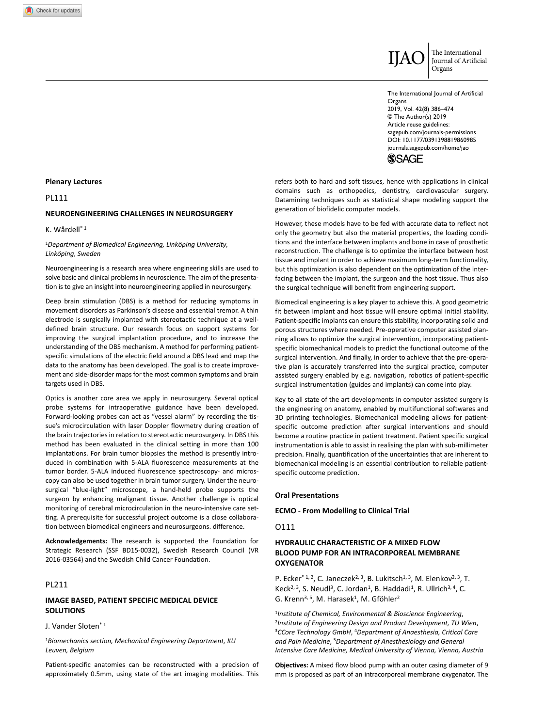

IJAO The International Journal of Artificial Organs

DOI: 10.1177/0391398819860985 The International Journal of Artificial Organs 2019, Vol. 42(8) 386–474 © The Author(s) 2019 Article reuse guidelines: [sagepub.com/journals-permissions](https://uk.sagepub.com/en-gb/journals-permissions) [journals.sagepub.com/home/jao](https://journals.sagepub.com/home/jao)



refers both to hard and soft tissues, hence with applications in clinical domains such as orthopedics, dentistry, cardiovascular surgery. Datamining techniques such as statistical shape modeling support the generation of biofidelic computer models.

However, these models have to be fed with accurate data to reflect not only the geometry but also the material properties, the loading conditions and the interface between implants and bone in case of prosthetic reconstruction. The challenge is to optimize the interface between host tissue and implant in order to achieve maximum long-term functionality, but this optimization is also dependent on the optimization of the interfacing between the implant, the surgeon and the host tissue. Thus also the surgical technique will benefit from engineering support.

Biomedical engineering is a key player to achieve this. A good geometric fit between implant and host tissue will ensure optimal initial stability. Patient-specific implants can ensure this stability, incorporating solid and porous structures where needed. Pre-operative computer assisted planning allows to optimize the surgical intervention, incorporating patientspecific biomechanical models to predict the functional outcome of the surgical intervention. And finally, in order to achieve that the pre-operative plan is accurately transferred into the surgical practice, computer assisted surgery enabled by e.g. navigation, robotics of patient-specific surgical instrumentation (guides and implants) can come into play.

Key to all state of the art developments in computer assisted surgery is the engineering on anatomy, enabled by multifunctional softwares and 3D printing technologies. Biomechanical modeling allows for patientspecific outcome prediction after surgical interventions and should become a routine practice in patient treatment. Patient specific surgical instrumentation is able to assist in realising the plan with sub-millimeter precision. Finally, quantification of the uncertainties that are inherent to biomechanical modeling is an essential contribution to reliable patientspecific outcome prediction.

### **Oral Presentations**

**ECMO - From Modelling to Clinical Trial**

O111

# **HYDRAULIC CHARACTERISTIC OF A MIXED FLOW BLOOD PUMP FOR AN INTRACORPOREAL MEMBRANE OXYGENATOR**

P. Ecker<sup>\* 1, 2</sup>, C. Janeczek<sup>2, 3</sup>, B. Lukitsch<sup>1, 3</sup>, M. Elenkov<sup>2, 3</sup>, T. Keck<sup>2, 3</sup>, S. Neudl<sup>3</sup>, C. Jordan<sup>1</sup>, B. Haddadi<sup>1</sup>, R. Ullrich<sup>3, 4</sup>, C. G. Krenn<sup>3, 5</sup>, M. Harasek<sup>1</sup>, M. Gföhler<sup>2</sup>

<sup>1</sup>Institute of Chemical, Environmental & Bioscience Engineering,<br><sup>2</sup>Institute of Engineering Design and Product Development, TU Wien,<br><sup>3</sup>CCore Technology GmbH, <sup>4</sup>Department of Anaesthesia, Critical Care *and Pain Medicine*, 5*Department of Anesthesiology and General Intensive Care Medicine, Medical University of Vienna, Vienna, Austria*

**Objectives:** A mixed flow blood pump with an outer casing diameter of 9 mm is proposed as part of an intracorporeal membrane oxygenator. The

### **Plenary Lectures**

PL111

#### **NEUROENGINEERING CHALLENGES IN NEUROSURGERY**

#### K. Wårdell\* 1

#### <sup>1</sup>*Department of Biomedical Engineering, Linköping University, Linköping, Sweden*

Neuroengineering is a research area where engineering skills are used to solve basic and clinical problems in neuroscience. The aim of the presentation is to give an insight into neuroengineering applied in neurosurgery.

Deep brain stimulation (DBS) is a method for reducing symptoms in movement disorders as Parkinson's disease and essential tremor. A thin electrode is surgically implanted with stereotactic technique at a welldefined brain structure. Our research focus on support systems for improving the surgical implantation procedure, and to increase the understanding of the DBS mechanism. A method for performing patientspecific simulations of the electric field around a DBS lead and map the data to the anatomy has been developed. The goal is to create improvement and side-disorder maps for the most common symptoms and brain targets used in DBS.

Optics is another core area we apply in neurosurgery. Several optical probe systems for intraoperative guidance have been developed. Forward-looking probes can act as "vessel alarm" by recording the tissue's microcirculation with laser Doppler flowmetry during creation of the brain trajectories in relation to stereotactic neurosurgery. In DBS this method has been evaluated in the clinical setting in more than 100 implantations. For brain tumor biopsies the method is presently introduced in combination with 5-ALA fluorescence measurements at the tumor border. 5-ALA induced fluorescence spectroscopy- and microscopy can also be used together in brain tumor surgery. Under the neurosurgical "blue-light" microscope, a hand-held probe supports the surgeon by enhancing malignant tissue. Another challenge is optical monitoring of cerebral microcirculation in the neuro-intensive care setting. A prerequisite for successful project outcome is a close collaboration between biomedical engineers and neurosurgeons. difference.

**Acknowledgements:** The research is supported the Foundation for Strategic Research (SSF BD15-0032), Swedish Research Council (VR 2016-03564) and the Swedish Child Cancer Foundation.

# PL211

### **IMAGE BASED, PATIENT SPECIFIC MEDICAL DEVICE SOLUTIONS**

J. Vander Sloten\* 1

<sup>1</sup>*Biomechanics section, Mechanical Engineering Department, KU Leuven, Belgium*

Patient-specific anatomies can be reconstructed with a precision of approximately 0.5mm, using state of the art imaging modalities. This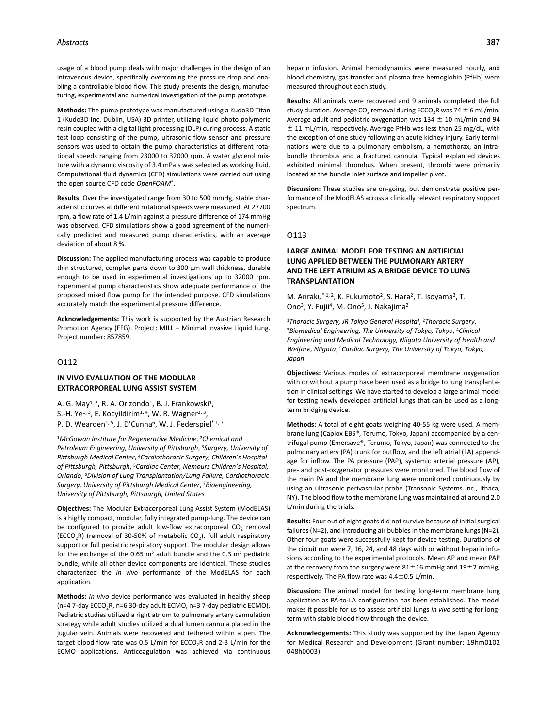usage of a blood pump deals with major challenges in the design of an intravenous device, specifically overcoming the pressure drop and enabling a controllable blood flow. This study presents the design, manufacturing, experimental and numerical investigation of the pump prototype.

**Methods:** The pump prototype was manufactured using a Kudo3D Titan 1 (Kudo3D Inc. Dublin, USA) 3D printer, utilizing liquid photo polymeric resin coupled with a digital light processing (DLP) curing process. A static test loop consisting of the pump, ultrasonic flow sensor and pressure sensors was used to obtain the pump characteristics at different rotational speeds ranging from 23000 to 32000 rpm. A water glycerol mixture with a dynamic viscosity of 3.4 mPa.s was selected as working fluid. Computational fluid dynamics (CFD) simulations were carried out using the open source CFD code *OpenFOAM*®.

**Results:** Over the investigated range from 30 to 500 mmHg, stable characteristic curves at different rotational speeds were measured. At 27700 rpm, a flow rate of 1.4 L/min against a pressure difference of 174 mmHg was observed. CFD simulations show a good agreement of the numerically predicted and measured pump characteristics, with an average deviation of about 8 %.

**Discussion:** The applied manufacturing process was capable to produce thin structured, complex parts down to 300 µm wall thickness, durable enough to be used in experimental investigations up to 32000 rpm. Experimental pump characteristics show adequate performance of the proposed mixed flow pump for the intended purpose. CFD simulations accurately match the experimental pressure difference.

**Acknowledgements:** This work is supported by the Austrian Research Promotion Agency (FFG). Project: MILL – Minimal Invasive Liquid Lung. Project number: 857859.

# O112

### **IN VIVO EVALUATION OF THE MODULAR EXTRACORPOREAL LUNG ASSIST SYSTEM**

A. G. May<sup>1, 2</sup>, R. A. Orizondo<sup>1</sup>, B. J. Frankowski<sup>1</sup>, S.-H. Ye<sup>1, 3</sup>, E. Kocyildirim<sup>1, 4</sup>, W. R. Wagner<sup>1, 3</sup>, P. D. Wearden<sup>1, 5</sup>, J. D'Cunha<sup>6</sup>, W. J. Federspiel<sup>\* 1, 7</sup>

<sup>1</sup>*McGowan Institute for Regenerative Medicine*, 2*Chemical and Petroleum Engineering, University of Pittsburgh*, 3*Surgery, University of Pittsburgh Medical Center*, 4*Cardiothoracic Surgery, Children's Hospital of Pittsburgh, Pittsburgh*, 5*Cardiac Center, Nemours Children's Hospital, Orlando*, 6*Division of Lung Transplantation/Lung Failure, Cardiothoracic Surgery, University of Pittsburgh Medical Center*, 7*Bioengineering, University of Pittsburgh, Pittsburgh, United States*

**Objectives:** The Modular Extracorporeal Lung Assist System (ModELAS) is a highly compact, modular, fully integrated pump-lung. The device can be configured to provide adult low-flow extracorporeal  $CO<sub>2</sub>$  removal (ECCO<sub>2</sub>R) (removal of 30-50% of metabolic CO<sub>2</sub>), full adult respiratory support or full pediatric respiratory support. The modular design allows for the exchange of the 0.65  $m^2$  adult bundle and the 0.3  $m^2$  pediatric bundle, while all other device components are identical. These studies characterized the *in vivo* performance of the ModELAS for each application.

**Methods:** *In vivo* device performance was evaluated in healthy sheep ( $n=4$  7-day ECCO<sub>2</sub>R,  $n=6$  30-day adult ECMO,  $n=3$  7-day pediatric ECMO). Pediatric studies utilized a right atrium to pulmonary artery cannulation strategy while adult studies utilized a dual lumen cannula placed in the jugular vein. Animals were recovered and tethered within a pen. The target blood flow rate was 0.5 L/min for ECCO<sub>2</sub>R and 2-3 L/min for the ECMO applications. Anticoagulation was achieved via continuous

heparin infusion. Animal hemodynamics were measured hourly, and blood chemistry, gas transfer and plasma free hemoglobin (PfHb) were measured throughout each study.

**Results:** All animals were recovered and 9 animals completed the full study duration. Average CO<sub>2</sub> removal during ECCO<sub>2</sub>R was 74  $\pm$  6 mL/min. Average adult and pediatric oxygenation was  $134 \pm 10$  mL/min and 94  $\pm$  11 mL/min, respectively. Average PfHb was less than 25 mg/dL, with the exception of one study following an acute kidney injury. Early terminations were due to a pulmonary embolism, a hemothorax, an intrabundle thrombus and a fractured cannula. Typical explanted devices exhibited minimal thrombus. When present, thrombi were primarily located at the bundle inlet surface and impeller pivot.

**Discussion:** These studies are on-going, but demonstrate positive performance of the ModELAS across a clinically relevant respiratory support spectrum.

# O113

# **LARGE ANIMAL MODEL FOR TESTING AN ARTIFICIAL LUNG APPLIED BETWEEN THE PULMONARY ARTERY AND THE LEFT ATRIUM AS A BRIDGE DEVICE TO LUNG TRANSPLANTATION**

M. Anraku<sup>\* 1, 2</sup>, K. Fukumoto<sup>2</sup>, S. Hara<sup>2</sup>, T. Isoyama<sup>3</sup>, T. Ono<sup>3</sup>, Y. Fujii<sup>4</sup>, M. Ono<sup>5</sup>, J. Nakajima<sup>2</sup>

<sup>1</sup>*Thoracic Surgery, JR Tokyo General Hospital*, 2*Thoracic Surgery*, 3*Biomedical Engineering, The University of Tokyo, Tokyo*, 4*Clinical Engineering and Medical Technology, Niigata University of Health and Welfare, Niigata*, 5*Cardiac Surgery, The University of Tokyo, Tokyo, Japan*

**Objectives:** Various modes of extracorporeal membrane oxygenation with or without a pump have been used as a bridge to lung transplantation in clinical settings. We have started to develop a large animal model for testing newly developed artificial lungs that can be used as a longterm bridging device.

**Methods:** A total of eight goats weighing 40-55 kg were used. A membrane lung (Capiox EBS®, Terumo, Tokyo, Japan) accompanied by a centrifugal pump (Emersave®, Terumo, Tokyo, Japan) was connected to the pulmonary artery (PA) trunk for outflow, and the left atrial (LA) appendage for inflow. The PA pressure (PAP), systemic arterial pressure (AP), pre- and post-oxygenator pressures were monitored. The blood flow of the main PA and the membrane lung were monitored continuously by using an ultrasonic perivascular probe (Transonic Systems Inc., Ithaca, NY). The blood flow to the membrane lung was maintained at around 2.0 L/min during the trials.

**Results:** Four out of eight goats did not survive because of initial surgical failures (N=2), and introducing air bubbles in the membrane lungs (N=2). Other four goats were successfully kept for device testing. Durations of the circuit run were 7, 16, 24, and 48 days with or without heparin infusions according to the experimental protocols. Mean AP and mean PAP at the recovery from the surgery were  $81 \pm 16$  mmHg and  $19 \pm 2$  mmHg, respectively. The PA flow rate was 4.4±0.5 L/min.

**Discussion:** The animal model for testing long-term membrane lung application as PA-to-LA configuration has been established. The model makes it possible for us to assess artificial lungs *in vivo* setting for longterm with stable blood flow through the device.

**Acknowledgements:** This study was supported by the Japan Agency for Medical Research and Development (Grant number: 19hm0102 048h0003).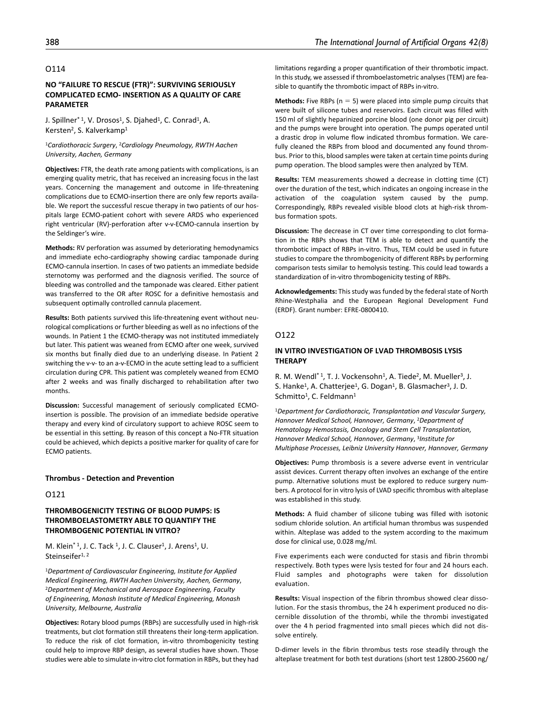### O114

# **NO "FAILURE TO RESCUE (FTR)": SURVIVING SERIOUSLY COMPLICATED ECMO- INSERTION AS A QUALITY OF CARE PARAMETER**

J. Spillner<sup>\* 1</sup>, V. Drosos<sup>1</sup>, S. Djahed<sup>1</sup>, C. Conrad<sup>1</sup>, A. Kersten<sup>2</sup>, S. Kalverkamp<sup>1</sup>

<sup>1</sup>*Cardiothoracic Surgery*, 2*Cardiology Pneumology, RWTH Aachen University, Aachen, Germany*

**Objectives:** FTR, the death rate among patients with complications, is an emerging quality metric, that has received an increasing focus in the last years. Concerning the management and outcome in life-threatening complications due to ECMO-insertion there are only few reports available. We report the successful rescue therapy in two patients of our hospitals large ECMO-patient cohort with severe ARDS who experienced right ventricular (RV)-perforation after v-v-ECMO-cannula insertion by the Seldinger's wire.

**Methods:** RV perforation was assumed by deteriorating hemodynamics and immediate echo-cardiography showing cardiac tamponade during ECMO-cannula insertion. In cases of two patients an immediate bedside sternotomy was performed and the diagnosis verified. The source of bleeding was controlled and the tamponade was cleared. Either patient was transferred to the OR after ROSC for a definitive hemostasis and subsequent optimally controlled cannula placement.

**Results:** Both patients survived this life-threatening event without neurological complications or further bleeding as well as no infections of the wounds. In Patient 1 the ECMO-therapy was not instituted immediately but later. This patient was weaned from ECMO after one week, survived six months but finally died due to an underlying disease. In Patient 2 switching the v-v- to an a-v-ECMO in the acute setting lead to a sufficient circulation during CPR. This patient was completely weaned from ECMO after 2 weeks and was finally discharged to rehabilitation after two months.

**Discussion:** Successful management of seriously complicated ECMOinsertion is possible. The provision of an immediate bedside operative therapy and every kind of circulatory support to achieve ROSC seem to be essential in this setting. By reason of this concept a No-FTR situation could be achieved, which depicts a positive marker for quality of care for ECMO patients.

### **Thrombus - Detection and Prevention**

#### O121

## **THROMBOGENICITY TESTING OF BLOOD PUMPS: IS THROMBOELASTOMETRY ABLE TO QUANTIFY THE THROMBOGENIC POTENTIAL IN VITRO?**

M. Klein<sup>\* 1</sup>, J. C. Tack <sup>1</sup>, J. C. Clauser<sup>1</sup>, J. Arens<sup>1</sup>, U. Steinseifer<sup>1, 2</sup>

<sup>1</sup>*Department of Cardiovascular Engineering, Institute for Applied Medical Engineering, RWTH Aachen University, Aachen, Germany,*<br><sup>2</sup>Department of Mechanical and Aerospace Engineering, Faculty *of Engineering, Monash Institute of Medical Engineering, Monash University, Melbourne, Australia*

**Objectives:** Rotary blood pumps (RBPs) are successfully used in high-risk treatments, but clot formation still threatens their long-term application. To reduce the risk of clot formation, in-vitro thrombogenicity testing could help to improve RBP design, as several studies have shown. Those studies were able to simulate in-vitro clot formation in RBPs, but they had

limitations regarding a proper quantification of their thrombotic impact. In this study, we assessed if thromboelastometric analyses (TEM) are feasible to quantify the thrombotic impact of RBPs in-vitro.

**Methods:** Five RBPs ( $n = 5$ ) were placed into simple pump circuits that were built of silicone tubes and reservoirs. Each circuit was filled with 150 ml of slightly heparinized porcine blood (one donor pig per circuit) and the pumps were brought into operation. The pumps operated until a drastic drop in volume flow indicated thrombus formation. We carefully cleaned the RBPs from blood and documented any found thrombus. Prior to this, blood samples were taken at certain time points during pump operation. The blood samples were then analyzed by TEM.

**Results:** TEM measurements showed a decrease in clotting time (CT) over the duration of the test, which indicates an ongoing increase in the activation of the coagulation system caused by the pump. Correspondingly, RBPs revealed visible blood clots at high-risk thrombus formation spots.

**Discussion:** The decrease in CT over time corresponding to clot formation in the RBPs shows that TEM is able to detect and quantify the thrombotic impact of RBPs in-vitro. Thus, TEM could be used in future studies to compare the thrombogenicity of different RBPs by performing comparison tests similar to hemolysis testing. This could lead towards a standardization of in-vitro thrombogenicity testing of RBPs.

**Acknowledgements:** This study was funded by the federal state of North Rhine-Westphalia and the European Regional Development Fund (ERDF). Grant number: EFRE-0800410.

# O122

### **IN VITRO INVESTIGATION OF LVAD THROMBOSIS LYSIS THERAPY**

R. M. Wendl<sup>\* 1</sup>, T. J. Vockensohn<sup>1</sup>, A. Tiede<sup>2</sup>, M. Mueller<sup>3</sup>, J. S. Hanke<sup>1</sup>, A. Chatterjee<sup>1</sup>, G. Dogan<sup>1</sup>, B. Glasmacher<sup>3</sup>, J. D. Schmitto<sup>1</sup>, C. Feldmann<sup>1</sup>

<sup>1</sup>*Department for Cardiothoracic, Transplantation and Vascular Surgery, Hannover Medical School, Hannover, Germany*, 2*Department of Hematology Hemostasis, Oncology and Stem Cell Transplantation, Hannover Medical School, Hannover, Germany*, 3*Institute for Multiphase Processes, Leibniz University Hannover, Hannover, Germany*

**Objectives:** Pump thrombosis is a severe adverse event in ventricular assist devices. Current therapy often involves an exchange of the entire pump. Alternative solutions must be explored to reduce surgery numbers. A protocol for in vitro lysis of LVAD specific thrombus with alteplase was established in this study.

**Methods:** A fluid chamber of silicone tubing was filled with isotonic sodium chloride solution. An artificial human thrombus was suspended within. Alteplase was added to the system according to the maximum dose for clinical use, 0.028 mg/ml.

Five experiments each were conducted for stasis and fibrin thrombi respectively. Both types were lysis tested for four and 24 hours each. Fluid samples and photographs were taken for dissolution evaluation.

**Results:** Visual inspection of the fibrin thrombus showed clear dissolution. For the stasis thrombus, the 24 h experiment produced no discernible dissolution of the thrombi, while the thrombi investigated over the 4 h period fragmented into small pieces which did not dissolve entirely.

D-dimer levels in the fibrin thrombus tests rose steadily through the alteplase treatment for both test durations (short test 12800-25600 ng/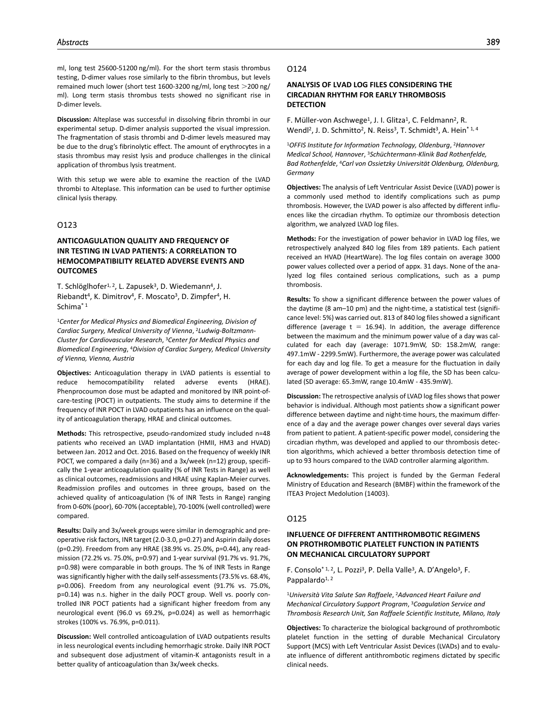ml, long test 25600-51200 ng/ml). For the short term stasis thrombus testing, D-dimer values rose similarly to the fibrin thrombus, but levels remained much lower (short test 1600-3200 ng/ml, long test >200 ng/ ml). Long term stasis thrombus tests showed no significant rise in D-dimer levels.

**Discussion:** Alteplase was successful in dissolving fibrin thrombi in our experimental setup. D-dimer analysis supported the visual impression. The fragmentation of stasis thrombi and D-dimer levels measured may be due to the drug's fibrinolytic effect. The amount of erythrocytes in a stasis thrombus may resist lysis and produce challenges in the clinical application of thrombus lysis treatment.

With this setup we were able to examine the reaction of the LVAD thrombi to Alteplase. This information can be used to further optimise clinical lysis therapy.

# O123

# **ANTICOAGULATION QUALITY AND FREQUENCY OF INR TESTING IN LVAD PATIENTS: A CORRELATION TO HEMOCOMPATIBILITY RELATED ADVERSE EVENTS AND OUTCOMES**

T. Schlöglhofer<sup>1, 2</sup>, L. Zapusek<sup>3</sup>, D. Wiedemann<sup>4</sup>, J. Riebandt<sup>4</sup>, K. Dimitrov<sup>4</sup>, F. Moscato<sup>3</sup>, D. Zimpfer<sup>4</sup>, H. Schima\* 1

<sup>1</sup>*Center for Medical Physics and Biomedical Engineering, Division of Cardiac Surgery, Medical University of Vienna*, 2*Ludwig-Boltzmann-Cluster for Cardiovascular Research*, 3*Center for Medical Physics and Biomedical Engineering*, 4*Division of Cardiac Surgery, Medical University of Vienna, Vienna, Austria*

**Objectives:** Anticoagulation therapy in LVAD patients is essential to reduce hemocompatibility related adverse events (HRAE). Phenprocoumon dose must be adapted and monitored by INR point-ofcare-testing (POCT) in outpatients. The study aims to determine if the frequency of INR POCT in LVAD outpatients has an influence on the quality of anticoagulation therapy, HRAE and clinical outcomes.

**Methods:** This retrospective, pseudo-randomized study included n=48 patients who received an LVAD implantation (HMII, HM3 and HVAD) between Jan. 2012 and Oct. 2016. Based on the frequency of weekly INR POCT, we compared a daily (n=36) and a 3x/week (n=12) group, specifically the 1-year anticoagulation quality (% of INR Tests in Range) as well as clinical outcomes, readmissions and HRAE using Kaplan-Meier curves. Readmission profiles and outcomes in three groups, based on the achieved quality of anticoagulation (% of INR Tests in Range) ranging from 0-60% (poor), 60-70% (acceptable), 70-100% (well controlled) were compared.

**Results:** Daily and 3x/week groups were similar in demographic and preoperative risk factors, INR target (2.0-3.0, p=0.27) and Aspirin daily doses (p=0.29). Freedom from any HRAE (38.9% vs. 25.0%, p=0.44), any readmission (72.2% vs. 75.0%, p=0.97) and 1-year survival (91.7% vs. 91.7%, p=0.98) were comparable in both groups. The % of INR Tests in Range was significantly higher with the daily self-assessments (73.5% vs. 68.4%, p=0.006). Freedom from any neurological event (91.7% vs. 75.0%, p=0.14) was n.s. higher in the daily POCT group. Well vs. poorly controlled INR POCT patients had a significant higher freedom from any neurological event (96.0 vs 69.2%, p=0.024) as well as hemorrhagic strokes (100% vs. 76.9%, p=0.011).

**Discussion:** Well controlled anticoagulation of LVAD outpatients results in less neurological events including hemorrhagic stroke. Daily INR POCT and subsequent dose adjustment of vitamin-K antagonists result in a better quality of anticoagulation than 3x/week checks.

### O124

# **ANALYSIS OF LVAD LOG FILES CONSIDERING THE CIRCADIAN RHYTHM FOR EARLY THROMBOSIS DETECTION**

F. Müller-von Aschwege<sup>1</sup>, J. I. Glitza<sup>1</sup>, C. Feldmann<sup>2</sup>, R. Wendl<sup>2</sup>, J. D. Schmitto<sup>2</sup>, N. Reiss<sup>3</sup>, T. Schmidt<sup>3</sup>, A. Hein<sup>\* 1, 4</sup>

<sup>1</sup>*OFFIS Institute for Information Technology, Oldenburg*, 2*Hannover Medical School, Hannover*, 3*Schüchtermann-Klinik Bad Rothenfelde, Bad Rothenfelde*, 4*Carl von Ossietzky Universität Oldenburg, Oldenburg, Germany*

**Objectives:** The analysis of Left Ventricular Assist Device (LVAD) power is a commonly used method to identify complications such as pump thrombosis. However, the LVAD power is also affected by different influences like the circadian rhythm. To optimize our thrombosis detection algorithm, we analyzed LVAD log files.

**Methods:** For the investigation of power behavior in LVAD log files, we retrospectively analyzed 840 log files from 189 patients. Each patient received an HVAD (HeartWare). The log files contain on average 3000 power values collected over a period of appx. 31 days. None of the analyzed log files contained serious complications, such as a pump thrombosis.

**Results:** To show a significant difference between the power values of the daytime (8 am–10 pm) and the night-time, a statistical test (significance level: 5%) was carried out. 813 of 840 log files showed a significant difference (average  $t = 16.94$ ). In addition, the average difference between the maximum and the minimum power value of a day was calculated for each day (average: 1071.9mW, SD: 158.2mW, range: 497.1mW - 2299.5mW). Furthermore, the average power was calculated for each day and log file. To get a measure for the fluctuation in daily average of power development within a log file, the SD has been calculated (SD average: 65.3mW, range 10.4mW - 435.9mW).

**Discussion:** The retrospective analysis of LVAD log files shows that power behavior is individual. Although most patients show a significant power difference between daytime and night-time hours, the maximum difference of a day and the average power changes over several days varies from patient to patient. A patient-specific power model, considering the circadian rhythm, was developed and applied to our thrombosis detection algorithms, which achieved a better thrombosis detection time of up to 93 hours compared to the LVAD controller alarming algorithm.

**Acknowledgements:** This project is funded by the German Federal Ministry of Education and Research (BMBF) within the framework of the ITEA3 Project Medolution (14003).

### O125

# **INFLUENCE OF DIFFERENT ANTITHROMBOTIC REGIMENS ON PROTHROMBOTIC PLATELET FUNCTION IN PATIENTS ON MECHANICAL CIRCULATORY SUPPORT**

F. Consolo<sup>\* 1, 2</sup>, L. Pozzi<sup>3</sup>, P. Della Valle<sup>3</sup>, A. D'Angelo<sup>3</sup>, F. Pappalardo<sup>1, 2</sup>

<sup>1</sup>*Università Vita Salute San Raffaele*, 2*Advanced Heart Failure and Mechanical Circulatory Support Program*, 3*Coagulation Service and Thrombosis Research Unit, San Raffaele Scientific Institute, Milano, Italy*

**Objectives:** To characterize the biological background of prothrombotic platelet function in the setting of durable Mechanical Circulatory Support (MCS) with Left Ventricular Assist Devices (LVADs) and to evaluate influence of different antithrombotic regimens dictated by specific clinical needs.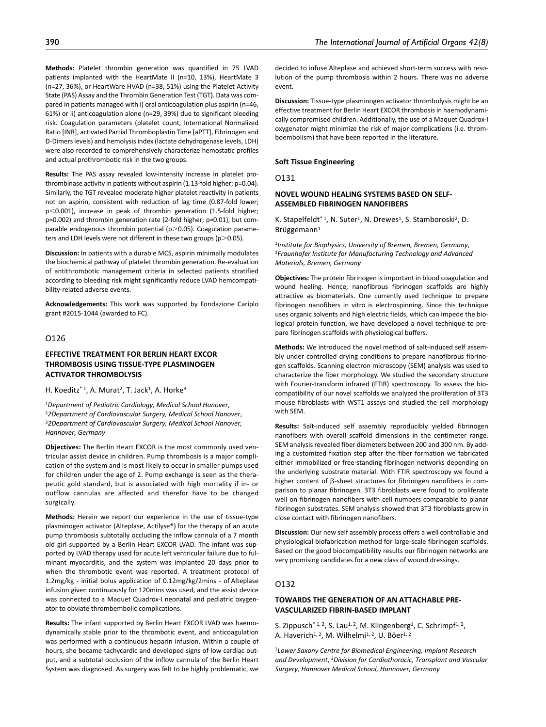event.

**Discussion:** Tissue-type plasminogen activator thrombolysis might be an effective treatment for Berlin Heart EXCOR thrombosis in haemodynamically compromised children. Additionally, the use of a Maquet Quadrox-I oxygenator might minimize the risk of major complications (i.e. thromboembolism) that have been reported in the literature.

#### **Soft Tissue Engineering**

O131

# **NOVEL WOUND HEALING SYSTEMS BASED ON SELF-ASSEMBLED FIBRINOGEN NANOFIBERS**

K. Stapelfeldt<sup>\*1</sup>, N. Suter<sup>1</sup>, N. Drewes<sup>1</sup>, S. Stamboroski<sup>2</sup>, D. Brüggemann $1$ 

<sup>1</sup>*Institute for Biophysics, University of Bremen, Bremen, Germany*, 2*Fraunhofer Institute for Manufacturing Technology and Advanced Materials, Bremen, Germany*

**Objectives:** The protein fibrinogen is important in blood coagulation and wound healing. Hence, nanofibrous fibrinogen scaffolds are highly attractive as biomaterials. One currently used technique to prepare fibrinogen nanofibers in vitro is electrospinning. Since this technique uses organic solvents and high electric fields, which can impede the biological protein function, we have developed a novel technique to prepare fibrinogen scaffolds with physiological buffers.

**Methods:** We introduced the novel method of salt-induced self assembly under controlled drying conditions to prepare nanofibrous fibrinogen scaffolds. Scanning electron microscopy (SEM) analysis was used to characterize the fiber morphology. We studied the secondary structure with Fourier-transform infrared (FTIR) spectroscopy. To assess the biocompatibility of our novel scaffolds we analyzed the proliferation of 3T3 mouse fibroblasts with WST1 assays and studied the cell morphology with SEM.

**Results:** Salt-induced self assembly reproducibly yielded fibrinogen nanofibers with overall scaffold dimensions in the centimeter range. SEM analysis revealed fiber diameters between 200 and 300 nm. By adding a customized fixation step after the fiber formation we fabricated either immobilized or free-standing fibrinogen networks depending on the underlying substrate material. With FTIR spectroscopy we found a higher content of β-sheet structures for fibrinogen nanofibers in comparison to planar fibrinogen. 3T3 fibroblasts were found to proliferate well on fibrinogen nanofibers with cell numbers comparable to planar fibrinogen substrates. SEM analysis showed that 3T3 fibroblasts grew in close contact with fibrinogen nanofibers.

**Discussion:** Our new self assembly process offers a well controllable and physiological biofabrication method for large-scale fibrinogen scaffolds. Based on the good biocompatibility results our fibrinogen networks are very promising candidates for a new class of wound dressings.

### O132

## **TOWARDS THE GENERATION OF AN ATTACHABLE PRE-VASCULARIZED FIBRIN-BASED IMPLANT**

S. Zippusch<sup>\* 1, 2</sup>, S. Lau<sup>1, 2</sup>, M. Klingenberg<sup>1</sup>, C. Schrimpf<sup>1, 2</sup>, A. Haverich<sup>1, 2</sup>, M. Wilhelmi<sup>1, 2</sup>, U. Böer<sup>1, 2</sup>

<sup>1</sup>*Lower Saxony Centre for Biomedical Engineering, Implant Research and Development*, 2*Division for Cardiothoracic, Transplant and Vascular Surgery, Hannover Medical School, Hannover, Germany*

(n=27, 36%), or HeartWare HVAD (n=38, 51%) using the Platelet Activity State (PAS) Assay and the Thrombin Generation Test (TGT). Data was compared in patients managed with i) oral anticoagulation plus aspirin (n=46, 61%) or ii) anticoagulation alone (n=29, 39%) due to significant bleeding risk. Coagulation parameters (platelet count, International Normalized Ratio [INR], activated Partial Thromboplastin Time [aPTT], Fibrinogen and D-Dimers levels) and hemolysis index (lactate dehydrogenase levels, LDH) were also recorded to comprehensively characterize hemostatic profiles and actual prothrombotic risk in the two groups. **Results:** The PAS assay revealed low-intensity increase in platelet pro-

thrombinase activity in patients without aspirin (1.13-fold higher; p=0.04). Similarly, the TGT revealed moderate higher platelet reactivity in patients not on aspirin, consistent with reduction of lag time (0.87-fold lower; p<0.001), increase in peak of thrombin generation (1.5-fold higher; p=0.002) and thrombin generation rate (2-fold higher; p=0.01), but comparable endogenous thrombin potential ( $p$  $>$ 0.05). Coagulation parameters and LDH levels were not different in these two groups ( $p$   $>$  0.05).

**Discussion:** In patients with a durable MCS, aspirin minimally modulates the biochemical pathway of platelet thrombin generation. Re-evaluation of antithrombotic management criteria in selected patients stratified according to bleeding risk might significantly reduce LVAD hemcompatibility-related adverse events.

**Acknowledgements:** This work was supported by Fondazione Cariplo grant #2015-1044 (awarded to FC).

# O126

# **EFFECTIVE TREATMENT FOR BERLIN HEART EXCOR THROMBOSIS USING TISSUE-TYPE PLASMINOGEN ACTIVATOR THROMBOLYSIS**

H. Koeditz<sup>\* 1</sup>, A. Murat<sup>2</sup>, T. Jack<sup>1</sup>, A. Horke<sup>3</sup>

<sup>1</sup>*Department of Pediatric Cardiology, Medical School Hanover*, 2*2Department of Cardiovascular Surgery, Medical School Hanover*, 3*2Department of Cardiovascular Surgery, Medical School Hanover, Hannover, Germany*

**Objectives:** The Berlin Heart EXCOR is the most commonly used ventricular assist device in children. Pump thrombosis is a major complication of the system and is most likely to occur in smaller pumps used for children under the age of 2. Pump exchange is seen as the therapeutic gold standard, but is associated with high mortality if in- or outflow cannulas are affected and therefor have to be changed surgically.

**Methods:** Herein we report our experience in the use of tissue-type plasminogen activator (Alteplase, Actilyse®) for the therapy of an acute pump thrombosis subtotally occluding the inflow cannula of a 7 month old girl supported by a Berlin Heart EXCOR LVAD. The infant was supported by LVAD therapy used for acute left ventricular failure due to fulminant myocarditis, and the system was implanted 20 days prior to when the thrombotic event was reported. A treatment protocol of 1.2mg/kg - initial bolus application of 0.12mg/kg/2mins - of Alteplase infusion given continuously for 120mins was used, and the assist device was connected to a Maquet Quadrox-I neonatal and pediatric oxygenator to obviate thrombembolic complications.

**Results:** The infant supported by Berlin Heart EXCOR LVAD was haemodynamically stable prior to the thrombotic event, and anticoagulation was performed with a continuous heparin infusion. Within a couple of hours, she became tachycardic and developed signs of low cardiac output, and a subtotal occlusion of the inflow cannula of the Berlin Heart System was diagnosed. As surgery was felt to be highly problematic, we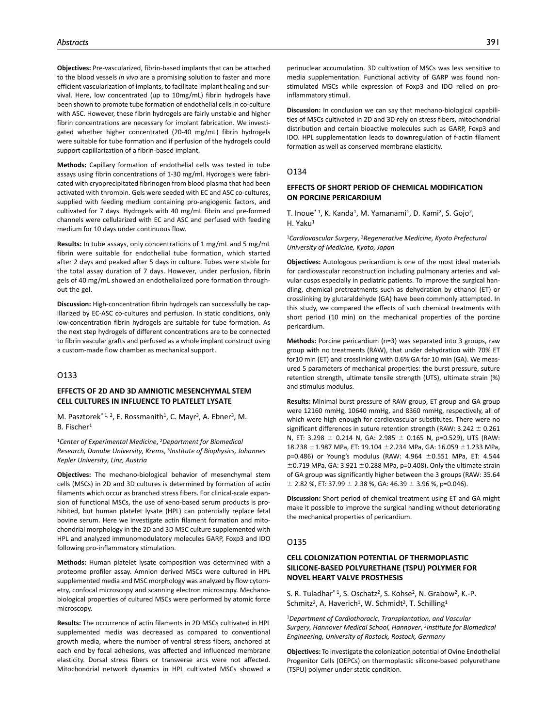**Objectives:** Pre-vascularized, fibrin-based implants that can be attached to the blood vessels *in vivo* are a promising solution to faster and more efficient vascularization of implants, to facilitate implant healing and survival. Here, low concentrated (up to 10mg/mL) fibrin hydrogels have been shown to promote tube formation of endothelial cells in co-culture with ASC. However, these fibrin hydrogels are fairly unstable and higher fibrin concentrations are necessary for implant fabrication. We investigated whether higher concentrated (20-40 mg/mL) fibrin hydrogels were suitable for tube formation and if perfusion of the hydrogels could support capillarization of a fibrin-based implant.

**Methods:** Capillary formation of endothelial cells was tested in tube assays using fibrin concentrations of 1-30 mg/ml. Hydrogels were fabricated with cryoprecipitated fibrinogen from blood plasma that had been activated with thrombin. Gels were seeded with EC and ASC co-cultures, supplied with feeding medium containing pro-angiogenic factors, and cultivated for 7 days. Hydrogels with 40 mg/mL fibrin and pre-formed channels were cellularized with EC and ASC and perfused with feeding medium for 10 days under continuous flow.

**Results:** In tube assays, only concentrations of 1 mg/mL and 5 mg/mL fibrin were suitable for endothelial tube formation, which started after 2 days and peaked after 5 days in culture. Tubes were stable for the total assay duration of 7 days. However, under perfusion, fibrin gels of 40 mg/mL showed an endothelialized pore formation throughout the gel.

**Discussion:** High-concentration fibrin hydrogels can successfully be capillarized by EC-ASC co-cultures and perfusion. In static conditions, only low-concentration fibrin hydrogels are suitable for tube formation. As the next step hydrogels of different concentrations are to be connected to fibrin vascular grafts and perfused as a whole implant construct using a custom-made flow chamber as mechanical support.

# O133

# **EFFECTS OF 2D AND 3D AMNIOTIC MESENCHYMAL STEM CELL CULTURES IN INFLUENCE TO PLATELET LYSATE**

M. Pasztorek<sup>\* 1, 2</sup>, E. Rossmanith<sup>1</sup>, C. Mayr<sup>3</sup>, A. Ebner<sup>3</sup>, M. B. Fischer<sup>1</sup>

<sup>1</sup>*Center of Experimental Medicine*, 2*Department for Biomedical Research, Danube University, Krems*, 3*Institute of Biophysics, Johannes Kepler University, Linz, Austria*

**Objectives:** The mechano-biological behavior of mesenchymal stem cells (MSCs) in 2D and 3D cultures is determined by formation of actin filaments which occur as branched stress fibers. For clinical-scale expansion of functional MSCs, the use of xeno-based serum products is prohibited, but human platelet lysate (HPL) can potentially replace fetal bovine serum. Here we investigate actin filament formation and mitochondrial morphology in the 2D and 3D MSC culture supplemented with HPL and analyzed immunomodulatory molecules GARP, Foxp3 and IDO following pro-inflammatory stimulation.

**Methods:** Human platelet lysate composition was determined with a proteome profiler assay. Amnion derived MSCs were cultured in HPL supplemented media and MSC morphology was analyzed by flow cytometry, confocal microscopy and scanning electron microscopy. Mechanobiological properties of cultured MSCs were performed by atomic force microscopy.

**Results:** The occurrence of actin filaments in 2D MSCs cultivated in HPL supplemented media was decreased as compared to conventional growth media, where the number of ventral stress fibers, anchored at each end by focal adhesions, was affected and influenced membrane elasticity. Dorsal stress fibers or transverse arcs were not affected. Mitochondrial network dynamics in HPL cultivated MSCs showed a **Discussion:** In conclusion we can say that mechano-biological capabilities of MSCs cultivated in 2D and 3D rely on stress fibers, mitochondrial distribution and certain bioactive molecules such as GARP, Foxp3 and IDO. HPL supplementation leads to downregulation of f-actin filament formation as well as conserved membrane elasticity.

#### O134

# **EFFECTS OF SHORT PERIOD OF CHEMICAL MODIFICATION ON PORCINE PERICARDIUM**

T. Inoue<sup>\* 1</sup>, K. Kanda<sup>1</sup>, M. Yamanami<sup>1</sup>, D. Kami<sup>2</sup>, S. Gojo<sup>2</sup>, H. Yaku<sup>1</sup>

<sup>1</sup>*Cardiovascular Surgery*, 2*Regenerative Medicine, Kyoto Prefectural University of Medicine, Kyoto, Japan*

**Objectives:** Autologous pericardium is one of the most ideal materials for cardiovascular reconstruction including pulmonary arteries and valvular cusps especially in pediatric patients. To improve the surgical handling, chemical pretreatments such as dehydration by ethanol (ET) or crosslinking by glutaraldehyde (GA) have been commonly attempted. In this study, we compared the effects of such chemical treatments with short period (10 min) on the mechanical properties of the porcine pericardium.

**Methods:** Porcine pericardium (n=3) was separated into 3 groups, raw group with no treatments (RAW), that under dehydration with 70% ET for10 min (ET) and crosslinking with 0.6% GA for 10 min (GA). We measured 5 parameters of mechanical properties: the burst pressure, suture retention strength, ultimate tensile strength (UTS), ultimate strain (%) and stimulus modulus.

**Results:** Minimal burst pressure of RAW group, ET group and GA group were 12160 mmHg, 10640 mmHg, and 8360 mmHg, respectively, all of which were high enough for cardiovascular substitutes. There were no significant differences in suture retention strength (RAW: 3.242 ± 0.261 N, ET: 3.298 ± 0.214 N, GA: 2.985 ± 0.165 N, p=0.529), UTS (RAW: 18.238 ±1.987 MPa, ET: 19.104 ±2.234 MPa, GA: 16.059 ±1.233 MPa, p=0.486) or Young's modulus (RAW: 4.964 ±0.551 MPa, ET: 4.544  $\pm$ 0.719 MPa, GA: 3.921  $\pm$ 0.288 MPa, p=0.408). Only the ultimate strain of GA group was significantly higher between the 3 groups (RAW: 35.64  $\pm$  2.82 %, ET: 37.99  $\pm$  2.38 %, GA: 46.39  $\pm$  3.96 %, p=0.046).

**Discussion:** Short period of chemical treatment using ET and GA might make it possible to improve the surgical handling without deteriorating the mechanical properties of pericardium.

#### O135

# **CELL COLONIZATION POTENTIAL OF THERMOPLASTIC SILICONE-BASED POLYURETHANE (TSPU) POLYMER FOR NOVEL HEART VALVE PROSTHESIS**

S. R. Tuladhar<sup>\*1</sup>, S. Oschatz<sup>2</sup>, S. Kohse<sup>2</sup>, N. Grabow<sup>2</sup>, K.-P. Schmitz<sup>2</sup>, A. Haverich<sup>1</sup>, W. Schmidt<sup>2</sup>, T. Schilling<sup>1</sup>

<sup>1</sup>*Department of Cardiothoracic, Transplantation, and Vascular Surgery, Hannover Medical School, Hannover*, 2*Institute for Biomedical Engineering, University of Rostock, Rostock, Germany*

**Objectives:** To investigate the colonization potential of Ovine Endothelial Progenitor Cells (OEPCs) on thermoplastic silicone-based polyurethane (TSPU) polymer under static condition.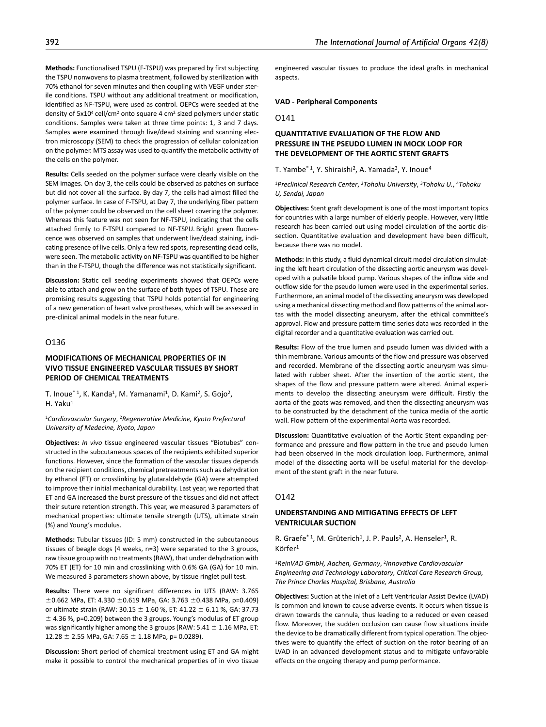**Methods:** Functionalised TSPU (F-TSPU) was prepared by first subjecting the TSPU nonwovens to plasma treatment, followed by sterilization with 70% ethanol for seven minutes and then coupling with VEGF under sterile conditions. TSPU without any additional treatment or modification, identified as NF-TSPU, were used as control. OEPCs were seeded at the density of 5x104 cell/cm2 onto square 4 cm2 sized polymers under static conditions. Samples were taken at three time points: 1, 3 and 7 days. Samples were examined through live/dead staining and scanning electron microscopy (SEM) to check the progression of cellular colonization on the polymer. MTS assay was used to quantify the metabolic activity of the cells on the polymer.

**Results:** Cells seeded on the polymer surface were clearly visible on the SEM images. On day 3, the cells could be observed as patches on surface but did not cover all the surface. By day 7, the cells had almost filled the polymer surface. In case of F-TSPU, at Day 7, the underlying fiber pattern of the polymer could be observed on the cell sheet covering the polymer. Whereas this feature was not seen for NF-TSPU, indicating that the cells attached firmly to F-TSPU compared to NF-TSPU. Bright green fluorescence was observed on samples that underwent live/dead staining, indicating presence of live cells. Only a few red spots, representing dead cells, were seen. The metabolic activity on NF-TSPU was quantified to be higher than in the F-TSPU, though the difference was not statistically significant.

**Discussion:** Static cell seeding experiments showed that OEPCs were able to attach and grow on the surface of both types of TSPU. These are promising results suggesting that TSPU holds potential for engineering of a new generation of heart valve prostheses, which will be assessed in pre-clinical animal models in the near future.

# O136

## **MODIFICATIONS OF MECHANICAL PROPERTIES OF IN VIVO TISSUE ENGINEERED VASCULAR TISSUES BY SHORT PERIOD OF CHEMICAL TREATMENTS**

T. Inoue<sup>\* 1</sup>, K. Kanda<sup>1</sup>, M. Yamanami<sup>1</sup>, D. Kami<sup>2</sup>, S. Gojo<sup>2</sup>, H. Yaku<sup>1</sup>

### <sup>1</sup>*Cardiovascular Surgery*, 2*Regenerative Medicine, Kyoto Prefectural University of Medecine, Kyoto, Japan*

**Objectives:** *In vivo* tissue engineered vascular tissues "Biotubes" constructed in the subcutaneous spaces of the recipients exhibited superior functions. However, since the formation of the vascular tissues depends on the recipient conditions, chemical pretreatments such as dehydration by ethanol (ET) or crosslinking by glutaraldehyde (GA) were attempted to improve their initial mechanical durability. Last year, we reported that ET and GA increased the burst pressure of the tissues and did not affect their suture retention strength. This year, we measured 3 parameters of mechanical properties: ultimate tensile strength (UTS), ultimate strain (%) and Young's modulus.

**Methods:** Tubular tissues (ID: 5 mm) constructed in the subcutaneous tissues of beagle dogs (4 weeks, n=3) were separated to the 3 groups, raw tissue group with no treatments (RAW), that under dehydration with 70% ET (ET) for 10 min and crosslinking with 0.6% GA (GA) for 10 min. We measured 3 parameters shown above, by tissue ringlet pull test.

**Results:** There were no significant differences in UTS (RAW: 3.765  $\pm$ 0.662 MPa, ET: 4.330  $\pm$ 0.619 MPa, GA: 3.763  $\pm$ 0.438 MPa, p=0.409) or ultimate strain (RAW: 30.15  $\pm$  1.60 %, ET: 41.22  $\pm$  6.11 %, GA: 37.73  $\pm$  4.36 %, p=0.209) between the 3 groups. Young's modulus of ET group was significantly higher among the 3 groups (RAW:  $5.41 \pm 1.16$  MPa, ET: 12.28  $\pm$  2.55 MPa, GA: 7.65  $\pm$  1.18 MPa, p= 0.0289).

**Discussion:** Short period of chemical treatment using ET and GA might make it possible to control the mechanical properties of in vivo tissue

engineered vascular tissues to produce the ideal grafts in mechanical aspects.

### **VAD - Peripheral Components**

O141

# **QUANTITATIVE EVALUATION OF THE FLOW AND PRESSURE IN THE PSEUDO LUMEN IN MOCK LOOP FOR THE DEVELOPMENT OF THE AORTIC STENT GRAFTS**

T. Yambe<sup>\* 1</sup>, Y. Shiraishi<sup>2</sup>, A. Yamada<sup>3</sup>, Y. Inoue<sup>4</sup>

<sup>1</sup>*Preclinical Research Center*, 2*Tohoku University*, 3*Tohoku U.*, 4*Tohoku U, Sendai, Japan*

**Objectives:** Stent graft development is one of the most important topics for countries with a large number of elderly people. However, very little research has been carried out using model circulation of the aortic dissection. Quantitative evaluation and development have been difficult, because there was no model.

**Methods:** In this study, a fluid dynamical circuit model circulation simulating the left heart circulation of the dissecting aortic aneurysm was developed with a pulsatile blood pump. Various shapes of the inflow side and outflow side for the pseudo lumen were used in the experimental series. Furthermore, an animal model of the dissecting aneurysm was developed using a mechanical dissecting method and flow patterns of the animal aortas with the model dissecting aneurysm, after the ethical committee's approval. Flow and pressure pattern time series data was recorded in the digital recorder and a quantitative evaluation was carried out.

**Results:** Flow of the true lumen and pseudo lumen was divided with a thin membrane. Various amounts of the flow and pressure was observed and recorded. Membrane of the dissecting aortic aneurysm was simulated with rubber sheet. After the insertion of the aortic stent, the shapes of the flow and pressure pattern were altered. Animal experiments to develop the dissecting aneurysm were difficult. Firstly the aorta of the goats was removed, and then the dissecting aneurysm was to be constructed by the detachment of the tunica media of the aortic wall. Flow pattern of the experimental Aorta was recorded.

**Discussion:** Quantitative evaluation of the Aortic Stent expanding performance and pressure and flow pattern in the true and pseudo lumen had been observed in the mock circulation loop. Furthermore, animal model of the dissecting aorta will be useful material for the development of the stent graft in the near future.

#### O<sub>142</sub>

## **UNDERSTANDING AND MITIGATING EFFECTS OF LEFT VENTRICULAR SUCTION**

R. Graefe<sup>\* 1</sup>, M. Grüterich<sup>1</sup>, J. P. Pauls<sup>2</sup>, A. Henseler<sup>1</sup>, R. Körfer1

<sup>1</sup>*ReinVAD GmbH, Aachen, Germany*, 2*Innovative Cardiovascular Engineering and Technology Laboratory, Critical Care Research Group, The Prince Charles Hospital, Brisbane, Australia*

**Objectives:** Suction at the inlet of a Left Ventricular Assist Device (LVAD) is common and known to cause adverse events. It occurs when tissue is drawn towards the cannula, thus leading to a reduced or even ceased flow. Moreover, the sudden occlusion can cause flow situations inside the device to be dramatically different from typical operation. The objectives were to quantify the effect of suction on the rotor bearing of an LVAD in an advanced development status and to mitigate unfavorable effects on the ongoing therapy and pump performance.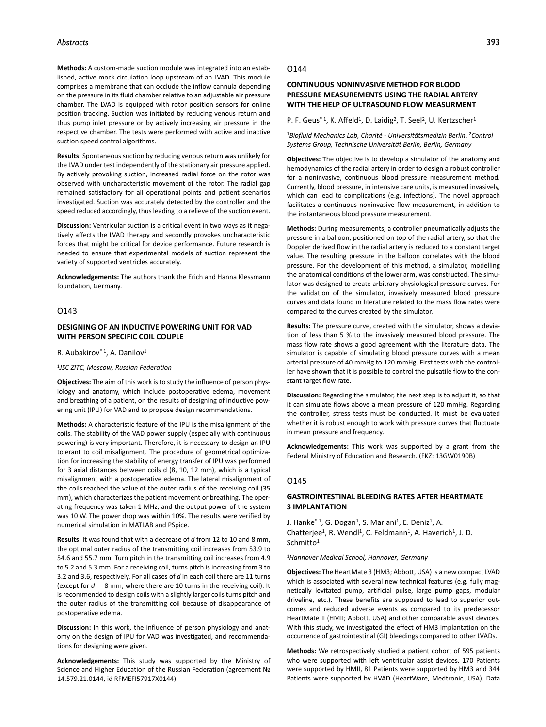**Methods:** A custom-made suction module was integrated into an established, active mock circulation loop upstream of an LVAD. This module comprises a membrane that can occlude the inflow cannula depending on the pressure in its fluid chamber relative to an adjustable air pressure chamber. The LVAD is equipped with rotor position sensors for online position tracking. Suction was initiated by reducing venous return and thus pump inlet pressure or by actively increasing air pressure in the respective chamber. The tests were performed with active and inactive suction speed control algorithms.

**Results:** Spontaneous suction by reducing venous return was unlikely for the LVAD under test independently of the stationary air pressure applied. By actively provoking suction, increased radial force on the rotor was observed with uncharacteristic movement of the rotor. The radial gap remained satisfactory for all operational points and patient scenarios investigated. Suction was accurately detected by the controller and the speed reduced accordingly, thus leading to a relieve of the suction event.

**Discussion:** Ventricular suction is a critical event in two ways as it negatively affects the LVAD therapy and secondly provokes uncharacteristic forces that might be critical for device performance. Future research is needed to ensure that experimental models of suction represent the variety of supported ventricles accurately.

**Acknowledgements:** The authors thank the Erich and Hanna Klessmann foundation, Germany.

### O143

## **DESIGNING OF AN INDUCTIVE POWERING UNIT FOR VAD WITH PERSON SPECIFIC COIL COUPLE**

R. Aubakirov<sup>\* 1</sup>, A. Danilov<sup>1</sup>

#### <sup>1</sup>*JSC ZITC, Moscow, Russian Federation*

**Objectives:** The aim of this work is to study the influence of person physiology and anatomy, which include postoperative edema, movement and breathing of a patient, on the results of designing of inductive powering unit (IPU) for VAD and to propose design recommendations.

**Methods:** A characteristic feature of the IPU is the misalignment of the coils. The stability of the VAD power supply (especially with continuous powering) is very important. Therefore, it is necessary to design an IPU tolerant to coil misalignment. The procedure of geometrical optimization for increasing the stability of energy transfer of IPU was performed for 3 axial distances between coils d (8, 10, 12 mm), which is a typical misalignment with a postoperative edema. The lateral misalignment of the coils reached the value of the outer radius of the receiving coil (35 mm), which characterizes the patient movement or breathing. The operating frequency was taken 1 MHz, and the output power of the system was 10 W. The power drop was within 10%. The results were verified by numerical simulation in MATLAB and PSpice.

**Results:** It was found that with a decrease of *d* from 12 to 10 and 8 mm, the optimal outer radius of the transmitting coil increases from 53.9 to 54.6 and 55.7 mm. Turn pitch in the transmitting coil increases from 4.9 to 5.2 and 5.3 mm. For a receiving coil, turns pitch is increasing from 3 to 3.2 and 3.6, respectively. For all cases of *d* in each coil there are 11 turns (except for  $d = 8$  mm, where there are 10 turns in the receiving coil). It is recommended to design coils with a slightly larger coils turns pitch and the outer radius of the transmitting coil because of disappearance of postoperative edema.

**Discussion:** In this work, the influence of person physiology and anatomy on the design of IPU for VAD was investigated, and recommendations for designing were given.

**Acknowledgements:** This study was supported by the Ministry of Science and Higher Education of the Russian Federation (agreement № 14.579.21.0144, id RFMEFI57917X0144).

#### O144

# **CONTINUOUS NONINVASIVE METHOD FOR BLOOD PRESSURE MEASUREMENTS USING THE RADIAL ARTERY WITH THE HELP OF ULTRASOUND FLOW MEASURMENT**

P. F. Geus<sup>\* 1</sup>, K. Affeld<sup>1</sup>, D. Laidig<sup>2</sup>, T. Seel<sup>2</sup>, U. Kertzscher<sup>1</sup>

<sup>1</sup>*Biofluid Mechanics Lab, Charité - Universitätsmedizin Berlin*, 2*Control Systems Group, Technische Universität Berlin, Berlin, Germany*

**Objectives:** The objective is to develop a simulator of the anatomy and hemodynamics of the radial artery in order to design a robust controller for a noninvasive, continuous blood pressure measurement method. Currently, blood pressure, in intensive care units, is measured invasively, which can lead to complications (e.g. infections). The novel approach facilitates a continuous noninvasive flow measurement, in addition to the instantaneous blood pressure measurement.

**Methods:** During measurements, a controller pneumatically adjusts the pressure in a balloon, positioned on top of the radial artery, so that the Doppler derived flow in the radial artery is reduced to a constant target value. The resulting pressure in the balloon correlates with the blood pressure. For the development of this method, a simulator, modelling the anatomical conditions of the lower arm, was constructed. The simulator was designed to create arbitrary physiological pressure curves. For the validation of the simulator, invasively measured blood pressure curves and data found in literature related to the mass flow rates were compared to the curves created by the simulator.

**Results:** The pressure curve, created with the simulator, shows a deviation of less than 5 % to the invasively measured blood pressure. The mass flow rate shows a good agreement with the literature data. The simulator is capable of simulating blood pressure curves with a mean arterial pressure of 40 mmHg to 120 mmHg. First tests with the controller have shown that it is possible to control the pulsatile flow to the constant target flow rate.

**Discussion:** Regarding the simulator, the next step is to adjust it, so that it can simulate flows above a mean pressure of 120 mmHg. Regarding the controller, stress tests must be conducted. It must be evaluated whether it is robust enough to work with pressure curves that fluctuate in mean pressure and frequency.

**Acknowledgements:** This work was supported by a grant from the Federal Ministry of Education and Research. (FKZ: 13GW0190B)

### O145

## **GASTROINTESTINAL BLEEDING RATES AFTER HEARTMATE 3 IMPLANTATION**

J. Hanke<sup>\* 1</sup>, G. Dogan<sup>1</sup>, S. Mariani<sup>1</sup>, E. Deniz<sup>1</sup>, A. Chatterjee<sup>1</sup>, R. Wendl<sup>1</sup>, C. Feldmann<sup>1</sup>, A. Haverich<sup>1</sup>, J. D. Schmitto<sup>1</sup>

#### <sup>1</sup>*Hannover Medical School, Hannover, Germany*

**Objectives:** The HeartMate 3 (HM3; Abbott, USA) is a new compact LVAD which is associated with several new technical features (e.g. fully magnetically levitated pump, artificial pulse, large pump gaps, modular driveline, etc.). These benefits are supposed to lead to superior outcomes and reduced adverse events as compared to its predecessor HeartMate II (HMII; Abbott, USA) and other comparable assist devices. With this study, we investigated the effect of HM3 implantation on the occurrence of gastrointestinal (GI) bleedings compared to other LVADs.

**Methods:** We retrospectively studied a patient cohort of 595 patients who were supported with left ventricular assist devices. 170 Patients were supported by HMII, 81 Patients were supported by HM3 and 344 Patients were supported by HVAD (HeartWare, Medtronic, USA). Data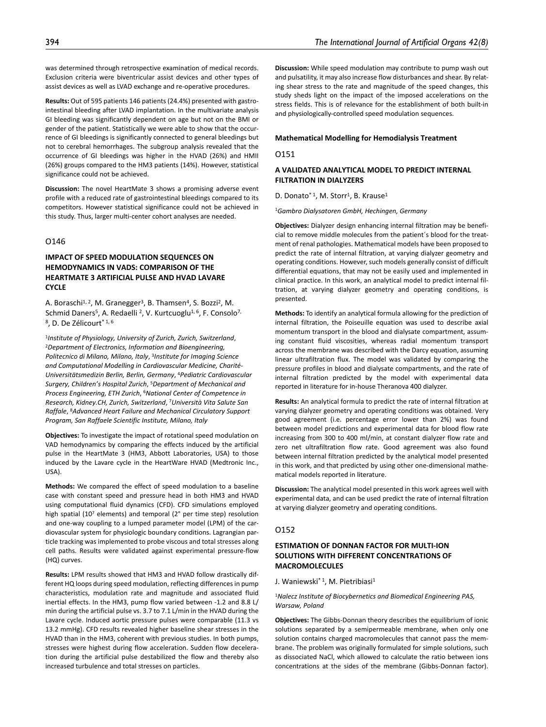was determined through retrospective examination of medical records. Exclusion criteria were biventricular assist devices and other types of assist devices as well as LVAD exchange and re-operative procedures.

**Results:** Out of 595 patients 146 patients (24.4%) presented with gastrointestinal bleeding after LVAD implantation. In the multivariate analysis GI bleeding was significantly dependent on age but not on the BMI or gender of the patient. Statistically we were able to show that the occurrence of GI bleedings is significantly connected to general bleedings but not to cerebral hemorrhages. The subgroup analysis revealed that the occurrence of GI bleedings was higher in the HVAD (26%) and HMII (26%) groups compared to the HM3 patients (14%). However, statistical significance could not be achieved.

**Discussion:** The novel HeartMate 3 shows a promising adverse event profile with a reduced rate of gastrointestinal bleedings compared to its competitors. However statistical significance could not be achieved in this study. Thus, larger multi-center cohort analyses are needed.

# O146

# **IMPACT OF SPEED MODULATION SEQUENCES ON HEMODYNAMICS IN VADS: COMPARISON OF THE HEARTMATE 3 ARTIFICIAL PULSE AND HVAD LAVARE CYCLE**

A. Boraschi<sup>1, 2</sup>, M. Granegger<sup>3</sup>, B. Thamsen<sup>4</sup>, S. Bozzi<sup>2</sup>, M. Schmid Daners<sup>5</sup>, A. Redaelli <sup>2</sup>, V. Kurtcuoglu<sup>1, 6</sup>, F. Consolo<sup>7,</sup> 8, D. De Zélicourt\* 1, 6

<sup>1</sup>*Institute of Physiology, University of Zurich, Zurich, Switzerland*, 2*Department of Electronics, Information and Bioengineering, Politecnico di Milano, Milano, Italy*, 3*Institute for Imaging Science and Computational Modelling in Cardiovascular Medicine, Charité-Universitätsmedizin Berlin, Berlin, Germany*, 4*Pediatric Cardiovascular Surgery, Children's Hospital Zurich*, 5*Department of Mechanical and Process Engineering, ETH Zurich*, 6*National Center of Competence in Research, Kidney.CH, Zurich, Switzerland*, 7*Università Vita Salute San Raffale*, 8*Advanced Heart Failure and Mechanical Circulatory Support Program, San Raffaele Scientific Institute, Milano, Italy*

**Objectives:** To investigate the impact of rotational speed modulation on VAD hemodynamics by comparing the effects induced by the artificial pulse in the HeartMate 3 (HM3, Abbott Laboratories, USA) to those induced by the Lavare cycle in the HeartWare HVAD (Medtronic Inc., USA).

**Methods:** We compared the effect of speed modulation to a baseline case with constant speed and pressure head in both HM3 and HVAD using computational fluid dynamics (CFD). CFD simulations employed high spatial (107 elements) and temporal (2° per time step) resolution and one-way coupling to a lumped parameter model (LPM) of the cardiovascular system for physiologic boundary conditions. Lagrangian particle tracking was implemented to probe viscous and total stresses along cell paths. Results were validated against experimental pressure-flow (HQ) curves.

**Results:** LPM results showed that HM3 and HVAD follow drastically different HQ loops during speed modulation, reflecting differences in pump characteristics, modulation rate and magnitude and associated fluid inertial effects. In the HM3, pump flow varied between -1.2 and 8.8 L/ min during the artificial pulse vs. 3.7 to 7.1 L/min in the HVAD during the Lavare cycle. Induced aortic pressure pulses were comparable (11.3 vs 13.2 mmHg). CFD results revealed higher baseline shear stresses in the HVAD than in the HM3, coherent with previous studies. In both pumps, stresses were highest during flow acceleration. Sudden flow deceleration during the artificial pulse destabilized the flow and thereby also increased turbulence and total stresses on particles.

**Discussion:** While speed modulation may contribute to pump wash out and pulsatility, it may also increase flow disturbances and shear. By relating shear stress to the rate and magnitude of the speed changes, this study sheds light on the impact of the imposed accelerations on the stress fields. This is of relevance for the establishment of both built-in and physiologically-controlled speed modulation sequences.

### **Mathematical Modelling for Hemodialysis Treatment**

#### O151

## **A VALIDATED ANALYTICAL MODEL TO PREDICT INTERNAL FILTRATION IN DIALYZERS**

D. Donato\*<sup>1</sup>, M. Storr<sup>1</sup>, B. Krause<sup>1</sup>

<sup>1</sup>*Gambro Dialysatoren GmbH, Hechingen, Germany*

**Objectives:** Dialyzer design enhancing internal filtration may be beneficial to remove middle molecules from the patient´s blood for the treatment of renal pathologies. Mathematical models have been proposed to predict the rate of internal filtration, at varying dialyzer geometry and operating conditions. However, such models generally consist of difficult differential equations, that may not be easily used and implemented in clinical practice. In this work, an analytical model to predict internal filtration, at varying dialyzer geometry and operating conditions, is presented.

**Methods:** To identify an analytical formula allowing for the prediction of internal filtration, the Poiseuille equation was used to describe axial momentum transport in the blood and dialysate compartment, assuming constant fluid viscosities, whereas radial momentum transport across the membrane was described with the Darcy equation, assuming linear ultrafiltration flux. The model was validated by comparing the pressure profiles in blood and dialysate compartments, and the rate of internal filtration predicted by the model with experimental data reported in literature for in-house Theranova 400 dialyzer.

**Results:** An analytical formula to predict the rate of internal filtration at varying dialyzer geometry and operating conditions was obtained. Very good agreement (i.e. percentage error lower than 2%) was found between model predictions and experimental data for blood flow rate increasing from 300 to 400 ml/min, at constant dialyzer flow rate and zero net ultrafiltration flow rate. Good agreement was also found between internal filtration predicted by the analytical model presented in this work, and that predicted by using other one-dimensional mathematical models reported in literature.

**Discussion:** The analytical model presented in this work agrees well with experimental data, and can be used predict the rate of internal filtration at varying dialyzer geometry and operating conditions.

# O152

# **ESTIMATION OF DONNAN FACTOR FOR MULTI-ION SOLUTIONS WITH DIFFERENT CONCENTRATIONS OF MACROMOLECULES**

J. Waniewski<sup>\* 1</sup>, M. Pietribiasi<sup>1</sup>

### <sup>1</sup>*Nalecz Institute of Biocybernetics and Biomedical Engineering PAS, Warsaw, Poland*

**Objectives:** The Gibbs-Donnan theory describes the equilibrium of ionic solutions separated by a semipermeable membrane, when only one solution contains charged macromolecules that cannot pass the membrane. The problem was originally formulated for simple solutions, such as dissociated NaCl, which allowed to calculate the ratio between ions concentrations at the sides of the membrane (Gibbs-Donnan factor).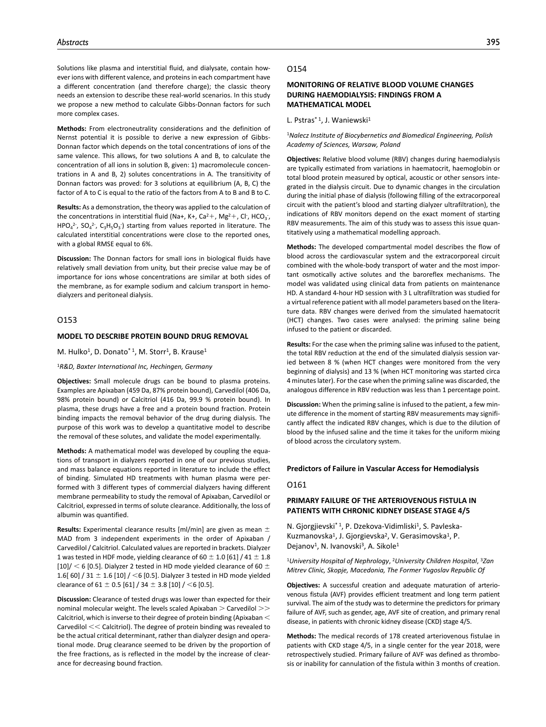Solutions like plasma and interstitial fluid, and dialysate, contain however ions with different valence, and proteins in each compartment have a different concentration (and therefore charge); the classic theory needs an extension to describe these real-world scenarios. In this study we propose a new method to calculate Gibbs-Donnan factors for such more complex cases.

**Methods:** From electroneutrality considerations and the definition of Nernst potential it is possible to derive a new expression of Gibbs-Donnan factor which depends on the total concentrations of ions of the same valence. This allows, for two solutions A and B, to calculate the concentration of all ions in solution B, given: 1) macromolecule concentrations in A and B, 2) solutes concentrations in A. The transitivity of Donnan factors was proved: for 3 solutions at equilibrium (A, B, C) the factor of A to C is equal to the ratio of the factors from A to B and B to C.

**Results:** As a demonstration, the theory was applied to the calculation of the concentrations in interstitial fluid (Na+, K+, Ca<sup>2</sup>+, Mg<sup>2</sup>+, Cl<sup>-</sup>, HCO<sub>3</sub><sup>-</sup>,  $HPO_4^2$ ,  $SO_4^2$ ,  $C_3H_5O_3$ ) starting from values reported in literature. The calculated interstitial concentrations were close to the reported ones, with a global RMSE equal to 6%.

**Discussion:** The Donnan factors for small ions in biological fluids have relatively small deviation from unity, but their precise value may be of importance for ions whose concentrations are similar at both sides of the membrane, as for example sodium and calcium transport in hemodialyzers and peritoneal dialysis.

# O153

### **MODEL TO DESCRIBE PROTEIN BOUND DRUG REMOVAL**

M. Hulko<sup>1</sup>, D. Donato<sup>\* 1</sup>, M. Storr<sup>1</sup>, B. Krause<sup>1</sup>

#### <sup>1</sup>*R&D, Baxter International Inc, Hechingen, Germany*

**Objectives:** Small molecule drugs can be bound to plasma proteins. Examples are Apixaban (459 Da, 87% protein bound), Carvedilol (406 Da, 98% protein bound) or Calcitriol (416 Da, 99.9 % protein bound). In plasma, these drugs have a free and a protein bound fraction. Protein binding impacts the removal behavior of the drug during dialysis. The purpose of this work was to develop a quantitative model to describe the removal of these solutes, and validate the model experimentally.

**Methods:** A mathematical model was developed by coupling the equations of transport in dialyzers reported in one of our previous studies, and mass balance equations reported in literature to include the effect of binding. Simulated HD treatments with human plasma were performed with 3 different types of commercial dialyzers having different membrane permeability to study the removal of Apixaban, Carvedilol or Calcitriol, expressed in terms of solute clearance. Additionally, the loss of albumin was quantified.

**Results:** Experimental clearance results [ml/min] are given as mean ± MAD from 3 independent experiments in the order of Apixaban / Carvedilol / Calcitriol. Calculated values are reported in brackets. Dialyzer 1 was tested in HDF mode, yielding clearance of 60  $\pm$  1.0 [61] / 41  $\pm$  1.8 [10]/  $<$  6 [0.5]. Dialyzer 2 tested in HD mode yielded clearance of 60  $\pm$ 1.6[ 60] / 31  $\pm$  1.6 [10] / <6 [0.5]. Dialyzer 3 tested in HD mode yielded clearance of 61  $\pm$  0.5 [61] / 34  $\pm$  3.8 [10] / <6 [0.5].

**Discussion:** Clearance of tested drugs was lower than expected for their nominal molecular weight. The levels scaled Apixaban > Carvedilol >> Calcitriol, which is inverse to their degree of protein binding (Apixaban < Carvedilol << Calcitriol). The degree of protein binding was revealed to be the actual critical determinant, rather than dialyzer design and operational mode. Drug clearance seemed to be driven by the proportion of the free fractions, as is reflected in the model by the increase of clearance for decreasing bound fraction.

#### O154

# **MONITORING OF RELATIVE BLOOD VOLUME CHANGES DURING HAEMODIALYSIS: FINDINGS FROM A MATHEMATICAL MODEL**

L. Pstras<sup>\* 1</sup>, J. Waniewski<sup>1</sup>

<sup>1</sup>*Nalecz Institute of Biocybernetics and Biomedical Engineering, Polish Academy of Sciences, Warsaw, Poland*

**Objectives:** Relative blood volume (RBV) changes during haemodialysis are typically estimated from variations in haematocrit, haemoglobin or total blood protein measured by optical, acoustic or other sensors integrated in the dialysis circuit. Due to dynamic changes in the circulation during the initial phase of dialysis (following filling of the extracorporeal circuit with the patient's blood and starting dialyzer ultrafiltration), the indications of RBV monitors depend on the exact moment of starting RBV measurements. The aim of this study was to assess this issue quantitatively using a mathematical modelling approach.

**Methods:** The developed compartmental model describes the flow of blood across the cardiovascular system and the extracorporeal circuit combined with the whole-body transport of water and the most important osmotically active solutes and the baroreflex mechanisms. The model was validated using clinical data from patients on maintenance HD. A standard 4-hour HD session with 3 L ultrafiltration was studied for a virtual reference patient with all model parameters based on the literature data. RBV changes were derived from the simulated haematocrit (HCT) changes. Two cases were analysed: the priming saline being infused to the patient or discarded.

**Results:** For the case when the priming saline was infused to the patient, the total RBV reduction at the end of the simulated dialysis session varied between 8 % (when HCT changes were monitored from the very beginning of dialysis) and 13 % (when HCT monitoring was started circa 4 minutes later). For the case when the priming saline was discarded, the analogous difference in RBV reduction was less than 1 percentage point.

**Discussion:** When the priming saline is infused to the patient, a few minute difference in the moment of starting RBV measurements may significantly affect the indicated RBV changes, which is due to the dilution of blood by the infused saline and the time it takes for the uniform mixing of blood across the circulatory system.

#### **Predictors of Failure in Vascular Access for Hemodialysis**

#### O161

## **PRIMARY FAILURE OF THE ARTERIOVENOUS FISTULA IN PATIENTS WITH CHRONIC KIDNEY DISEASE STAGE 4/5**

N. Gjorgjievski<sup>\* 1</sup>, P. Dzekova-Vidimliski<sup>1</sup>, S. Pavleska-Kuzmanovska<sup>1</sup>, J. Gjorgievska<sup>2</sup>, V. Gerasimovska<sup>1</sup>, P. Dejanov<sup>1</sup>, N. Ivanovski<sup>3</sup>, A. Sikole<sup>1</sup>

<sup>1</sup>*University Hospital of Nephrology*, 2*University Children Hospital*, 3*Zan Mitrev Clinic, Skopje, Macedonia, The Former Yugoslav Republic Of*

**Objectives:** A successful creation and adequate maturation of arteriovenous fistula (AVF) provides efficient treatment and long term patient survival. The aim of the study was to determine the predictors for primary failure of AVF, such as gender, age, AVF site of creation, and primary renal disease, in patients with chronic kidney disease (CKD) stage 4/5.

**Methods:** The medical records of 178 created arteriovenous fistulae in patients with CKD stage 4/5, in a single center for the year 2018, were retrospectively studied. Primary failure of AVF was defined as thrombosis or inability for cannulation of the fistula within 3 months of creation.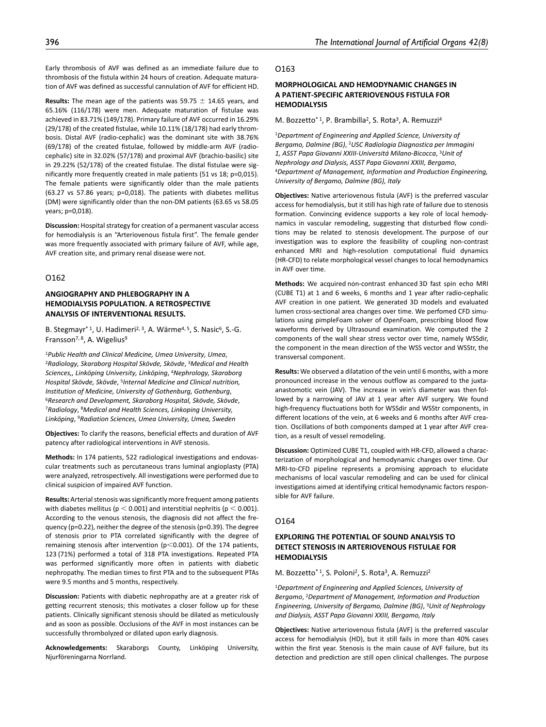Early thrombosis of AVF was defined as an immediate failure due to thrombosis of the fistula within 24 hours of creation. Adequate maturation of AVF was defined as successful cannulation of AVF for efficient HD.

**Results:** The mean age of the patients was 59.75  $\pm$  14.65 years, and 65.16% (116/178) were men. Adequate maturation of fistulae was achieved in 83.71% (149/178). Primary failure of AVF occurred in 16.29% (29/178) of the created fistulae, while 10.11% (18/178) had early thrombosis. Distal AVF (radio-cephalic) was the dominant site with 38.76% (69/178) of the created fistulae, followed by middle-arm AVF (radiocephalic) site in 32.02% (57/178) and proximal AVF (brachio-basilic) site in 29.22% (52/178) of the created fistulae. The distal fistulae were significantly more frequently created in male patients (51 vs 18; p=0,015). The female patients were significantly older than the male patients (63.27 vs 57.86 years; p=0,018). The patients with diabetes mellitus (DM) were significantly older than the non-DM patients (63.65 vs 58.05 years; p=0,018).

**Discussion:** Hospital strategy for creation of a permanent vascular access for hemodialysis is an "Arteriovenous fistula first". The female gender was more frequently associated with primary failure of AVF, while age, AVF creation site, and primary renal disease were not.

# O162

# **ANGIOGRAPHY AND PHLEBOGRAPHY IN A HEMODIALYSIS POPULATION. A RETROSPECTIVE ANALYSIS OF INTERVENTIONAL RESULTS.**

B. Stegmayr<sup>\*1</sup>, U. Hadimeri<sup>2, 3</sup>, A. Wärme<sup>4, 5</sup>, S. Nasic<sup>6</sup>, S.-G. Fransson<sup>7, 8</sup>, A. Wigelius<sup>9</sup>

<sup>1</sup>*Public Health and Clinical Medicine, Umea University, Umea*, 2*Radiology, Skaraborg Hospital Skövde, Skövde*, 3*Medical and Health Sciences,, Linköping University, Linköping*, 4*Nephrology, Skaraborg Hospital Skövde, Skövde*, 5*Internal Medicine and Clinical nutrition, Institution of Medicine, University of Gothenburg, Gothenburg*, 6*Research and Development, Skaraborg Hospital, Skövde, Skövde*, 7*Radiology*, 8*Medical and Health Sciences, Linkoping University, Linköping*, 9*Radiation Sciences, Umea University, Umea, Sweden*

**Objectives:** To clarify the reasons, beneficial effects and duration of AVF patency after radiological interventions in AVF stenosis.

**Methods:** In 174 patients, 522 radiological investigations and endovascular treatments such as percutaneous trans luminal angioplasty (PTA) were analyzed, retrospectively. All investigations were performed due to clinical suspicion of impaired AVF function.

**Results:** Arterial stenosis was significantly more frequent among patients with diabetes mellitus ( $p < 0.001$ ) and interstitial nephritis ( $p < 0.001$ ). According to the venous stenosis, the diagnosis did not affect the frequency (p=0.22), neither the degree of the stenosis (p=0.39). The degree of stenosis prior to PTA correlated significantly with the degree of remaining stenosis after intervention ( $p$ <0.001). Of the 174 patients, 123 (71%) performed a total of 318 PTA investigations. Repeated PTA was performed significantly more often in patients with diabetic nephropathy. The median times to first PTA and to the subsequent PTAs were 9.5 months and 5 months, respectively.

**Discussion:** Patients with diabetic nephropathy are at a greater risk of getting recurrent stenosis; this motivates a closer follow up for these patients. Clinically significant stenosis should be dilated as meticulously and as soon as possible. Occlusions of the AVF in most instances can be successfully thrombolyzed or dilated upon early diagnosis.

**Acknowledgements:** Skaraborgs County, Linköping University, Njurföreningarna Norrland.

#### O163

# **MORPHOLOGICAL AND HEMODYNAMIC CHANGES IN A PATIENT-SPECIFIC ARTERIOVENOUS FISTULA FOR HEMODIALYSIS**

M. Bozzetto<sup>\* 1</sup>, P. Brambilla<sup>2</sup>, S. Rota<sup>3</sup>, A. Remuzzi<sup>4</sup>

<sup>1</sup>*Department of Engineering and Applied Science, University of Bergamo, Dalmine (BG)*, 2*USC Radiologia Diagnostica per Immagini 1, ASST Papa Giovanni XXIII-Universitá Milano-Bicocca*, 3*Unit of Nephrology and Dialysis, ASST Papa Giovanni XXIII, Bergamo*, 4*Department of Management, Information and Production Engineering, University of Bergamo, Dalmine (BG), Italy*

**Objectives:** Native arteriovenous fistula (AVF) is the preferred vascular access for hemodialysis, but it still has high rate of failure due to stenosis formation. Convincing evidence supports a key role of local hemodynamics in vascular remodeling, suggesting that disturbed flow conditions may be related to stenosis development. The purpose of our investigation was to explore the feasibility of coupling non-contrast enhanced MRI and high-resolution computational fluid dynamics (HR-CFD) to relate morphological vessel changes to local hemodynamics in AVF over time.

**Methods:** We acquired non-contrast enhanced 3D fast spin echo MRI (CUBE T1) at 1 and 6 weeks, 6 months and 1 year after radio-cephalic AVF creation in one patient. We generated 3D models and evaluated lumen cross-sectional area changes over time. We perfomed CFD simulations using pimpleFoam solver of OpenFoam, prescribing blood flow waveforms derived by Ultrasound examination. We computed the 2 components of the wall shear stress vector over time, namely WSSdir, the component in the mean direction of the WSS vector and WSStr, the transversal component.

**Results:** We observed a dilatation of the vein until 6 months, with a more pronounced increase in the venous outflow as compared to the juxtaanastomotic vein (JAV). The increase in vein's diameter was then followed by a narrowing of JAV at 1 year after AVF surgery. We found high-frequency fluctuations both for WSSdir and WSStr components, in different locations of the vein, at 6 weeks and 6 months after AVF creation. Oscillations of both components damped at 1 year after AVF creation, as a result of vessel remodeling.

**Discussion:** Optimized CUBE T1, coupled with HR-CFD, allowed a characterization of morphological and hemodynamic changes over time. Our MRI-to-CFD pipeline represents a promising approach to elucidate mechanisms of local vascular remodeling and can be used for clinical investigations aimed at identifying critical hemodynamic factors responsible for AVF failure.

### O164

# **EXPLORING THE POTENTIAL OF SOUND ANALYSIS TO DETECT STENOSIS IN ARTERIOVENOUS FISTULAE FOR HEMODIALYSIS**

M. Bozzetto<sup>\* 1</sup>, S. Poloni<sup>2</sup>, S. Rota<sup>3</sup>, A. Remuzzi<sup>2</sup>

<sup>1</sup>*Department of Engineering and Applied Sciences, University of Bergamo*, 2*Department of Management, Information and Production Engineering, University of Bergamo, Dalmine (BG)*, 3*Unit of Nephrology and Dialysis, ASST Papa Giovanni XXIII, Bergamo, Italy*

**Objectives:** Native arteriovenous fistula (AVF) is the preferred vascular access for hemodialysis (HD), but it still fails in more than 40% cases within the first year. Stenosis is the main cause of AVF failure, but its detection and prediction are still open clinical challenges. The purpose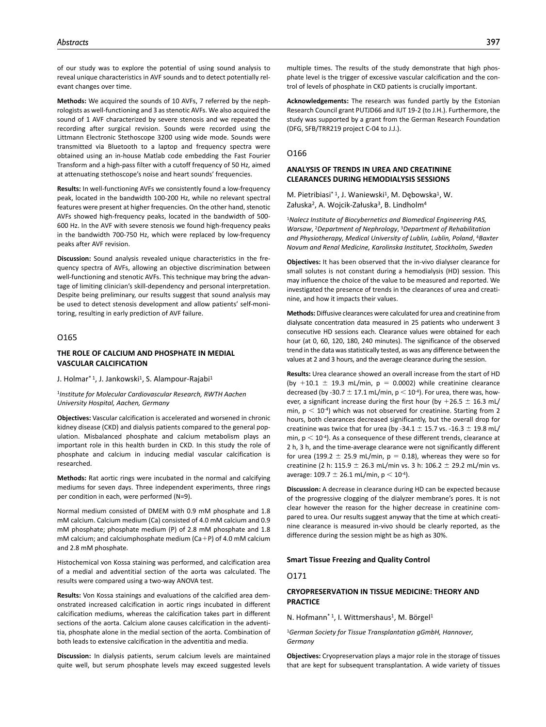of our study was to explore the potential of using sound analysis to reveal unique characteristics in AVF sounds and to detect potentially relevant changes over time.

**Methods:** We acquired the sounds of 10 AVFs, 7 referred by the nephrologists as well-functioning and 3 as stenotic AVFs. We also acquired the sound of 1 AVF characterized by severe stenosis and we repeated the recording after surgical revision. Sounds were recorded using the Littmann Electronic Stethoscope 3200 using wide mode. Sounds were transmitted via Bluetooth to a laptop and frequency spectra were obtained using an in-house Matlab code embedding the Fast Fourier Transform and a high-pass filter with a cutoff frequency of 50 Hz, aimed at attenuating stethoscope's noise and heart sounds' frequencies.

**Results:** In well-functioning AVFs we consistently found a low-frequency peak, located in the bandwidth 100-200 Hz, while no relevant spectral features were present at higher frequencies. On the other hand, stenotic AVFs showed high-frequency peaks, located in the bandwidth of 500- 600 Hz. In the AVF with severe stenosis we found high-frequency peaks in the bandwidth 700-750 Hz, which were replaced by low-frequency peaks after AVF revision.

**Discussion:** Sound analysis revealed unique characteristics in the frequency spectra of AVFs, allowing an objective discrimination between well-functioning and stenotic AVFs. This technique may bring the advantage of limiting clinician's skill-dependency and personal interpretation. Despite being preliminary, our results suggest that sound analysis may be used to detect stenosis development and allow patients' self-monitoring, resulting in early prediction of AVF failure.

### O165

### **THE ROLE OF CALCIUM AND PHOSPHATE IN MEDIAL VASCULAR CALCIFICATION**

J. Holmar<sup>\* 1</sup>, J. Jankowski<sup>1</sup>, S. Alampour-Rajabi<sup>1</sup>

<sup>1</sup>*Institute for Molecular Cardiovascular Research, RWTH Aachen University Hospital, Aachen, Germany*

**Objectives:** Vascular calcification is accelerated and worsened in chronic kidney disease (CKD) and dialysis patients compared to the general population. Misbalanced phosphate and calcium metabolism plays an important role in this health burden in CKD. In this study the role of phosphate and calcium in inducing medial vascular calcification is researched.

**Methods:** Rat aortic rings were incubated in the normal and calcifying mediums for seven days. Three independent experiments, three rings per condition in each, were performed (N=9).

Normal medium consisted of DMEM with 0.9 mM phosphate and 1.8 mM calcium. Calcium medium (Ca) consisted of 4.0 mM calcium and 0.9 mM phosphate; phosphate medium (P) of 2.8 mM phosphate and 1.8 mM calcium; and calciumphosphate medium  $(Ca+P)$  of 4.0 mM calcium and 2.8 mM phosphate.

Histochemical von Kossa staining was performed, and calcification area of a medial and adventitial section of the aorta was calculated. The results were compared using a two-way ANOVA test.

**Results:** Von Kossa stainings and evaluations of the calcified area demonstrated increased calcification in aortic rings incubated in different calcification mediums, whereas the calcification takes part in different sections of the aorta. Calcium alone causes calcification in the adventitia, phosphate alone in the medial section of the aorta. Combination of both leads to extensive calcification in the adventitia and media.

**Discussion:** In dialysis patients, serum calcium levels are maintained quite well, but serum phosphate levels may exceed suggested levels

multiple times. The results of the study demonstrate that high phosphate level is the trigger of excessive vascular calcification and the control of levels of phosphate in CKD patients is crucially important.

**Acknowledgements:** The research was funded partly by the Estonian Research Council grant PUTJD66 and IUT 19-2 (to J.H.). Furthermore, the study was supported by a grant from the German Research Foundation (DFG, SFB/TRR219 project C-04 to J.J.).

## O166

# **ANALYSIS OF TRENDS IN UREA AND CREATININE CLEARANCES DURING HEMODIALYSIS SESSIONS**

M. Pietribiasi\*<sup>1</sup>, J. Waniewski<sup>1</sup>, M. Dębowska<sup>1</sup>, W. Załuska<sup>2</sup>, A. Wojcik-Załuska<sup>3</sup>, B. Lindholm<sup>4</sup>

<sup>1</sup>*Nalecz Institute of Biocybernetics and Biomedical Engineering PAS, Warsaw*, 2*Department of Nephrology*, 3*Department of Rehabilitation and Physiotherapy, Medical University of Lublin, Lublin, Poland*, 4*Baxter Novum and Renal Medicine, Karolinska Institutet, Stockholm, Sweden*

**Objectives:** It has been observed that the in-vivo dialyser clearance for small solutes is not constant during a hemodialysis (HD) session. This may influence the choice of the value to be measured and reported. We investigated the presence of trends in the clearances of urea and creatinine, and how it impacts their values.

**Methods:** Diffusive clearances were calculated for urea and creatinine from dialysate concentration data measured in 25 patients who underwent 3 consecutive HD sessions each. Clearance values were obtained for each hour (at 0, 60, 120, 180, 240 minutes). The significance of the observed trend in the data was statistically tested, as was any difference between the values at 2 and 3 hours, and the average clearance during the session.

**Results:** Urea clearance showed an overall increase from the start of HD (by  $+10.1 \pm 19.3$  mL/min, p = 0.0002) while creatinine clearance decreased (by -30.7  $\pm$  17.1 mL/min, p < 10<sup>-4</sup>). For urea, there was, however, a significant increase during the first hour (by  $+26.5 \pm 16.3$  mL/ min,  $p < 10^{-4}$ ) which was not observed for creatinine. Starting from 2 hours, both clearances decreased significantly, but the overall drop for creatinine was twice that for urea (by -34.1  $\pm$  15.7 vs. -16.3  $\pm$  19.8 mL/ min,  $p < 10^{-4}$ ). As a consequence of these different trends, clearance at 2 h, 3 h, and the time-average clearance were not significantly different for urea (199.2  $\pm$  25.9 mL/min, p = 0.18), whereas they were so for creatinine (2 h: 115.9  $\pm$  26.3 mL/min vs. 3 h: 106.2  $\pm$  29.2 mL/min vs. average:  $109.7 \pm 26.1$  mL/min,  $p < 10^{-4}$ ).

**Discussion:** A decrease in clearance during HD can be expected because of the progressive clogging of the dialyzer membrane's pores. It is not clear however the reason for the higher decrease in creatinine compared to urea. Our results suggest anyway that the time at which creatinine clearance is measured in-vivo should be clearly reported, as the difference during the session might be as high as 30%.

#### **Smart Tissue Freezing and Quality Control**

#### O171

# **CRYOPRESERVATION IN TISSUE MEDICINE: THEORY AND PRACTICE**

N. Hofmann<sup>\* 1</sup>, I. Wittmershaus<sup>1</sup>, M. Börgel<sup>1</sup>

<sup>1</sup>*German Society for Tissue Transplantation gGmbH, Hannover, Germany*

**Objectives:** Cryopreservation plays a major role in the storage of tissues that are kept for subsequent transplantation. A wide variety of tissues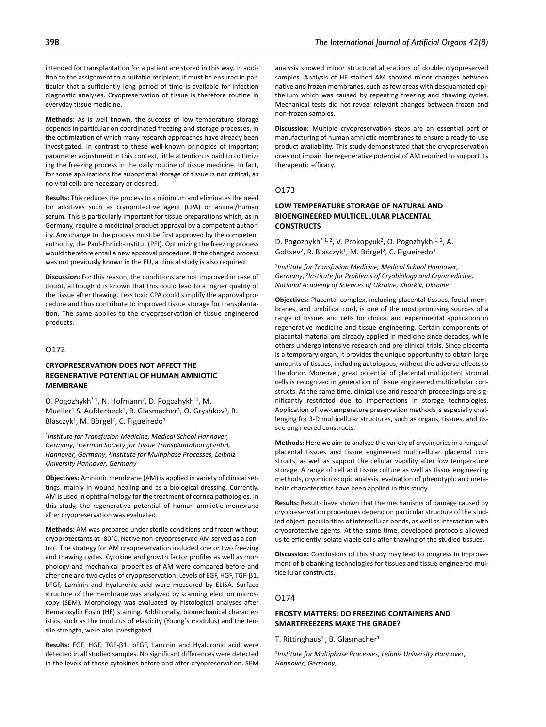intended for transplantation for a patient are stored in this way. In addition to the assignment to a suitable recipient, it must be ensured in particular that a sufficiently long period of time is available for infection diagnostic analyses. Cryopreservation of tissue is therefore routine in everyday tissue medicine.

**Methods:** As is well known, the success of low temperature storage depends in particular on coordinated freezing and storage processes, in the optimization of which many research approaches have already been investigated. In contrast to these well-known principles of important parameter adjustment in this context, little attention is paid to optimizing the freezing process in the daily routine of tissue medicine. In fact, for some applications the suboptimal storage of tissue is not critical, as no vital cells are necessary or desired.

**Results:** This reduces the process to a minimum and eliminates the need for additives such as cryoprotective agent (CPA) or animal/human serum. This is particularly important for tissue preparations which, as in Germany, require a medicinal product approval by a competent authority. Any change to the process must be first approved by the competent authority, the Paul-Ehrlich-Institut (PEI). Optimizing the freezing process would therefore entail a new approval procedure. If the changed process was not previously known in the EU, a clinical study is also required.

**Discussion:** For this reason, the conditions are not improved in case of doubt, although it is known that this could lead to a higher quality of the tissue after thawing. Less toxic CPA could simplify the approval procedure and thus contribute to improved tissue storage for transplantation. The same applies to the cryopreservation of tissue engineered products.

# O172

# **CRYOPRESERVATION DOES NOT AFFECT THE REGENERATIVE POTENTIAL OF HUMAN AMNIOTIC MEMBRANE**

O. Pogozhykh<sup>\* 1</sup>, N. Hofmann<sup>2</sup>, D. Pogozhykh <sup>1</sup>, M. Mueller<sup>1</sup> S. Aufderbeck<sup>1</sup>, B. Glasmacher<sup>3</sup>, O. Gryshkov<sup>3</sup>, R. Blasczyk<sup>1</sup>, M. Börgel<sup>2</sup>, C. Figueiredo<sup>1</sup>

<sup>1</sup>*Institute for Transfusion Medicine, Medical School Hannover, Germany*, 2*German Society for Tissue Transplantation gGmbH, Hannover, Germany*, 3*Institute for Multiphase Processes, Leibniz University Hannover, Germany*

**Objectives:** Amniotic membrane (AM) is applied in variety of clinical settings, mainly in wound healing and as a biological dressing. Currently, AM is used in ophthalmology for the treatment of cornea pathologies. In this study, the regenerative potential of human amniotic membrane after cryopreservation was evaluated.

**Methods:** AM was prepared under sterile conditions and frozen without cryoprotectants at -80°C. Native non-cryopreserved AM served as a control. The strategy for AM cryopreservation included one or two freezing and thawing cycles. Cytokine and growth factor profiles as well as morphology and mechanical properties of AM were compared before and after one and two cycles of cryopreservation. Levels of EGF, HGF, TGF-β1, bFGF, Laminin and Hyaluronic acid were measured by ELISA. Surface structure of the membrane was analyzed by scanning electron microscopy (SEM). Morphology was evaluated by histological analyses after Hematoxylin Eosin (HE) staining. Additionally, biomechanical characteristics, such as the modulus of elasticity (Young´s modulus) and the tensile strength, were also investigated.

**Results:** EGF, HGF, TGF-β1, bFGF, Laminin and Hyaluronic acid were detected in all studied samples. No significant differences were detected in the levels of those cytokines before and after cryopreservation. SEM analysis showed minor structural alterations of double cryopreserved samples. Analysis of HE stained AM showed minor changes between native and frozen membranes, such as few areas with desquamated epithelium which was caused by repeating freezing and thawing cycles. Mechanical tests did not reveal relevant changes between frozen and non-frozen samples.

**Discussion:** Multiple cryopreservation steps are an essential part of manufacturing of human amniotic membranes to ensure a ready-to-use product availability. This study demonstrated that the cryopreservation does not impair the regenerative potential of AM required to support its therapeutic efficacy.

# O173

# **LOW TEMPERATURE STORAGE OF NATURAL AND BIOENGINEERED MULTICELLULAR PLACENTAL CONSTRUCTS**

D. Pogozhykh<sup>\* 1, 2</sup>, V. Prokopyuk<sup>2</sup>, O. Pogozhykh <sup>1, 2</sup>, A. Goltsev<sup>2</sup>, R. Blasczyk<sup>1</sup>, M. Börgel<sup>2</sup>, C. Figueiredo<sup>1</sup>

<sup>1</sup>*Institute for Transfusion Medicine, Medical School Hannover, Germany*, 2*Institute for Problems of Cryobiology and Cryomedicine, National Academy of Sciences of Ukraine, Kharkiv, Ukraine*

**Objectives:** Placental complex, including placental tissues, foetal membranes, and umbilical cord, is one of the most promising sources of a range of tissues and cells for clinical and experimental application in regenerative medicine and tissue engineering. Certain components of placental material are already applied in medicine since decades, while others undergo intensive research and pre-clinical trials. Since placenta is a temporary organ, it provides the unique opportunity to obtain large amounts of tissues, including autologous, without the adverse effects to the donor. Moreover, great potential of placental multipotent stromal cells is recognized in generation of tissue engineered multicellular constructs. At the same time, clinical use and research proceedings are significantly restricted due to imperfections in storage technologies. Application of low-temperature preservation methods is especially challenging for 3-D multicellular structures, such as organs, tissues, and tissue engineered constructs.

**Methods:** Here we aim to analyze the variety of cryoinjuries in a range of placental tissues and tissue engineered multicellular placental constructs, as well as support the cellular viability after low temperature storage. A range of cell and tissue culture as well as tissue engineering methods, cryomicroscopic analysis, evaluation of phenotypic and metabolic characteristics have been applied in this study.

**Results:** Results have shown that the mechanisms of damage caused by cryopreservation procedures depend on particular structure of the studied object, peculiarities of intercellular bonds, as well as interaction with cryoprotective agents. At the same time, developed protocols allowed us to efficiently isolate viable cells after thawing of the studied tissues.

**Discussion:** Conclusions of this study may lead to progress in improvement of biobanking technologies for tissues and tissue engineered multicellular constructs.

### O174

# **FROSTY MATTERS: DO FREEZING CONTAINERS AND SMARTFREEZERS MAKE THE GRADE?**

T. Rittinghaus<sup>1,</sup>, B. Glasmacher<sup>1</sup>

<sup>1</sup>*Institute for Multiphase Processes, Leibniz University Hannover, Hannover, Germany*,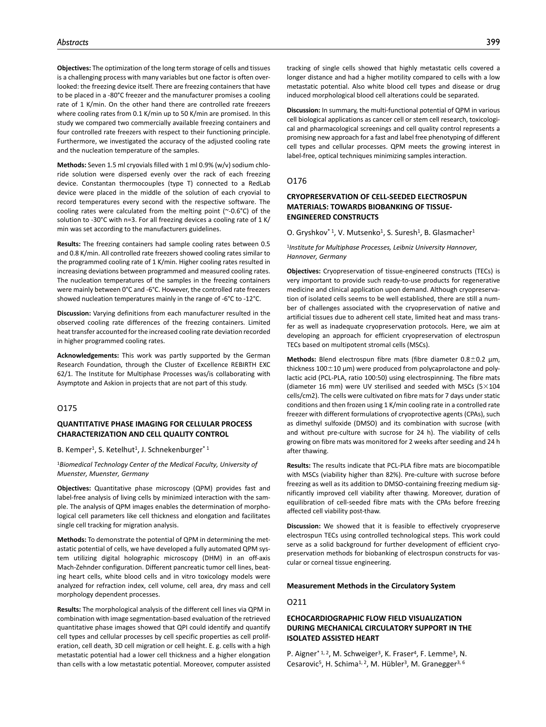**Objectives:** The optimization of the long term storage of cells and tissues is a challenging process with many variables but one factor is often overlooked: the freezing device itself. There are freezing containers that have to be placed in a -80°C freezer and the manufacturer promises a cooling rate of 1 K/min. On the other hand there are controlled rate freezers where cooling rates from 0.1 K/min up to 50 K/min are promised. In this study we compared two commercially available freezing containers and four controlled rate freezers with respect to their functioning principle. Furthermore, we investigated the accuracy of the adjusted cooling rate and the nucleation temperature of the samples.

**Methods:** Seven 1.5 ml cryovials filled with 1 ml 0.9% (w/v) sodium chloride solution were dispersed evenly over the rack of each freezing device. Constantan thermocouples (type T) connected to a RedLab device were placed in the middle of the solution of each cryovial to record temperatures every second with the respective software. The cooling rates were calculated from the melting point (~-0.6°C) of the solution to -30°C with n=3. For all freezing devices a cooling rate of 1 K/ min was set according to the manufacturers guidelines.

**Results:** The freezing containers had sample cooling rates between 0.5 and 0.8 K/min. All controlled rate freezers showed cooling rates similar to the programmed cooling rate of 1 K/min. Higher cooling rates resulted in increasing deviations between programmed and measured cooling rates. The nucleation temperatures of the samples in the freezing containers were mainly between 0°C and -6°C. However, the controlled rate freezers showed nucleation temperatures mainly in the range of -6°C to -12°C.

**Discussion:** Varying definitions from each manufacturer resulted in the observed cooling rate differences of the freezing containers. Limited heat transfer accounted for the increased cooling rate deviation recorded in higher programmed cooling rates.

**Acknowledgements:** This work was partly supported by the German Research Foundation, through the Cluster of Excellence REBIRTH EXC 62/1. The Institute for Multiphase Processes was/is collaborating with Asymptote and Askion in projects that are not part of this study.

### O175

### **QUANTITATIVE PHASE IMAGING FOR CELLULAR PROCESS CHARACTERIZATION AND CELL QUALITY CONTROL**

B. Kemper<sup>1</sup>, S. Ketelhut<sup>1</sup>, J. Schnekenburger<sup>\*1</sup>

<sup>1</sup>*Biomedical Technology Center of the Medical Faculty, University of Muenster, Muenster, Germany*

**Objectives:** Quantitative phase microscopy (QPM) provides fast and label-free analysis of living cells by minimized interaction with the sample. The analysis of QPM images enables the determination of morphological cell parameters like cell thickness and elongation and facilitates single cell tracking for migration analysis.

**Methods:** To demonstrate the potential of QPM in determining the metastatic potential of cells, we have developed a fully automated QPM system utilizing digital holographic microscopy (DHM) in an off-axis Mach-Zehnder configuration. Different pancreatic tumor cell lines, beating heart cells, white blood cells and in vitro toxicology models were analyzed for refraction index, cell volume, cell area, dry mass and cell morphology dependent processes.

**Results:** The morphological analysis of the different cell lines via QPM in combination with image segmentation-based evaluation of the retrieved quantitative phase images showed that QPI could identify and quantify cell types and cellular processes by cell specific properties as cell proliferation, cell death, 3D cell migration or cell height. E. g. cells with a high metastatic potential had a lower cell thickness and a higher elongation than cells with a low metastatic potential. Moreover, computer assisted

tracking of single cells showed that highly metastatic cells covered a longer distance and had a higher motility compared to cells with a low metastatic potential. Also white blood cell types and disease or drug induced morphological blood cell alterations could be separated.

**Discussion:** In summary, the multi-functional potential of QPM in various cell biological applications as cancer cell or stem cell research, toxicological and pharmacological screenings and cell quality control represents a promising new approach for a fast and label free phenotyping of different cell types and cellular processes. QPM meets the growing interest in label-free, optical techniques minimizing samples interaction.

## O176

# **CRYOPRESERVATION OF CELL-SEEDED ELECTROSPUN MATERIALS: TOWARDS BIOBANKING OF TISSUE-ENGINEERED CONSTRUCTS**

O. Gryshkov<sup>\* 1</sup>, V. Mutsenko<sup>1</sup>, S. Suresh<sup>1</sup>, B. Glasmacher<sup>1</sup>

### <sup>1</sup>*Institute for Multiphase Processes, Leibniz University Hannover, Hannover, Germany*

**Objectives:** Cryopreservation of tissue-engineered constructs (TECs) is very important to provide such ready-to-use products for regenerative medicine and clinical application upon demand. Although cryopreservation of isolated cells seems to be well established, there are still a number of challenges associated with the cryopreservation of native and artificial tissues due to adherent cell state, limited heat and mass transfer as well as inadequate cryopreservation protocols. Here, we aim at developing an approach for efficient cryopreservation of electrospun TECs based on multipotent stromal cells (MSCs).

**Methods:** Blend electrospun fibre mats (fibre diameter 0.8±0.2 µm, thickness  $100 \pm 10$  µm) were produced from polycaprolactone and polylactic acid (PCL-PLA, ratio 100:50) using electrospinning. The fibre mats (diameter 16 mm) were UV sterilised and seeded with MSCs (5×104 cells/cm2). The cells were cultivated on fibre mats for 7 days under static conditions and then frozen using 1 K/min cooling rate in a controlled rate freezer with different formulations of cryoprotective agents (CPAs), such as dimethyl sulfoxide (DMSO) and its combination with sucrose (with and without pre-culture with sucrose for 24 h). The viability of cells growing on fibre mats was monitored for 2 weeks after seeding and 24 h after thawing.

**Results:** The results indicate that PCL-PLA fibre mats are biocompatible with MSCs (viability higher than 82%). Pre-culture with sucrose before freezing as well as its addition to DMSO-containing freezing medium significantly improved cell viability after thawing. Moreover, duration of equilibration of cell-seeded fibre mats with the CPAs before freezing affected cell viability post-thaw.

**Discussion:** We showed that it is feasible to effectively cryopreserve electrospun TECs using controlled technological steps. This work could serve as a solid background for further development of efficient cryopreservation methods for biobanking of electrospun constructs for vascular or corneal tissue engineering.

#### **Measurement Methods in the Circulatory System**

## O211

# **ECHOCARDIOGRAPHIC FLOW FIELD VISUALIZATION DURING MECHANICAL CIRCULATORY SUPPORT IN THE ISOLATED ASSISTED HEART**

P. Aigner<sup>\* 1, 2</sup>, M. Schweiger<sup>3</sup>, K. Fraser<sup>4</sup>, F. Lemme<sup>3</sup>, N. Cesarovic<sup>5</sup>, H. Schima<sup>1, 2</sup>, M. Hübler<sup>3</sup>, M. Granegger<sup>3, 6</sup>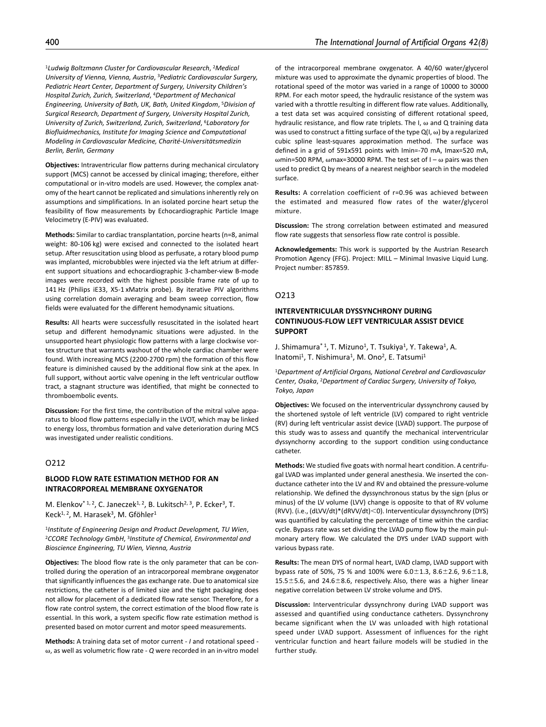<sup>1</sup>*Ludwig Boltzmann Cluster for Cardiovascular Research*, 2*Medical University of Vienna, Vienna, Austria*, 3*Pediatric Cardiovascular Surgery, Pediatric Heart Center, Department of Surgery, University Children's Hospital Zurich, Zurich, Switzerland*, 4*Department of Mechanical Engineering, University of Bath, UK, Bath, United Kingdom*, 5*Division of Surgical Research, Department of Surgery, University Hospital Zurich, University of Zurich, Switzerland, Zurich, Switzerland*, 6*Laboratory for Biofluidmechanics, Institute for Imaging Science and Computational Modeling in Cardiovascular Medicine, Charité-Universitätsmedizin* 

*Berlin, Berlin, Germany*

**Objectives:** Intraventricular flow patterns during mechanical circulatory support (MCS) cannot be accessed by clinical imaging; therefore, either computational or in-vitro models are used. However, the complex anatomy of the heart cannot be replicated and simulations inherently rely on assumptions and simplifications. In an isolated porcine heart setup the feasibility of flow measurements by Echocardiographic Particle Image Velocimetry (E-PIV) was evaluated.

**Methods:** Similar to cardiac transplantation, porcine hearts (n=8, animal weight: 80-106 kg) were excised and connected to the isolated heart setup. After resuscitation using blood as perfusate, a rotary blood pump was implanted, microbubbles were injected via the left atrium at different support situations and echocardiographic 3-chamber-view B-mode images were recorded with the highest possible frame rate of up to 141 Hz (Philips iE33, X5-1 xMatrix probe). By iterative PIV algorithms using correlation domain averaging and beam sweep correction, flow fields were evaluated for the different hemodynamic situations.

**Results:** All hearts were successfully resuscitated in the isolated heart setup and different hemodynamic situations were adjusted. In the unsupported heart physiologic flow patterns with a large clockwise vortex structure that warrants washout of the whole cardiac chamber were found. With increasing MCS (2200-2700 rpm) the formation of this flow feature is diminished caused by the additional flow sink at the apex. In full support, without aortic valve opening in the left ventricular outflow tract, a stagnant structure was identified, that might be connected to thromboembolic events.

**Discussion:** For the first time, the contribution of the mitral valve apparatus to blood flow patterns especially in the LVOT, which may be linked to energy loss, thrombus formation and valve deterioration during MCS was investigated under realistic conditions.

# O212

### **BLOOD FLOW RATE ESTIMATION METHOD FOR AN INTRACORPOREAL MEMBRANE OXYGENATOR**

M. Elenkov<sup>\* 1, 2</sup>, C. Janeczek<sup>1, 2</sup>, B. Lukitsch<sup>2, 3</sup>, P. Ecker<sup>3</sup>, T. Keck<sup>1, 2</sup>, M. Harasek<sup>3</sup>, M. Gföhler<sup>1</sup>

<sup>1</sup>*Institute of Engineering Design and Product Development, TU Wien*, 2*CCORE Technology GmbH*, 3*Institute of Chemical, Environmental and Bioscience Engineering, TU Wien, Vienna, Austria*

**Objectives:** The blood flow rate is the only parameter that can be controlled during the operation of an intracorporeal membrane oxygenator that significantly influences the gas exchange rate. Due to anatomical size restrictions, the catheter is of limited size and the tight packaging does not allow for placement of a dedicated flow rate sensor. Therefore, for a flow rate control system, the correct estimation of the blood flow rate is essential. In this work, a system specific flow rate estimation method is presented based on motor current and motor speed measurements.

**Methods:** A training data set of motor current - *I* and rotational speed ω, as well as volumetric flow rate - *Q* were recorded in an in-vitro model

of the intracorporeal membrane oxygenator. A 40/60 water/glycerol mixture was used to approximate the dynamic properties of blood. The rotational speed of the motor was varied in a range of 10000 to 30000 RPM. For each motor speed, the hydraulic resistance of the system was varied with a throttle resulting in different flow rate values. Additionally, a test data set was acquired consisting of different rotational speed, hydraulic resistance, and flow rate triplets. The I, ω and Q training data was used to construct a fitting surface of the type  $Q(I, \omega)$  by a regularized cubic spline least-squares approximation method. The surface was defined in a grid of 591x591 points with Imin=-70 mA, Imax=520 mA, ωmin=500 RPM, ωmax=30000 RPM. The test set of  $I - ω$  pairs was then used to predict Q by means of a nearest neighbor search in the modeled surface.

**Results:** A correlation coefficient of r=0.96 was achieved between the estimated and measured flow rates of the water/glycerol mixture.

**Discussion:** The strong correlation between estimated and measured flow rate suggests that sensorless flow rate control is possible.

**Acknowledgements:** This work is supported by the Austrian Research Promotion Agency (FFG). Project: MILL – Minimal Invasive Liquid Lung. Project number: 857859.

### O213

# **INTERVENTRICULAR DYSSYNCHRONY DURING CONTINUOUS-FLOW LEFT VENTRICULAR ASSIST DEVICE SUPPORT**

J. Shimamura<sup>\* 1</sup>, T. Mizuno<sup>1</sup>, T. Tsukiya<sup>1</sup>, Y. Takewa<sup>1</sup>, A. Inatomi<sup>1</sup>, T. Nishimura<sup>1</sup>, M. Ono<sup>2</sup>, E. Tatsumi<sup>1</sup>

<sup>1</sup>*Department of Artificial Organs, National Cerebral and Cardiovascular Center, Osaka*, 2*Department of Cardiac Surgery, University of Tokyo, Tokyo, Japan*

**Objectives:** We focused on the interventricular dyssynchrony caused by the shortened systole of left ventricle (LV) compared to right ventricle (RV) during left ventricular assist device (LVAD) support. The purpose of this study was to assess and quantify the mechanical interventricular dyssynchorny according to the support condition using conductance catheter.

**Methods:** We studied five goats with normal heart condition. A centrifugal LVAD was implanted under general anesthesia. We inserted the conductance catheter into the LV and RV and obtained the pressure-volume relationship. We defined the dyssynchronous status by the sign (plus or minus) of the LV volume (LVV) change is opposite to that of RV volume (RVV). (i.e., (dLVV/dt)\*(dRVV/dt)<0). Interventicular dyssynchrony (DYS) was quantified by calculating the percentage of time within the cardiac cycle. Bypass rate was set dividing the LVAD pump flow by the main pulmonary artery flow. We calculated the DYS under LVAD support with various bypass rate.

**Results:** The mean DYS of normal heart, LVAD clamp, LVAD support with bypass rate of 50%, 75 % and 100% were  $6.0 \pm 1.3$ ,  $8.6 \pm 2.6$ ,  $9.6 \pm 1.8$ , 15.5±5.6, and 24.6±8.6, respectively. Also, there was a higher linear negative correlation between LV stroke volume and DYS.

**Discussion:** Interventricular dyssynchrony during LVAD support was assessed and quantified using conductance catheters. Dyssynchrony became significant when the LV was unloaded with high rotational speed under LVAD support. Assessment of influences for the right ventricular function and heart failure models will be studied in the further study.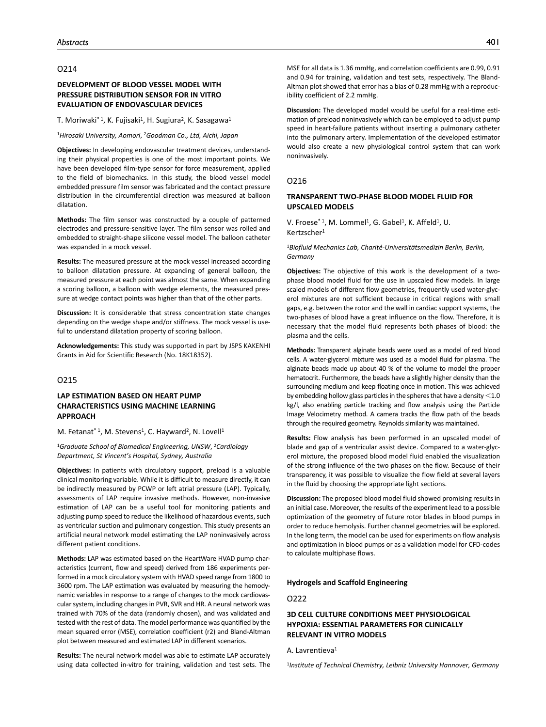# O214

# **DEVELOPMENT OF BLOOD VESSEL MODEL WITH PRESSURE DISTRIBUTION SENSOR FOR IN VITRO EVALUATION OF ENDOVASCULAR DEVICES**

#### T. Moriwaki<sup>\* 1</sup>, K. Fujisaki<sup>1</sup>, H. Sugiura<sup>2</sup>, K. Sasagawa<sup>1</sup>

<sup>1</sup>*Hirosaki University, Aomori*, 2*Goodman Co., Ltd, Aichi, Japan*

**Objectives:** In developing endovascular treatment devices, understanding their physical properties is one of the most important points. We have been developed film-type sensor for force measurement, applied to the field of biomechanics. In this study, the blood vessel model embedded pressure film sensor was fabricated and the contact pressure distribution in the circumferential direction was measured at balloon dilatation.

**Methods:** The film sensor was constructed by a couple of patterned electrodes and pressure-sensitive layer. The film sensor was rolled and embedded to straight-shape silicone vessel model. The balloon catheter was expanded in a mock vessel.

**Results:** The measured pressure at the mock vessel increased according to balloon dilatation pressure. At expanding of general balloon, the measured pressure at each point was almost the same. When expanding a scoring balloon, a balloon with wedge elements, the measured pressure at wedge contact points was higher than that of the other parts.

**Discussion:** It is considerable that stress concentration state changes depending on the wedge shape and/or stiffness. The mock vessel is useful to understand dilatation property of scoring balloon.

**Acknowledgements:** This study was supported in part by JSPS KAKENHI Grants in Aid for Scientific Research (No. 18K18352).

# O215

# **LAP ESTIMATION BASED ON HEART PUMP CHARACTERISTICS USING MACHINE LEARNING APPROACH**

#### M. Fetanat<sup>\* 1</sup>, M. Stevens<sup>1</sup>, C. Hayward<sup>2</sup>, N. Lovell<sup>1</sup>

<sup>1</sup>*Graduate School of Biomedical Engineering, UNSW*, 2*Cardiology Department, St Vincent's Hospital, Sydney, Australia*

**Objectives:** In patients with circulatory support, preload is a valuable clinical monitoring variable. While it is difficult to measure directly, it can be indirectly measured by PCWP or left atrial pressure (LAP). Typically, assessments of LAP require invasive methods. However, non-invasive estimation of LAP can be a useful tool for monitoring patients and adjusting pump speed to reduce the likelihood of hazardous events, such as ventricular suction and pulmonary congestion. This study presents an artificial neural network model estimating the LAP noninvasively across different patient conditions.

**Methods:** LAP was estimated based on the HeartWare HVAD pump characteristics (current, flow and speed) derived from 186 experiments performed in a mock circulatory system with HVAD speed range from 1800 to 3600 rpm. The LAP estimation was evaluated by measuring the hemodynamic variables in response to a range of changes to the mock cardiovascular system, including changes in PVR, SVR and HR. A neural network was trained with 70% of the data (randomly chosen), and was validated and tested with the rest of data. The model performance was quantified by the mean squared error (MSE), correlation coefficient (r2) and Bland-Altman plot between measured and estimated LAP in different scenarios.

**Results:** The neural network model was able to estimate LAP accurately using data collected in-vitro for training, validation and test sets. The

MSE for all data is 1.36 mmHg, and correlation coefficients are 0.99, 0.91 and 0.94 for training, validation and test sets, respectively. The Bland-Altman plot showed that error has a bias of 0.28 mmHg with a reproducibility coefficient of 2.2 mmHg.

**Discussion:** The developed model would be useful for a real-time estimation of preload noninvasively which can be employed to adjust pump speed in heart-failure patients without inserting a pulmonary catheter into the pulmonary artery. Implementation of the developed estimator would also create a new physiological control system that can work noninvasively.

### O216

### **TRANSPARENT TWO-PHASE BLOOD MODEL FLUID FOR UPSCALED MODELS**

V. Froese<sup>\* 1</sup>, M. Lommel<sup>1</sup>, G. Gabel<sup>1</sup>, K. Affeld<sup>1</sup>, U. Kertzscher<sup>1</sup>

<sup>1</sup>*Biofluid Mechanics Lab, Charité-Universitätsmedizin Berlin, Berlin, Germany*

**Objectives:** The objective of this work is the development of a twophase blood model fluid for the use in upscaled flow models. In large scaled models of different flow geometries, frequently used water-glycerol mixtures are not sufficient because in critical regions with small gaps, e.g. between the rotor and the wall in cardiac support systems, the two-phases of blood have a great influence on the flow. Therefore, it is necessary that the model fluid represents both phases of blood: the plasma and the cells.

**Methods:** Transparent alginate beads were used as a model of red blood cells. A water-glycerol mixture was used as a model fluid for plasma. The alginate beads made up about 40 % of the volume to model the proper hematocrit. Furthermore, the beads have a slightly higher density than the surrounding medium and keep floating once in motion. This was achieved by embedding hollow glass particles in the spheres that have a density <1.0 kg/l, also enabling particle tracking and flow analysis using the Particle Image Velocimetry method. A camera tracks the flow path of the beads through the required geometry. Reynolds similarity was maintained.

**Results:** Flow analysis has been performed in an upscaled model of blade and gap of a ventricular assist device. Compared to a water-glycerol mixture, the proposed blood model fluid enabled the visualization of the strong influence of the two phases on the flow. Because of their transparency, it was possible to visualize the flow field at several layers in the fluid by choosing the appropriate light sections.

**Discussion:** The proposed blood model fluid showed promising results in an initial case. Moreover, the results of the experiment lead to a possible optimization of the geometry of future rotor blades in blood pumps in order to reduce hemolysis. Further channel geometries will be explored. In the long term, the model can be used for experiments on flow analysis and optimization in blood pumps or as a validation model for CFD-codes to calculate multiphase flows.

#### **Hydrogels and Scaffold Engineering**

# O222

# **3D CELL CULTURE CONDITIONS MEET PHYSIOLOGICAL HYPOXIA: ESSENTIAL PARAMETERS FOR CLINICALLY RELEVANT IN VITRO MODELS**

### A. Lavrentieva1

1*Institute of Technical Chemistry, Leibniz University Hannover, Germany*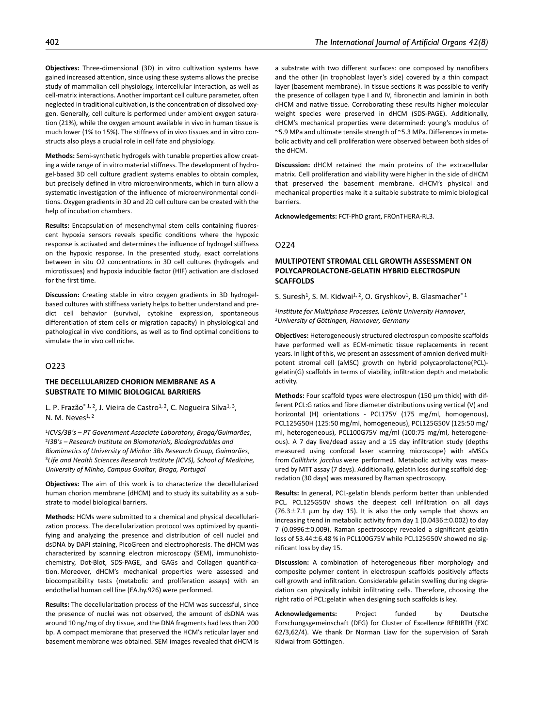**Objectives:** Three-dimensional (3D) in vitro cultivation systems have gained increased attention, since using these systems allows the precise study of mammalian cell physiology, intercellular interaction, as well as cell-matrix interactions. Another important cell culture parameter, often neglected in traditional cultivation, is the concentration of dissolved oxygen. Generally, cell culture is performed under ambient oxygen saturation (21%), while the oxygen amount available in vivo in human tissue is much lower (1% to 15%). The stiffness of in vivo tissues and in vitro constructs also plays a crucial role in cell fate and physiology.

**Methods:** Semi-synthetic hydrogels with tunable properties allow creating a wide range of in vitro material stiffness. The development of hydrogel-based 3D cell culture gradient systems enables to obtain complex, but precisely defined in vitro microenvironments, which in turn allow a systematic investigation of the influence of microenvironmental conditions. Oxygen gradients in 3D and 2D cell culture can be created with the help of incubation chambers.

**Results:** Encapsulation of mesenchymal stem cells containing fluorescent hypoxia sensors reveals specific conditions where the hypoxic response is activated and determines the influence of hydrogel stiffness on the hypoxic response. In the presented study, exact correlations between in situ O2 concentrations in 3D cell cultures (hydrogels and microtissues) and hypoxia inducible factor (HIF) activation are disclosed for the first time.

**Discussion:** Creating stable in vitro oxygen gradients in 3D hydrogelbased cultures with stiffness variety helps to better understand and predict cell behavior (survival, cytokine expression, spontaneous differentiation of stem cells or migration capacity) in physiological and pathological in vivo conditions, as well as to find optimal conditions to simulate the in vivo cell niche.

## O223

# **THE DECELLULARIZED CHORION MEMBRANE AS A SUBSTRATE TO MIMIC BIOLOGICAL BARRIERS**

L. P. Frazão<sup>\* 1, 2</sup>, J. Vieira de Castro<sup>1, 2</sup>, C. Nogueira Silva<sup>1, 3</sup>, N. M. Neves $1, 2$ 

<sup>1</sup>*ICVS/3B's – PT Government Associate Laboratory, Braga/Guimarães*, 2*I3B's – Research Institute on Biomaterials, Biodegradables and Biomimetics of University of Minho: 3Bs Research Group, Guimarães*, 3*Life and Health Sciences Research Institute (ICVS), School of Medicine, University of Minho, Campus Gualtar, Braga, Portugal*

**Objectives:** The aim of this work is to characterize the decellularized human chorion membrane (dHCM) and to study its suitability as a substrate to model biological barriers.

**Methods:** HCMs were submitted to a chemical and physical decellularization process. The decellularization protocol was optimized by quantifying and analyzing the presence and distribution of cell nuclei and dsDNA by DAPI staining, PicoGreen and electrophoresis. The dHCM was characterized by scanning electron microscopy (SEM), immunohistochemistry, Dot-Blot, SDS-PAGE, and GAGs and Collagen quantification. Moreover, dHCM's mechanical properties were assessed and biocompatibility tests (metabolic and proliferation assays) with an endothelial human cell line (EA.hy.926) were performed.

**Results:** The decellularization process of the HCM was successful, since the presence of nuclei was not observed, the amount of dsDNA was around 10 ng/mg of dry tissue, and the DNA fragments had less than 200 bp. A compact membrane that preserved the HCM's reticular layer and basement membrane was obtained. SEM images revealed that dHCM is

a substrate with two different surfaces: one composed by nanofibers and the other (in trophoblast layer's side) covered by a thin compact layer (basement membrane). In tissue sections it was possible to verify the presence of collagen type I and IV, fibronectin and laminin in both dHCM and native tissue. Corroborating these results higher molecular weight species were preserved in dHCM (SDS-PAGE). Additionally, dHCM's mechanical properties were determined: young's modulus of ~5.9 MPa and ultimate tensile strength of ~5.3 MPa. Differences in metabolic activity and cell proliferation were observed between both sides of the dHCM.

**Discussion:** dHCM retained the main proteins of the extracellular matrix. Cell proliferation and viability were higher in the side of dHCM that preserved the basement membrane. dHCM's physical and mechanical properties make it a suitable substrate to mimic biological barriers.

**Acknowledgements:** FCT-PhD grant, FROnTHERA-RL3.

### O224

# **MULTIPOTENT STROMAL CELL GROWTH ASSESSMENT ON POLYCAPROLACTONE-GELATIN HYBRID ELECTROSPUN SCAFFOLDS**

S. Suresh<sup>1</sup>, S. M. Kidwai<sup>1, 2</sup>, O. Gryshkov<sup>1</sup>, B. Glasmacher<sup>\*1</sup>

<sup>1</sup>*Institute for Multiphase Processes, Leibniz University Hannover*, 2*University of Göttingen, Hannover, Germany*

**Objectives:** Heterogeneously structured electrospun composite scaffolds have performed well as ECM-mimetic tissue replacements in recent years. In light of this, we present an assessment of amnion derived multipotent stromal cell (aMSC) growth on hybrid polycaprolactone(PCL) gelatin(G) scaffolds in terms of viability, infiltration depth and metabolic activity.

Methods: Four scaffold types were electrospun (150 µm thick) with different PCL:G ratios and fibre diameter distributions using vertical (V) and horizontal (H) orientations - PCL175V (175 mg/ml, homogenous), PCL125G50H (125:50 mg/ml, homogeneous), PCL125G50V (125:50 mg/ ml, heterogeneous), PCL100G75V mg/ml (100:75 mg/ml, heterogeneous). A 7 day live/dead assay and a 15 day infiltration study (depths measured using confocal laser scanning microscope) with aMSCs from *Callithrix jacchus*were performed. Metabolic activity was measured by MTT assay (7 days). Additionally, gelatin loss during scaffold degradation (30 days) was measured by Raman spectroscopy.

**Results:** In general, PCL-gelatin blends perform better than unblended PCL. PCL125G50V shows the deepest cell infiltration on all days  $(76.3 \pm 7.1 \mu m$  by day 15). It is also the only sample that shows an increasing trend in metabolic activity from day 1 (0.0436±0.002) to day 7 (0.0996±0.009). Raman spectroscopy revealed a significant gelatin loss of 53.44±6.48 % in PCL100G75V while PCL125G50V showed no significant loss by day 15.

**Discussion:** A combination of heterogeneous fiber morphology and composite polymer content in electrospun scaffolds positively affects cell growth and infiltration. Considerable gelatin swelling during degradation can physically inhibit infiltrating cells. Therefore, choosing the right ratio of PCL:gelatin when designing such scaffolds is key.

**Acknowledgements:** Project funded by Deutsche Forschungsgemeinschaft (DFG) for Cluster of Excellence REBIRTH (EXC 62/3,62/4). We thank Dr Norman Liaw for the supervision of Sarah Kidwai from Göttingen.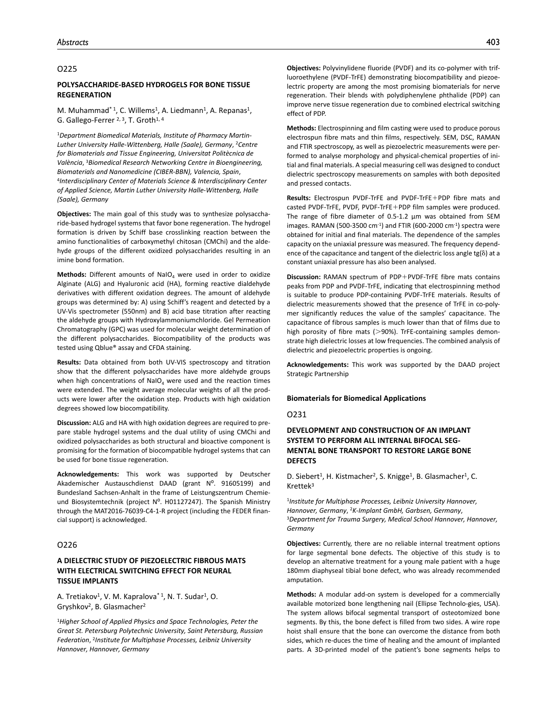#### O225

### **POLYSACCHARIDE-BASED HYDROGELS FOR BONE TISSUE REGENERATION**

M. Muhammad<sup>\* 1</sup>, C. Willems<sup>1</sup>, A. Liedmann<sup>1</sup>, A. Repanas<sup>1</sup>, G. Gallego-Ferrer <sup>2, 3</sup>, T. Groth<sup>1, 4</sup>

1*Department Biomedical Materials, Institute of Pharmacy Martin-Luther University Halle-Wittenberg, Halle (Saale), Germany*, 2*Centre for Biomaterials and Tissue Engineering, Universitat Politècnica de València*, 3*Biomedical Research Networking Centre in Bioengineering, Biomaterials and Nanomedicine (CIBER-BBN), Valencia, Spain*, 4*Interdisciplinary Center of Materials Science & Interdisciplinary Center of Applied Science, Martin Luther University Halle-Wittenberg, Halle (Saale), Germany*

**Objectives:** The main goal of this study was to synthesize polysaccharide-based hydrogel systems that favor bone regeneration. The hydrogel formation is driven by Schiff base crosslinking reaction between the amino functionalities of carboxymethyl chitosan (CMChi) and the aldehyde groups of the different oxidized polysaccharides resulting in an imine bond formation.

**Methods:** Different amounts of  $\text{NalO}_4$  were used in order to oxidize Alginate (ALG) and Hyaluronic acid (HA), forming reactive dialdehyde derivatives with different oxidation degrees. The amount of aldehyde groups was determined by: A) using Schiff's reagent and detected by a UV-Vis spectrometer (550nm) and B) acid base titration after reacting the aldehyde groups with Hydroxylammoniumchloride. Gel Permeation Chromatography (GPC) was used for molecular weight determination of the different polysaccharides. Biocompatibility of the products was tested using Qblue® assay and CFDA staining.

**Results:** Data obtained from both UV-VIS spectroscopy and titration show that the different polysaccharides have more aldehyde groups when high concentrations of NaIO $_{4}$  were used and the reaction times were extended. The weight average molecular weights of all the products were lower after the oxidation step. Products with high oxidation degrees showed low biocompatibility.

**Discussion:** ALG and HA with high oxidation degrees are required to prepare stable hydrogel systems and the dual utility of using CMChi and oxidized polysaccharides as both structural and bioactive component is promising for the formation of biocompatible hydrogel systems that can be used for bone tissue regeneration.

**Acknowledgements:** This work was supported by Deutscher Akademischer Austauschdienst DAAD (grant N°. 91605199) and Bundesland Sachsen-Anhalt in the frame of Leistungszentrum Chemieund Biosystemtechnik (project Nº. H01127247). The Spanish Ministry through the MAT2016-76039-C4-1-R project (including the FEDER financial support) is acknowledged.

## O226

# **A DIELECTRIC STUDY OF PIEZOELECTRIC FIBROUS MATS WITH ELECTRICAL SWITCHING EFFECT FOR NEURAL TISSUE IMPLANTS**

A. Tretiakov<sup>1</sup>, V. M. Kapralova<sup>\* 1</sup>, N. T. Sudar<sup>1</sup>, O. Gryshkov2, B. Glasmacher2

<sup>1</sup>*Higher School of Applied Physics and Space Technologies, Peter the Great St. Petersburg Polytechnic University, Saint Petersburg, Russian Federation*, 2*Institute for Multiphase Processes, Leibniz University Hannover, Hannover, Germany*

**Objectives:** Polyvinylidene fluoride (PVDF) and its co-polymer with trifluoroethylene (PVDF-TrFE) demonstrating biocompatibility and piezoelectric property are among the most promising biomaterials for nerve regeneration. Their blends with polydiphenylene phthalide (PDP) can improve nerve tissue regeneration due to combined electrical switching effect of PDP.

**Methods:** Electrospinning and film casting were used to produce porous electrospun fibre mats and thin films, respectively. SEM, DSC, RAMAN and FTIR spectroscopy, as well as piezoelectric measurements were performed to analyse morphology and physical-chemical properties of initial and final materials. A special measuring cell was designed to conduct dielectric spectroscopy measurements on samples with both deposited and pressed contacts.

**Results:** Electrospun PVDF-TrFE and PVDF-TrFE+PDP fibre mats and casted PVDF-TrFE, PVDF, PVDF-TrFE+PDP film samples were produced. The range of fibre diameter of 0.5-1.2 µm was obtained from SEM images. RAMAN (500-3500 cm $^{-1}$ ) and FTIR (600-2000 cm $^{-1}$ ) spectra were obtained for initial and final materials. The dependence of the samples capacity on the uniaxial pressure was measured. The frequency dependence of the capacitance and tangent of the dielectric loss angle tg(δ) at a constant uniaxial pressure has also been analysed.

**Discussion:** RAMAN spectrum of PDP+PVDF-TrFE fibre mats contains peaks from PDP and PVDF-TrFE, indicating that electrospinning method is suitable to produce PDP-containing PVDF-TrFE materials. Results of dielectric measurements showed that the presence of TrFE in co-polymer significantly reduces the value of the samples' capacitance. The capacitance of fibrous samples is much lower than that of films due to high porosity of fibre mats (>90%). TrFE-containing samples demonstrate high dielectric losses at low frequencies. The combined analysis of dielectric and piezoelectric properties is ongoing.

**Acknowledgements:** This work was supported by the DAAD project Strategic Partnership

#### **Biomaterials for Biomedical Applications**

O231

# **DEVELOPMENT AND CONSTRUCTION OF AN IMPLANT SYSTEM TO PERFORM ALL INTERNAL BIFOCAL SEG-MENTAL BONE TRANSPORT TO RESTORE LARGE BONE DEFECTS**

D. Siebert<sup>1</sup>, H. Kistmacher<sup>2</sup>, S. Knigge<sup>1</sup>, B. Glasmacher<sup>1</sup>, C. Krettek3

<sup>1</sup>*Institute for Multiphase Processes, Leibniz University Hannover, Hannover, Germany, <sup>2</sup>K-Implant GmbH, Garbsen, Germany, 3<br><sup>3</sup>Department for Trauma Surgery, Medical School Hannover, Hannover, Germany*

**Objectives:** Currently, there are no reliable internal treatment options for large segmental bone defects. The objective of this study is to develop an alternative treatment for a young male patient with a huge 180mm diaphyseal tibial bone defect, who was already recommended amputation.

**Methods:** A modular add-on system is developed for a commercially available motorized bone lengthening nail (Ellipse Technolo-gies, USA). The system allows bifocal segmental transport of osteotomized bone segments. By this, the bone defect is filled from two sides. A wire rope hoist shall ensure that the bone can overcome the distance from both sides, which re-duces the time of healing and the amount of implanted parts. A 3D-printed model of the patient's bone segments helps to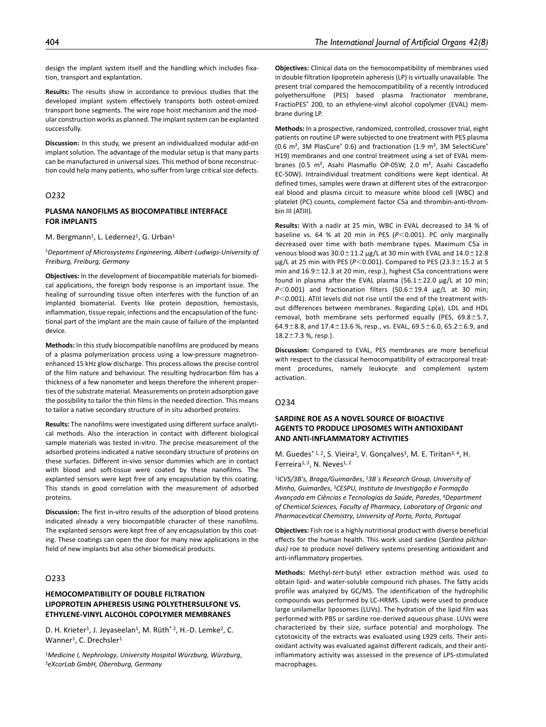design the implant system itself and the handling which includes fixation, transport and explantation.

**Results:** The results show in accordance to previous studies that the developed implant system effectively transports both osteot-omized transport bone segments. The wire rope hoist mechanism and the modular construction works as planned. The implant system can be explanted successfully.

**Discussion:** In this study, we present an individualized modular add-on implant solution. The advantage of the modular setup is that many parts can be manufactured in universal sizes. This method of bone reconstruction could help many patients, who suffer from large critical size defects.

# O232

# **PLASMA NANOFILMS AS BIOCOMPATIBLE INTERFACE FOR IMPLANTS**

M. Bergmann<sup>1</sup>, L. Ledernez<sup>1</sup>, G. Urban<sup>1</sup>

<sup>1</sup>*Department of Microsystems Engineering, Albert-Ludwigs-University of Freiburg, Freiburg, Germany*

**Objectives:** In the development of biocompatible materials for biomedical applications, the foreign body response is an important issue. The healing of surrounding tissue often interferes with the function of an implanted biomaterial. Events like protein deposition, hemostasis, inflammation, tissue repair, infections and the encapsulation of the functional part of the implant are the main cause of failure of the implanted device.

**Methods:** In this study biocompatible nanofilms are produced by means of a plasma polymerization process using a low-pressure magnetronenhanced 15 kHz glow discharge. This process allows the precise control of the film nature and behaviour. The resulting hydrocarbon film has a thickness of a few nanometer and keeps therefore the inherent properties of the substrate material. Measurements on protein adsorption gave the possibility to tailor the thin films in the needed direction. This means to tailor a native secondary structure of in situ adsorbed proteins.

**Results:** The nanofilms were investigated using different surface analytical methods. Also the interaction in contact with different biological sample materials was tested in-vitro. The precise measurement of the adsorbed proteins indicated a native secondary structure of proteins on these surfaces. Different in-vivo sensor dummies which are in contact with blood and soft-tissue were coated by these nanofilms. The explanted sensors were kept free of any encapsulation by this coating. This stands in good correlation with the measurement of adsorbed proteins.

**Discussion:** The first in-vitro results of the adsorption of blood proteins indicated already a very biocompatible character of these nanofilms. The explanted sensors were kept free of any encapsulation by this coating. These coatings can open the door for many new applications in the field of new implants but also other biomedical products.

# O233

# **HEMOCOMPATIBILITY OF DOUBLE FILTRATION LIPOPROTEIN APHERESIS USING POLYETHERSULFONE VS. ETHYLENE-VINYL ALCOHOL COPOLYMER MEMBRANES**

D. H. Krieter<sup>1</sup>, J. Jeyaseelan<sup>1</sup>, M. Rüth<sup>\*2</sup>, H.-D. Lemke<sup>2</sup>, C. Wanner<sup>1</sup>, C. Drechsler<sup>1</sup>

<sup>1</sup>*Medicine I, Nephrology, University Hospital Würzburg, Würzburg*, 2*eXcorLab GmbH, Obernburg, Germany*

**Objectives:** Clinical data on the hemocompatibility of membranes used in double filtration lipoprotein apheresis (LP) is virtually unavailable. The present trial compared the hemocompatibility of a recently introduced polyethersulfone (PES) based plasma fractionator membrane, FractioPES<sup>®</sup> 200, to an ethylene-vinyl alcohol copolymer (EVAL) membrane during LP.

**Methods:** In a prospective, randomized, controlled, crossover trial, eight patients on routine LP were subjected to one treatment with PES plasma (0.6 m<sup>2</sup>, 3M PlasCure<sup>®</sup> 0.6) and fractionation (1.9 m<sup>2</sup>, 3M SelectiCure<sup>®</sup> H19) membranes and one control treatment using a set of EVAL membranes (0.5 m², Asahi Plasmaflo OP-05W; 2.0 m², Asahi Cascadeflo EC-50W). Intraindividual treatment conditions were kept identical. At defined times, samples were drawn at different sites of the extracorporeal blood and plasma circuit to measure white blood cell (WBC) and platelet (PC) counts, complement factor C5a and thrombin-anti-thrombin III (ATIII).

**Results:** With a nadir at 25 min, WBC in EVAL decreased to 34 % of baseline vs. 64 % at 20 min in PES (*P*<0.001). PC only marginally decreased over time with both membrane types. Maximum C5a in venous blood was  $30.0\pm11.2$  µg/L at 30 min with EVAL and  $14.0\pm12.8$ µg/L at 25 min with PES (*P*<0.001). Compared to PES (23.3±15.2 at 5 min and 16.9±12.3 at 20 min, resp.), highest C5a concentrations were found in plasma after the EVAL plasma  $(56.1 \pm 22.0 \text{ µg/L at } 10 \text{ min};$  $P$ <0.001) and fractionation filters (50.6 $\pm$ 19.4 µg/L at 30 min; *P*<0.001). ATIII levels did not rise until the end of the treatment without differences between membranes. Regarding Lp(a), LDL and HDL removal, both membrane sets performed equally (PES, 69.8±5.7, 64.9 $\pm$ 8.8, and 17.4 $\pm$ 13.6 %, resp., vs. EVAL, 69.5 $\pm$ 6.0, 65.2 $\pm$ 6.9, and  $18.2 \pm 7.3$  %, resp.).

**Discussion:** Compared to EVAL, PES membranes are more beneficial with respect to the classical hemocompatibility of extracorporeal treatment procedures, namely leukocyte and complement system activation.

# O234

# **SARDINE ROE AS A NOVEL SOURCE OF BIOACTIVE AGENTS TO PRODUCE LIPOSOMES WITH ANTIOXIDANT AND ANTI-INFLAMMATORY ACTIVITIES**

M. Guedes<sup>\* 1, 2</sup>, S. Vieira<sup>2</sup>, V. Gonçalves<sup>3</sup>, M. E. Tiritan<sup>3, 4</sup>, H. Ferreira<sup>1, 2</sup>, N. Neves<sup>1, 2</sup>

<sup>1</sup>*ICVS/3B's, Braga/Guimarães*, 2*3B´s Research Group, University of Minho, Guimarães*, 3*CESPU, Instituto de Investigação e Formação Avançada em Ciências e Tecnologias da Saúde, Paredes*, 4*Department of Chemical Sciences, Faculty of Pharmacy, Laboratory of Organic and Pharmaceutical Chemistry, University of Porto, Porto, Portugal*

**Objectives:** Fish roe is a highly nutritional product with diverse beneficial effects for the human health. This work used sardine (*Sardina pilchardus)* roe to produce novel delivery systems presenting antioxidant and anti-inflammatory properties.

**Methods:** Methyl-*tert*-butyl ether extraction method was used to obtain lipid- and water-soluble compound rich phases. The fatty acids profile was analyzed by GC/MS. The identification of the hydrophilic compounds was performed by LC-HRMS. Lipids were used to produce large unilamellar liposomes (LUVs). The hydration of the lipid film was performed with PBS or sardine roe-derived aqueous phase. LUVs were characterized by their size, surface potential and morphology. The cytotoxicity of the extracts was evaluated using L929 cells. Their antioxidant activity was evaluated against different radicals, and their antiinflammatory activity was assessed in the presence of LPS-stimulated macrophages.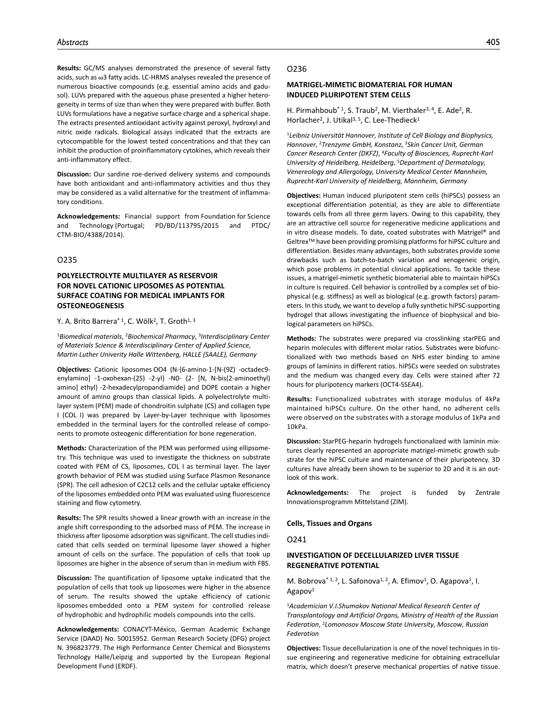**Results:** GC/MS analyses demonstrated the presence of several fatty acids, such as ω3 fatty acids. LC-HRMS analyses revealed the presence of numerous bioactive compounds (e.g. essential amino acids and gadusol). LUVs prepared with the aqueous phase presented a higher heterogeneity in terms of size than when they were prepared with buffer. Both LUVs formulations have a negative surface charge and a spherical shape. The extracts presented antioxidant activity against peroxyl, hydroxyl and nitric oxide radicals. Biological assays indicated that the extracts are cytocompatible for the lowest tested concentrations and that they can inhibit the production of proinflammatory cytokines, which reveals their anti-inflammatory effect.

**Discussion:** Our sardine roe-derived delivery systems and compounds have both antioxidant and anti-inflammatory activities and thus they may be considered as a valid alternative for the treatment of inflammatory conditions.

**Acknowledgements:** Financial support from Foundation for Science and Technology (Portugal; PD/BD/113795/2015 and PTDC/ CTM-BIO/4388/2014).

### O235

# **POLYELECTROLYTE MULTILAYER AS RESERVOIR FOR NOVEL CATIONIC LIPOSOMES AS POTENTIAL SURFACE COATING FOR MEDICAL IMPLANTS FOR OSTEONEOGENESIS**

#### Y. A. Brito Barrera<sup>\* 1</sup>, C. Wölk<sup>2</sup>, T. Groth<sup>1, 3</sup>

<sup>1</sup>*Biomedical materials*, 2*Biochemical Pharmacy*, 3*Interdisciplinary Center of Materials Science & Interdisciplinary Center of Applied Science, Martin Luther Univerity Halle Wittenberg, HALLE (SAALE), Germany*

**Objectives:** Cationic liposomes OO4 (N-{6-amino-1-[N-(9Z) -octadec9 enylamino] -1-oxohexan-(2S) -2-yl} -N0- {2- [N, N-bis(2-aminoethyl) amino] ethyl} -2-hexadecylpropandiamide) and DOPE contain a higher amount of amino groups than classical lipids. A polyelectrolyte multilayer system (PEM) made of chondroitin sulphate (CS) and collagen type I (COL I) was prepared by Layer-by-Layer technique with liposomes embedded in the terminal layers for the controlled release of components to promote osteogenic differentiation for bone regeneration.

**Methods:** Characterization of the PEM was performed using ellipsometry. This technique was used to investigate the thickness on substrate coated with PEM of CS, liposomes, COL I as terminal layer. The layer growth behavior of PEM was studied using Surface Plasmon Resonance (SPR). The cell adhesion of C2C12 cells and the cellular uptake efficiency of the liposomes embedded onto PEM was evaluated using fluorescence staining and flow cytometry.

**Results:** The SPR results showed a linear growth with an increase in the angle shift corresponding to the adsorbed mass of PEM. The increase in thickness after liposome adsorption was significant. The cell studies indicated that cells seeded on terminal liposome layer showed a higher amount of cells on the surface. The population of cells that took up liposomes are higher in the absence of serum than in medium with FBS.

**Discussion:** The quantification of liposome uptake indicated that the population of cells that took up liposomes were higher in the absence of serum. The results showed the uptake efficiency of cationic liposomes embedded onto a PEM system for controlled release of hydrophobic and hydrophilic models compounds into the cells.

**Acknowledgements:** CONACYT-México, German Academic Exchange Service (DAAD) No. 50015952. German Research Society (DFG) project N. 396823779. The High Performance Center Chemical and Biosystems Technology Halle/Leipzig and supported by the European Regional Development Fund (ERDF).

#### O236

# **MATRIGEL-MIMETIC BIOMATERIAL FOR HUMAN INDUCED PLURIPOTENT STEM CELLS**

H. Pirmahboub<sup>\* 1</sup>, S. Traub<sup>2</sup>, M. Vierthaler<sup>3, 4</sup>, E. Ade<sup>2</sup>, R. Horlacher<sup>2</sup>, J. Utikal<sup>3, 5</sup>, C. Lee-Thedieck<sup>1</sup>

<sup>1</sup>*Leibniz Universität Hannover, Institute of Cell Biology and Biophysics, Hannover*, 2*Trenzyme GmbH, Konstanz*, 3*Skin Cancer Unit, German Cancer Research Center (DKFZ)*, 4*Faculty of Biosciences, Ruprecht-Karl University of Heidelberg, Heidelberg*, 5*Department of Dermatology, Venereology and Allergology, University Medical Center Mannheim, Ruprecht-Karl University of Heidelberg, Mannheim, Germany*

**Objectives:** Human induced pluripotent stem cells (hiPSCs) possess an exceptional differentiation potential, as they are able to differentiate towards cells from all three germ layers. Owing to this capability, they are an attractive cell source for regenerative medicine applications and in vitro disease models. To date, coated substrates with Matrigel® and Geltrex<sup>™</sup> have been providing promising platforms for hiPSC culture and differentiation. Besides many advantages, both substrates provide some drawbacks such as batch-to-batch variation and xenogeneic origin, which pose problems in potential clinical applications. To tackle these issues, a matrigel-mimetic synthetic biomaterial able to maintain hiPSCs in culture is required. Cell behavior is controlled by a complex set of biophysical (e.g. stiffness) as well as biological (e.g. growth factors) parameters. In this study, we want to develop a fully synthetic hiPSC-supporting hydrogel that allows investigating the influence of biophysical and biological parameters on hiPSCs.

**Methods:** The substrates were prepared via crosslinking starPEG and heparin molecules with different molar ratios. Substrates were biofunctionalized with two methods based on NHS ester binding to amine groups of laminins in different ratios. hiPSCs were seeded on substrates and the medium was changed every day. Cells were stained after 72 hours for pluripotency markers (OCT4-SSEA4).

**Results:** Functionalized substrates with storage modulus of 4kPa maintained hiPSCs culture. On the other hand, no adherent cells were observed on the substrates with a storage modulus of 1kPa and 10kPa.

**Discussion:** StarPEG-heparin hydrogels functionalized with laminin mixtures clearly represented an appropriate matrigel-mimetic growth substrate for the hiPSC culture and maintenance of their pluripotency. 3D cultures have already been shown to be superior to 2D and it is an outlook of this work.

**Acknowledgements:** The project is funded by Zentrale Innovationsprogramm Mittelstand (ZIM).

**Cells, Tissues and Organs**

O241

# **INVESTIGATION OF DECELLULARIZED LIVER TISSUE REGENERATIVE POTENTIAL**

M. Bobrova<sup>\* 1, 2</sup>, L. Safonova<sup>1, 2</sup>, A. Efimov<sup>1</sup>, O. Agapova<sup>1</sup>, I. Agapov1

<sup>1</sup>*Academician V.I.Shumakov National Medical Research Center of Transplantology and Artificial Organs, Ministry of Health of the Russian Federation*, 2*Lomonosov Moscow State University, Moscow, Russian Federation*

**Objectives:** Tissue decellularization is one of the novel techniques in tissue engineering and regenerative medicine for obtaining extracellular matrix, which doesn't preserve mechanical properties of native tissue.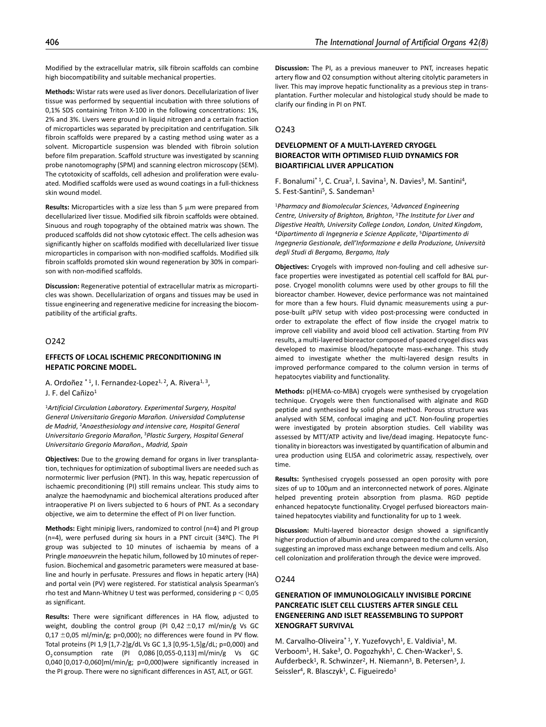Modified by the extracellular matrix, silk fibroin scaffolds can combine high biocompatibility and suitable mechanical properties.

**Methods:** Wistar rats were used as liver donors. Decellularization of liver tissue was performed by sequential incubation with three solutions of 0,1% SDS containing Triton X-100 in the following concentrations: 1%, 2% and 3%. Livers were ground in liquid nitrogen and a certain fraction of microparticles was separated by precipitation and centrifugation. Silk fibroin scaffolds were prepared by a casting method using water as a solvent. Microparticle suspension was blended with fibroin solution before film preparation. Scaffold structure was investigated by scanning probe nanotomography (SPM) and scanning electron microscopy (SEM). The cytotoxicity of scaffolds, cell adhesion and proliferation were evaluated. Modified scaffolds were used as wound coatings in a full-thickness skin wound model.

**Results:** Microparticles with a size less than 5 μm were prepared from decellularized liver tissue. Modified silk fibroin scaffolds were obtained. Sinuous and rough topography of the obtained matrix was shown. The produced scaffolds did not show cytotoxic effect. The cells adhesion was significantly higher on scaffolds modified with decellularized liver tissue microparticles in comparison with non-modified scaffolds. Modified silk fibroin scaffolds promoted skin wound regeneration by 30% in comparison with non-modified scaffolds.

**Discussion:** Regenerative potential of extracellular matrix as microparticles was shown. Decellularization of organs and tissues may be used in tissue engineering and regenerative medicine for increasing the biocompatibility of the artificial grafts.

# O242

# **EFFECTS OF LOCAL ISCHEMIC PRECONDITIONING IN HEPATIC PORCINE MODEL.**

A. Ordoñez \*1, I. Fernandez-Lopez<sup>1, 2</sup>, A. Rivera<sup>1, 3</sup>, J. F. del Cañizo<sup>1</sup>

<sup>1</sup>*Artificial Circulation Laboratory. Experimental Surgery, Hospital General Universitario Gregorio Marañon. Universidad Complutense de Madrid*, 2*Anaesthesiology and intensive care, Hospital General Universitario Gregorio Marañon*, 3*Plastic Surgery, Hospital General Universitario Gregorio Marañon., Madrid, Spain*

**Objectives:** Due to the growing demand for organs in liver transplantation, techniques for optimization of suboptimal livers are needed such as normotermic liver perfusion (PNT). In this way, hepatic repercussion of ischaemic preconditioning (PI) still remains unclear. This study aims to analyze the haemodynamic and biochemical alterations produced after intraoperative PI on livers subjected to 6 hours of PNT. As a secondary objective, we aim to determine the effect of PI on liver function.

**Methods:** Eight minipig livers, randomized to control (n=4) and PI group (n=4), were perfused during six hours in a PNT circuit (34ºC). The PI group was subjected to 10 minutes of ischaemia by means of a Pringle *manoeuvre*in the hepatic hilum, followed by 10 minutes of reperfusion. Biochemical and gasometric parameters were measured at baseline and hourly in perfusate. Pressures and flows in hepatic artery (HA) and portal vein (PV) were registered. For statistical analysis Spearman's rho test and Mann-Whitney U test was performed, considering  $p < 0.05$ as significant.

**Results:** There were significant differences in HA flow, adjusted to weight, doubling the control group (PI 0,42 $\pm$ 0,17 ml/min/g Vs GC  $0.17 \pm 0.05$  ml/min/g; p=0.000); no differences were found in PV flow. Total proteins (PI 1,9 [1,7-2]g/dL Vs GC 1,3 [0,95-1,5]g/dL; p=0,000) and O2 consumption rate (PI 0,086 [0,055-0,113] ml/min/g Vs GC 0,040 [0,017-0,060]ml/min/g; p=0,000)were significantly increased in the PI group. There were no significant differences in AST, ALT, or GGT.

**Discussion:** The PI, as a previous maneuver to PNT, increases hepatic artery flow and O2 consumption without altering citolytic parameters in liver. This may improve hepatic functionality as a previous step in transplantation. Further molecular and histological study should be made to clarify our finding in PI on PNT.

## $0243$

# **DEVELOPMENT OF A MULTI-LAYERED CRYOGEL BIOREACTOR WITH OPTIMISED FLUID DYNAMICS FOR BIOARTIFICIAL LIVER APPLICATION**

F. Bonalumi<sup>\* 1</sup>, C. Crua<sup>2</sup>, I. Savina<sup>1</sup>, N. Davies<sup>3</sup>, M. Santini<sup>4</sup>, S. Fest-Santini<sup>5</sup>, S. Sandeman<sup>1</sup>

<sup>1</sup>*Pharmacy and Biomolecular Sciences*, 2*Advanced Engineering Centre, University of Brighton, Brighton*, 3*The Institute for Liver and Digestive Health, University College London, London, United Kingdom*, 4*Dipartimento di Ingegneria e Scienze Applicate*, 5*Dipartimento di Ingegneria Gestionale, dell'Informazione e della Produzione, Università degli Studi di Bergamo, Bergamo, Italy*

**Objectives:** Cryogels with improved non-fouling and cell adhesive surface properties were investigated as potential cell scaffold for BAL purpose. Cryogel monolith columns were used by other groups to fill the bioreactor chamber. However, device performance was not maintained for more than a few hours. Fluid dynamic measurements using a purpose-built µPIV setup with video post-processing were conducted in order to extrapolate the effect of flow inside the cryogel matrix to improve cell viability and avoid blood cell activation. Starting from PIV results, a multi-layered bioreactor composed of spaced cryogel discs was developed to maximise blood/hepatocyte mass-exchange. This study aimed to investigate whether the multi-layered design results in improved performance compared to the column version in terms of hepatocytes viability and functionality.

**Methods:** p(HEMA-co-MBA) cryogels were synthesised by cryogelation technique. Cryogels were then functionalised with alginate and RGD peptide and synthesised by solid phase method. Porous structure was analysed with SEM, confocal imaging and  $\mu$ CT. Non-fouling properties were investigated by protein absorption studies. Cell viability was assessed by MTT/ATP activity and live/dead imaging. Hepatocyte functionality in bioreactors was investigated by quantification of albumin and urea production using ELISA and colorimetric assay, respectively, over time.

**Results:** Synthesised cryogels possessed an open porosity with pore sizes of up to 100µm and an interconnected network of pores. Alginate helped preventing protein absorption from plasma. RGD peptide enhanced hepatocyte functionality. Cryogel perfused bioreactors maintained hepatocytes viability and functionality for up to 1 week.

**Discussion:** Multi-layered bioreactor design showed a significantly higher production of albumin and urea compared to the column version, suggesting an improved mass exchange between medium and cells. Also cell colonization and proliferation through the device were improved.

#### O244

# **GENERATION OF IMMUNOLOGICALLY INVISIBLE PORCINE PANCREATIC ISLET CELL CLUSTERS AFTER SINGLE CELL ENGENEERING AND ISLET REASSEMBLING TO SUPPORT XENOGRAFT SURVIVAL**

M. Carvalho-Oliveira<sup>\* 1</sup>, Y. Yuzefovych<sup>1</sup>, E. Valdivia<sup>1</sup>, M. Verboom<sup>1</sup>, H. Sake<sup>3</sup>, O. Pogozhykh<sup>1</sup>, C. Chen-Wacker<sup>1</sup>, S. Aufderbeck<sup>1</sup>, R. Schwinzer<sup>2</sup>, H. Niemann<sup>3</sup>, B. Petersen<sup>3</sup>, J. Seissler<sup>4</sup>, R. Blasczyk<sup>1</sup>, C. Figueiredo<sup>1</sup>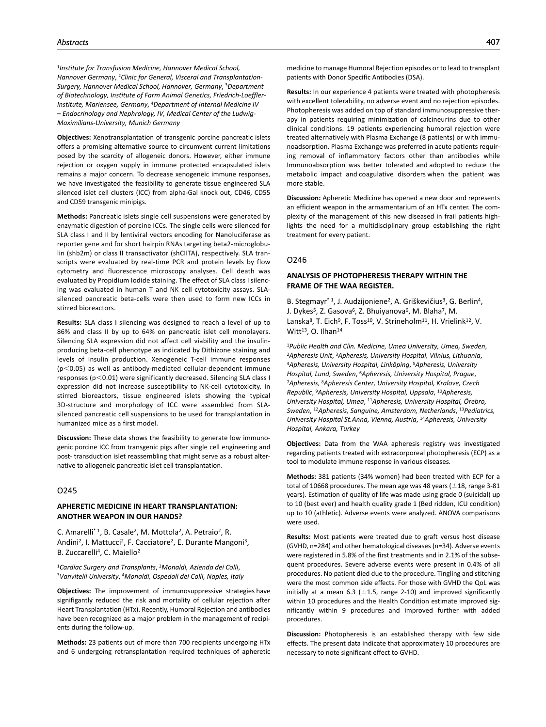<sup>1</sup>*Institute for Transfusion Medicine, Hannover Medical School, Hannover Germany*, 2*Clinic for General, Visceral and Transplantation-Surgery, Hannover Medical School, Hannover, Germany*, 3*Department of Biotechnology, Institute of Farm Animal Genetics, Friedrich-Loeffler-Institute, Mariensee, Germany*, 4*Department of Internal Medicine IV – Endocrinology and Nephrology, IV, Medical Center of the Ludwig-Maximilians-University, Munich Germany*

**Objectives:** Xenotransplantation of transgenic porcine pancreatic islets offers a promising alternative source to circumvent current limitations posed by the scarcity of allogeneic donors. However, either immune rejection or oxygen supply in immune protected encapsulated islets remains a major concern. To decrease xenogeneic immune responses, we have investigated the feasibility to generate tissue engineered SLA silenced islet cell clusters (ICC) from alpha-Gal knock out, CD46, CD55 and CD59 transgenic minipigs.

**Methods:** Pancreatic islets single cell suspensions were generated by enzymatic digestion of porcine ICCs. The single cells were silenced for SLA class I and II by lentiviral vectors encoding for Nanoluciferase as reporter gene and for short hairpin RNAs targeting beta2-microglobulin (shb2m) or class II transactivator (shCIITA), respectively. SLA transcripts were evaluated by real-time PCR and protein levels by flow cytometry and fluorescence microscopy analyses. Cell death was evaluated by Propidium Iodide staining. The effect of SLA class I silencing was evaluated in human T and NK cell cytotoxicity assays. SLAsilenced pancreatic beta-cells were then used to form new ICCs in stirred bioreactors.

**Results:** SLA class I silencing was designed to reach a level of up to 86% and class II by up to 64% on pancreatic islet cell monolayers. Silencing SLA expression did not affect cell viability and the insulinproducing beta-cell phenotype as indicated by Dithizone staining and levels of insulin production. Xenogeneic T-cell immune responses  $(p<0.05)$  as well as antibody-mediated cellular-dependent immune responses (p<0.01) were significantly decreased. Silencing SLA class I expression did not increase susceptibility to NK-cell cytotoxicity. In stirred bioreactors, tissue engineered islets showing the typical 3D-structure and morphology of ICC were assembled from SLAsilenced pancreatic cell suspensions to be used for transplantation in humanized mice as a first model.

**Discussion:** These data shows the feasibility to generate low immunogenic porcine ICC from transgenic pigs after single cell engineering and post- transduction islet reassembling that might serve as a robust alternative to allogeneic pancreatic islet cell transplantation.

## O245

#### **APHERETIC MEDICINE IN HEART TRANSPLANTATION: ANOTHER WEAPON IN OUR HANDS?**

C. Amarelli\* 1, B. Casale2, M. Mottola2, A. Petraio2, R. Andini<sup>2</sup>, I. Mattucci<sup>2</sup>, F. Cacciatore<sup>2</sup>, E. Durante Mangoni<sup>3</sup>, B. Zuccarelli<sup>4</sup>, C. Maiello<sup>2</sup>

<sup>1</sup>*Cardiac Surgery and Transplants*, 2*Monaldi, Azienda dei Colli*, 3*Vanvitelli University*, 4*Monaldi, Ospedali dei Colli, Naples, Italy*

**Objectives:** The improvement of immunosuppressive strategies have signifigantly reduced the risk and mortality of cellular rejection after Heart Transplantation (HTx). Recently, Humoral Rejection and antibodies have been recognized as a major problem in the management of recipients during the follow-up.

**Methods:** 23 patients out of more than 700 recipients undergoing HTx and 6 undergoing retransplantation required techniques of apheretic medicine to manage Humoral Rejection episodes or to lead to transplant patients with Donor Specific Antibodies (DSA).

**Results:** In our experience 4 patients were treated with photopheresis with excellent tolerability, no adverse event and no rejection episodes. Photopheresis was added on top of standard immunosuppressive therapy in patients requiring minimization of calcineurins due to other clinical conditions. 19 patients experiencing humoral rejection were treated alternatively with Plasma Exchange (8 patients) or with immunoadsorption. Plasma Exchange was preferred in acute patients requiring removal of inflammatory factors other than antibodies while Immunoabsorption was better tolerated and adopted to reduce the metabolic impact and coagulative disorders when the patient was more stable.

**Discussion:** Apheretic Medicine has opened a new door and represents an efficient weapon in the armamentarium of an HTx center. The complexity of the management of this new diseased in frail patients highlights the need for a multidisciplinary group establishing the right treatment for every patient.

# O246

## **ANALYSIS OF PHOTOPHERESIS THERAPY WITHIN THE FRAME OF THE WAA REGISTER.**

B. Stegmayr<sup>\* 1</sup>, J. Audzijoniene<sup>2</sup>, A. Griškevičius<sup>3</sup>, G. Berlin<sup>4</sup>, J. Dykes<sup>5</sup>, Z. Gasova<sup>6</sup>, Z. Bhuiyanova<sup>6</sup>, M. Blaha<sup>7</sup>, M. Lanska<sup>8</sup>, T. Eich<sup>9</sup>, F. Toss<sup>10</sup>, V. Strineholm<sup>11</sup>, H. Vrielink<sup>12</sup>, V. Witt $13$ , O. Ilhan $14$ 

<sup>1</sup>Public Health and Clin. Medicine, Umea University, Umea, Sweden,<br><sup>2</sup>Apheresis Unit, <sup>3</sup>Apheresis, University Hospital, Vilnius, Lithuania,<br><sup>4</sup>Apheresis, University Hospital, Linköping, <sup>5</sup>Apheresis, University *Hospital, Lund, Sweden*, 6*Apheresis, University Hospital, Prague*, 7*Apheresis*, 8*Apheresis Center, University Hospital, Kralove, Czech Republic*, 9*Apheresis, University Hospital, Uppsala*, 10*Apheresis, University Hospital, Umea*, 11*Apheresis, University Hospital, Örebro, Sweden*, 12*Apheresis, Sanguine, Amsterdam, Netherlands*, 13*Pediatrics, University Hospital St.Anna, Vienna, Austria*, 14*Apheresis, University Hospital, Ankara, Turkey*

**Objectives:** Data from the WAA apheresis registry was investigated regarding patients treated with extracorporeal photopheresis (ECP) as a tool to modulate immune response in various diseases.

**Methods:** 381 patients (34% women) had been treated with ECP for a total of 10668 procedures. The mean age was 48 years ( $\pm$ 18, range 3-81 years). Estimation of quality of life was made using grade 0 (suicidal) up to 10 (best ever) and health quality grade 1 (Bed ridden, ICU condition) up to 10 (athletic). Adverse events were analyzed. ANOVA comparisons were used.

**Results:** Most patients were treated due to graft versus host disease (GVHD, n=284) and other hematological diseases (n=34). Adverse events were registered in 5.8% of the first treatments and in 2.1% of the subsequent procedures. Severe adverse events were present in 0.4% of all procedures. No patient died due to the procedure. Tingling and stitching were the most common side effects. For those with GVHD the QoL was initially at a mean 6.3 ( $\pm$ 1.5, range 2-10) and improved significantly within 10 procedures and the Health Condition estimate improved significantly within 9 procedures and improved further with added procedures.

**Discussion:** Photopheresis is an established therapy with few side effects. The present data indicate that approximately 10 procedures are necessary to note significant effect to GVHD.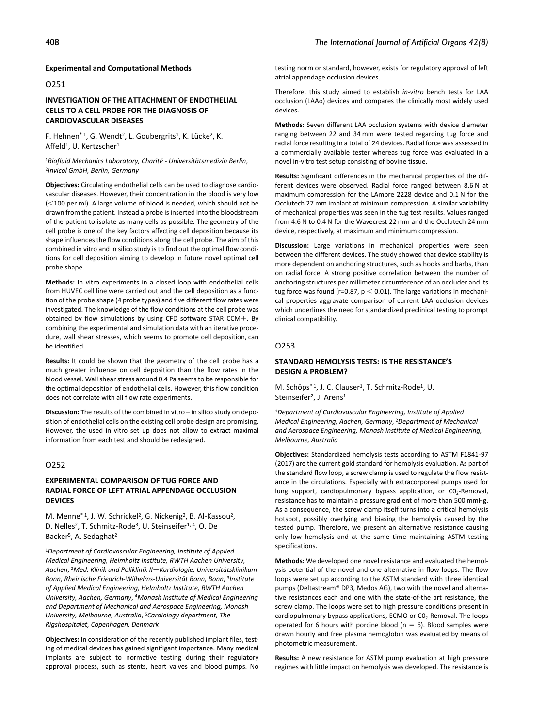#### **Experimental and Computational Methods**

# O251

# **INVESTIGATION OF THE ATTACHMENT OF ENDOTHELIAL CELLS TO A CELL PROBE FOR THE DIAGNOSIS OF CARDIOVASCULAR DISEASES**

F. Hehnen\* 1, G. Wendt<sup>2</sup>, L. Goubergrits<sup>1</sup>, K. Lücke<sup>2</sup>, K. Affeld<sup>1</sup>, U. Kertzscher<sup>1</sup>

<sup>1</sup>*Biofluid Mechanics Laboratory, Charité - Universitätsmedizin Berlin*, 2*Invicol GmbH, Berlin, Germany*

**Objectives:** Circulating endothelial cells can be used to diagnose cardiovascular diseases. However, their concentration in the blood is very low (<100 per ml). A large volume of blood is needed, which should not be drawn from the patient. Instead a probe is inserted into the bloodstream of the patient to isolate as many cells as possible. The geometry of the cell probe is one of the key factors affecting cell deposition because its shape influences the flow conditions along the cell probe. The aim of this combined in vitro and in silico study is to find out the optimal flow conditions for cell deposition aiming to develop in future novel optimal cell probe shape.

**Methods:** In vitro experiments in a closed loop with endothelial cells from HUVEC cell line were carried out and the cell deposition as a function of the probe shape (4 probe types) and five different flow rates were investigated. The knowledge of the flow conditions at the cell probe was obtained by flow simulations by using CFD software STAR CCM+. By combining the experimental and simulation data with an iterative procedure, wall shear stresses, which seems to promote cell deposition, can be identified.

**Results:** It could be shown that the geometry of the cell probe has a much greater influence on cell deposition than the flow rates in the blood vessel. Wall shear stress around 0.4 Pa seems to be responsible for the optimal deposition of endothelial cells. However, this flow condition does not correlate with all flow rate experiments.

**Discussion:** The results of the combined in vitro – in silico study on deposition of endothelial cells on the existing cell probe design are promising. However, the used in vitro set up does not allow to extract maximal information from each test and should be redesigned.

# O252

# **EXPERIMENTAL COMPARISON OF TUG FORCE AND RADIAL FORCE OF LEFT ATRIAL APPENDAGE OCCLUSION DEVICES**

M. Menne<sup>\* 1</sup>, J. W. Schrickel<sup>2</sup>, G. Nickenig<sup>2</sup>, B. Al-Kassou<sup>2</sup>, D. Nelles<sup>2</sup>, T. Schmitz-Rode<sup>3</sup>, U. Steinseifer<sup>1, 4</sup>, O. De Backer<sup>5</sup>, A. Sedaghat<sup>2</sup>

<sup>1</sup>*Department of Cardiovascular Engineering, Institute of Applied Medical Engineering, Helmholtz Institute, RWTH Aachen University, Aachen*, 2*Med. Klinik und Poliklinik II—Kardiologie, Universitätsklinikum Bonn, Rheinische Friedrich-Wilhelms-Universität Bonn, Bonn*, 3*Institute of Applied Medical Engineering, Helmholtz Institute, RWTH Aachen University, Aachen, Germany*, 4*Monash Institute of Medical Engineering and Department of Mechanical and Aerospace Engineering, Monash University, Melbourne, Australia*, 5*Cardiology department, The Rigshospitalet, Copenhagen, Denmark*

**Objectives:** In consideration of the recently published implant files, testing of medical devices has gained signifigant importance. Many medical implants are subject to normative testing during their regulatory approval process, such as stents, heart valves and blood pumps. No

testing norm or standard, however, exists for regulatory approval of left atrial appendage occlusion devices.

Therefore, this study aimed to establish *in-vitro* bench tests for LAA occlusion (LAAo) devices and compares the clinically most widely used devices.

**Methods:** Seven different LAA occlusion systems with device diameter ranging between 22 and 34 mm were tested regarding tug force and radial force resulting in a total of 24 devices. Radial force was assessed in a commercially available tester whereas tug force was evaluated in a novel in-vitro test setup consisting of bovine tissue.

**Results:** Significant differences in the mechanical properties of the different devices were observed. Radial force ranged between 8.6 N at maximum compression for the LAmbre 2228 device and 0.1 N for the Occlutech 27 mm implant at minimum compression. A similar variability of mechanical properties was seen in the tug test results. Values ranged from 4.6 N to 0.4 N for the Wavecrest 22 mm and the Occlutech 24 mm device, respectively, at maximum and minimum compression.

**Discussion:** Large variations in mechanical properties were seen between the different devices. The study showed that device stability is more dependent on anchoring structures, such as hooks and barbs, than on radial force. A strong positive correlation between the number of anchoring structures per millimeter circumference of an occluder and its tug force was found (r=0.87,  $p < 0.01$ ). The large variations in mechanical properties aggravate comparison of current LAA occlusion devices which underlines the need for standardized preclinical testing to prompt clinical compatibility.

## O253

# **STANDARD HEMOLYSIS TESTS: IS THE RESISTANCE'S DESIGN A PROBLEM?**

M. Schöps<sup>\*1</sup>, J. C. Clauser<sup>1</sup>, T. Schmitz-Rode<sup>1</sup>, U. Steinseifer<sup>2</sup>, J. Arens<sup>1</sup>

<sup>1</sup>*Department of Cardiovascular Engineering, Institute of Applied Medical Engineering, Aachen, Germany*, 2*Department of Mechanical and Aerospace Engineering, Monash Institute of Medical Engineering, Melbourne, Australia*

**Objectives:** Standardized hemolysis tests according to ASTM F1841-97 (2017) are the current gold standard for hemolysis evaluation. As part of the standard flow loop, a screw clamp is used to regulate the flow resistance in the circulations. Especially with extracorporeal pumps used for lung support, cardiopulmonary bypass application, or  $CO_2$ -Removal, resistance has to maintain a pressure gradient of more than 500 mmHg. As a consequence, the screw clamp itself turns into a critical hemolysis hotspot, possibly overlying and biasing the hemolysis caused by the tested pump. Therefore, we present an alternative resistance causing only low hemolysis and at the same time maintaining ASTM testing specifications.

**Methods:** We developed one novel resistance and evaluated the hemolysis potential of the novel and one alternative in flow loops. The flow loops were set up according to the ASTM standard with three identical pumps (Deltastream® DP3, Medos AG), two with the novel and alternative resistances each and one with the state-of-the art resistance, the screw clamp. The loops were set to high pressure conditions present in cardiopulmonary bypass applications, ECMO or CO<sub>2</sub>-Removal. The loops operated for 6 hours with porcine blood ( $n = 6$ ). Blood samples were drawn hourly and free plasma hemoglobin was evaluated by means of photometric measurement.

**Results:** A new resistance for ASTM pump evaluation at high pressure regimes with little impact on hemolysis was developed. The resistance is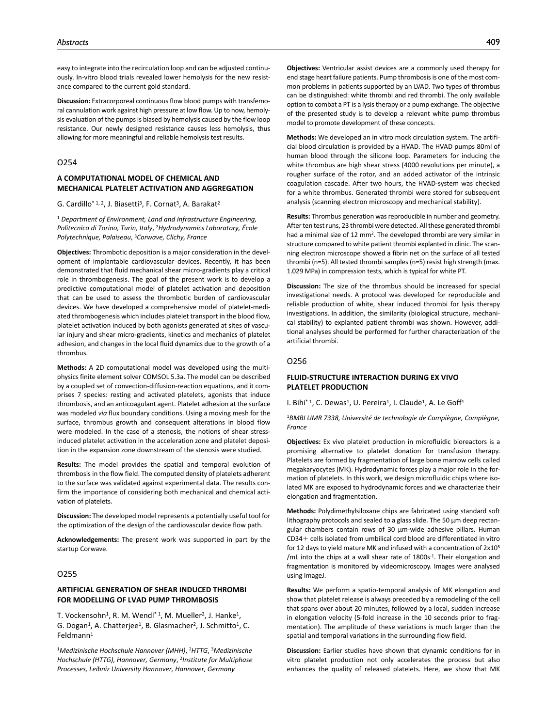easy to integrate into the recirculation loop and can be adjusted continuously. In-vitro blood trials revealed lower hemolysis for the new resistance compared to the current gold standard.

**Discussion:** Extracorporeal continuous flow blood pumps with transfemoral cannulation work against high pressure at low flow. Up to now, hemolysis evaluation of the pumps is biased by hemolysis caused by the flow loop resistance. Our newly designed resistance causes less hemolysis, thus allowing for more meaningful and reliable hemolysis test results.

# O254

## **A COMPUTATIONAL MODEL OF CHEMICAL AND MECHANICAL PLATELET ACTIVATION AND AGGREGATION**

#### G. Cardillo<sup>\* 1, 2</sup>, J. Biasetti<sup>3</sup>, F. Cornat<sup>3</sup>, A. Barakat<sup>2</sup>

<sup>1</sup> *Department of Environment, Land and Infrastructure Engineering, Politecnico di Torino, Turin, Italy*, 2*Hydrodynamics Laboratory, École Polytechnique, Palaiseau*, 3*Corwave, Clichy, France*

**Objectives:** Thrombotic deposition is a major consideration in the development of implantable cardiovascular devices. Recently, it has been demonstrated that fluid mechanical shear micro-gradients play a critical role in thrombogenesis. The goal of the present work is to develop a predictive computational model of platelet activation and deposition that can be used to assess the thrombotic burden of cardiovascular devices. We have developed a comprehensive model of platelet-mediated thrombogenesis which includes platelet transport in the blood flow, platelet activation induced by both agonists generated at sites of vascular injury and shear micro-gradients, kinetics and mechanics of platelet adhesion, and changes in the local fluid dynamics due to the growth of a thrombus.

**Methods:** A 2D computational model was developed using the multiphysics finite element solver COMSOL 5.3a. The model can be described by a coupled set of convection-diffusion-reaction equations, and it comprises 7 species: resting and activated platelets, agonists that induce thrombosis, and an anticoagulant agent. Platelet adhesion at the surface was modeled *via* flux boundary conditions. Using a moving mesh for the surface, thrombus growth and consequent alterations in blood flow were modeled. In the case of a stenosis, the notions of shear stressinduced platelet activation in the acceleration zone and platelet deposition in the expansion zone downstream of the stenosis were studied.

**Results:** The model provides the spatial and temporal evolution of thrombosis in the flow field. The computed density of platelets adherent to the surface was validated against experimental data. The results confirm the importance of considering both mechanical and chemical activation of platelets.

**Discussion:** The developed model represents a potentially useful tool for the optimization of the design of the cardiovascular device flow path.

**Acknowledgements:** The present work was supported in part by the startup Corwave.

## O255

# **ARTIFICIAL GENERATION OF SHEAR INDUCED THROMBI FOR MODELLING OF LVAD PUMP THROMBOSIS**

T. Vockensohn<sup>1</sup>, R. M. Wendl<sup>\* 1</sup>, M. Mueller<sup>2</sup>, J. Hanke<sup>1</sup>, G. Dogan<sup>1</sup>, A. Chatterjee<sup>1</sup>, B. Glasmacher<sup>2</sup>, J. Schmitto<sup>1</sup>, C. Feldmann1

<sup>1</sup>*Medizinische Hochschule Hannover (MHH)*, 2*HTTG*, 3*Medizinische Hochschule (HTTG), Hannover, Germany*, 2*Institute for Multiphase Processes, Leibniz University Hannover, Hannover, Germany*

**Objectives:** Ventricular assist devices are a commonly used therapy for end stage heart failure patients. Pump thrombosis is one of the most common problems in patients supported by an LVAD. Two types of thrombus can be distinguished: white thrombi and red thrombi. The only available option to combat a PT is a lysis therapy or a pump exchange. The objective of the presented study is to develop a relevant white pump thrombus model to promote development of these concepts.

**Methods:** We developed an in vitro mock circulation system. The artificial blood circulation is provided by a HVAD. The HVAD pumps 80ml of human blood through the silicone loop. Parameters for inducing the white thrombus are high shear stress (4000 revolutions per minute), a rougher surface of the rotor, and an added activator of the intrinsic coagulation cascade. After two hours, the HVAD-system was checked for a white thrombus. Generated thrombi were stored for subsequent analysis (scanning electron microscopy and mechanical stability).

**Results:** Thrombus generation was reproducible in number and geometry. After ten test runs, 23 thrombi were detected. All these generated thrombi had a minimal size of 12 mm2. The developed thrombi are very similar in structure compared to white patient thrombi explanted in clinic. The scanning electron microscope showed a fibrin net on the surface of all tested thrombi (n=5). All tested thrombi samples (n=5) resist high strength (max. 1.029 MPa) in compression tests, which is typical for white PT.

**Discussion:** The size of the thrombus should be increased for special investigational needs. A protocol was developed for reproducible and reliable production of white, shear induced thrombi for lysis therapy investigations. In addition, the similarity (biological structure, mechanical stability) to explanted patient thrombi was shown. However, additional analyses should be performed for further characterization of the artificial thrombi.

### O256

### **FLUID-STRUCTURE INTERACTION DURING EX VIVO PLATELET PRODUCTION**

I. Bihi<sup>\* 1</sup>, C. Dewas<sup>1</sup>, U. Pereira<sup>1</sup>, I. Claude<sup>1</sup>, A. Le Goff<sup>1</sup>

<sup>1</sup>*BMBI UMR 7338, Université de technologie de Compiègne, Compiègne, France*

**Objectives:** Ex vivo platelet production in microfluidic bioreactors is a promising alternative to platelet donation for transfusion therapy. Platelets are formed by fragmentation of large bone marrow cells called megakaryocytes (MK). Hydrodynamic forces play a major role in the formation of platelets. In this work, we design microfluidic chips where isolated MK are exposed to hydrodynamic forces and we characterize their elongation and fragmentation.

**Methods:** Polydimethylsiloxane chips are fabricated using standard soft lithography protocols and sealed to a glass slide. The 50 µm deep rectangular chambers contain rows of 30 µm-wide adhesive pillars. Human CD34+ cells isolated from umbilical cord blood are differentiated in vitro for 12 days to yield mature MK and infused with a concentration of 2x105 /mL into the chips at a wall shear rate of 1800s<sup>-1</sup>. Their elongation and fragmentation is monitored by videomicroscopy. Images were analysed using ImageJ.

**Results:** We perform a spatio-temporal analysis of MK elongation and show that platelet release is always preceded by a remodeling of the cell that spans over about 20 minutes, followed by a local, sudden increase in elongation velocity (5-fold increase in the 10 seconds prior to fragmentation). The amplitude of these variations is much larger than the spatial and temporal variations in the surrounding flow field.

**Discussion:** Earlier studies have shown that dynamic conditions for in vitro platelet production not only accelerates the process but also enhances the quality of released platelets. Here, we show that MK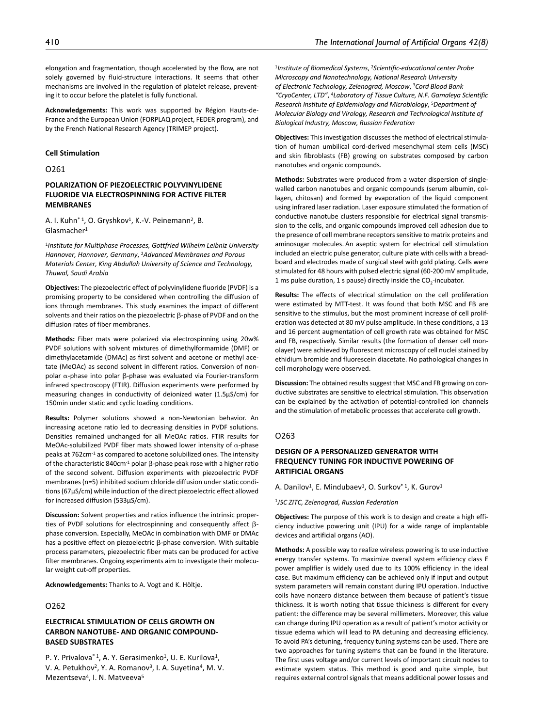elongation and fragmentation, though accelerated by the flow, are not solely governed by fluid-structure interactions. It seems that other mechanisms are involved in the regulation of platelet release, preventing it to occur before the platelet is fully functional.

**Acknowledgements:** This work was supported by Région Hauts-de-France and the European Union (FORPLAQ project, FEDER program), and by the French National Research Agency (TRIMEP project).

#### **Cell Stimulation**

O261

# **POLARIZATION OF PIEZOELECTRIC POLYVINYLIDENE FLUORIDE VIA ELECTROSPINNING FOR ACTIVE FILTER MEMBRANES**

A. I. Kuhn<sup>\* 1</sup>, O. Gryshkov<sup>1</sup>, K.-V. Peinemann<sup>2</sup>, B. Glasmacher1

<sup>1</sup>*Institute for Multiphase Processes, Gottfried Wilhelm Leibniz University Hannover, Hannover, Germany*, 2*Advanced Membranes and Porous Materials Center, King Abdullah University of Science and Technology, Thuwal, Saudi Arabia*

**Objectives:** The piezoelectric effect of polyvinylidene fluoride (PVDF) is a promising property to be considered when controlling the diffusion of ions through membranes. This study examines the impact of different solvents and their ratios on the piezoelectric β-phase of PVDF and on the diffusion rates of fiber membranes.

**Methods:** Fiber mats were polarized via electrospinning using 20w% PVDF solutions with solvent mixtures of dimethylformamide (DMF) or dimethylacetamide (DMAc) as first solvent and acetone or methyl acetate (MeOAc) as second solvent in different ratios. Conversion of nonpolar α-phase into polar β-phase was evaluated via Fourier-transform infrared spectroscopy (FTIR). Diffusion experiments were performed by measuring changes in conductivity of deionized water (1.5µS/cm) for 150min under static and cyclic loading conditions.

**Results:** Polymer solutions showed a non-Newtonian behavior. An increasing acetone ratio led to decreasing densities in PVDF solutions. Densities remained unchanged for all MeOAc ratios. FTIR results for MeOAc-solubilized PVDF fiber mats showed lower intensity of  $\alpha$ -phase peaks at 762cm-1 as compared to acetone solubilized ones. The intensity of the characteristic 840cm<sup>-1</sup> polar β-phase peak rose with a higher ratio of the second solvent. Diffusion experiments with piezoelectric PVDF membranes (n=5) inhibited sodium chloride diffusion under static conditions (67µS/cm) while induction of the direct piezoelectric effect allowed for increased diffusion (533µS/cm).

**Discussion:** Solvent properties and ratios influence the intrinsic properties of PVDF solutions for electrospinning and consequently affect βphase conversion. Especially, MeOAc in combination with DMF or DMAc has a positive effect on piezoelectric β-phase conversion. With suitable process parameters, piezoelectric fiber mats can be produced for active filter membranes. Ongoing experiments aim to investigate their molecular weight cut-off properties.

**Acknowledgements:** Thanks to A. Vogt and K. Höltje.

# O262

## **ELECTRICAL STIMULATION OF CELLS GROWTH ON CARBON NANOTUBE- AND ORGANIC COMPOUND-BASED SUBSTRATES**

P. Y. Privalova<sup>\* 1</sup>, A. Y. Gerasimenko<sup>1</sup>, U. E. Kurilova<sup>1</sup>, V. A. Petukhov<sup>2</sup>, Y. A. Romanov<sup>3</sup>, I. A. Suyetina<sup>4</sup>, M. V. Mezentseva<sup>4</sup>, I. N. Matveeva<sup>5</sup>

<sup>1</sup>*Institute of Biomedical Systems*, 2*Scientific-educational center Probe Microscopy and Nanotechnology, National Research University of Electronic Technology, Zelenograd, Moscow*, 3*Cord Blood Bank "CryoCenter, LTD"*, 4*Laboratory of Tissue Culture, N.F. Gamaleya Scientific Research Institute of Epidemiology and Microbiology*, 5*Department of Molecular Biology and Virology, Research and Technological Institute of Biological Industry, Moscow, Russian Federation*

**Objectives:** This investigation discusses the method of electrical stimulation of human umbilical cord-derived mesenchymal stem cells (MSC) and skin fibroblasts (FB) growing on substrates composed by carbon nanotubes and organic compounds.

**Methods:** Substrates were produced from a water dispersion of singlewalled carbon nanotubes and organic compounds (serum albumin, collagen, chitosan) and formed by evaporation of the liquid component using infrared laser radiation. Laser exposure stimulated the formation of conductive nanotube clusters responsible for electrical signal transmission to the cells, and organic compounds improved cell adhesion due to the presence of cell membrane receptors sensitive to matrix proteins and aminosugar molecules. An aseptic system for electrical cell stimulation included an electric pulse generator, culture plate with cells with a breadboard and electrodes made of surgical steel with gold plating. Cells were stimulated for 48 hours with pulsed electric signal (60-200 mV amplitude, 1 ms pulse duration, 1 s pause) directly inside the  $CO<sub>2</sub>$ -incubator.

**Results:** The effects of electrical stimulation on the cell proliferation were estimated by MTT-test. It was found that both MSC and FB are sensitive to the stimulus, but the most prominent increase of cell proliferation was detected at 80 mV pulse amplitude. In these conditions, a 13 and 16 percent augmentation of cell growth rate was obtained for MSC and FB, respectively. Similar results (the formation of denser cell monolayer) were achieved by fluorescent microscopy of cell nuclei stained by ethidium bromide and fluorescein diacetate. No pathological changes in cell morphology were observed.

**Discussion:** The obtained results suggest that MSC and FB growing on conductive substrates are sensitive to electrical stimulation. This observation can be explained by the activation of potential-controlled ion channels and the stimulation of metabolic processes that accelerate cell growth.

#### O263

# **DESIGN OF A PERSONALIZED GENERATOR WITH FREQUENCY TUNING FOR INDUCTIVE POWERING OF ARTIFICIAL ORGANS**

A. Danilov<sup>1</sup>, E. Mindubaev<sup>1</sup>, O. Surkov<sup>\* 1</sup>, K. Gurov<sup>1</sup>

<sup>1</sup>*JSC ZITC, Zelenograd, Russian Federation*

**Objectives:** The purpose of this work is to design and create a high efficiency inductive powering unit (IPU) for a wide range of implantable devices and artificial organs (AO).

**Methods:** A possible way to realize wireless powering is to use inductive energy transfer systems. To maximize overall system efficiency class E power amplifier is widely used due to its 100% efficiency in the ideal case. But maximum efficiency can be achieved only if input and output system parameters will remain constant during IPU operation. Inductive coils have nonzero distance between them because of patient's tissue thickness. It is worth noting that tissue thickness is different for every patient: the difference may be several millimeters. Moreover, this value can change during IPU operation as a result of patient's motor activity or tissue edema which will lead to PA detuning and decreasing efficiency. To avoid PA's detuning, frequency tuning systems can be used. There are two approaches for tuning systems that can be found in the literature. The first uses voltage and/or current levels of important circuit nodes to estimate system status. This method is good and quite simple, but requires external control signals that means additional power losses and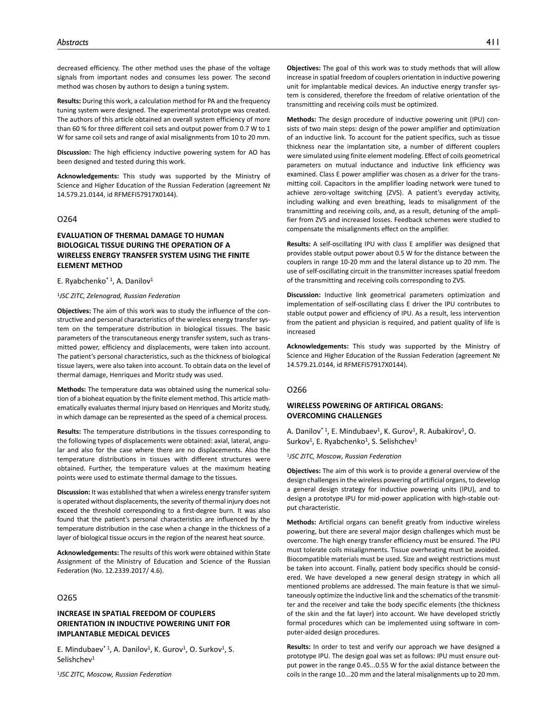decreased efficiency. The other method uses the phase of the voltage signals from important nodes and consumes less power. The second method was chosen by authors to design a tuning system.

**Results:** During this work, a calculation method for PA and the frequency tuning system were designed. The experimental prototype was created. The authors of this article obtained an overall system efficiency of more than 60 % for three different coil sets and output power from 0.7 W to 1 W for same coil sets and range of axial misalignments from 10 to 20 mm.

**Discussion:** The high efficiency inductive powering system for AO has been designed and tested during this work.

**Acknowledgements:** This study was supported by the Ministry of Science and Higher Education of the Russian Federation (agreement № 14.579.21.0144, id RFMEFI57917X0144).

## O264

# **EVALUATION OF THERMAL DAMAGE TO HUMAN BIOLOGICAL TISSUE DURING THE OPERATION OF A WIRELESS ENERGY TRANSFER SYSTEM USING THE FINITE ELEMENT METHOD**

#### E. Ryabchenko\* 1, A. Danilov1

#### <sup>1</sup>*JSC ZITC, Zelenograd, Russian Federation*

**Objectives:** The aim of this work was to study the influence of the constructive and personal characteristics of the wireless energy transfer system on the temperature distribution in biological tissues. The basic parameters of the transcutaneous energy transfer system, such as transmitted power, efficiency and displacements, were taken into account. The patient's personal characteristics, such as the thickness of biological tissue layers, were also taken into account. To obtain data on the level of thermal damage, Henriques and Moritz study was used.

**Methods:** The temperature data was obtained using the numerical solution of a bioheat equation by the finite element method. This article mathematically evaluates thermal injury based on Henriques and Moritz study, in which damage can be represented as the speed of a chemical process.

**Results:** The temperature distributions in the tissues corresponding to the following types of displacements were obtained: axial, lateral, angular and also for the case where there are no displacements. Also the temperature distributions in tissues with different structures were obtained. Further, the temperature values at the maximum heating points were used to estimate thermal damage to the tissues.

**Discussion:** It was established that when a wireless energy transfer system is operated without displacements, the severity of thermal injury does not exceed the threshold corresponding to a first-degree burn. It was also found that the patient's personal characteristics are influenced by the temperature distribution in the case when a change in the thickness of a layer of biological tissue occurs in the region of the nearest heat source.

**Acknowledgements:** The results of this work were obtained within State Assignment of the Ministry of Education and Science of the Russian Federation (No. 12.2339.2017/ 4.6).

# O265

# **INCREASE IN SPATIAL FREEDOM OF COUPLERS ORIENTATION IN INDUCTIVE POWERING UNIT FOR IMPLANTABLE MEDICAL DEVICES**

E. Mindubaev $*$ <sup>1</sup>, A. Danilov<sup>1</sup>, K. Gurov<sup>1</sup>, O. Surkov<sup>1</sup>, S. Selishchev<sup>1</sup>

<sup>1</sup>*JSC ZITC, Moscow, Russian Federation*

**Objectives:** The goal of this work was to study methods that will allow increase in spatial freedom of couplers orientation in inductive powering unit for implantable medical devices. An inductive energy transfer system is considered, therefore the freedom of relative orientation of the transmitting and receiving coils must be optimized.

**Methods:** The design procedure of inductive powering unit (IPU) consists of two main steps: design of the power amplifier and optimization of an inductive link. To account for the patient specifics, such as tissue thickness near the implantation site, a number of different couplers were simulated using finite element modeling. Effect of coils geometrical parameters on mutual inductance and inductive link efficiency was examined. Class E power amplifier was chosen as a driver for the transmitting coil. Capacitors in the amplifier loading network were tuned to achieve zero-voltage switching (ZVS). A patient's everyday activity, including walking and even breathing, leads to misalignment of the transmitting and receiving coils, and, as a result, detuning of the amplifier from ZVS and increased losses. Feedback schemes were studied to compensate the misalignments effect on the amplifier.

**Results:** A self-oscillating IPU with class E amplifier was designed that provides stable output power about 0.5 W for the distance between the couplers in range 10-20 mm and the lateral distance up to 20 mm. The use of self-oscillating circuit in the transmitter increases spatial freedom of the transmitting and receiving coils corresponding to ZVS.

**Discussion:** Inductive link geometrical parameters optimization and implementation of self-oscillating class E driver the IPU contributes to stable output power and efficiency of IPU. As a result, less intervention from the patient and physician is required, and patient quality of life is increased

**Acknowledgements:** This study was supported by the Ministry of Science and Higher Education of the Russian Federation (agreement № 14.579.21.0144, id RFMEFI57917X0144).

#### O266

# **WIRELESS POWERING OF ARTIFICAL ORGANS: OVERCOMING CHALLENGES**

A. Danilov<sup>\* 1</sup>, E. Mindubaev<sup>1</sup>, K. Gurov<sup>1</sup>, R. Aubakirov<sup>1</sup>, O. Surkov<sup>1</sup>, E. Ryabchenko<sup>1</sup>, S. Selishchev<sup>1</sup>

<sup>1</sup>*JSC ZITC, Moscow, Russian Federation*

**Objectives:** The aim of this work is to provide a general overview of the design challenges in the wireless powering of artificial organs, to develop a general design strategy for inductive powering units (IPU), and to design a prototype IPU for mid-power application with high-stable output characteristic.

**Methods:** Artificial organs can benefit greatly from inductive wireless powering, but there are several major design challenges which must be overcome. The high energy transfer efficiency must be ensured. The IPU must tolerate coils misalignments. Tissue overheating must be avoided. Biocompatible materials must be used. Size and weight restrictions must be taken into account. Finally, patient body specifics should be considered. We have developed a new general design strategy in which all mentioned problems are addressed. The main feature is that we simultaneously optimize the inductive link and the schematics of the transmitter and the receiver and take the body specific elements (the thickness of the skin and the fat layer) into account. We have developed strictly formal procedures which can be implemented using software in computer-aided design procedures.

**Results:** In order to test and verify our approach we have designed a prototype IPU. The design goal was set as follows: IPU must ensure output power in the range 0.45...0.55 W for the axial distance between the coils in the range 10...20 mm and the lateral misalignments up to 20 mm.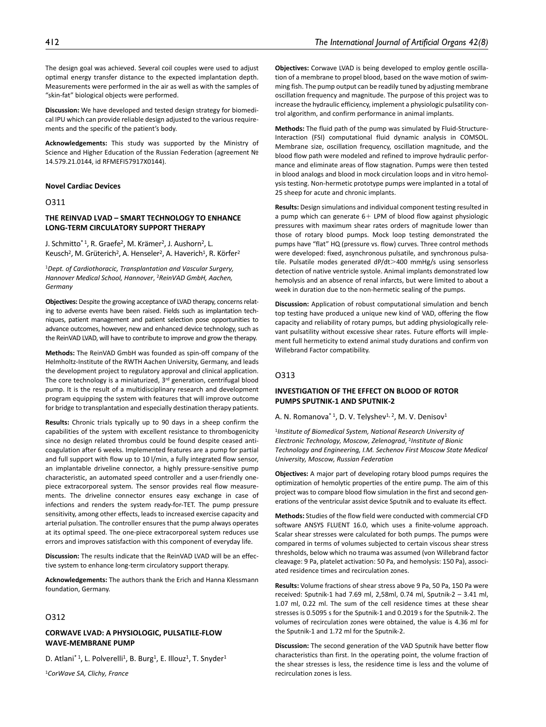The design goal was achieved. Several coil couples were used to adjust optimal energy transfer distance to the expected implantation depth. Measurements were performed in the air as well as with the samples of "skin-fat" biological objects were performed.

**Discussion:** We have developed and tested design strategy for biomedical IPU which can provide reliable design adjusted to the various requirements and the specific of the patient's body.

**Acknowledgements:** This study was supported by the Ministry of Science and Higher Education of the Russian Federation (agreement № 14.579.21.0144, id RFMEFI57917X0144).

#### **Novel Cardiac Devices**

# O311

# **THE REINVAD LVAD – SMART TECHNOLOGY TO ENHANCE LONG-TERM CIRCULATORY SUPPORT THERAPY**

J. Schmitto<sup>\* 1</sup>, R. Graefe<sup>2</sup>, M. Krämer<sup>2</sup>, J. Aushorn<sup>2</sup>, L. Keusch<sup>2</sup>, M. Grüterich<sup>2</sup>, A. Henseler<sup>2</sup>, A. Haverich<sup>1</sup>, R. Körfer<sup>2</sup>

<sup>1</sup>*Dept. of Cardiothoracic, Transplantation and Vascular Surgery, Hannover Medical School, Hannover*, 2*ReinVAD GmbH, Aachen, Germany*

**Objectives:** Despite the growing acceptance of LVAD therapy, concerns relating to adverse events have been raised. Fields such as implantation techniques, patient management and patient selection pose opportunities to advance outcomes, however, new and enhanced device technology, such as the ReinVAD LVAD, will have to contribute to improve and grow the therapy.

**Methods:** The ReinVAD GmbH was founded as spin-off company of the Helmholtz-Institute of the RWTH Aachen University, Germany, and leads the development project to regulatory approval and clinical application. The core technology is a miniaturized, 3<sup>rd</sup> generation, centrifugal blood pump. It is the result of a multidisciplinary research and development program equipping the system with features that will improve outcome for bridge to transplantation and especially destination therapy patients.

**Results:** Chronic trials typically up to 90 days in a sheep confirm the capabilities of the system with excellent resistance to thrombogenicity since no design related thrombus could be found despite ceased anticoagulation after 6 weeks. Implemented features are a pump for partial and full support with flow up to 10 l/min, a fully integrated flow sensor, an implantable driveline connector, a highly pressure-sensitive pump characteristic, an automated speed controller and a user-friendly onepiece extracorporeal system. The sensor provides real flow measurements. The driveline connector ensures easy exchange in case of infections and renders the system ready-for-TET. The pump pressure sensitivity, among other effects, leads to increased exercise capacity and arterial pulsation. The controller ensures that the pump always operates at its optimal speed. The one-piece extracorporeal system reduces use errors and improves satisfaction with this component of everyday life.

**Discussion:** The results indicate that the ReinVAD LVAD will be an effective system to enhance long-term circulatory support therapy.

**Acknowledgements:** The authors thank the Erich and Hanna Klessmann foundation, Germany.

# O312

## **CORWAVE LVAD: A PHYSIOLOGIC, PULSATILE-FLOW WAVE-MEMBRANE PUMP**

D. Atlani\*1, L. Polverelli<sup>1</sup>, B. Burg<sup>1</sup>, E. Illouz<sup>1</sup>, T. Snyder<sup>1</sup>

<sup>1</sup>*CorWave SA, Clichy, France*

**Objectives:** Corwave LVAD is being developed to employ gentle oscillation of a membrane to propel blood, based on the wave motion of swimming fish. The pump output can be readily tuned by adjusting membrane oscillation frequency and magnitude. The purpose of this project was to increase the hydraulic efficiency, implement a physiologic pulsatility control algorithm, and confirm performance in animal implants.

**Methods:** The fluid path of the pump was simulated by Fluid-Structure-Interaction (FSI) computational fluid dynamic analysis in COMSOL. Membrane size, oscillation frequency, oscillation magnitude, and the blood flow path were modeled and refined to improve hydraulic performance and eliminate areas of flow stagnation. Pumps were then tested in blood analogs and blood in mock circulation loops and in vitro hemolysis testing. Non-hermetic prototype pumps were implanted in a total of 25 sheep for acute and chronic implants.

**Results:** Design simulations and individual component testing resulted in a pump which can generate  $6+$  LPM of blood flow against physiologic pressures with maximum shear rates orders of magnitude lower than those of rotary blood pumps. Mock loop testing demonstrated the pumps have "flat" HQ (pressure vs. flow) curves. Three control methods were developed: fixed, asynchronous pulsatile, and synchronous pulsatile. Pulsatile modes generated dP/dt>400 mmHg/s using sensorless detection of native ventricle systole. Animal implants demonstrated low hemolysis and an absence of renal infarcts, but were limited to about a week in duration due to the non-hermetic sealing of the pumps.

**Discussion:** Application of robust computational simulation and bench top testing have produced a unique new kind of VAD, offering the flow capacity and reliability of rotary pumps, but adding physiologically relevant pulsatility without excessive shear rates. Future efforts will implement full hermeticity to extend animal study durations and confirm von Willebrand Factor compatibility.

## O313

# **INVESTIGATION OF THE EFFECT ON BLOOD OF ROTOR PUMPS SPUTNIK-1 AND SPUTNIK-2**

A. N. Romanova<sup>\* 1</sup>, D. V. Telyshev<sup>1, 2</sup>, M. V. Denisov<sup>1</sup>

<sup>1</sup>*Institute of Biomedical System, National Research University of Electronic Technology, Moscow, Zelenograd*, 2*Institute of Bionic Technology and Engineering, I.M. Sechenov First Moscow State Medical University, Moscow, Russian Federation*

**Objectives:** A major part of developing rotary blood pumps requires the optimization of hemolytic properties of the entire pump. The aim of this project was to compare blood flow simulation in the first and second generations of the ventricular assist device Sputnik and to evaluate its effect.

**Methods:** Studies of the flow field were conducted with commercial CFD software ANSYS FLUENT 16.0, which uses a finite-volume approach. Scalar shear stresses were calculated for both pumps. The pumps were compared in terms of volumes subjected to certain viscous shear stress thresholds, below which no trauma was assumed (von Willebrand factor cleavage: 9 Pa, platelet activation: 50 Pa, and hemolysis: 150 Pa), associated residence times and recirculation zones.

**Results:** Volume fractions of shear stress above 9 Pa, 50 Pa, 150 Pa were received: Sputnik-1 had 7.69 ml, 2,58ml, 0.74 ml, Sputnik-2 – 3.41 ml, 1.07 ml, 0.22 ml. The sum of the cell residence times at these shear stresses is 0.5095 s for the Sputnik-1 and 0.2019 s for the Sputnik-2. The volumes of recirculation zones were obtained, the value is 4.36 ml for the Sputnik-1 and 1.72 ml for the Sputnik-2.

**Discussion:** The second generation of the VAD Sputnik have better flow characteristics than first. In the operating point, the volume fraction of the shear stresses is less, the residence time is less and the volume of recirculation zones is less.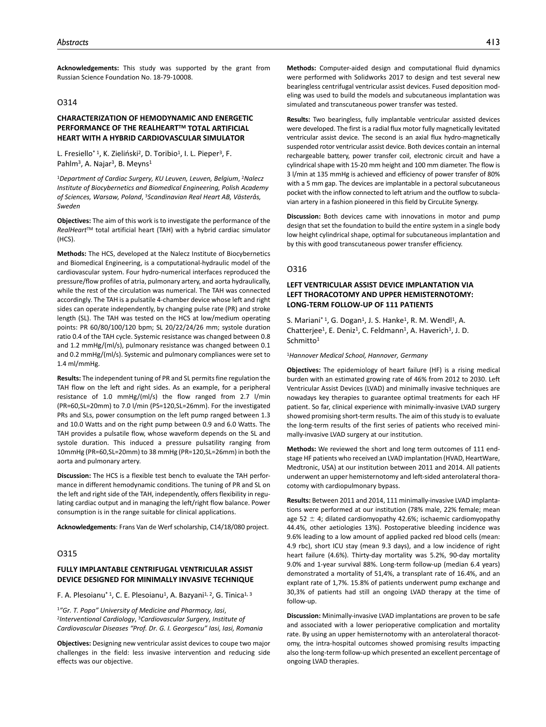**Acknowledgements:** This study was supported by the grant from Russian Science Foundation No. 18-79-10008.

# O314

# **CHARACTERIZATION OF HEMODYNAMIC AND ENERGETIC PERFORMANCE OF THE REALHEART™ TOTAL ARTIFICIAL HEART WITH A HYBRID CARDIOVASCULAR SIMULATOR**

L. Fresiello<sup>\* 1</sup>, K. Zieliński<sup>2</sup>, D. Toribio<sup>1</sup>, I. L. Pieper<sup>3</sup>, F. Pahlm<sup>3</sup>, A. Najar<sup>3</sup>, B. Meyns<sup>1</sup>

<sup>1</sup>*Department of Cardiac Surgery, KU Leuven, Leuven, Belgium*, 2*Nalecz Institute of Biocybernetics and Biomedical Engineering, Polish Academy of Sciences, Warsaw, Poland*, 3*Scandinavian Real Heart AB, Västerås, Sweden*

**Objectives:** The aim of this work is to investigate the performance of the *RealHeart*TM total artificial heart (TAH) with a hybrid cardiac simulator (HCS).

**Methods:** The HCS, developed at the Nalecz Institute of Biocybernetics and Biomedical Engineering, is a computational-hydraulic model of the cardiovascular system. Four hydro-numerical interfaces reproduced the pressure/flow profiles of atria, pulmonary artery, and aorta hydraulically, while the rest of the circulation was numerical. The TAH was connected accordingly. The TAH is a pulsatile 4-chamber device whose left and right sides can operate independently, by changing pulse rate (PR) and stroke length (SL). The TAH was tested on the HCS at low/medium operating points: PR 60/80/100/120 bpm; SL 20/22/24/26 mm; systole duration ratio 0.4 of the TAH cycle. Systemic resistance was changed between 0.8 and 1.2 mmHg/(ml/s), pulmonary resistance was changed between 0.1 and 0.2 mmHg/(ml/s). Systemic and pulmonary compliances were set to 1.4 ml/mmHg.

**Results:** The independent tuning of PR and SL permits fine regulation the TAH flow on the left and right sides. As an example, for a peripheral resistance of 1.0 mmHg/(ml/s) the flow ranged from 2.7 l/min (PR=60,SL=20mm) to 7.0 l/min (PS=120,SL=26mm). For the investigated PRs and SLs, power consumption on the left pump ranged between 1.3 and 10.0 Watts and on the right pump between 0.9 and 6.0 Watts. The TAH provides a pulsatile flow, whose waveform depends on the SL and systole duration. This induced a pressure pulsatility ranging from 10mmHg (PR=60,SL=20mm) to 38 mmHg (PR=120,SL=26mm) in both the aorta and pulmonary artery.

**Discussion:** The HCS is a flexible test bench to evaluate the TAH performance in different hemodynamic conditions. The tuning of PR and SL on the left and right side of the TAH, independently, offers flexibility in regulating cardiac output and in managing the left/right flow balance. Power consumption is in the range suitable for clinical applications.

**Acknowledgements**: Frans Van de Werf scholarship, C14/18/080 project.

### O315

#### **FULLY IMPLANTABLE CENTRIFUGAL VENTRICULAR ASSIST DEVICE DESIGNED FOR MINIMALLY INVASIVE TECHNIQUE**

F. A. Plesoianu<sup>\* 1</sup>, C. E. Plesoianu<sup>1</sup>, A. Bazyani<sup>1, 2</sup>, G. Tinica<sup>1, 3</sup>

<sup>1</sup>*"Gr. T. Popa" University of Medicine and Pharmacy, Iasi*, 2*Interventional Cardiology*, 3*Cardiovascular Surgery, Institute of Cardiovascular Diseases "Prof. Dr. G. I. Georgescu" Iasi, Iasi, Romania*

**Objectives:** Designing new ventricular assist devices to coupe two major challenges in the field: less invasive intervention and reducing side effects was our objective.

**Methods:** Computer-aided design and computational fluid dynamics were performed with Solidworks 2017 to design and test several new bearingless centrifugal ventricular assist devices. Fused deposition modeling was used to build the models and subcutaneous implantation was simulated and transcutaneous power transfer was tested.

**Results:** Two bearingless, fully implantable ventricular assisted devices were developed. The first is a radial flux motor fully magnetically levitated ventricular assist device. The second is an axial flux hydro-magnetically suspended rotor ventricular assist device. Both devices contain an internal rechargeable battery, power transfer coil, electronic circuit and have a cylindrical shape with 15-20 mm height and 100 mm diameter. The flow is 3 l/min at 135 mmHg is achieved and efficiency of power transfer of 80% with a 5 mm gap. The devices are implantable in a pectoral subcutaneous pocket with the inflow connected to left atrium and the outflow to subclavian artery in a fashion pioneered in this field by CircuLite Synergy.

**Discussion:** Both devices came with innovations in motor and pump design that set the foundation to build the entire system in a single body low height cylindrical shape, optimal for subcutaneous implantation and by this with good transcutaneous power transfer efficiency.

#### O316

# **LEFT VENTRICULAR ASSIST DEVICE IMPLANTATION VIA LEFT THORACOTOMY AND UPPER HEMISTERNOTOMY: LONG-TERM FOLLOW-UP OF 111 PATIENTS**

S. Mariani $*$ <sup>1</sup>, G. Dogan<sup>1</sup>, J. S. Hanke<sup>1</sup>, R. M. Wendl<sup>1</sup>, A. Chatterjee<sup>1</sup>, E. Deniz<sup>1</sup>, C. Feldmann<sup>1</sup>, A. Haverich<sup>1</sup>, J. D. Schmitto1

#### <sup>1</sup>*Hannover Medical School, Hannover, Germany*

**Objectives:** The epidemiology of heart failure (HF) is a rising medical burden with an estimated growing rate of 46% from 2012 to 2030. Left Ventricular Assist Devices (LVAD) and minimally invasive techniques are nowadays key therapies to guarantee optimal treatments for each HF patient. So far, clinical experience with minimally-invasive LVAD surgery showed promising short-term results. The aim of this study is to evaluate the long-term results of the first series of patients who received minimally-invasive LVAD surgery at our institution.

**Methods:** We reviewed the short and long term outcomes of 111 endstage HF patients who received an LVAD implantation (HVAD, HeartWare, Medtronic, USA) at our institution between 2011 and 2014. All patients underwent an upper hemisternotomy and left-sided anterolateral thoracotomy with cardiopulmonary bypass.

**Results:** Between 2011 and 2014, 111 minimally-invasive LVAD implantations were performed at our institution (78% male, 22% female; mean age 52  $\pm$  4; dilated cardiomyopathy 42.6%; ischaemic cardiomyopathy 44.4%, other aetiologies 13%). Postoperative bleeding incidence was 9.6% leading to a low amount of applied packed red blood cells (mean: 4.9 rbc), short ICU stay (mean 9.3 days), and a low incidence of right heart failure (4.6%). Thirty-day mortality was 5.2%, 90-day mortality 9.0% and 1-year survival 88%. Long-term follow-up (median 6.4 years) demonstrated a mortality of 51,4%, a transplant rate of 16.4%, and an explant rate of 1,7%. 15.8% of patients underwent pump exchange and 30,3% of patients had still an ongoing LVAD therapy at the time of follow-up.

**Discussion:** Minimally-invasive LVAD implantations are proven to be safe and associated with a lower perioperative complication and mortality rate. By using an upper hemisternotomy with an anterolateral thoracotomy, the intra-hospital outcomes showed promising results impacting also the long-term follow-up which presented an excellent percentage of ongoing LVAD therapies.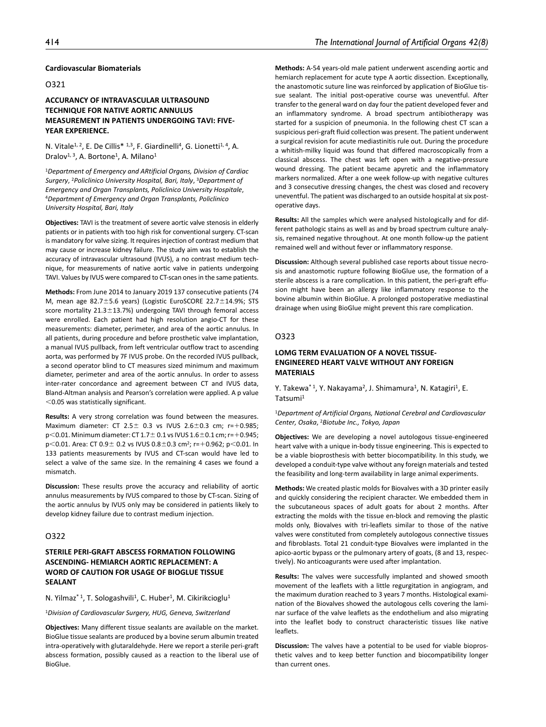# **Cardiovascular Biomaterials**

# O321

# **ACCURANCY OF INTRAVASCULAR ULTRASOUND TECHNIQUE FOR NATIVE AORTIC ANNULUS MEASUREMENT IN PATIENTS UNDERGOING TAVI: FIVE-YEAR EXPERIENCE.**

N. Vitale<sup>1, 2</sup>, E. De Cillis<sup>\* 1,3</sup>, F. Giardinelli<sup>4</sup>, G. Lionetti<sup>1, 4</sup>, A. Dralov<sup>1, 3</sup>, A. Bortone<sup>1</sup>, A. Milano<sup>1</sup>

<sup>1</sup>*Department of Emergency and ARtificial Organs, Division of Cardiac Surgery*, 2*Policlinico University Hospital, Bari, Italy*, 3*Department of Emergency and Organ Transplants, Policlinico University Hospitale*, 4*Department of Emergency and Organ Transplants, Policlinico University Hospital, Bari, Italy*

**Objectives:** TAVI is the treatment of severe aortic valve stenosis in elderly patients or in patients with too high risk for conventional surgery. CT-scan is mandatory for valve sizing. It requires injection of contrast medium that may cause or increase kidney failure. The study aim was to establish the accuracy of intravascular ultrasound (IVUS), a no contrast medium technique, for measurements of native aortic valve in patients undergoing TAVI. Values by IVUS were compared to CT-scan ones in the same patients.

**Methods:** From June 2014 to January 2019 137 consecutive patients (74 M, mean age 82.7±5.6 years) (Logistic EuroSCORE 22.7±14.9%; STS score mortality  $21.3 \pm 13.7$ %) undergoing TAVI through femoral access were enrolled. Each patient had high resolution angio-CT for these measurements: diameter, perimeter, and area of the aortic annulus. In all patients, during procedure and before prosthetic valve implantation, a manual IVUS pullback, from left ventricular outflow tract to ascending aorta, was performed by 7F IVUS probe. On the recorded IVUS pullback, a second operator blind to CT measures sized minimum and maximum diameter, perimeter and area of the aortic annulus. In order to assess inter-rater concordance and agreement between CT and IVUS data, Bland-Altman analysis and Pearson's correlation were applied. A p value <0.05 was statistically significant.

**Results:** A very strong correlation was found between the measures. Maximum diameter: CT 2.5 $\pm$  0.3 vs IVUS 2.6 $\pm$ 0.3 cm; r=+0.985; p<0.01. Minimum diameter: CT 1.7± 0.1 vs IVUS 1.6±0.1 cm; r=+0.945; p<0.01. Area: CT 0.9± 0.2 vs IVUS 0.8±0.3 cm2; r=+0.962; p<0.01. In 133 patients measurements by IVUS and CT-scan would have led to select a valve of the same size. In the remaining 4 cases we found a mismatch.

**Discussion:** These results prove the accuracy and reliability of aortic annulus measurements by IVUS compared to those by CT-scan. Sizing of the aortic annulus by IVUS only may be considered in patients likely to develop kidney failure due to contrast medium injection.

### O322

# **STERILE PERI-GRAFT ABSCESS FORMATION FOLLOWING ASCENDING- HEMIARCH AORTIC REPLACEMENT: A WORD OF CAUTION FOR USAGE OF BIOGLUE TISSUE SEALANT**

N. Yilmaz<sup>\* 1</sup>, T. Sologashvili<sup>1</sup>, C. Huber<sup>1</sup>, M. Cikirikcioglu<sup>1</sup>

<sup>1</sup>*Division of Cardiovascular Surgery, HUG, Geneva, Switzerland*

**Objectives:** Many different tissue sealants are available on the market. BioGlue tissue sealants are produced by a bovine serum albumin treated intra-operatively with glutaraldehyde. Here we report a sterile peri-graft abscess formation, possibly caused as a reaction to the liberal use of BioGlue.

**Methods:** A-54 years-old male patient underwent ascending aortic and hemiarch replacement for acute type A aortic dissection. Exceptionally, the anastomotic suture line was reinforced by application of BioGlue tissue sealant. The initial post-operative course was uneventful. After transfer to the general ward on day four the patient developed fever and an inflammatory syndrome. A broad spectrum antibiotherapy was started for a suspicion of pneumonia. In the following chest CT scan a suspicious peri-graft fluid collection was present. The patient underwent a surgical revision for acute mediastinitis rule out. During the procedure a whitish-milky liquid was found that differed macroscopically from a classical abscess. The chest was left open with a negative-pressure wound dressing. The patient became apyretic and the inflammatory markers normalized. After a one week follow-up with negative cultures and 3 consecutive dressing changes, the chest was closed and recovery uneventful. The patient was discharged to an outside hospital at six postoperative days.

**Results:** All the samples which were analysed histologically and for different pathologic stains as well as and by broad spectrum culture analysis, remained negative throughout. At one month follow-up the patient remained well and without fever or inflammatory response.

**Discussion:** Although several published case reports about tissue necrosis and anastomotic rupture following BioGlue use, the formation of a sterile abscess is a rare complication. In this patient, the peri-graft effusion might have been an allergy like inflammatory response to the bovine albumin within BioGlue. A prolonged postoperative mediastinal drainage when using BioGlue might prevent this rare complication.

### O323

## **LOMG TERM EVALUATION OF A NOVEL TISSUE-ENGINEERED HEART VALVE WITHOUT ANY FOREIGN MATERIALS**

Y. Takewa<sup>\* 1</sup>, Y. Nakayama<sup>2</sup>, J. Shimamura<sup>1</sup>, N. Katagiri<sup>1</sup>, E. Tatsumi1

<sup>1</sup>*Department of Artificial Organs, National Cerebral and Cardiovascular Center, Osaka*, 2*Biotube Inc., Tokyo, Japan*

**Objectives:** We are developing a novel autologous tissue-engineered heart valve with a unique in-body tissue engineering. This is expected to be a viable bioprosthesis with better biocompatibility. In this study, we developed a conduit-type valve without any foreign materials and tested the feasibility and long-term availability in large animal experiments.

**Methods:** We created plastic molds for Biovalves with a 3D printer easily and quickly considering the recipient character. We embedded them in the subcutaneous spaces of adult goats for about 2 months. After extracting the molds with the tissue en-block and removing the plastic molds only, Biovalves with tri-leaflets similar to those of the native valves were constituted from completely autologous connective tissues and fibroblasts. Total 21 conduit-type Biovalves were implanted in the apico-aortic bypass or the pulmonary artery of goats, (8 and 13, respectively). No anticoagurants were used after implantation.

**Results:** The valves were successfully implanted and showed smooth movement of the leaflets with a little regurgitation in angiogram, and the maximum duration reached to 3 years 7 months. Histological examination of the Biovalves showed the autologous cells covering the laminar surface of the valve leaflets as the endothelium and also migrating into the leaflet body to construct characteristic tissues like native leaflets.

**Discussion:** The valves have a potential to be used for viable bioprosthetic valves and to keep better function and biocompatibility longer than current ones.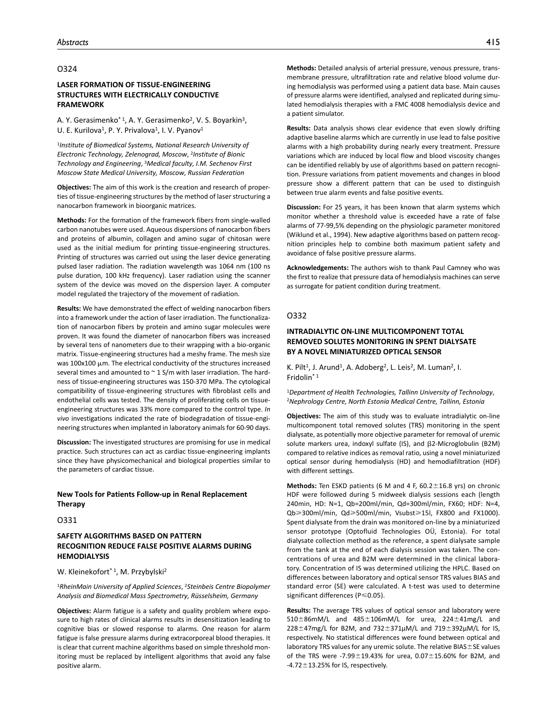### O324

# **LASER FORMATION OF TISSUE-ENGINEERING STRUCTURES WITH ELECTRICALLY CONDUCTIVE FRAMEWORK**

A. Y. Gerasimenko<sup>\* 1</sup>, A. Y. Gerasimenko<sup>2</sup>, V. S. Boyarkin<sup>3</sup>, U. E. Kurilova<sup>1</sup>, P. Y. Privalova<sup>1</sup>, I. V. Pyanov<sup>1</sup>

<sup>1</sup>*Institute of Biomedical Systems, National Research University of Electronic Technology, Zelenograd, Moscow*, 2*Institute of Bionic Technology and Engineering*, 3*Medical faculty, I.M. Sechenov First Moscow State Medical University, Moscow, Russian Federation*

**Objectives:** The aim of this work is the creation and research of properties of tissue-engineering structures by the method of laser structuring a nanocarbon framework in bioorganic matrices.

**Methods:** For the formation of the framework fibers from single-walled carbon nanotubes were used. Aqueous dispersions of nanocarbon fibers and proteins of albumin, collagen and amino sugar of chitosan were used as the initial medium for printing tissue-engineering structures. Printing of structures was carried out using the laser device generating pulsed laser radiation. The radiation wavelength was 1064 nm (100 ns pulse duration, 100 kHz frequency). Laser radiation using the scanner system of the device was moved on the dispersion layer. A computer model regulated the trajectory of the movement of radiation.

**Results:** We have demonstrated the effect of welding nanocarbon fibers into a framework under the action of laser irradiation. The functionalization of nanocarbon fibers by protein and amino sugar molecules were proven. It was found the diameter of nanocarbon fibers was increased by several tens of nanometers due to their wrapping with a bio-organic matrix. Tissue-engineering structures had a meshy frame. The mesh size was 100x100 μm. The electrical conductivity of the structures increased several times and amounted to  $\sim$  1 S/m with laser irradiation. The hardness of tissue-engineering structures was 150-370 MPa. The cytological compatibility of tissue-engineering structures with fibroblast cells and endothelial cells was tested. The density of proliferating cells on tissueengineering structures was 33% more compared to the control type. *In vivo* investigations indicated the rate of biodegradation of tissue-engineering structures when implanted in laboratory animals for 60-90 days.

**Discussion:** The investigated structures are promising for use in medical practice. Such structures can act as cardiac tissue-engineering implants since they have physicomechanical and biological properties similar to the parameters of cardiac tissue.

### **New Tools for Patients Follow-up in Renal Replacement Therapy**

O331

# **SAFETY ALGORITHMS BASED ON PATTERN RECOGNITION REDUCE FALSE POSITIVE ALARMS DURING HEMODIALYSIS**

### W. Kleinekofort<sup>\* 1</sup>, M. Przybylski<sup>2</sup>

<sup>1</sup>*RheinMain University of Applied Sciences*, 2*Steinbeis Centre Biopolymer Analysis and Biomedical Mass Spectrometry, Rüsselsheim, Germany*

**Objectives:** Alarm fatigue is a safety and quality problem where exposure to high rates of clinical alarms results in desensitization leading to cognitive bias or slowed response to alarms. One reason for alarm fatigue is false pressure alarms during extracorporeal blood therapies. It is clear that current machine algorithms based on simple threshold monitoring must be replaced by intelligent algorithms that avoid any false positive alarm.

**Methods:** Detailed analysis of arterial pressure, venous pressure, transmembrane pressure, ultrafiltration rate and relative blood volume during hemodialysis was performed using a patient data base. Main causes of pressure alarms were identified, analysed and replicated during simulated hemodialysis therapies with a FMC 4008 hemodialysis device and a patient simulator.

**Results:** Data analysis shows clear evidence that even slowly drifting adaptive baseline alarms which are currently in use lead to false positive alarms with a high probability during nearly every treatment. Pressure variations which are induced by local flow and blood viscosity changes can be identified reliably by use of algorithms based on pattern recognition. Pressure variations from patient movements and changes in blood pressure show a different pattern that can be used to distinguish between true alarm events and false positive events.

**Discussion:** For 25 years, it has been known that alarm systems which monitor whether a threshold value is exceeded have a rate of false alarms of 77-99,5% depending on the physiologic parameter monitored (Wiklund et al., 1994). New adaptive algorithms based on pattern recognition principles help to combine both maximum patient safety and avoidance of false positive pressure alarms.

**Acknowledgements:** The authors wish to thank Paul Camney who was the first to realize that pressure data of hemodialysis machines can serve as surrogate for patient condition during treatment.

### O332

# **INTRADIALYTIC ON-LINE MULTICOMPONENT TOTAL REMOVED SOLUTES MONITORING IN SPENT DIALYSATE BY A NOVEL MINIATURIZED OPTICAL SENSOR**

K. Pilt<sup>1</sup>, J. Arund<sup>1</sup>, A. Adoberg<sup>2</sup>, L. Leis<sup>2</sup>, M. Luman<sup>2</sup>, I. Fridolin\* 1

<sup>1</sup>*Department of Health Technologies, Tallinn University of Technology*, 2*Nephrology Centre, North Estonia Medical Centre, Tallinn, Estonia*

**Objectives:** The aim of this study was to evaluate intradialytic on-line multicomponent total removed solutes (TRS) monitoring in the spent dialysate, as potentially more objective parameter for removal of uremic solute markers urea, indoxyl sulfate (IS), and β2-Microglobulin (B2M) compared to relative indices as removal ratio, using a novel miniaturized optical sensor during hemodialysis (HD) and hemodiafiltration (HDF) with different settings.

**Methods:** Ten ESKD patients (6 M and 4 F, 60.2±16.8 yrs) on chronic HDF were followed during 5 midweek dialysis sessions each (length 240min, HD: N=1, Qb=200ml/min, Qd=300ml/min, FX60; HDF: N=4, Qb≥300ml/min, Qd≥500ml/min, Vsubst≥15l, FX800 and FX1000). Spent dialysate from the drain was monitored on-line by a miniaturized sensor prototype (Optofluid Technologies OÜ, Estonia). For total dialysate collection method as the reference, a spent dialysate sample from the tank at the end of each dialysis session was taken. The concentrations of urea and B2M were determined in the clinical laboratory. Concentration of IS was determined utilizing the HPLC. Based on differences between laboratory and optical sensor TRS values BIAS and standard error (SE) were calculated. A t-test was used to determine significant differences (P ≤ 0.05).

**Results:** The average TRS values of optical sensor and laboratory were 510±86mM/L and 485±106mM/L for urea, 224±41mg/L and  $228 \pm 47$ mg/L for B2M, and  $732 \pm 371 \mu$ M/L and  $719 \pm 392 \mu$ M/L for IS, respectively. No statistical differences were found between optical and laboratory TRS values for any uremic solute. The relative BIAS±SE values of the TRS were -7.99 $\pm$ 19.43% for urea, 0.07 $\pm$ 15.60% for B2M, and -4.72 $\pm$ 13.25% for IS, respectively.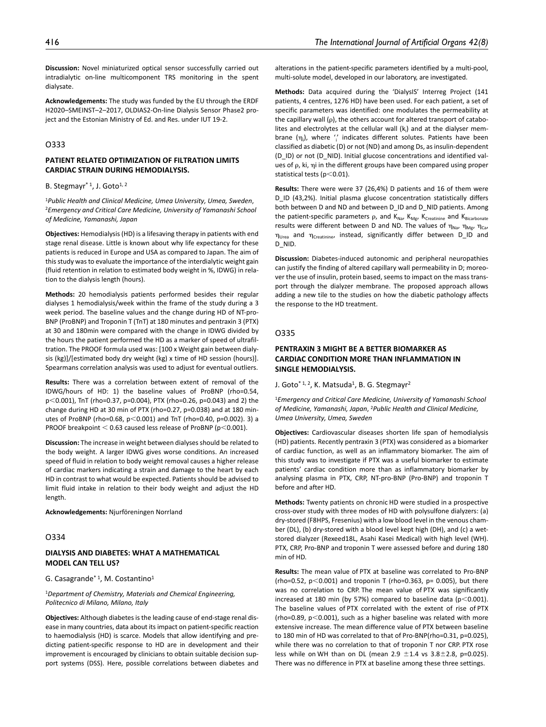**Discussion:** Novel miniaturized optical sensor successfully carried out intradialytic on-line multicomponent TRS monitoring in the spent dialysate.

**Acknowledgements:** The study was funded by the EU through the ERDF H2020–SMEINST–2–2017, OLDIAS2-On-line Dialysis Sensor Phase2 project and the Estonian Ministry of Ed. and Res. under IUT 19-2.

# O333

# **PATIENT RELATED OPTIMIZATION OF FILTRATION LIMITS CARDIAC STRAIN DURING HEMODIALYSIS.**

B. Stegmayr<sup>\*1</sup>, J. Goto<sup>1, 2</sup>

<sup>1</sup>*Public Health and Clinical Medicine, Umea University, Umea, Sweden*, 2*Emergency and Critical Care Medicine, University of Yamanashi School of Medicine, Yamanashi, Japan*

**Objectives:** Hemodialysis (HD) is a lifesaving therapy in patients with end stage renal disease. Little is known about why life expectancy for these patients is reduced in Europe and USA as compared to Japan. The aim of this study was to evaluate the importance of the interdialytic weight gain (fluid retention in relation to estimated body weight in %, IDWG) in relation to the dialysis length (hours).

**Methods:** 20 hemodialysis patients performed besides their regular dialyses 1 hemodialysis/week within the frame of the study during a 3 week period. The baseline values and the change during HD of NT-pro-BNP (ProBNP) and Troponin T (TnT) at 180 minutes and pentraxin 3 (PTX) at 30 and 180min were compared with the change in IDWG divided by the hours the patient performed the HD as a marker of speed of ultrafiltration. The PROOF formula used was: [100 x Weight gain between dialysis (kg)]/[estimated body dry weight (kg) x time of HD session (hours)]. Spearmans correlation analysis was used to adjust for eventual outliers.

**Results:** There was a correlation between extent of removal of the IDWG/hours of HD: 1) the baseline values of ProBNP (rho=0.54, p<0.001), TnT (rho=0.37, p=0.004), PTX (rho=0.26, p=0.043) and 2) the change during HD at 30 min of PTX (rho=0.27, p=0.038) and at 180 minutes of ProBNP (rho=0.68,  $p$ <0.001) and TnT (rho=0.40,  $p$ =0.002). 3) a PROOF breakpoint  $<$  0.63 caused less release of ProBNP (p $<$ 0.001).

**Discussion:** The increase in weight between dialyses should be related to the body weight. A larger IDWG gives worse conditions. An increased speed of fluid in relation to body weight removal causes a higher release of cardiac markers indicating a strain and damage to the heart by each HD in contrast to what would be expected. Patients should be advised to limit fluid intake in relation to their body weight and adjust the HD length.

**Acknowledgements:** Njurföreningen Norrland

#### O334

## **DIALYSIS AND DIABETES: WHAT A MATHEMATICAL MODEL CAN TELL US?**

#### G. Casagrande\* 1, M. Costantino1

<sup>1</sup>*Department of Chemistry, Materials and Chemical Engineering, Politecnico di Milano, Milano, Italy*

**Objectives:** Although diabetes is the leading cause of end-stage renal disease in many countries, data about its impact on patient-specific reaction to haemodialysis (HD) is scarce. Models that allow identifying and predicting patient-specific response to HD are in development and their improvement is encouraged by clinicians to obtain suitable decision support systems (DSS). Here, possible correlations between diabetes and

alterations in the patient-specific parameters identified by a multi-pool, multi-solute model, developed in our laboratory, are investigated.

**Methods:** Data acquired during the 'DialysIS' Interreg Project (141 patients, 4 centres, 1276 HD) have been used. For each patient, a set of specific parameters was identified: one modulates the permeability at the capillary wall ( $\rho$ ), the others account for altered transport of catabolites and electrolytes at the cellular wall  $(k_i)$  and at the dialyser membrane (η<sub>i</sub>), where '' indicates different solutes. Patients have been classified as diabetic (D) or not (ND) and among Ds, as insulin-dependent (D\_ID) or not (D\_NID). Initial glucose concentrations and identified values of ρ, ki, ηi in the different groups have been compared using proper statistical tests (p<0.01).

**Results:** There were were 37 (26,4%) D patients and 16 of them were D ID (43,2%). Initial plasma glucose concentration statistically differs both between D and ND and between D\_ID and D\_NID patients. Among the patient-specific parameters  $\rho$ , and  $K_{Na}$ ,  $K_{Mg}$ ,  $K_{Cretinine}$  and  $K_{Bicarbonate}$ results were different between D and ND. The values of  $\eta_{\text{Na}}$ ,  $\eta_{\text{Ma}}$ ,  $\eta_{\text{Ca}}$ , ηUrea and ηCreatinine, instead, significantly differ between D\_ID and D\_NID.

**Discussion:** Diabetes-induced autonomic and peripheral neuropathies can justify the finding of altered capillary wall permeability in D; moreover the use of insulin, protein based, seems to impact on the mass transport through the dialyzer membrane. The proposed approach allows adding a new tile to the studies on how the diabetic pathology affects the response to the HD treatment.

#### O335

# **PENTRAXIN 3 MIGHT BE A BETTER BIOMARKER AS CARDIAC CONDITION MORE THAN INFLAMMATION IN SINGLE HEMODIALYSIS.**

J. Goto<sup>\* 1, 2</sup>, K. Matsuda<sup>1</sup>, B. G. Stegmayr<sup>2</sup>

<sup>1</sup>*Emergency and Critical Care Medicine, University of Yamanashi School of Medicine, Yamanashi, Japan*, 2*Public Health and Clinical Medicine, Umea University, Umea, Sweden*

**Objectives:** Cardiovascular diseases shorten life span of hemodialysis (HD) patients. Recently pentraxin 3 (PTX) was considered as a biomarker of cardiac function, as well as an inflammatory biomarker. The aim of this study was to investigate if PTX was a useful biomarker to estimate patients' cardiac condition more than as inflammatory biomarker by analysing plasma in PTX, CRP, NT-pro-BNP (Pro-BNP) and troponin T before and after HD.

**Methods:** Twenty patients on chronic HD were studied in a prospective cross-over study with three modes of HD with polysulfone dialyzers: (a) dry-stored (F8HPS, Fresenius) with a low blood level in the venous chamber (DL), (b) dry-stored with a blood level kept high (DH), and (c) a wetstored dialyzer (Rexeed18L, Asahi Kasei Medical) with high level (WH). PTX, CRP, Pro-BNP and troponin T were assessed before and during 180 min of HD.

**Results:** The mean value of PTX at baseline was correlated to Pro-BNP (rho=0.52,  $p$ <0.001) and troponin T (rho=0.363,  $p$ = 0.005), but there was no correlation to CRP. The mean value of PTX was significantly increased at 180 min (by 57%) compared to baseline data ( $p$ <0.001). The baseline values of PTX correlated with the extent of rise of PTX (rho=0.89,  $p$ <0.001), such as a higher baseline was related with more extensive increase. The mean difference value of PTX between baseline to 180 min of HD was correlated to that of Pro-BNP(rho=0.31, p=0.025), while there was no correlation to that of troponin T nor CRP. PTX rose less while on WH than on DL (mean 2.9  $\pm$ 1.4 vs 3.8 $\pm$ 2.8, p=0.025). There was no difference in PTX at baseline among these three settings.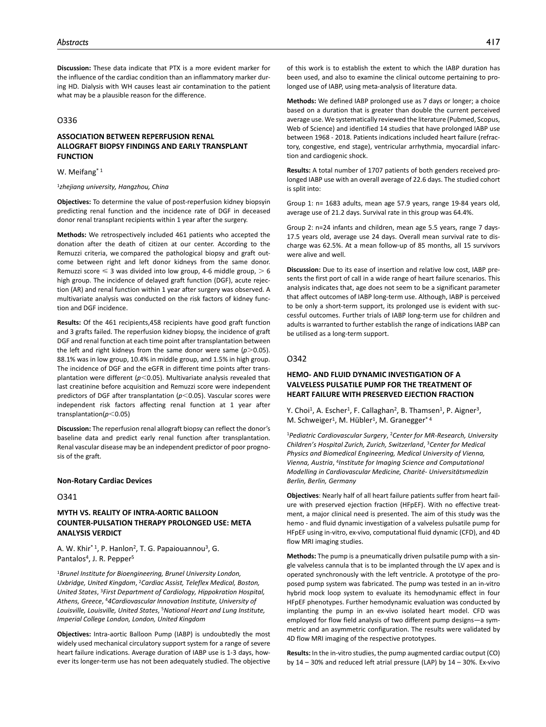**Discussion:** These data indicate that PTX is a more evident marker for the influence of the cardiac condition than an inflammatory marker during HD. Dialysis with WH causes least air contamination to the patient what may be a plausible reason for the difference.

#### O336

# **ASSOCIATION BETWEEN REPERFUSION RENAL ALLOGRAFT BIOPSY FINDINGS AND EARLY TRANSPLANT FUNCTION**

#### W. Meifang<sup>\* 1</sup>

#### <sup>1</sup>*zhejiang university, Hangzhou, China*

**Objectives:** To determine the value of post-reperfusion kidney biopsyin predicting renal function and the incidence rate of DGF in deceased donor renal transplant recipients within 1 year after the surgery.

**Methods:** We retrospectively included 461 patients who accepted the donation after the death of citizen at our center. According to the Remuzzi criteria, we compared the pathological biopsy and graft outcome between right and left donor kidneys from the same donor. Remuzzi score  $\leq 3$  was divided into low group, 4-6 middle group,  $> 6$ high group. The incidence of delayed graft function (DGF), acute rejection (AR) and renal function within 1 year after surgery was observed. A multivariate analysis was conducted on the risk factors of kidney function and DGF incidence.

**Results:** Of the 461 recipients,458 recipients have good graft function and 3 grafts failed. The reperfusion kidney biopsy, the incidence of graft DGF and renal function at each time point after transplantation between the left and right kidneys from the same donor were same  $(p>0.05)$ . 88.1% was in low group, 10.4% in middle group, and 1.5% in high group. The incidence of DGF and the eGFR in different time points after transplantation were different (*p*<0.05). Multivariate analysis revealed that last creatinine before acquisition and Remuzzi score were independent predictors of DGF after transplantation (*p*<0.05). Vascular scores were independent risk factors affecting renal function at 1 year after transplantation(*p*<0.05)

**Discussion:** The reperfusion renal allograft biopsy can reflect the donor's baseline data and predict early renal function after transplantation. Renal vascular disease may be an independent predictor of poor prognosis of the graft.

#### **Non-Rotary Cardiac Devices**

#### O341

# **MYTH VS. REALITY OF INTRA-AORTIC BALLOON COUNTER-PULSATION THERAPY PROLONGED USE: META ANALYSIS VERDICT**

A. W. Khir\* 1, P. Hanlon2, T. G. Papaiouannou3, G. Pantalos<sup>4</sup>, J. R. Pepper<sup>5</sup>

<sup>1</sup>*Brunel Institute for Bioengineering, Brunel University London, Uxbridge, United Kingdom*, 2*Cardiac Assist, Teleflex Medical, Boston, United States*, 3*First Department of Cardiology, Hippokration Hospital, Athens, Greece*, 4*4Cardiovascular Innovation Institute, University of Louisville, Louisville, United States*, 5*National Heart and Lung Institute, Imperial College London, London, United Kingdom*

**Objectives:** Intra-aortic Balloon Pump (IABP) is undoubtedly the most widely used mechanical circulatory support system for a range of severe heart failure indications. Average duration of IABP use is 1-3 days, however its longer-term use has not been adequately studied. The objective

of this work is to establish the extent to which the IABP duration has been used, and also to examine the clinical outcome pertaining to prolonged use of IABP, using meta-analysis of literature data.

**Methods:** We defined IABP prolonged use as 7 days or longer; a choice based on a duration that is greater than double the current perceived average use. We systematically reviewed the literature (Pubmed, Scopus, Web of Science) and identified 14 studies that have prolonged IABP use between 1968 - 2018. Patients indications included heart failure (refractory, congestive, end stage), ventricular arrhythmia, myocardial infarction and cardiogenic shock.

**Results:** A total number of 1707 patients of both genders received prolonged IABP use with an overall average of 22.6 days. The studied cohort is split into:

Group 1: n= 1683 adults, mean age 57.9 years, range 19-84 years old, average use of 21.2 days. Survival rate in this group was 64.4%.

Group 2: n=24 infants and children, mean age 5.5 years, range 7 days-17.5 years old, average use 24 days. Overall mean survival rate to discharge was 62.5%. At a mean follow-up of 85 months, all 15 survivors were alive and well.

**Discussion:** Due to its ease of insertion and relative low cost, IABP presents the first port of call in a wide range of heart failure scenarios. This analysis indicates that, age does not seem to be a significant parameter that affect outcomes of IABP long-term use. Although, IABP is perceived to be only a short-term support, its prolonged use is evident with successful outcomes. Further trials of IABP long-term use for children and adults is warranted to further establish the range of indications IABP can be utilised as a long-term support.

### O342

# **HEMO- AND FLUID DYNAMIC INVESTIGATION OF A VALVELESS PULSATILE PUMP FOR THE TREATMENT OF HEART FAILURE WITH PRESERVED EJECTION FRACTION**

Y. Choi<sup>1</sup>, A. Escher<sup>1</sup>, F. Callaghan<sup>2</sup>, B. Thamsen<sup>1</sup>, P. Aigner<sup>3</sup>, M. Schweiger<sup>1</sup>, M. Hübler<sup>1</sup>, M. Granegger<sup>\*4</sup>

<sup>1</sup>*Pediatric Cardiovascular Surgery*, 2*Center for MR-Research, University Children's Hospital Zurich, Zurich, Switzerland*, 3*Center for Medical Physics and Biomedical Engineering, Medical University of Vienna, Vienna, Austria*, 4*Institute for Imaging Science and Computational Modelling in Cardiovascular Medicine, Charité- Universitätsmedizin Berlin, Berlin, Germany*

**Objectives**: Nearly half of all heart failure patients suffer from heart failure with preserved ejection fraction (HFpEF). With no effective treatment, a major clinical need is presented. The aim of this study was the hemo - and fluid dynamic investigation of a valveless pulsatile pump for HFpEF using in-vitro, ex-vivo, computational fluid dynamic (CFD), and 4D flow MRI imaging studies.

**Methods:** The pump is a pneumatically driven pulsatile pump with a single valveless cannula that is to be implanted through the LV apex and is operated synchronously with the left ventricle. A prototype of the proposed pump system was fabricated. The pump was tested in an in-vitro hybrid mock loop system to evaluate its hemodynamic effect in four HFpEF phenotypes. Further hemodynamic evaluation was conducted by implanting the pump in an ex-vivo isolated heart model. CFD was employed for flow field analysis of two different pump designs—a symmetric and an asymmetric configuration. The results were validated by 4D flow MRI imaging of the respective prototypes.

**Results:** In the in-vitro studies, the pump augmented cardiac output (CO) by 14 – 30% and reduced left atrial pressure (LAP) by 14 – 30%. Ex-vivo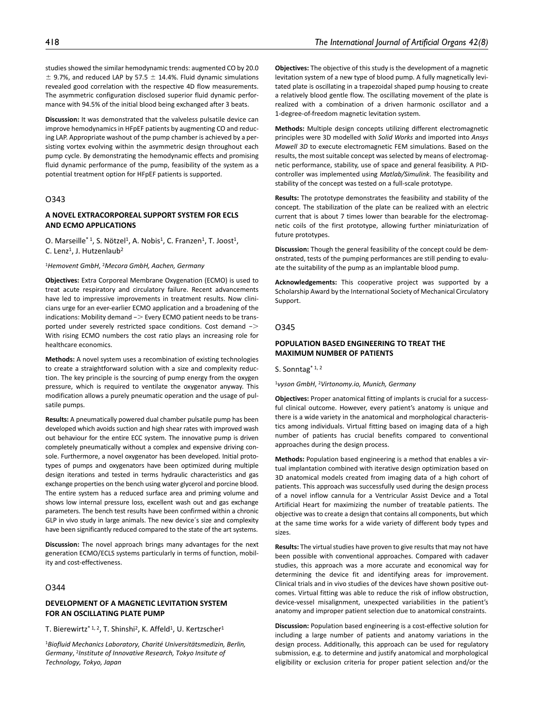studies showed the similar hemodynamic trends: augmented CO by 20.0  $\pm$  9.7%, and reduced LAP by 57.5  $\pm$  14.4%. Fluid dynamic simulations revealed good correlation with the respective 4D flow measurements. The asymmetric configuration disclosed superior fluid dynamic performance with 94.5% of the initial blood being exchanged after 3 beats.

**Discussion:** It was demonstrated that the valveless pulsatile device can improve hemodynamics in HFpEF patients by augmenting CO and reducing LAP. Appropriate washout of the pump chamber is achieved by a persisting vortex evolving within the asymmetric design throughout each pump cycle. By demonstrating the hemodynamic effects and promising fluid dynamic performance of the pump, feasibility of the system as a potential treatment option for HFpEF patients is supported.

# O343

# **A NOVEL EXTRACORPOREAL SUPPORT SYSTEM FOR ECLS AND ECMO APPLICATIONS**

O. Marseille<sup>\* 1</sup>, S. Nötzel<sup>1</sup>, A. Nobis<sup>1</sup>, C. Franzen<sup>1</sup>, T. Joost<sup>1</sup>, C. Lenz<sup>1</sup>, J. Hutzenlaub<sup>2</sup>

#### <sup>1</sup>*Hemovent GmbH*, 2*Mecora GmbH, Aachen, Germany*

**Objectives:** Extra Corporeal Membrane Oxygenation (ECMO) is used to treat acute respiratory and circulatory failure. Recent advancements have led to impressive improvements in treatment results. Now clinicians urge for an ever-earlier ECMO application and a broadening of the indications: Mobility demand −> Every ECMO patient needs to be transported under severely restricted space conditions. Cost demand −> With rising ECMO numbers the cost ratio plays an increasing role for healthcare economics.

**Methods:** A novel system uses a recombination of existing technologies to create a straightforward solution with a size and complexity reduction. The key principle is the sourcing of pump energy from the oxygen pressure, which is required to ventilate the oxygenator anyway. This modification allows a purely pneumatic operation and the usage of pulsatile pumps.

**Results:** A pneumatically powered dual chamber pulsatile pump has been developed which avoids suction and high shear rates with improved wash out behaviour for the entire ECC system. The innovative pump is driven completely pneumatically without a complex and expensive driving console. Furthermore, a novel oxygenator has been developed. Initial prototypes of pumps and oxygenators have been optimized during multiple design iterations and tested in terms hydraulic characteristics and gas exchange properties on the bench using water glycerol and porcine blood. The entire system has a reduced surface area and priming volume and shows low internal pressure loss, excellent wash out and gas exchange parameters. The bench test results have been confirmed within a chronic GLP in vivo study in large animals. The new device´s size and complexity have been significantly reduced compared to the state of the art systems.

**Discussion:** The novel approach brings many advantages for the next generation ECMO/ECLS systems particularly in terms of function, mobility and cost-effectiveness.

# O344

# **DEVELOPMENT OF A MAGNETIC LEVITATION SYSTEM FOR AN OSCILLATING PLATE PUMP**

T. Bierewirtz<sup>\* 1, 2</sup>, T. Shinshi<sup>2</sup>, K. Affeld<sup>1</sup>, U. Kertzscher<sup>1</sup>

<sup>1</sup>*Biofluid Mechanics Laboratory, Charité Universitätsmedizin, Berlin, Germany*, 2*Institute of Innovative Research, Tokyo Insitute of Technology, Tokyo, Japan*

**Objectives:** The objective of this study is the development of a magnetic levitation system of a new type of blood pump. A fully magnetically levitated plate is oscillating in a trapezoidal shaped pump housing to create a relatively blood gentle flow. The oscillating movement of the plate is realized with a combination of a driven harmonic oscillator and a 1-degree-of-freedom magnetic levitation system.

**Methods:** Multiple design concepts utilizing different electromagnetic principles were 3D modelled with *Solid Works* and imported into *Ansys Mawell 3D* to execute electromagnetic FEM simulations. Based on the results, the most suitable concept was selected by means of electromagnetic performance, stability, use of space and general feasibility. A PIDcontroller was implemented using *Matlab/Simulink*. The feasibility and stability of the concept was tested on a full-scale prototype.

**Results:** The prototype demonstrates the feasibility and stability of the concept. The stabilization of the plate can be realized with an electric current that is about 7 times lower than bearable for the electromagnetic coils of the first prototype, allowing further miniaturization of future prototypes.

**Discussion:** Though the general feasibility of the concept could be demonstrated, tests of the pumping performances are still pending to evaluate the suitability of the pump as an implantable blood pump.

**Acknowledgements:** This cooperative project was supported by a Scholarship Award by the International Society of Mechanical Circulatory Support.

#### O345

# **POPULATION BASED ENGINEERING TO TREAT THE MAXIMUM NUMBER OF PATIENTS**

S. Sonntag<sup>\* 1, 2</sup>

<sup>1</sup>*vyson GmbH*, 2*Virtonomy.io, Munich, Germany*

**Objectives:** Proper anatomical fitting of implants is crucial for a successful clinical outcome. However, every patient's anatomy is unique and there is a wide variety in the anatomical and morphological characteristics among individuals. Virtual fitting based on imaging data of a high number of patients has crucial benefits compared to conventional approaches during the design process.

**Methods:** Population based engineering is a method that enables a virtual implantation combined with iterative design optimization based on 3D anatomical models created from imaging data of a high cohort of patients. This approach was successfully used during the design process of a novel inflow cannula for a Ventricular Assist Device and a Total Artificial Heart for maximizing the number of treatable patients. The objective was to create a design that contains all components, but which at the same time works for a wide variety of different body types and sizes.

**Results:** The virtual studies have proven to give results that may not have been possible with conventional approaches. Compared with cadaver studies, this approach was a more accurate and economical way for determining the device fit and identifying areas for improvement. Clinical trials and in vivo studies of the devices have shown positive outcomes. Virtual fitting was able to reduce the risk of inflow obstruction, device-vessel misalignment, unexpected variabilities in the patient's anatomy and improper patient selection due to anatomical constraints.

**Discussion:** Population based engineering is a cost-effective solution for including a large number of patients and anatomy variations in the design process. Additionally, this approach can be used for regulatory submission, e.g. to determine and justify anatomical and morphological eligibility or exclusion criteria for proper patient selection and/or the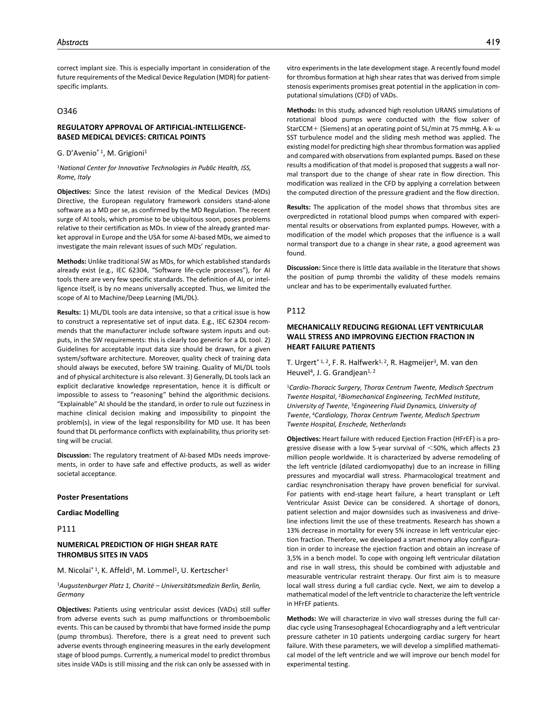correct implant size. This is especially important in consideration of the future requirements of the Medical Device Regulation (MDR) for patientspecific implants.

### O346

# **REGULATORY APPROVAL OF ARTIFICIAL-INTELLIGENCE-BASED MEDICAL DEVICES: CRITICAL POINTS**

G. D'Avenio\* 1, M. Grigioni1

#### <sup>1</sup>*National Center for Innovative Technologies in Public Health, ISS, Rome, Italy*

**Objectives:** Since the latest revision of the Medical Devices (MDs) Directive, the European regulatory framework considers stand-alone software as a MD per se, as confirmed by the MD Regulation. The recent surge of AI tools, which promise to be ubiquitous soon, poses problems relative to their certification as MDs. In view of the already granted market approval in Europe and the USA for some AI-based MDs, we aimed to investigate the main relevant issues of such MDs' regulation.

**Methods:** Unlike traditional SW as MDs, for which established standards already exist (e.g., IEC 62304, "Software life-cycle processes"), for AI tools there are very few specific standards. The definition of AI, or intelligence itself, is by no means universally accepted. Thus, we limited the scope of AI to Machine/Deep Learning (ML/DL).

**Results:** 1) ML/DL tools are data intensive, so that a critical issue is how to construct a representative set of input data. E.g., IEC 62304 recommends that the manufacturer include software system inputs and outputs, in the SW requirements: this is clearly too generic for a DL tool. 2) Guidelines for acceptable input data size should be drawn, for a given system/software architecture. Moreover, quality check of training data should always be executed, before SW training. Quality of ML/DL tools and of physical architecture is also relevant. 3) Generally, DL tools lack an explicit declarative knowledge representation, hence it is difficult or impossible to assess to "reasoning" behind the algorithmic decisions. "Explainable" AI should be the standard, in order to rule out fuzziness in machine clinical decision making and impossibility to pinpoint the problem(s), in view of the legal responsibility for MD use. It has been found that DL performance conflicts with explainability, thus priority setting will be crucial.

**Discussion:** The regulatory treatment of AI-based MDs needs improvements, in order to have safe and effective products, as well as wider societal acceptance.

#### **Poster Presentations**

**Cardiac Modelling**

P111

## **NUMERICAL PREDICTION OF HIGH SHEAR RATE THROMBUS SITES IN VADS**

M. Nicolai\*<sup>1</sup>, K. Affeld<sup>1</sup>, M. Lommel<sup>1</sup>, U. Kertzscher<sup>1</sup>

### <sup>1</sup>*Augustenburger Platz 1, Charité – Universitätsmedizin Berlin, Berlin, Germany*

**Objectives:** Patients using ventricular assist devices (VADs) still suffer from adverse events such as pump malfunctions or thromboembolic events. This can be caused by thrombi that have formed inside the pump (pump thrombus). Therefore, there is a great need to prevent such adverse events through engineering measures in the early development stage of blood pumps. Currently, a numerical model to predict thrombus sites inside VADs is still missing and the risk can only be assessed with in vitro experiments in the late development stage. A recently found model for thrombus formation at high shear rates that was derived from simple stenosis experiments promises great potential in the application in computational simulations (CFD) of VADs.

**Methods:** In this study, advanced high resolution URANS simulations of rotational blood pumps were conducted with the flow solver of StarCCM+ (Siemens) at an operating point of 5L/min at 75 mmHg. A k- ω SST turbulence model and the sliding mesh method was applied. The existing model for predicting high shear thrombus formation was applied and compared with observations from explanted pumps. Based on these results a modification of that model is proposed that suggests a wall normal transport due to the change of shear rate in flow direction. This modification was realized in the CFD by applying a correlation between the computed direction of the pressure gradient and the flow direction.

**Results:** The application of the model shows that thrombus sites are overpredicted in rotational blood pumps when compared with experimental results or observations from explanted pumps. However, with a modification of the model which proposes that the influence is a wall normal transport due to a change in shear rate, a good agreement was found.

**Discussion:** Since there is little data available in the literature that shows the position of pump thrombi the validity of these models remains unclear and has to be experimentally evaluated further.

### P112

# **MECHANICALLY REDUCING REGIONAL LEFT VENTRICULAR WALL STRESS AND IMPROVING EJECTION FRACTION IN HEART FAILURE PATIENTS**

T. Urgert<sup>\* 1, 2</sup>, F. R. Halfwerk<sup>1, 2</sup>, R. Hagmeijer<sup>3</sup>, M. van den Heuvel<sup>4</sup>, J. G. Grandjean<sup>1, 2</sup>

<sup>1</sup>*Cardio-Thoracic Surgery, Thorax Centrum Twente, Medisch Spectrum Twente Hospital*, 2*Biomechanical Engineering, TechMed Institute, University of Twente*, 3*Engineering Fluid Dynamics, University of Twente*, 4*Cardiology, Thorax Centrum Twente, Medisch Spectrum Twente Hospital, Enschede, Netherlands*

**Objectives:** Heart failure with reduced Ejection Fraction (HFrEF) is a progressive disease with a low 5-year survival of <50%, which affects 23 million people worldwide. It is characterized by adverse remodeling of the left ventricle (dilated cardiomyopathy) due to an increase in filling pressures and myocardial wall stress. Pharmacological treatment and cardiac resynchronisation therapy have proven beneficial for survival. For patients with end-stage heart failure, a heart transplant or Left Ventricular Assist Device can be considered. A shortage of donors, patient selection and major downsides such as invasiveness and driveline infections limit the use of these treatments. Research has shown a 13% decrease in mortality for every 5% increase in left ventricular ejection fraction. Therefore, we developed a smart memory alloy configuration in order to increase the ejection fraction and obtain an increase of 3,5% in a bench model. To cope with ongoing left ventricular dilatation and rise in wall stress, this should be combined with adjustable and measurable ventricular restraint therapy. Our first aim is to measure local wall stress during a full cardiac cycle. Next, we aim to develop a mathematical model of the left ventricle to characterize the left ventricle in HFrEF patients.

**Methods:** We will characterize in vivo wall stresses during the full cardiac cycle using Transesophageal Echocardiography and a left ventricular pressure catheter in 10 patients undergoing cardiac surgery for heart failure. With these parameters, we will develop a simplified mathematical model of the left ventricle and we will improve our bench model for experimental testing.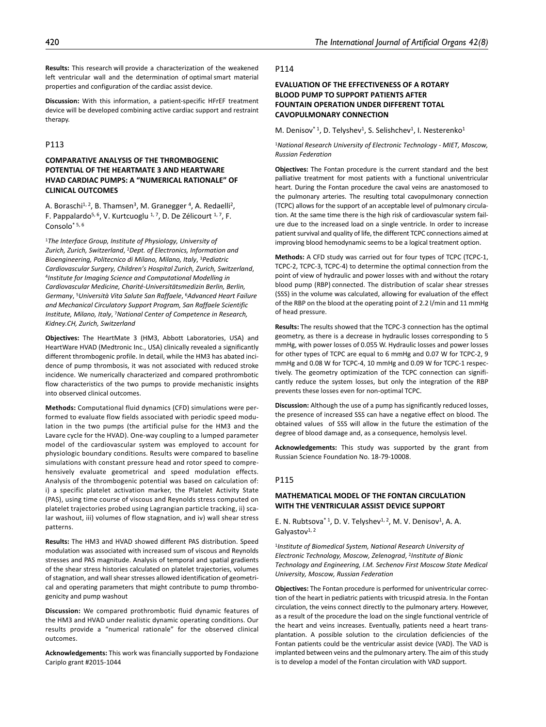**Results:** This research will provide a characterization of the weakened left ventricular wall and the determination of optimal smart material properties and configuration of the cardiac assist device.

**Discussion:** With this information, a patient-specific HFrEF treatment device will be developed combining active cardiac support and restraint therapy.

## P113

# **COMPARATIVE ANALYSIS OF THE THROMBOGENIC POTENTIAL OF THE HEARTMATE 3 AND HEARTWARE HVAD CARDIAC PUMPS: A "NUMERICAL RATIONALE" OF CLINICAL OUTCOMES**

A. Boraschi<sup>1, 2</sup>, B. Thamsen<sup>3</sup>, M. Granegger<sup>4</sup>, A. Redaelli<sup>2</sup>, F. Pappalardo<sup>5, 6</sup>, V. Kurtcuoglu <sup>1, 7</sup>, D. De Zélicourt <sup>1, 7</sup>, F. Consolo\* 5, 6

<sup>1</sup>*The Interface Group, Institute of Physiology, University of Zurich, Zurich, Switzerland*, 2*Dept. of Electronics, Information and Bioengineering, Politecnico di Milano, Milano, Italy*, 3*Pediatric Cardiovascular Surgery, Children's Hospital Zurich, Zurich, Switzerland*, 4*Institute for Imaging Science and Computational Modelling in Cardiovascular Medicine, Charité-Universitätsmedizin Berlin, Berlin, Germany*, 5*Università Vita Salute San Raffaele*, 6*Advanced Heart Failure and Mechanical Circulatory Support Program, San Raffaele Scientific Institute, Milano, Italy*, 7*National Center of Competence in Research, Kidney.CH, Zurich, Switzerland*

**Objectives:** The HeartMate 3 (HM3, Abbott Laboratories, USA) and HeartWare HVAD (Medtronic Inc., USA) clinically revealed a significantly different thrombogenic profile. In detail, while the HM3 has abated incidence of pump thrombosis, it was not associated with reduced stroke incidence. We numerically characterized and compared prothrombotic flow characteristics of the two pumps to provide mechanistic insights into observed clinical outcomes.

**Methods:** Computational fluid dynamics (CFD) simulations were performed to evaluate flow fields associated with periodic speed modulation in the two pumps (the artificial pulse for the HM3 and the Lavare cycle for the HVAD). One-way coupling to a lumped parameter model of the cardiovascular system was employed to account for physiologic boundary conditions. Results were compared to baseline simulations with constant pressure head and rotor speed to comprehensively evaluate geometrical and speed modulation effects. Analysis of the thrombogenic potential was based on calculation of: i) a specific platelet activation marker, the Platelet Activity State (PAS), using time course of viscous and Reynolds stress computed on platelet trajectories probed using Lagrangian particle tracking, ii) scalar washout, iii) volumes of flow stagnation, and iv) wall shear stress patterns.

**Results:** The HM3 and HVAD showed different PAS distribution. Speed modulation was associated with increased sum of viscous and Reynolds stresses and PAS magnitude. Analysis of temporal and spatial gradients of the shear stress histories calculated on platelet trajectories, volumes of stagnation, and wall shear stresses allowed identification of geometrical and operating parameters that might contribute to pump thrombogenicity and pump washout

**Discussion:** We compared prothrombotic fluid dynamic features of the HM3 and HVAD under realistic dynamic operating conditions. Our results provide a "numerical rationale" for the observed clinical outcomes.

**Acknowledgements:** This work was financially supported by Fondazione Cariplo grant #2015-1044

#### P114

# **EVALUATION OF THE EFFECTIVENESS OF A ROTARY BLOOD PUMP TO SUPPORT PATIENTS AFTER FOUNTAIN OPERATION UNDER DIFFERENT TOTAL CAVOPULMONARY CONNECTION**

M. Denisov<sup>\* 1</sup>, D. Telyshev<sup>1</sup>, S. Selishchev<sup>1</sup>, I. Nesterenko<sup>1</sup>

<sup>1</sup>*National Research University of Electronic Technology - MIET, Moscow, Russian Federation*

**Objectives:** The Fontan procedure is the current standard and the best palliative treatment for most patients with a functional univentricular heart. During the Fontan procedure the caval veins are anastomosed to the pulmonary arteries. The resulting total cavopulmonary connection (TCPC) allows for the support of an acceptable level of pulmonary circulation. At the same time there is the high risk of cardiovascular system failure due to the increased load on a single ventricle. In order to increase patient survival and quality of life, the different TCPC connections aimed at improving blood hemodynamic seems to be a logical treatment option.

**Methods:** A CFD study was carried out for four types of TCPC (TCPC-1, TCPC-2, TCPC-3, TCPC-4) to determine the optimal connection from the point of view of hydraulic and power losses with and without the rotary blood pump (RBP) connected. The distribution of scalar shear stresses (SSS) in the volume was calculated, allowing for evaluation of the effect of the RBP on the blood at the operating point of 2.2 l/min and 11 mmHg of head pressure.

**Results:** The results showed that the TCPC-3 connection has the optimal geometry, as there is a decrease in hydraulic losses corresponding to 5 mmHg, with power losses of 0.055 W. Hydraulic losses and power losses for other types of TCPC are equal to 6 mmHg and 0.07 W for TCPC-2, 9 mmHg and 0.08 W for TCPC-4, 10 mmHg and 0.09 W for TCPC-1 respectively. The geometry optimization of the TCPC connection can significantly reduce the system losses, but only the integration of the RBP prevents these losses even for non-optimal TCPC.

**Discussion:** Although the use of a pump has significantly reduced losses, the presence of increased SSS can have a negative effect on blood. The obtained values   of SSS will allow in the future the estimation of the degree of blood damage and, as a consequence, hemolysis level.

**Acknowledgements:** This study was supported by the grant from Russian Science Foundation No. 18-79-10008.

## P115

# **MATHEMATICAL MODEL OF THE FONTAN CIRCULATION WITH THE VENTRICULAR ASSIST DEVICE SUPPORT**

E. N. Rubtsova<sup>\* 1</sup>, D. V. Telyshev<sup>1, 2</sup>, M. V. Denisov<sup>1</sup>, A. A. Galyastov $1, 2$ 

<sup>1</sup>*Institute of Biomedical System, National Research University of Electronic Technology, Moscow, Zelenograd*, 2*Institute of Bionic Technology and Engineering, I.M. Sechenov First Moscow State Medical University, Moscow, Russian Federation*

**Objectives:** The Fontan procedure is performed for univentricular correction of the heart in pediatric patients with tricuspid atresia. In the Fontan circulation, the veins connect directly to the pulmonary artery. However, as a result of the procedure the load on the single functional ventricle of the heart and veins increases. Eventually, patients need a heart transplantation. A possible solution to the circulation deficiencies of the Fontan patients could be the ventricular assist device (VAD). The VAD is implanted between veins and the pulmonary artery. The aim of this study is to develop a model of the Fontan circulation with VAD support.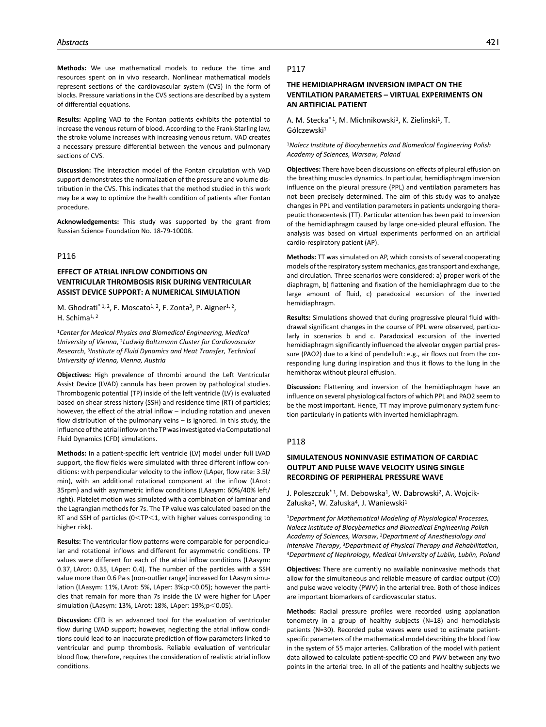**Methods:** We use mathematical models to reduce the time and resources spent on in vivo research. Nonlinear mathematical models represent sections of the cardiovascular system (CVS) in the form of blocks. Pressure variations in the CVS sections are described by a system of differential equations.

**Results:** Appling VAD to the Fontan patients exhibits the potential to increase the venous return of blood. According to the Frank-Starling law, the stroke volume increases with increasing venous return. VAD creates a necessary pressure differential between the venous and pulmonary sections of CVS.

**Discussion:** The interaction model of the Fontan circulation with VAD support demonstrates the normalization of the pressure and volume distribution in the CVS. This indicates that the method studied in this work may be a way to optimize the health condition of patients after Fontan procedure.

**Acknowledgements:** This study was supported by the grant from Russian Science Foundation No. 18-79-10008.

### P116

# **EFFECT OF ATRIAL INFLOW CONDITIONS ON VENTRICULAR THROMBOSIS RISK DURING VENTRICULAR ASSIST DEVICE SUPPORT: A NUMERICAL SIMULATION**

M. Ghodrati<sup>\* 1, 2</sup>, F. Moscato<sup>1, 2</sup>, F. Zonta<sup>3</sup>, P. Aigner<sup>1, 2</sup>, H. Schima<sup>1, 2</sup>

<sup>1</sup>*Center for Medical Physics and Biomedical Engineering, Medical University of Vienna*, 2*Ludwig Boltzmann Cluster for Cardiovascular Research*, 3*Institute of Fluid Dynamics and Heat Transfer, Technical University of Vienna, Vienna, Austria*

**Objectives:** High prevalence of thrombi around the Left Ventricular Assist Device (LVAD) cannula has been proven by pathological studies. Thrombogenic potential (TP) inside of the left ventricle (LV) is evaluated based on shear stress history (SSH) and residence time (RT) of particles; however, the effect of the atrial inflow – including rotation and uneven flow distribution of the pulmonary veins – is ignored. In this study, the influence of the atrial inflow on the TP was investigated via Computational Fluid Dynamics (CFD) simulations.

**Methods:** In a patient-specific left ventricle (LV) model under full LVAD support, the flow fields were simulated with three different inflow conditions: with perpendicular velocity to the inflow (LAper, flow rate: 3.5l/ min), with an additional rotational component at the inflow (LArot: 35rpm) and with asymmetric inflow conditions (LAasym: 60%/40% left/ right). Platelet motion was simulated with a combination of laminar and the Lagrangian methods for 7s. The TP value was calculated based on the RT and SSH of particles (0<TP<1, with higher values corresponding to higher risk).

**Results:** The ventricular flow patterns were comparable for perpendicular and rotational inflows and different for asymmetric conditions. TP values were different for each of the atrial inflow conditions (LAasym: 0.37, LArot: 0.35, LAper: 0.4). The number of the particles with a SSH value more than 0.6 Pa·s (non-outlier range) increased for LAasym simulation (LAasym: 11%, LArot: 5%, LAper: 3%;p<0.05); however the particles that remain for more than 7s inside the LV were higher for LAper simulation (LAasym: 13%, LArot: 18%, LAper: 19%;p<0.05).

**Discussion:** CFD is an advanced tool for the evaluation of ventricular flow during LVAD support; however, neglecting the atrial inflow conditions could lead to an inaccurate prediction of flow parameters linked to ventricular and pump thrombosis. Reliable evaluation of ventricular blood flow, therefore, requires the consideration of realistic atrial inflow conditions.

### P117

# **THE HEMIDIAPHRAGM INVERSION IMPACT ON THE VENTILATION PARAMETERS – VIRTUAL EXPERIMENTS ON AN ARTIFICIAL PATIENT**

A. M. Stecka<sup>\* 1</sup>, M. Michnikowski<sup>1</sup>, K. Zielinski<sup>1</sup>, T. Gólczewski<sup>1</sup>

<sup>1</sup>*Nalecz Institute of Biocybernetics and Biomedical Engineering Polish Academy of Sciences, Warsaw, Poland*

**Objectives:** There have been discussions on effects of pleural effusion on the breathing muscles dynamics. In particular, hemidiaphragm inversion influence on the pleural pressure (PPL) and ventilation parameters has not been precisely determined. The aim of this study was to analyze changes in PPL and ventilation parameters in patients undergoing therapeutic thoracentesis (TT). Particular attention has been paid to inversion of the hemidiaphragm caused by large one-sided pleural effusion. The analysis was based on virtual experiments performed on an artificial cardio-respiratory patient (AP).

**Methods:** TT was simulated on AP, which consists of several cooperating models of the respiratory system mechanics, gas transport and exchange, and circulation. Three scenarios were considered: a) proper work of the diaphragm, b) flattening and fixation of the hemidiaphragm due to the large amount of fluid, c) paradoxical excursion of the inverted hemidiaphragm.

**Results:** Simulations showed that during progressive pleural fluid withdrawal significant changes in the course of PPL were observed, particularly in scenarios b and c. Paradoxical excursion of the inverted hemidiaphragm significantly influenced the alveolar oxygen partial pressure (PAO2) due to a kind of pendelluft: e.g., air flows out from the corresponding lung during inspiration and thus it flows to the lung in the hemithorax without pleural effusion.

**Discussion:** Flattening and inversion of the hemidiaphragm have an influence on several physiological factors of which PPL and PAO2 seem to be the most important. Hence, TT may improve pulmonary system function particularly in patients with inverted hemidiaphragm.

### P118

# **SIMULATENOUS NONINVASIE ESTIMATION OF CARDIAC OUTPUT AND PULSE WAVE VELOCITY USING SINGLE RECORDING OF PERIPHERAL PRESSURE WAVE**

J. Poleszczuk<sup>\* 1</sup>, M. Debowska<sup>1</sup>, W. Dabrowski<sup>2</sup>, A. Wojcik-Załuska<sup>3</sup>, W. Załuska<sup>4</sup>, J. Waniewski<sup>1</sup>

<sup>1</sup>*Department for Mathematical Modeling of Physiological Processes, Nalecz Institute of Biocybernetics and Biomedical Engineering Polish Academy of Sciences, Warsaw*, 2*Department of Anesthesiology and Intensive Therapy*, 3*Department of Physical Therapy and Rehabilitation*, 4*Department of Nephrology, Medical University of Lublin, Lublin, Poland*

**Objectives:** There are currently no available noninvasive methods that allow for the simultaneous and reliable measure of cardiac output (CO) and pulse wave velocity (PWV) in the arterial tree. Both of those indices are important biomarkers of cardiovascular status.

**Methods:** Radial pressure profiles were recorded using applanation tonometry in a group of healthy subjects (N=18) and hemodialysis patients (N=30). Recorded pulse waves were used to estimate patientspecific parameters of the mathematical model describing the blood flow in the system of 55 major arteries. Calibration of the model with patient data allowed to calculate patient-specific CO and PWV between any two points in the arterial tree. In all of the patients and healthy subjects we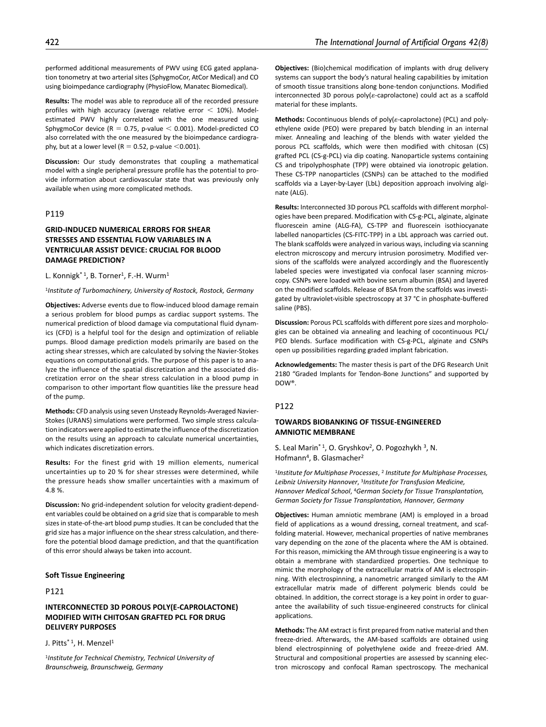performed additional measurements of PWV using ECG gated applanation tonometry at two arterial sites (SphygmoCor, AtCor Medical) and CO using bioimpedance cardiography (PhysioFlow, Manatec Biomedical).

**Results:** The model was able to reproduce all of the recorded pressure profiles with high accuracy (average relative error  $<$  10%). Modelestimated PWV highly correlated with the one measured using SphygmoCor device ( $R = 0.75$ , p-value  $\leq 0.001$ ). Model-predicted CO also correlated with the one measured by the bioimpedance cardiography, but at a lower level ( $R = 0.52$ , p-value <0.001).

**Discussion:** Our study demonstrates that coupling a mathematical model with a single peripheral pressure profile has the potential to provide information about cardiovascular state that was previously only available when using more complicated methods.

## P119

# **GRID-INDUCED NUMERICAL ERRORS FOR SHEAR STRESSES AND ESSENTIAL FLOW VARIABLES IN A VENTRICULAR ASSIST DEVICE: CRUCIAL FOR BLOOD DAMAGE PREDICTION?**

L. Konnigk<sup>\*1</sup>, B. Torner<sup>1</sup>, F.-H. Wurm<sup>1</sup>

#### <sup>1</sup>*Institute of Turbomachinery, University of Rostock, Rostock, Germany*

**Objectives:** Adverse events due to flow-induced blood damage remain a serious problem for blood pumps as cardiac support systems. The numerical prediction of blood damage via computational fluid dynamics (CFD) is a helpful tool for the design and optimization of reliable pumps. Blood damage prediction models primarily are based on the acting shear stresses, which are calculated by solving the Navier-Stokes equations on computational grids. The purpose of this paper is to analyze the influence of the spatial discretization and the associated discretization error on the shear stress calculation in a blood pump in comparison to other important flow quantities like the pressure head of the pump.

**Methods:** CFD analysis using seven Unsteady Reynolds-Averaged Navier-Stokes (URANS) simulations were performed. Two simple stress calculation indicators were applied to estimate the influence of the discretization on the results using an approach to calculate numerical uncertainties, which indicates discretization errors.

**Results:** For the finest grid with 19 million elements, numerical uncertainties up to 20 % for shear stresses were determined, while the pressure heads show smaller uncertainties with a maximum of 4.8 %.

**Discussion:** No grid-independent solution for velocity gradient-dependent variables could be obtained on a grid size that is comparable to mesh sizes in state-of-the-art blood pump studies. It can be concluded that the grid size has a major influence on the shear stress calculation, and therefore the potential blood damage prediction, and that the quantification of this error should always be taken into account.

### **Soft Tissue Engineering**

# P121

# **INTERCONNECTED 3D POROUS POLY(Ε-CAPROLACTONE) MODIFIED WITH CHITOSAN GRAFTED PCL FOR DRUG DELIVERY PURPOSES**

J. Pitts<sup>\* 1</sup>, H. Menzel<sup>1</sup>

<sup>1</sup>*Institute for Technical Chemistry, Technical University of Braunschweig, Braunschweig, Germany*

**Objectives:** (Bio)chemical modification of implants with drug delivery systems can support the body's natural healing capabilities by imitation of smooth tissue transitions along bone-tendon conjunctions. Modified interconnected 3D porous poly(ε-caprolactone) could act as a scaffold material for these implants.

**Methods:** Cocontinuous blends of poly(ε-caprolactone) (PCL) and polyethylene oxide (PEO) were prepared by batch blending in an internal mixer. Annealing and leaching of the blends with water yielded the porous PCL scaffolds, which were then modified with chitosan (CS) grafted PCL (CS-g-PCL) via dip coating. Nanoparticle systems containing CS and tripolyphosphate (TPP) were obtained via ionotropic gelation. These CS-TPP nanoparticles (CSNPs) can be attached to the modified scaffolds via a Layer-by-Layer (LbL) deposition approach involving alginate (ALG).

**Results:** Interconnected 3D porous PCL scaffolds with different morphologies have been prepared. Modification with CS-g-PCL, alginate, alginate fluorescein amine (ALG-FA), CS-TPP and fluorescein isothiocyanate labelled nanoparticles (CS-FITC-TPP) in a LbL approach was carried out. The blank scaffolds were analyzed in various ways, including via scanning electron microscopy and mercury intrusion porosimetry. Modified versions of the scaffolds were analyzed accordingly and the fluorescently labeled species were investigated via confocal laser scanning microscopy. CSNPs were loaded with bovine serum albumin (BSA) and layered on the modified scaffolds. Release of BSA from the scaffolds was investigated by ultraviolet-visible spectroscopy at 37 °C in phosphate-buffered saline (PBS).

**Discussion:** Porous PCL scaffolds with different pore sizes and morphologies can be obtained via annealing and leaching of cocontinuous PCL/ PEO blends. Surface modification with CS-g-PCL, alginate and CSNPs open up possibilities regarding graded implant fabrication.

**Acknowledgements:** The master thesis is part of the DFG Research Unit 2180 "Graded Implants for Tendon-Bone Junctions" and supported by DOW®.

## **P122**

# **TOWARDS BIOBANKING OF TISSUE-ENGINEERED AMNIOTIC MEMBRANE**

S. Leal Marin<sup>\* 1</sup>, O. Gryshkov<sup>2</sup>, O. Pogozhykh<sup>3</sup>, N. Hofmann4, B. Glasmacher2

<sup>1</sup>*Institute for Multiphase Processes*, 2 *Institute for Multiphase Processes, Leibniz University Hannover*, 3*Institute for Transfusion Medicine, Hannover Medical School*, 4*German Society for Tissue Transplantation, German Society for Tissue Transplantation, Hannover, Germany*

**Objectives:** Human amniotic membrane (AM) is employed in a broad field of applications as a wound dressing, corneal treatment, and scaffolding material. However, mechanical properties of native membranes vary depending on the zone of the placenta where the AM is obtained. For this reason, mimicking the AM through tissue engineering is a way to obtain a membrane with standardized properties. One technique to mimic the morphology of the extracellular matrix of AM is electrospinning. With electrospinning, a nanometric arranged similarly to the AM extracellular matrix made of different polymeric blends could be obtained. In addition, the correct storage is a key point in order to guarantee the availability of such tissue-engineered constructs for clinical applications.

**Methods:** The AM extract is first prepared from native material and then freeze-dried. Afterwards, the AM-based scaffolds are obtained using blend electrospinning of polyethylene oxide and freeze-dried AM. Structural and compositional properties are assessed by scanning electron microscopy and confocal Raman spectroscopy. The mechanical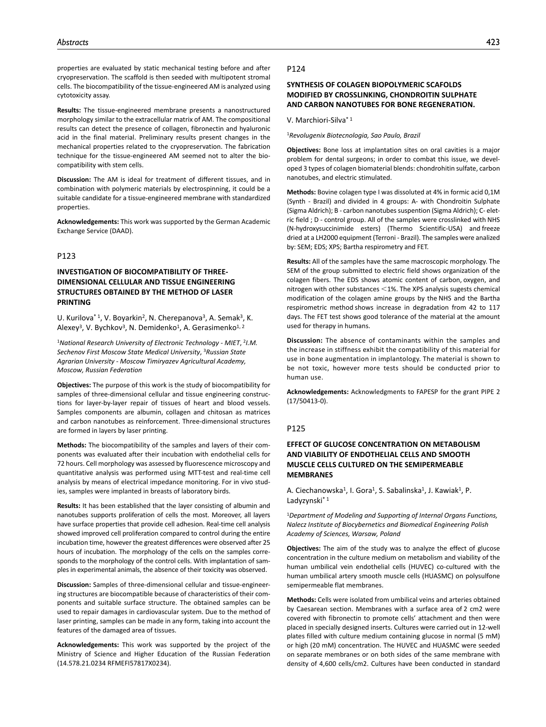properties are evaluated by static mechanical testing before and after cryopreservation. The scaffold is then seeded with multipotent stromal cells. The biocompatibility of the tissue-engineered AM is analyzed using cytotoxicity assay.

**Results:** The tissue-engineered membrane presents a nanostructured morphology similar to the extracellular matrix of AM. The compositional results can detect the presence of collagen, fibronectin and hyaluronic acid in the final material. Preliminary results present changes in the mechanical properties related to the cryopreservation. The fabrication technique for the tissue-engineered AM seemed not to alter the biocompatibility with stem cells.

**Discussion:** The AM is ideal for treatment of different tissues, and in combination with polymeric materials by electrospinning, it could be a suitable candidate for a tissue-engineered membrane with standardized properties.

**Acknowledgements:** This work was supported by the German Academic Exchange Service (DAAD).

## P123

# **INVESTIGATION OF BIOCOMPATIBILITY OF THREE-DIMENSIONAL CELLULAR AND TISSUE ENGINEERING STRUCTURES OBTAINED BY THE METHOD OF LASER PRINTING**

U. Kurilova<sup>\* 1</sup>, V. Boyarkin<sup>2</sup>, N. Cherepanova<sup>3</sup>, A. Semak<sup>3</sup>, K. Alexey<sup>3</sup>, V. Bychkov<sup>3</sup>, N. Demidenko<sup>1</sup>, A. Gerasimenko<sup>1, 2</sup>

<sup>1</sup>*National Research University of Electronic Technology - MIET*, 2*I.M. Sechenov First Moscow State Medical University*, 3*Russian State Agrarian University - Moscow Timiryazev Agricultural Academy, Moscow, Russian Federation*

**Objectives:** The purpose of this work is the study of biocompatibility for samples of three-dimensional cellular and tissue engineering constructions for layer-by-layer repair of tissues of heart and blood vessels. Samples components are albumin, collagen and chitosan as matrices and carbon nanotubes as reinforcement. Three-dimensional structures are formed in layers by laser printing.

**Methods:** The biocompatibility of the samples and layers of their components was evaluated after their incubation with endothelial cells for 72 hours. Cell morphology was assessed by fluorescence microscopy and quantitative analysis was performed using MTT-test and real-time cell analysis by means of electrical impedance monitoring. For in vivo studies, samples were implanted in breasts of laboratory birds.

**Results:** It has been established that the layer consisting of albumin and nanotubes supports proliferation of cells the most. Moreover, all layers have surface properties that provide cell adhesion. Real-time cell analysis showed improved cell proliferation compared to control during the entire incubation time, however the greatest differences were observed after 25 hours of incubation. The morphology of the cells on the samples corresponds to the morphology of the control cells. With implantation of samples in experimental animals, the absence of their toxicity was observed.

**Discussion:** Samples of three-dimensional cellular and tissue-engineering structures are biocompatible because of characteristics of their components and suitable surface structure. The obtained samples can be used to repair damages in cardiovascular system. Due to the method of laser printing, samples can be made in any form, taking into account the features of the damaged area of tissues.

**Acknowledgements:** This work was supported by the project of the Ministry of Science and Higher Education of the Russian Federation (14.578.21.0234 RFMEFI57817X0234).

### P124

# **SYNTHESIS OF COLAGEN BIOPOLYMERIC SCAFOLDS MODIFIED BY CROSSLINKING, CHONDROITIN SULPHATE AND CARBON NANOTUBES FOR BONE REGENERATION.**

## V. Marchiori-Silva\* 1

<sup>1</sup>*Revolugenix Biotecnologia, Sao Paulo, Brazil*

**Objectives:** Bone loss at implantation sites on oral cavities is a major problem for dental surgeons; in order to combat this issue, we developed 3 types of colagen biomaterial blends: chondrohitin sulfate, carbon nanotubes, and electric stimulated.

**Methods:** Bovine colagen type I was dissoluted at 4% in formic acid 0,1M (Synth - Brazil) and divided in 4 groups: A- with Chondroitin Sulphate (Sigma Aldrich); B - carbon nanotubes suspention (Sigma Aldrich); C- eletric field ; D - control group. All of the samples were crosslinked with NHS (N-hydroxysuccinimide esters) (Thermo Scientific-USA) and freeze dried at a LH2000 equipment (Terroni - Brazil). The samples were analized by: SEM; EDS; XPS; Bartha respirometry and FET.

**Results:** All of the samples have the same macroscopic morphology. The SEM of the group submitted to electric field shows organization of the colagen fibers. The EDS shows atomic content of carbon, oxygen, and nitrogen with other substances <1%. The XPS analysis sugests chemical modification of the colagen amine groups by the NHS and the Bartha respirometric method shows increase in degradation from 42 to 117 days. The FET test shows good tolerance of the material at the amount used for therapy in humans.

**Discussion:** The absence of contaminants within the samples and the increase in stiffness exhibit the compatibility of this material for use in bone augmentation in implantology. The material is shown to be not toxic, however more tests should be conducted prior to human use.

**Acknowledgements:** Acknowledgments to FAPESP for the grant PIPE 2 (17/50413-0).

### P125

# **EFFECT OF GLUCOSE CONCENTRATION ON METABOLISM AND VIABILITY OF ENDOTHELIAL CELLS AND SMOOTH MUSCLE CELLS CULTURED ON THE SEMIPERMEABLE MEMBRANES**

A. Ciechanowska<sup>1</sup>, I. Gora<sup>1</sup>, S. Sabalinska<sup>1</sup>, J. Kawiak<sup>1</sup>, P. Ladyzynski<sup>\* 1</sup>

<sup>1</sup>*Department of Modeling and Supporting of Internal Organs Functions, Nalecz Institute of Biocybernetics and Biomedical Engineering Polish Academy of Sciences, Warsaw, Poland*

**Objectives:** The aim of the study was to analyze the effect of glucose concentration in the culture medium on metabolism and viability of the human umbilical vein endothelial cells (HUVEC) co-cultured with the human umbilical artery smooth muscle cells (HUASMC) on polysulfone semipermeable flat membranes.

**Methods:** Cells were isolated from umbilical veins and arteries obtained by Caesarean section. Membranes with a surface area of 2 cm2 were covered with fibronectin to promote cells' attachment and then were placed in specially designed inserts. Cultures were carried out in 12-well plates filled with culture medium containing glucose in normal (5 mM) or high (20 mM) concentration. The HUVEC and HUASMC were seeded on separate membranes or on both sides of the same membrane with density of 4,600 cells/cm2. Cultures have been conducted in standard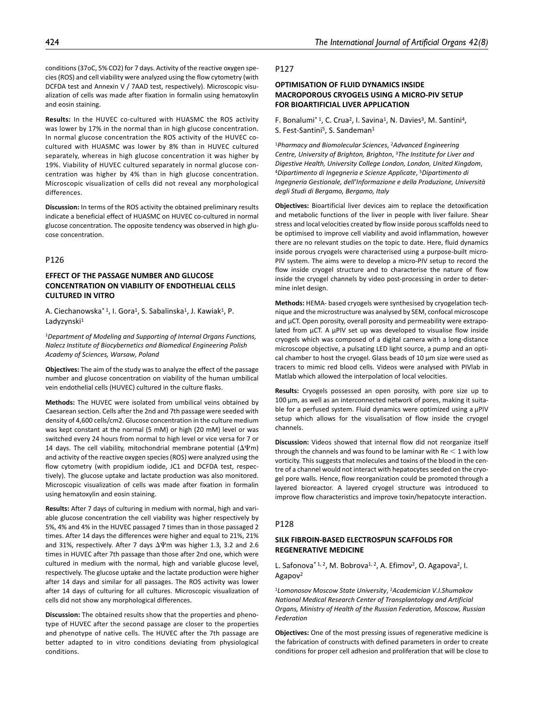conditions (37oC, 5% CO2) for 7 days. Activity of the reactive oxygen species (ROS) and cell viability were analyzed using the flow cytometry (with DCFDA test and Annexin V / 7AAD test, respectively). Microscopic visualization of cells was made after fixation in formalin using hematoxylin and eosin staining.

**Results:** In the HUVEC co-cultured with HUASMC the ROS activity was lower by 17% in the normal than in high glucose concentration. In normal glucose concentration the ROS activity of the HUVEC cocultured with HUASMC was lower by 8% than in HUVEC cultured separately, whereas in high glucose concentration it was higher by 19%. Viability of HUVEC cultured separately in normal glucose concentration was higher by 4% than in high glucose concentration. Microscopic visualization of cells did not reveal any morphological differences.

**Discussion:** In terms of the ROS activity the obtained preliminary results indicate a beneficial effect of HUASMC on HUVEC co-cultured in normal glucose concentration. The opposite tendency was observed in high glucose concentration.

# P126

# **EFFECT OF THE PASSAGE NUMBER AND GLUCOSE CONCENTRATION ON VIABILITY OF ENDOTHELIAL CELLS CULTURED IN VITRO**

A. Ciechanowska<sup>\* 1</sup>, I. Gora<sup>1</sup>, S. Sabalinska<sup>1</sup>, J. Kawiak<sup>1</sup>, P. Ladyzynski<sup>1</sup>

<sup>1</sup>*Department of Modeling and Supporting of Internal Organs Functions, Nalecz Institute of Biocybernetics and Biomedical Engineering Polish Academy of Sciences, Warsaw, Poland*

**Objectives:** The aim of the study was to analyze the effect of the passage number and glucose concentration on viability of the human umbilical vein endothelial cells (HUVEC) cultured in the culture flasks.

**Methods:** The HUVEC were isolated from umbilical veins obtained by Caesarean section. Cells after the 2nd and 7th passage were seeded with density of 4,600 cells/cm2. Glucose concentration in the culture medium was kept constant at the normal (5 mM) or high (20 mM) level or was switched every 24 hours from normal to high level or vice versa for 7 or 14 days. The cell viability, mitochondrial membrane potential  $(\Delta \Psi m)$ and activity of the reactive oxygen species (ROS) were analyzed using the flow cytometry (with propidium iodide, JC1 and DCFDA test, respectively). The glucose uptake and lactate production was also monitored. Microscopic visualization of cells was made after fixation in formalin using hematoxylin and eosin staining.

**Results:** After 7 days of culturing in medium with normal, high and variable glucose concentration the cell viability was higher respectively by 5%, 4% and 4% in the HUVEC passaged 7 times than in those passaged 2 times. After 14 days the differences were higher and equal to 21%, 21% and 31%, respectively. After 7 days ΔΨm was higher 1.3, 3.2 and 2.6 times in HUVEC after 7th passage than those after 2nd one, which were cultured in medium with the normal, high and variable glucose level, respectively. The glucose uptake and the lactate production were higher after 14 days and similar for all passages. The ROS activity was lower after 14 days of culturing for all cultures. Microscopic visualization of cells did not show any morphological differences.

**Discussion:** The obtained results show that the properties and phenotype of HUVEC after the second passage are closer to the properties and phenotype of native cells. The HUVEC after the 7th passage are better adapted to in vitro conditions deviating from physiological conditions.

## P127

# **OPTIMISATION OF FLUID DYNAMICS INSIDE MACROPOROUS CRYOGELS USING A ΜICRO-PIV SETUP FOR BIOARTIFICIAL LIVER APPLICATION**

F. Bonalumi<sup>\* 1</sup>, C. Crua<sup>2</sup>, I. Savina<sup>1</sup>, N. Davies<sup>3</sup>, M. Santini<sup>4</sup>, S. Fest-Santini<sup>5</sup>, S. Sandeman<sup>1</sup>

<sup>1</sup>*Pharmacy and Biomolecular Sciences*, 2*Advanced Engineering Centre, University of Brighton, Brighton*, 3*The Institute for Liver and Digestive Health, University College London, London, United Kingdom*, 4*Dipartimento di Ingegneria e Scienze Applicate*, 5*Dipartimento di Ingegneria Gestionale, dell'Informazione e della Produzione, Università degli Studi di Bergamo, Bergamo, Italy*

**Objectives:** Bioartificial liver devices aim to replace the detoxification and metabolic functions of the liver in people with liver failure. Shear stress and local velocities created by flow inside porous scaffolds need to be optimised to improve cell viability and avoid inflammation, however there are no relevant studies on the topic to date. Here, fluid dynamics inside porous cryogels were characterised using a purpose-built micro-PIV system. The aims were to develop a micro-PIV setup to record the flow inside cryogel structure and to characterise the nature of flow inside the cryogel channels by video post-processing in order to determine inlet design.

**Methods:** HEMA- based cryogels were synthesised by cryogelation technique and the microstructure was analysed by SEM, confocal microscope and µCT. Open porosity, overall porosity and permeability were extrapolated from  $\mu$ CT. A  $\mu$ PIV set up was developed to visualise flow inside cryogels which was composed of a digital camera with a long-distance microscope objective, a pulsating LED light source, a pump and an optical chamber to host the cryogel. Glass beads of 10 µm size were used as tracers to mimic red blood cells. Videos were analysed with PIVlab in Matlab which allowed the interpolation of local velocities.

**Results:** Cryogels possessed an open porosity, with pore size up to 100 µm, as well as an interconnected network of pores, making it suitable for a perfused system. Fluid dynamics were optimized using a  $\mu$ PIV setup which allows for the visualisation of flow inside the cryogel channels.

**Discussion:** Videos showed that internal flow did not reorganize itself through the channels and was found to be laminar with  $Re < 1$  with low vorticity. This suggests that molecules and toxins of the blood in the centre of a channel would not interact with hepatocytes seeded on the cryogel pore walls. Hence, flow reorganization could be promoted through a layered bioreactor. A layered cryogel structure was introduced to improve flow characteristics and improve toxin/hepatocyte interaction.

### P128

# **SILK FIBROIN-BASED ELECTROSPUN SCAFFOLDS FOR REGENERATIVE MEDICINE**

L. Safonova<sup>\* 1, 2</sup>, M. Bobrova<sup>1, 2</sup>, A. Efimov<sup>2</sup>, O. Agapova<sup>2</sup>, I. Agapov<sup>2</sup>

<sup>1</sup>*Lomonosov Moscow State University*, 2*Academician V.I.Shumakov National Medical Research Center of Transplantology and Artificial Organs, Ministry of Health of the Russian Federation, Moscow, Russian Federation*

**Objectives:** One of the most pressing issues of regenerative medicine is the fabrication of constructs with defined parameters in order to create conditions for proper cell adhesion and proliferation that will be close to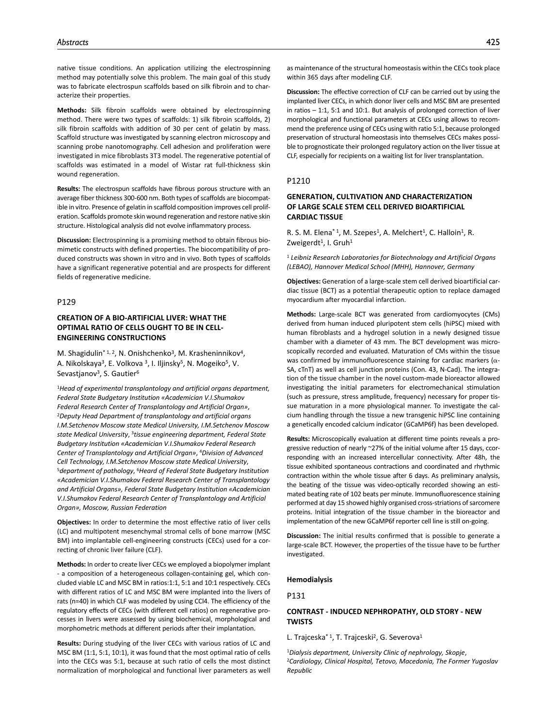native tissue conditions. An application utilizing the electrospinning method may potentially solve this problem. The main goal of this study was to fabricate electrospun scaffolds based on silk fibroin and to characterize their properties.

**Methods:** Silk fibroin scaffolds were obtained by electrospinning method. There were two types of scaffolds: 1) silk fibroin scaffolds, 2) silk fibroin scaffolds with addition of 30 per cent of gelatin by mass. Scaffold structure was investigated by scanning electron microscopy and scanning probe nanotomography. Cell adhesion and proliferation were investigated in mice fibroblasts 3T3 model. The regenerative potential of scaffolds was estimated in a model of Wistar rat full-thickness skin wound regeneration.

**Results:** The electrospun scaffolds have fibrous porous structure with an average fiber thickness 300-600 nm. Both types of scaffolds are biocompatible in vitro. Presence of gelatin in scaffold composition improves cell proliferation. Scaffolds promote skin wound regeneration and restore native skin structure. Histological analysis did not evolve inflammatory process.

**Discussion:** Electrospinning is a promising method to obtain fibrous biomimetic constructs with defined properties. The biocompatibility of produced constructs was shown in vitro and in vivo. Both types of scaffolds have a significant regenerative potential and are prospects for different fields of regenerative medicine.

### P129

## **CREATION OF A BIO-ARTIFICIAL LIVER: WHAT THE OPTIMAL RATIO OF CELLS OUGHT TO BE IN CELL-ENGINEERING CONSTRUCTIONS**

M. Shagidulin<sup>\* 1, 2</sup>, N. Onishchenko<sup>3</sup>, M. Krasheninnikov<sup>4</sup>, A. Nikolskaya<sup>3</sup>, E. Volkova<sup>3</sup>, I. Iljinsky<sup>5</sup>, N. Mogeiko<sup>5</sup>, V. Sevastianov<sup>3</sup>, S. Gautier<sup>6</sup>

<sup>1</sup>*Head of experimental transplantology and artificial organs department, Federal State Budgetary Institution «Academician V.I.Shumakov Federal Research Center of Transplantology and Artificial Organ»,* 2*Deputy Head Department of transplantology and artificial organs I.M.Setchenov Moscow state Medical University, I.M.Setchenov Moscow state Medical University*, 3*tissue engineering department, Federal State Budgetary Institution «Academician V.I.Shumakov Federal Research Center of Transplantology and Artificial Organ»*, 4*Division of Advanced Cell Technology, I.M.Setchenov Moscow state Medical University,*<br><sup>5</sup>department of pathology, <sup>6</sup>Heard of Federal State Budgetary Institution *«Academician V.I.Shumakov Federal Research Center of Transplantology and Artificial Organs», Federal State Budgetary Institution «Academician V.I.Shumakov Federal Research Center of Transplantology and Artificial Organ», Moscow, Russian Federation*

**Objectives:** In order to determine the most effective ratio of liver cells (LC) and multipotent mesenchymal stromal cells of bone marrow (MSC BM) into implantable cell-engineering constructs (CECs) used for a correcting of chronic liver failure (CLF).

**Methods:** In order to create liver CECs we employed a biopolymer implant - a composition of a heterogeneous collagen-containing gel, which concluded viable LC and MSC BM in ratios:1:1, 5:1 and 10:1 respectively. CECs with different ratios of LC and MSC BM were implanted into the livers of rats (n=40) in which CLF was modeled by using CCl4. The efficiency of the regulatory effects of CECs (with different cell ratios) on regenerative processes in livers were assessed by using biochemical, morphological and morphometric methods at different periods after their implantation.

**Results:** During studying of the liver CECs with various ratios of LC and MSC BM (1:1, 5:1, 10:1), it was found that the most optimal ratio of cells into the CECs was 5:1, because at such ratio of cells the most distinct normalization of morphological and functional liver parameters as well

**Discussion:** The effective correction of CLF can be carried out by using the implanted liver CECs, in which donor liver cells and MSC BM are presented in ratios – 1:1, 5:1 and 10:1. But analysis of prolonged correction of liver morphological and functional parameters at CECs using allows to recommend the preference using of CECs using with ratio 5:1, because prolonged preservation of structural homeostasis into themselves CECs makes possible to prognosticate their prolonged regulatory action on the liver tissue at CLF, especially for recipients on a waiting list for liver transplantation.

### P1210

## **GENERATION, CULTIVATION AND CHARACTERIZATION OF LARGE SCALE STEM CELL DERIVED BIOARTIFICIAL CARDIAC TISSUE**

R. S. M. Elena<sup>\* 1</sup>, M. Szepes<sup>1</sup>, A. Melchert<sup>1</sup>, C. Halloin<sup>1</sup>, R. Zweigerdt<sup>1</sup>, I. Gruh<sup>1</sup>

<sup>1</sup> *Leibniz Research Laboratories for Biotechnology and Artificial Organs (LEBAO), Hannover Medical School (MHH), Hannover, Germany*

**Objectives:** Generation of a large-scale stem cell derived bioartificial cardiac tissue (BCT) as a potential therapeutic option to replace damaged myocardium after myocardial infarction.

**Methods:** Large-scale BCT was generated from cardiomyocytes (CMs) derived from human induced pluripotent stem cells (hiPSC) mixed with human fibroblasts and a hydrogel solution in a newly designed tissue chamber with a diameter of 43 mm. The BCT development was microscopically recorded and evaluated. Maturation of CMs within the tissue was confirmed by immunofluorescence staining for cardiac markers (α-SA, cTnT) as well as cell junction proteins (Con. 43, N-Cad). The integration of the tissue chamber in the novel custom-made bioreactor allowed investigating the initial parameters for electromechanical stimulation (such as pressure, stress amplitude, frequency) necessary for proper tissue maturation in a more physiological manner. To investigate the calcium handling through the tissue a new transgenic hiPSC line containing a genetically encoded calcium indicator (GCaMP6f) has been developed.

**Results:** Microscopically evaluation at different time points reveals a progressive reduction of nearly ~27% of the initial volume after 15 days, ccorresponding with an increased intercellular connectivity. After 48h, the tissue exhibited spontaneous contractions and coordinated and rhythmic contraction within the whole tissue after 6 days. As preliminary analysis, the beating of the tissue was video-optically recorded showing an estimated beating rate of 102 beats per minute. Immunofluorescence staining performed at day 15 showed highly organised cross-striations of sarcomere proteins. Initial integration of the tissue chamber in the bioreactor and implementation of the new GCaMP6f reporter cell line is still on-going.

**Discussion:** The initial results confirmed that is possible to generate a large-scale BCT. However, the properties of the tissue have to be further investigated.

### **Hemodialysis**

P131

## **CONTRAST - INDUCED NEPHROPATHY, OLD STORY - NEW TWISTS**

L. Trajceska<sup>\* 1</sup>, T. Trajceski<sup>2</sup>, G. Severova<sup>1</sup>

<sup>1</sup>*Dialysis department, University Clinic of nephrology, Skopje*, 2*Cardiology, Clinical Hospital, Tetovo, Macedonia, The Former Yugoslav Republic*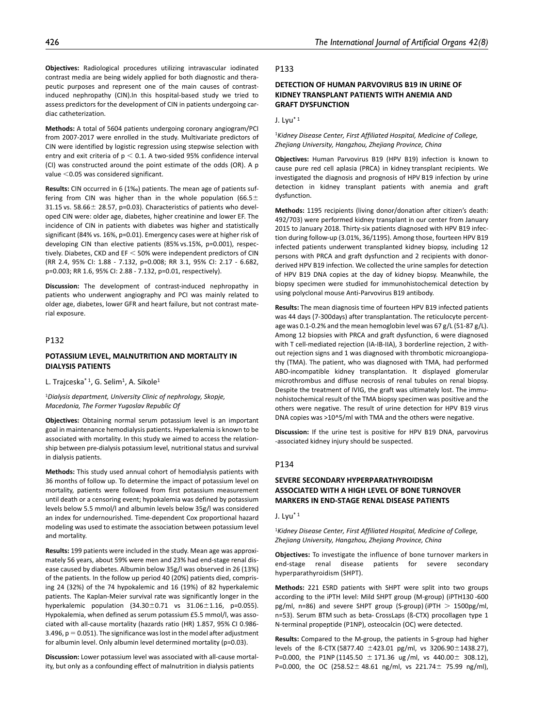**Objectives:** Radiological procedures utilizing intravascular iodinated contrast media are being widely applied for both diagnostic and therapeutic purposes and represent one of the main causes of contrastinduced nephropathy (CIN).In this hospital-based study we tried to assess predictors for the development of CIN in patients undergoing cardiac catheterization.

**Methods:** A total of 5604 patients undergoing coronary angiogram/PCI from 2007-2017 were enrolled in the study. Multivariate predictors of CIN were identified by logistic regression using stepwise selection with entry and exit criteria of  $p < 0.1$ . A two-sided 95% confidence interval (CI) was constructed around the point estimate of the odds (OR). A p value <0.05 was considered significant.

**Results:** CIN occurred in 6 (1‰) patients. The mean age of patients suffering from CIN was higher than in the whole population (66.5 $\pm$ 31.15 vs. 58.66± 28.57, p=0.03). Characteristics of patients who developed CIN were: older age, diabetes, higher creatinine and lower EF. The incidence of CIN in patients with diabetes was higher and statistically significant (84% vs. 16%, p=0.01). Emergency cases were at higher risk of developing CIN than elective patients (85% vs.15%, p=0.001), respectively. Diabetes, CKD and EF < 50% were independent predictors of CIN (RR 2.4, 95% CI: 1.88 - 7.132, p=0.008; RR 3.1, 95% CI: 2.17 - 6.682, p=0.003; RR 1.6, 95% CI: 2.88 - 7.132, p=0.01, respectively).

**Discussion:** The development of contrast-induced nephropathy in patients who underwent angiography and PCI was mainly related to older age, diabetes, lower GFR and heart failure, but not contrast material exposure.

## P132

## **POTASSIUM LEVEL, MALNUTRITION AND MORTALITY IN DIALYSIS PATIENTS**

L. Trajceska<sup>\* 1</sup>, G. Selim<sup>1</sup>, A. Sikole<sup>1</sup>

<sup>1</sup>*Dialysis department, University Clinic of nephrology, Skopje, Macedonia, The Former Yugoslav Republic Of*

**Objectives:** Obtaining normal serum potassium level is an important goal in maintenance hemodialysis patients. Hyperkalemia is known to be associated with mortality. In this study we aimed to access the relationship between pre-dialysis potassium level, nutritional status and survival in dialysis patients.

**Methods:** This study used annual cohort of hemodialysis patients with 36 months of follow up. To determine the impact of potassium level on mortality, patients were followed from first potassium measurement until death or a censoring event; hypokalemia was defined by potassium levels below 5.5 mmol/l and albumin levels below 35g/l was considered an index for undernourished. Time-dependent Cox proportional hazard modeling was used to estimate the association between potassium level and mortality.

**Results:** 199 patients were included in the study. Mean age was approximately 56 years, about 59% were men and 23% had end-stage renal disease caused by diabetes. Albumin below 35g/l was observed in 26 (13%) of the patients. In the follow up period 40 (20%) patients died, comprising 24 (32%) of the 74 hypokalemic and 16 (19%) of 82 hyperkalemic patients. The Kaplan-Meier survival rate was significantly longer in the hyperkalemic population  $(34.30 \pm 0.71$  vs  $31.06 \pm 1.16$ , p=0.055). Hypokalemia, when defined as serum potassium £5.5 mmol/l, was associated with all-cause mortality (hazards ratio (HR) 1.857, 95% CI 0.986- 3.496,  $p = 0.051$ ). The significance was lost in the model after adjustment for albumin level. Only albumin level determined mortality (p=0.03).

**Discussion:** Lower potassium level was associated with all-cause mortality, but only as a confounding effect of malnutrition in dialysis patients

### P133

# **DETECTION OF HUMAN PARVOVIRUS B19 IN URINE OF KIDNEY TRANSPLANT PATIENTS WITH ANEMIA AND GRAFT DYSFUNCTION**

## J. Lyu\* 1

<sup>1</sup>*Kidney Disease Center, First Affiliated Hospital, Medicine of College, Zhejiang University, Hangzhou, Zhejiang Province, China*

**Objectives:** Human Parvovirus B19 (HPV B19) infection is known to cause pure red cell aplasia (PRCA) in kidney transplant recipients. We investigated the diagnosis and prognosis of HPV B19 infection by urine detection in kidney transplant patients with anemia and graft dysfunction.

**Methods:** 1195 recipients (living donor/donation after citizen's death: 492/703) were performed kidney transplant in our center from January 2015 to January 2018. Thirty-six patients diagnosed with HPV B19 infection during follow-up (3.01%, 36/1195). Among those, fourteen HPV B19 infected patients underwent transplanted kidney biopsy, including 12 persons with PRCA and graft dysfunction and 2 recipients with donorderived HPV B19 infection. We collected the urine samples for detection of HPV B19 DNA copies at the day of kidney biopsy. Meanwhile, the biopsy specimen were studied for immunohistochemical detection by using polyclonal mouse Anti-Parvovirus B19 antibody.

**Results:** The mean diagnosis time of fourteen HPV B19 infected patients was 44 days (7-300days) after transplantation. The reticulocyte percentage was 0.1-0.2% and the mean hemoglobin level was 67 g/L (51-87 g/L). Among 12 biopsies with PRCA and graft dysfunction, 6 were diagnosed with T cell-mediated rejection (IA-IB-IIA), 3 borderline rejection, 2 without rejection signs and 1 was diagnosed with thrombotic microangiopathy (TMA). The patient, who was diagnosed with TMA, had performed ABO-incompatible kidney transplantation. It displayed glomerular microthrombus and diffuse necrosis of renal tubules on renal biopsy. Despite the treatment of IVIG, the graft was ultimately lost. The immunohistochemical result of the TMA biopsy specimen was positive and the others were negative. The result of urine detection for HPV B19 virus DNA copies was >10^5/ml with TMA and the others were negative.

**Discussion:** If the urine test is positive for HPV B19 DNA, parvovirus -associated kidney injury should be suspected.

## P134

# **SEVERE SECONDARY HYPERPARATHYROIDISM ASSOCIATED WITH A HIGH LEVEL OF BONE TURNOVER MARKERS IN END-STAGE RENAL DISEASE PATIENTS**

J. Lyu $*$ <sup>1</sup>

<sup>1</sup>*Kidney Disease Center, First Affiliated Hospital, Medicine of College, Zhejiang University, Hangzhou, Zhejiang Province, China*

**Objectives:** To investigate the influence of bone turnover markers in end-stage renal disease patients for severe secondary hyperparathyroidism (SHPT).

**Methods:** 221 ESRD patients with SHPT were split into two groups according to the iPTH level: Mild SHPT group (M-group) (iPTH130 -600 pg/ml, n=86) and severe SHPT group (S-group) (iPTH  $> 1500$ pg/ml, n=53). Serum BTM such as beta- CrossLaps (ß-CTX) procollagen type 1 N-terminal propeptide (P1NP), osteocalcin (OC) were detected.

**Results:** Compared to the M-group, the patients in S-group had higher levels of the ß-CTX (5877.40 ±423.01 pg/ml, vs 3206.90±1438.27), P=0.000, the P1NP (1145.50 ± 171.36 ug /ml, vs 440.00± 308.12), P=0.000, the OC (258.52± 48.61 ng/ml, vs 221.74± 75.99 ng/ml),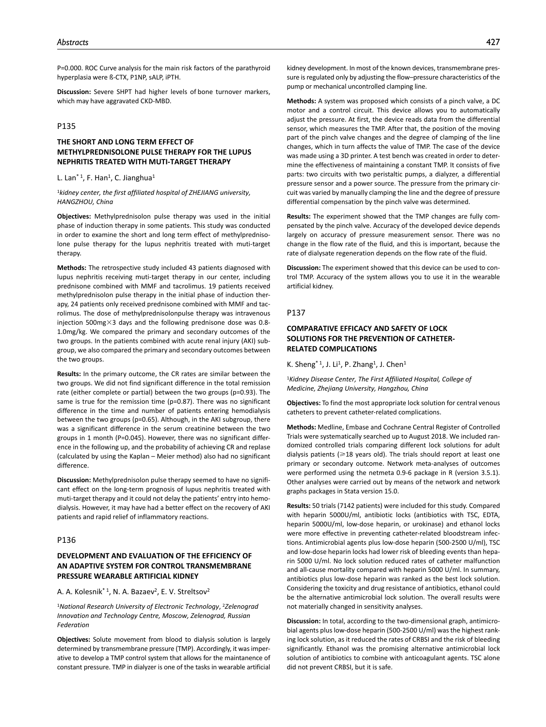P=0.000. ROC Curve analysis for the main risk factors of the parathyroid hyperplasia were ß-CTX, P1NP, sALP, iPTH.

**Discussion:** Severe SHPT had higher levels of bone turnover markers, which may have aggravated CKD-MBD.

## P135

# **THE SHORT AND LONG TERM EFFECT OF METHYLPREDNISOLONE PULSE THERAPY FOR THE LUPUS NEPHRITIS TREATED WITH MUTI-TARGET THERAPY**

### L. Lan<sup>\* 1</sup>, F. Han<sup>1</sup>, C. Jianghua<sup>1</sup>

<sup>1</sup>*kidney center, the first affiliated hospital of ZHEJIANG university, HANGZHOU, China*

**Objectives:** Methylprednisolon pulse therapy was used in the initial phase of induction therapy in some patients. This study was conducted in order to examine the short and long term effect of methylprednisolone pulse therapy for the lupus nephritis treated with muti-target therapy.

**Methods:** The retrospective study included 43 patients diagnosed with lupus nephritis receiving muti-target therapy in our center, including prednisone combined with MMF and tacrolimus. 19 patients received methylprednisolon pulse therapy in the initial phase of induction therapy, 24 patients only received prednisone combined with MMF and tacrolimus. The dose of methylprednisolonpulse therapy was intravenous injection 500mg $\times$ 3 days and the following prednisone dose was 0.8-1.0mg/kg. We compared the primary and secondary outcomes of the two groups. In the patients combined with acute renal injury (AKI) subgroup, we also compared the primary and secondary outcomes between the two groups.

**Results:** In the primary outcome, the CR rates are similar between the two groups. We did not find significant difference in the total remission rate (either complete or partial) between the two groups (p=0.93). The same is true for the remission time (p=0.87). There was no significant difference in the time and number of patients entering hemodialysis between the two groups (p=0.65). Although, in the AKI subgroup, there was a significant difference in the serum creatinine between the two groups in 1 month (P=0.045). However, there was no significant difference in the following up, and the probability of achieving CR and replase (calculated by using the Kaplan – Meier method) also had no significant difference.

**Discussion:** Methylprednisolon pulse therapy seemed to have no significant effect on the long-term prognosis of lupus nephritis treated with muti-target therapy and it could not delay the patients' entry into hemodialysis. However, it may have had a better effect on the recovery of AKI patients and rapid relief of inflammatory reactions.

### P136

# **DEVELOPMENT AND EVALUATION OF THE EFFICIENCY OF AN ADAPTIVE SYSTEM FOR CONTROL TRANSMEMBRANE PRESSURE WEARABLE ARTIFICIAL KIDNEY**

A. A. Kolesnik<sup>\* 1</sup>, N. A. Bazaev<sup>2</sup>, E. V. Streltsov<sup>2</sup>

<sup>1</sup>*National Research University of Electronic Technology*, 2*Zelenograd Innovation and Technology Centre, Moscow, Zelenograd, Russian Federation*

**Objectives:** Solute movement from blood to dialysis solution is largely determined by transmembrane pressure (TMP). Accordingly, it was imperative to develop a TMP control system that allows for the maintanence of constant pressure. TMP in dialyzer is one of the tasks in wearable artificial kidney development. In most of the known devices, transmembrane pressure is regulated only by adjusting the flow–pressure characteristics of the pump or mechanical uncontrolled clamping line.

**Methods:** A system was proposed which consists of a pinch valve, a DC motor and a control circuit. This device allows you to automatically adjust the pressure. At first, the device reads data from the differential sensor, which measures the TMP. After that, the position of the moving part of the pinch valve changes and the degree of сlamping of the line changes, which in turn affects the value of TMP. The case of the device was made using a 3D printer. A test bench was created in order to determine the effectiveness of maintaining a constant TMP. It consists of five parts: two circuits with two peristaltic pumps, a dialyzer, a differential pressure sensor and a power source. The pressure from the primary circuit was varied by manually clamping the line and the degree of pressure differential compensation by the pinch valve was determined.

**Results:** The experiment showed that the TMP changes are fully compensated by the pinch valve. Accuracy of the developed device depends largely on accuracy of pressure measurement sensor. There was no change in the flow rate of the fluid, and this is important, because the rate of dialysate regeneration depends on the flow rate of the fluid.

**Discussion:** The experiment showed that this device can be used to control TMP. Accuracy of the system allows you to use it in the wearable artificial kidney.

## P137

# **COMPARATIVE EFFICACY AND SAFETY OF LOCK SOLUTIONS FOR THE PREVENTION OF CATHETER-RELATED COMPLICATIONS**

K. Sheng<sup>\* 1</sup>, J. Li<sup>1</sup>, P. Zhang<sup>1</sup>, J. Chen<sup>1</sup>

<sup>1</sup>*Kidney Disease Center, The First Affiliated Hospital, College of Medicine, Zhejiang University, Hangzhou, China*

**Objectives:** To find the most appropriate lock solution for central venous catheters to prevent catheter-related complications.

**Methods:** Medline, Embase and Cochrane Central Register of Controlled Trials were systematically searched up to August 2018. We included randomized controlled trials comparing different lock solutions for adult dialysis patients ( $\geq 18$  years old). The trials should report at least one primary or secondary outcome. Network meta-analyses of outcomes were performed using the netmeta 0.9-6 package in R (version 3.5.1). Other analyses were carried out by means of the network and network graphs packages in Stata version 15.0.

**Results:** 50 trials (7142 patients) were included for this study. Compared with heparin 5000U/ml, antibiotic locks (antibiotics with TSC, EDTA, heparin 5000U/ml, low-dose heparin, or urokinase) and ethanol locks were more effective in preventing catheter-related bloodstream infections. Antimicrobial agents plus low-dose heparin (500-2500 U/ml), TSC and low-dose heparin locks had lower risk of bleeding events than heparin 5000 U/ml. No lock solution reduced rates of catheter malfunction and all-cause mortality compared with heparin 5000 U/ml. In summary, antibiotics plus low-dose heparin was ranked as the best lock solution. Considering the toxicity and drug resistance of antibiotics, ethanol could be the alternative antimicrobial lock solution. The overall results were not materially changed in sensitivity analyses.

**Discussion:** In total, according to the two-dimensional graph, antimicrobial agents plus low-dose heparin (500-2500 U/ml) was the highest ranking lock solution, as it reduced the rates of CRBSI and the risk of bleeding significantly. Ethanol was the promising alternative antimicrobial lock solution of antibiotics to combine with anticoagulant agents. TSC alone did not prevent CRBSI, but it is safe.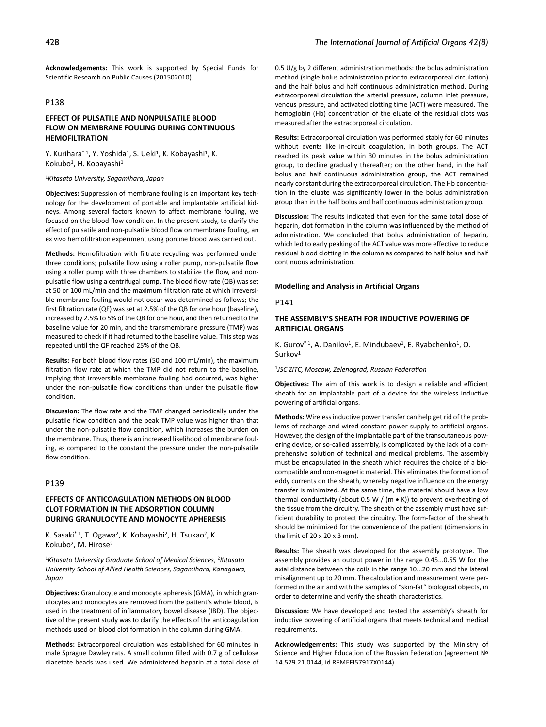**Acknowledgements:** This work is supported by Special Funds for Scientific Research on Public Causes (201502010).

# P138

## **EFFECT OF PULSATILE AND NONPULSATILE BLOOD FLOW ON MEMBRANE FOULING DURING CONTINUOUS HEMOFILTRATION**

Y. Kurihara\* <sup>1</sup>, Y. Yoshida<sup>1</sup>, S. Ueki<sup>1</sup>, K. Kobayashi<sup>1</sup>, K. Kokubo<sup>1</sup>, H. Kobayashi<sup>1</sup>

<sup>1</sup>*Kitasato University, Sagamihara, Japan*

**Objectives:** Suppression of membrane fouling is an important key technology for the development of portable and implantable artificial kidneys. Among several factors known to affect membrane fouling, we focused on the blood flow condition. In the present study, to clarify the effect of pulsatile and non-pulsatile blood flow on membrane fouling, an ex vivo hemofiltration experiment using porcine blood was carried out.

**Methods:** Hemofiltration with filtrate recycling was performed under three conditions; pulsatile flow using a roller pump, non-pulsatile flow using a roller pump with three chambers to stabilize the flow, and nonpulsatile flow using a centrifugal pump. The blood flow rate (QB) was set at 50 or 100 mL/min and the maximum filtration rate at which irreversible membrane fouling would not occur was determined as follows; the first filtration rate (QF) was set at 2.5% of the QB for one hour (baseline), increased by 2.5% to 5% of the QB for one hour, and then returned to the baseline value for 20 min, and the transmembrane pressure (TMP) was measured to check if it had returned to the baseline value. This step was repeated until the QF reached 25% of the QB.

**Results:** For both blood flow rates (50 and 100 mL/min), the maximum filtration flow rate at which the TMP did not return to the baseline, implying that irreversible membrane fouling had occurred, was higher under the non-pulsatile flow conditions than under the pulsatile flow condition.

**Discussion:** The flow rate and the TMP changed periodically under the pulsatile flow condition and the peak TMP value was higher than that under the non-pulsatile flow condition, which increases the burden on the membrane. Thus, there is an increased likelihood of membrane fouling, as compared to the constant the pressure under the non-pulsatile flow condition.

### P139

## **EFFECTS OF ANTICOAGULATION METHODS ON BLOOD CLOT FORMATION IN THE ADSORPTION COLUMN DURING GRANULOCYTE AND MONOCYTE APHERESIS**

K. Sasaki\* <sup>1</sup>, T. Ogawa<sup>2</sup>, K. Kobayashi<sup>2</sup>, H. Tsukao<sup>2</sup>, K. Kokubo2, M. Hirose2

<sup>1</sup>*Kitasato University Graduate School of Medical Sciences*, 2*Kitasato University School of Allied Health Sciences, Sagamihara, Kanagawa, Japan*

**Objectives:** Granulocyte and monocyte apheresis (GMA), in which granulocytes and monocytes are removed from the patient's whole blood, is used in the treatment of inflammatory bowel disease (IBD). The objective of the present study was to clarify the effects of the anticoagulation methods used on blood clot formation in the column during GMA.

**Methods:** Extracorporeal circulation was established for 60 minutes in male Sprague Dawley rats. A small column filled with 0.7 g of cellulose diacetate beads was used. We administered heparin at a total dose of 0.5 U/g by 2 different administration methods: the bolus administration method (single bolus administration prior to extracorporeal circulation) and the half bolus and half continuous administration method. During extracorporeal circulation the arterial pressure, column inlet pressure, venous pressure, and activated clotting time (ACT) were measured. The hemoglobin (Hb) concentration of the eluate of the residual clots was measured after the extracorporeal circulation.

**Results:** Extracorporeal circulation was performed stably for 60 minutes without events like in-circuit coagulation, in both groups. The ACT reached its peak value within 30 minutes in the bolus administration group, to decline gradually thereafter; on the other hand, in the half bolus and half continuous administration group, the ACT remained nearly constant during the extracorporeal circulation. The Hb concentration in the eluate was significantly lower in the bolus administration group than in the half bolus and half continuous administration group.

**Discussion:** The results indicated that even for the same total dose of heparin, clot formation in the column was influenced by the method of administration. We concluded that bolus administration of heparin, which led to early peaking of the ACT value was more effective to reduce residual blood clotting in the column as compared to half bolus and half continuous administration.

### **Modelling and Analysis in Artificial Organs**

## P141

## **THE ASSEMBLY'S SHEATH FOR INDUCTIVE POWERING OF ARTIFICIAL ORGANS**

K. Gurov<sup>\*1</sup>, A. Danilov<sup>1</sup>, E. Mindubaev<sup>1</sup>, E. Ryabchenko<sup>1</sup>, O. Surkov<sup>1</sup>

<sup>1</sup>*JSC ZITC, Moscow, Zelenograd, Russian Federation*

**Objectives:** The aim of this work is to design a reliable and efficient sheath for an implantable part of a device for the wireless inductive powering of artificial organs.

**Methods:** Wireless inductive power transfer can help get rid of the problems of recharge and wired constant power supply to artificial organs. However, the design of the implantable part of the transcutaneous powering device, or so-called assembly, is complicated by the lack of a comprehensive solution of technical and medical problems. The assembly must be encapsulated in the sheath which requires the choice of a biocompatible and non-magnetic material. This eliminates the formation of eddy currents on the sheath, whereby negative influence on the energy transfer is minimized. At the same time, the material should have a low thermal conductivity (about 0.5 W / (m  $\bullet$  K)) to prevent overheating of the tissue from the circuitry. The sheath of the assembly must have sufficient durability to protect the circuitry. The form-factor of the sheath should be minimized for the convenience of the patient (dimensions in the limit of 20 x 20 x 3 mm).

**Results:** The sheath was developed for the assembly prototype. The assembly provides an output power in the range 0.45...0.55 W for the axial distance between the coils in the range 10...20 mm and the lateral misalignment up to 20 mm. The calculation and measurement were performed in the air and with the samples of "skin-fat" biological objects, in order to determine and verify the sheath characteristics.

**Discussion:** We have developed and tested the assembly's sheath for inductive powering of artificial organs that meets technical and medical requirements.

**Acknowledgements:** This study was supported by the Ministry of Science and Higher Education of the Russian Federation (agreement № 14.579.21.0144, id RFMEFI57917X0144).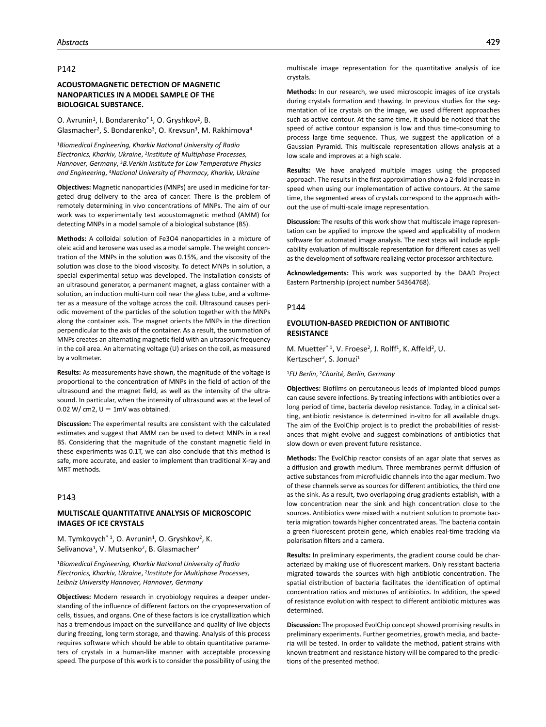# **ACOUSTOMAGNETIC DETECTION OF MAGNETIC NANOPARTICLES IN A MODEL SAMPLE OF THE BIOLOGICAL SUBSTANCE.**

O. Avrunin<sup>1</sup>, I. Bondarenko<sup>\* 1</sup>, O. Gryshkov<sup>2</sup>, B. Glasmacher<sup>2</sup>, S. Bondarenko<sup>3</sup>, O. Krevsun<sup>3</sup>, M. Rakhimova<sup>4</sup>

<sup>1</sup>*Biomedical Engineering, Kharkiv National University of Radio Electronics, Kharkiv, Ukraine*, 2*Institute of Multiphase Processes, Hannover, Germany*, 3*B.Verkin Institute for Low Temperature Physics and Engineering*, 4*National University of Pharmacy, Kharkiv, Ukraine*

**Objectives:** Magnetic nanoparticles (MNPs) are used in medicine for targeted drug delivery to the area of cancer. There is the problem of remotely determining in vivo concentrations of MNPs. The aim of our work was to experimentally test acoustomagnetic method (AMM) for detecting MNPs in a model sample of a biological substance (BS).

**Methods:** A colloidal solution of Fe3O4 nanoparticles in a mixture of oleic acid and kerosene was used as a model sample. The weight concentration of the MNPs in the solution was 0.15%, and the viscosity of the solution was close to the blood viscosity. To detect MNPs in solution, a special experimental setup was developed. The installation consists of an ultrasound generator, a permanent magnet, a glass container with a solution, an induction multi-turn coil near the glass tube, and a voltmeter as a measure of the voltage across the coil. Ultrasound causes periodic movement of the particles of the solution together with the MNPs along the container axis. The magnet orients the MNPs in the direction perpendicular to the axis of the container. As a result, the summation of MNPs creates an alternating magnetic field with an ultrasonic frequency in the coil area. An alternating voltage (U) arises on the coil, as measured by a voltmeter.

**Results:** As measurements have shown, the magnitude of the voltage is proportional to the concentration of MNPs in the field of action of the ultrasound and the magnet field, as well as the intensity of the ultrasound. In particular, when the intensity of ultrasound was at the level of 0.02 W/ cm2,  $U = 1$ mV was obtained.

**Discussion:** The experimental results are consistent with the calculated estimates and suggest that AMM can be used to detect MNPs in a real BS. Considering that the magnitude of the constant magnetic field in these experiments was 0.1T, we can also conclude that this method is safe, more accurate, and easier to implement than traditional X-ray and MRT methods.

## P143

### **MULTISCALE QUANTITATIVE ANALYSIS OF MICROSCOPIC IMAGES OF ICE CRYSTALS**

M. Tymkovych<sup>\* 1</sup>, O. Avrunin<sup>1</sup>, O. Gryshkov<sup>2</sup>, K. Selivanova<sup>1</sup>, V. Mutsenko<sup>2</sup>, B. Glasmacher<sup>2</sup>

<sup>1</sup>*Biomedical Engineering, Kharkiv National University of Radio Electronics, Kharkiv, Ukraine*, 2*Institute for Multiphase Processes, Leibniz University Hannover, Hannover, Germany*

**Objectives:** Modern research in cryobiology requires a deeper understanding of the influence of different factors on the cryopreservation of cells, tissues, and organs. One of these factors is ice crystallization which has a tremendous impact on the surveillance and quality of live objects during freezing, long term storage, and thawing. Analysis of this process requires software which should be able to obtain quantitative parameters of crystals in a human-like manner with acceptable processing speed. The purpose of this work is to consider the possibility of using the multiscale image representation for the quantitative analysis of ice crystals.

**Methods:** In our research, we used microscopic images of ice crystals during crystals formation and thawing. In previous studies for the segmentation of ice crystals on the image, we used different approaches such as active contour. At the same time, it should be noticed that the speed of active contour expansion is low and thus time-consuming to process large time sequence. Thus, we suggest the application of a Gaussian Pyramid. This multiscale representation allows analysis at a low scale and improves at a high scale.

**Results:** We have analyzed multiple images using the proposed approach. The results in the first approximation show a 2-fold increase in speed when using our implementation of active contours. At the same time, the segmented areas of crystals correspond to the approach without the use of multi-scale image representation.

**Discussion:** The results of this work show that multiscale image representation can be applied to improve the speed and applicability of modern software for automated image analysis. The next steps will include applicability evaluation of multiscale representation for different cases as well as the development of software realizing vector processor architecture.

**Acknowledgements:** This work was supported by the DAAD Project Eastern Partnership (project number 54364768).

#### P144

## **EVOLUTION-BASED PREDICTION OF ANTIBIOTIC RESISTANCE**

M. Muetter<sup>\*1</sup>, V. Froese<sup>2</sup>, J. Rolff<sup>1</sup>, K. Affeld<sup>2</sup>, U. Kertzscher<sup>2</sup>, S. Jonuzi<sup>1</sup>

<sup>1</sup>*FU Berlin*, 2*Charité, Berlin, Germany*

**Objectives:** Biofilms on percutaneous leads of implanted blood pumps can cause severe infections. By treating infections with antibiotics over a long period of time, bacteria develop resistance. Today, in a clinical setting, antibiotic resistance is determined in-vitro for all available drugs. The aim of the EvolChip project is to predict the probabilities of resistances that might evolve and suggest combinations of antibiotics that slow down or even prevent future resistance.

**Methods:** The EvolChip reactor consists of an agar plate that serves as a diffusion and growth medium. Three membranes permit diffusion of active substances from microfluidic channels into the agar medium. Two of these channels serve as sources for different antibiotics, the third one as the sink. As a result, two overlapping drug gradients establish, with a low concentration near the sink and high concentration close to the sources. Antibiotics were mixed with a nutrient solution to promote bacteria migration towards higher concentrated areas. The bacteria contain a green fluorescent protein gene, which enables real-time tracking via polarisation filters and a camera.

**Results:** In preliminary experiments, the gradient course could be characterized by making use of fluorescent markers. Only resistant bacteria migrated towards the sources with high antibiotic concentration. The spatial distribution of bacteria facilitates the identification of optimal concentration ratios and mixtures of antibiotics. In addition, the speed of resistance evolution with respect to different antibiotic mixtures was determined.

**Discussion:** The proposed EvolChip concept showed promising results in preliminary experiments. Further geometries, growth media, and bacteria will be tested. In order to validate the method, patient strains with known treatment and resistance history will be compared to the predictions of the presented method.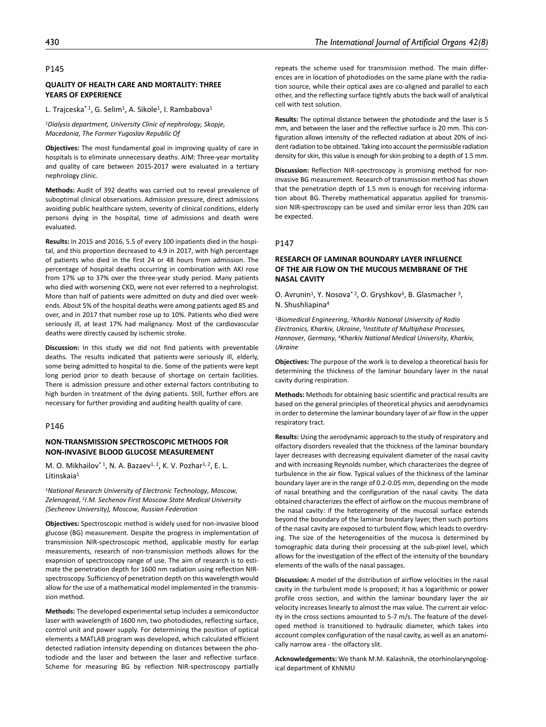### **QUALITY OF HEALTH CARE AND MORTALITY: THREE YEARS OF EXPERIENCE**

L. Trajceska<sup>\* 1</sup>, G. Selim<sup>1</sup>, A. Sikole<sup>1</sup>, I. Rambabova<sup>1</sup>

<sup>1</sup>*Dialysis department, University Clinic of nephrology, Skopje, Macedonia, The Former Yugoslav Republic Of*

**Objectives:** The most fundamental goal in improving quality of care in hospitals is to eliminate unnecessary deaths. AIM: Three-year mortality and quality of care between 2015-2017 were evaluated in a tertiary nephrology clinic.

**Methods:** Audit of 392 deaths was carried out to reveal prevalence of suboptimal clinical observations. Admission pressure, direct admissions avoiding public healthcare system, severity of clinical conditions, elderly persons dying in the hospital, time of admissions and death were evaluated.

**Results:** In 2015 and 2016, 5.5 of every 100 inpatients died in the hospital, and this proportion decreased to 4.9 in 2017, with high percentage of patients who died in the first 24 or 48 hours from admission. The percentage of hospital deaths occurring in combination with AKI rose from 17% up to 37% over the three-year study period. Many patients who died with worsening CKD, were not ever referred to a nephrologist. More than half of patients were admitted on duty and died over weekends. About 5% of the hospital deaths were among patients aged 85 and over, and in 2017 that number rose up to 10%. Patients who died were seriously ill, at least 17% had malignancy. Most of the cardiovascular deaths were directly caused by ischemic stroke.

**Discussion:** In this study we did not find patients with preventable deaths. The results indicated that patients were seriously ill, elderly, some being admitted to hospital to die. Some of the patients were kept long period prior to death because of shortage on certain facilities. There is admission pressure and other external factors contributing to high burden in treatment of the dying patients. Still, further effors are necessary for further providing and auditing health quality of care.

### P146

## **NON-TRANSMISSION SPECTROSCOPIC METHODS FOR NON-INVASIVE BLOOD GLUCOSE MEASUREMENT**

M. O. Mikhailov<sup>\* 1</sup>, N. A. Bazaev<sup>1, 2</sup>, K. V. Pozhar<sup>1, 2</sup>, E. L. Litinskaia1

<sup>1</sup>*National Research University of Electronic Technology, Moscow, Zelenograd*, 2*I.M. Sechenov First Moscow State Medical University (Sechenov University), Moscow, Russian Federation*

**Objectives:** Spectroscopic method is widely used for non-invasive blood glucose (BG) measurement. Despite the progress in implementation of transmission NIR-spectroscopic method, applicable mostly for earlap measurements, research of non-transmission methods allows for the exapnsion of spectroscopy range of use. The aim of research is to estimate the penetration depth for 1600 nm radiation using reflection NIRspectroscopy. Sufficiency of penetration depth on this wavelength would allow for the use of a mathematical model implemented in the transmission method.

**Methods:** The developed experimental setup includes a semiconductor laser with wavelength of 1600 nm, two photodiodes, reflecting surface, control unit and power supply. For determining the position of optical elements a MATLAB program was developed, which calculated efficient detected radiation intensity depending on distances between the photodiode and the laser and between the laser and reflective surface. Scheme for measuring BG by reflection NIR-spectroscopy partially

repeats the scheme used for transmission method. The main differences are in location of photodiodes on the same plane with the radiation source, while their optical axes are co-aligned and parallel to each other, and the reflecting surface tightly abuts the back wall of analytical cell with test solution.

**Results:** The optimal distance between the photodiode and the laser is 5 mm, and between the laser and the reflective surface is 20 mm. This configuration allows intensity of the reflected radiation at about 20% of incident radiation to be obtained. Taking into account the permissible radiation density for skin, this value is enough for skin probing to a depth of 1.5 mm.

**Discussion:** Reflection NIR-spectroscopy is promising method for noninvasive BG measurement. Research of transmission method has shown that the penetration depth of 1.5 mm is enough for receiving information about BG. Thereby mathematical apparatus applied for transmission NIR-spectroscopy can be used and similar error less than 20% can be expected.

#### P147

# **RESEARCH OF LAMINAR BOUNDARY LAYER INFLUENCE OF THE AIR FLOW ON THE MUCOUS MEMBRANE OF THE NASAL CAVITY**

O. Avrunin<sup>1</sup>, Y. Nosova<sup>\* 2</sup>, O. Gryshkov<sup>3</sup>, B. Glasmacher<sup>3</sup>, N. Shushliapina4

<sup>1</sup>*Biomedical Engineering*, 2*Kharkiv National University of Radio Electronics, Kharkiv, Ukraine*, 3*Institute of Multiphase Processes, Hannover, Germany*, 4*Kharkiv National Medical University, Kharkiv, Ukraine*

**Objectives:** The purpose of the work is to develop a theoretical basis for determining the thickness of the laminar boundary layer in the nasal cavity during respiration.

**Methods:** Methods for obtaining basic scientific and practical results are based on the general principles of theoretical physics and aerodynamics in order to determine the laminar boundary layer of air flow in the upper respiratory tract.

**Results:** Using the aerodynamic approach to the study of respiratory and olfactory disorders revealed that the thickness of the laminar boundary layer decreases with decreasing equivalent diameter of the nasal cavity and with increasing Reynolds number, which characterizes the degree of turbulence in the air flow. Typical values of the thickness of the laminar boundary layer are in the range of 0.2-0.05 mm, depending on the mode of nasal breathing and the configuration of the nasal cavity. The data obtained characterizes the effect of airflow on the mucous membrane of the nasal cavity: if the heterogeneity of the mucosal surface extends beyond the boundary of the laminar boundary layer, then such portions of the nasal cavity are exposed to turbulent flow, which leads to overdrying. The size of the heterogeneities of the mucosa is determined by tomographic data during their processing at the sub-pixel level, which allows for the investigation of the effect of the intensity of the boundary elements of the walls of the nasal passages.

**Discussion:** A model of the distribution of airflow velocities in the nasal cavity in the turbulent mode is proposed; it has a logarithmic or power profile cross section, and within the laminar boundary layer the air velocity increases linearly to almost the max value. The current air velocity in the cross sections amounted to 5-7 m/s. The feature of the developed method is transitioned to hydraulic diameter, which takes into account complex configuration of the nasal cavity, as well as an anatomically narrow area - the olfactory slit.

**Acknowledgements:** We thank M.M. Kalashnik, the otorhinolaryngological department of KhNMU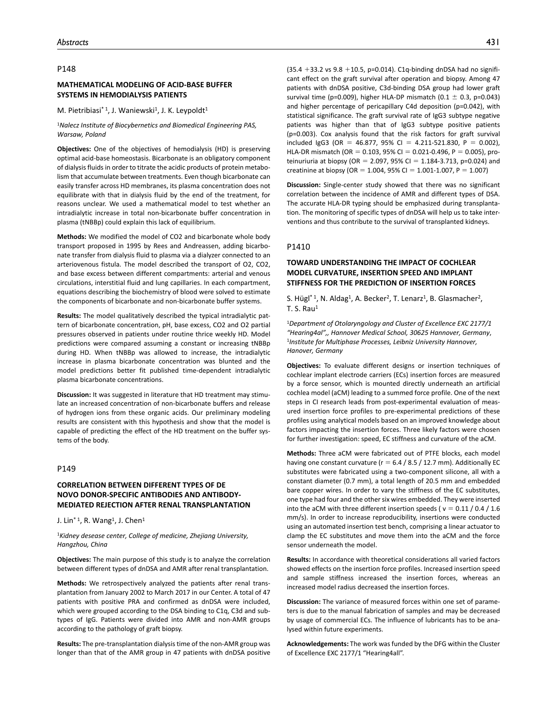## **MATHEMATICAL MODELING OF ACID-BASE BUFFER SYSTEMS IN HEMODIALYSIS PATIENTS**

M. Pietribiasi<sup>\* 1</sup>, J. Waniewski<sup>1</sup>, J. K. Leypoldt<sup>1</sup>

#### <sup>1</sup>*Nalecz Institute of Biocybernetics and Biomedical Engineering PAS, Warsaw, Poland*

**Objectives:** One of the objectives of hemodialysis (HD) is preserving optimal acid-base homeostasis. Bicarbonate is an obligatory component of dialysis fluids in order to titrate the acidic products of protein metabolism that accumulate between treatments. Even though bicarbonate can easily transfer across HD membranes, its plasma concentration does not equilibrate with that in dialysis fluid by the end of the treatment, for reasons unclear. We used a mathematical model to test whether an intradialytic increase in total non-bicarbonate buffer concentration in plasma (tNBBp) could explain this lack of equilibrium.

**Methods:** We modified the model of CO2 and bicarbonate whole body transport proposed in 1995 by Rees and Andreassen, adding bicarbonate transfer from dialysis fluid to plasma via a dialyzer connected to an arteriovenous fistula. The model described the transport of O2, CO2, and base excess between different compartments: arterial and venous circulations, interstitial fluid and lung capillaries. In each compartment, equations describing the biochemistry of blood were solved to estimate the components of bicarbonate and non-bicarbonate buffer systems.

**Results:** The model qualitatively described the typical intradialytic pattern of bicarbonate concentration, pH, base excess, CO2 and O2 partial pressures observed in patients under routine thrice weekly HD. Model predictions were compared assuming a constant or increasing tNBBp during HD. When tNBBp was allowed to increase, the intradialytic increase in plasma bicarbonate concentration was blunted and the model predictions better fit published time-dependent intradialytic plasma bicarbonate concentrations.

**Discussion:** It was suggested in literature that HD treatment may stimulate an increased concentration of non-bicarbonate buffers and release of hydrogen ions from these organic acids. Our preliminary modeling results are consistent with this hypothesis and show that the model is capable of predicting the effect of the HD treatment on the buffer systems of the body.

# P149

# **CORRELATION BETWEEN DIFFERENT TYPES OF DE NOVO DONOR-SPECIFIC ANTIBODIES AND ANTIBODY-MEDIATED REJECTION AFTER RENAL TRANSPLANTATION**

J. Lin<sup>\* 1</sup>, R. Wang<sup>1</sup>, J. Chen<sup>1</sup>

<sup>1</sup>*Kidney desease center, College of medicine, Zhejiang University, Hangzhou, China*

**Objectives:** The main purpose of this study is to analyze the correlation between different types of dnDSA and AMR after renal transplantation.

**Methods:** We retrospectively analyzed the patients after renal transplantation from January 2002 to March 2017 in our Center. A total of 47 patients with positive PRA and confirmed as dnDSA were included, which were grouped according to the DSA binding to C1q, C3d and subtypes of IgG. Patients were divided into AMR and non-AMR groups according to the pathology of graft biopsy.

**Results:** The pre-transplantation dialysis time of the non-AMR group was longer than that of the AMR group in 47 patients with dnDSA positive

 $(35.4 + 33.2 \text{ vs } 9.8 + 10.5, \text{ p=0.014}).$  C1q-binding dnDSA had no significant effect on the graft survival after operation and biopsy. Among 47 patients with dnDSA positive, C3d-binding DSA group had lower graft survival time (p=0.009), higher HLA-DP mismatch (0.1  $\pm$  0.3, p=0.043) and higher percentage of pericapillary C4d deposition (p=0.042), with statistical significance. The graft survival rate of IgG3 subtype negative patients was higher than that of IgG3 subtype positive patients (p=0.003). Cox analysis found that the risk factors for graft survival included IgG3 (OR = 46.877, 95% CI = 4.211-521.830, P = 0.002), HLA-DR mismatch (OR =  $0.103$ , 95% CI =  $0.021$ -0.496, P = 0.005), proteinuriuria at biopsy (OR = 2.097, 95% CI = 1.184-3.713, p=0.024) and

**Discussion:** Single-center study showed that there was no significant correlation between the incidence of AMR and different types of DSA. The accurate HLA-DR typing should be emphasized during transplantation. The monitoring of specific types of dnDSA will help us to take interventions and thus contribute to the survival of transplanted kidneys.

creatinine at biopsy (OR = 1.004, 95% CI = 1.001-1.007, P = 1.007)

## P1410

# **TOWARD UNDERSTANDING THE IMPACT OF COCHLEAR MODEL CURVATURE, INSERTION SPEED AND IMPLANT STIFFNESS FOR THE PREDICTION OF INSERTION FORCES**

S. Hügl<sup>\* 1</sup>, N. Aldag<sup>1</sup>, A. Becker<sup>2</sup>, T. Lenarz<sup>1</sup>, B. Glasmacher<sup>2</sup>,  $T$ . S. Rau<sup>1</sup>

<sup>1</sup>*Department of Otolaryngology and Cluster of Excellence EXC 2177/1 "Hearing4al",, Hannover Medical School, 30625 Hannover, Germany*, 1*Institute for Multiphase Processes, Leibniz University Hannover, Hanover, Germany*

**Objectives:** To evaluate different designs or insertion techniques of cochlear implant electrode carriers (ECs) insertion forces are measured by a force sensor, which is mounted directly underneath an artificial cochlea model (aCM) leading to a summed force profile. One of the next steps in CI research leads from post-experimental evaluation of measured insertion force profiles to pre-experimental predictions of these profiles using analytical models based on an improved knowledge about factors impacting the insertion forces. Three likely factors were chosen for further investigation: speed, EC stiffness and curvature of the aCM.

**Methods:** Three aCM were fabricated out of PTFE blocks, each model having one constant curvature ( $r = 6.4 / 8.5 / 12.7$  mm). Additionally EC substitutes were fabricated using a two-component silicone, all with a constant diameter (0.7 mm), a total length of 20.5 mm and embedded bare copper wires. In order to vary the stiffness of the EC substitutes, one type had four and the other six wires embedded. They were inserted into the aCM with three different insertion speeds ( $v = 0.11 / 0.4 / 1.6$ ) mm/s). In order to increase reproducibility, insertions were conducted using an automated insertion test bench, comprising a linear actuator to clamp the EC substitutes and move them into the aCM and the force sensor underneath the model.

**Results:** In accordance with theoretical considerations all varied factors showed effects on the insertion force profiles. Increased insertion speed and sample stiffness increased the insertion forces, whereas an increased model radius decreased the insertion forces.

**Discussion:** The variance of measured forces within one set of parameters is due to the manual fabrication of samples and may be decreased by usage of commercial ECs. The influence of lubricants has to be analysed within future experiments.

**Acknowledgements:** The work was funded by the DFG within the Cluster of Excellence EXC 2177/1 "Hearing4all".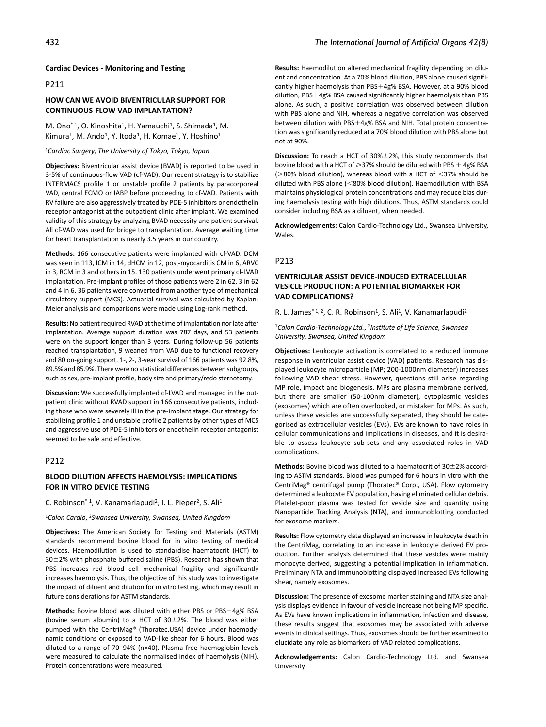#### **Cardiac Devices - Monitoring and Testing**

# P211

# **HOW CAN WE AVOID BIVENTRICULAR SUPPORT FOR CONTINUOUS-FLOW VAD IMPLANTATION?**

M. Ono<sup>\*1</sup>, O. Kinoshita<sup>1</sup>, H. Yamauchi<sup>1</sup>, S. Shimada<sup>1</sup>, M. Kimura<sup>1</sup>, M. Ando<sup>1</sup>, Y. Itoda<sup>1</sup>, H. Komae<sup>1</sup>, Y. Hoshino<sup>1</sup>

<sup>1</sup>*Cardiac Surgery, The University of Tokyo, Tokyo, Japan*

**Objectives:** Biventricular assist device (BVAD) is reported to be used in 3-5% of continuous-flow VAD (cf-VAD). Our recent strategy is to stabilize INTERMACS profile 1 or unstable profile 2 patients by paracorporeal VAD, central ECMO or IABP before proceeding to cf-VAD. Patients with RV failure are also aggressively treated by PDE-5 inhibitors or endothelin receptor antagonist at the outpatient clinic after implant. We examined validity of this strategy by analyzing BVAD necessity and patient survival. All cf-VAD was used for bridge to transplantation. Average waiting time for heart transplantation is nearly 3.5 years in our country.

**Methods:** 166 consecutive patients were implanted with cf-VAD. DCM was seen in 113, ICM in 14, dHCM in 12, post-myocarditis CM in 6, ARVC in 3, RCM in 3 and others in 15. 130 patients underwent primary cf-LVAD implantation. Pre-implant profiles of those patients were 2 in 62, 3 in 62 and 4 in 6. 36 patients were converted from another type of mechanical circulatory support (MCS). Actuarial survival was calculated by Kaplan-Meier analysis and comparisons were made using Log-rank method.

**Results:** No patient required RVAD at the time of implantation nor late after implantation. Average support duration was 787 days, and 53 patients were on the support longer than 3 years. During follow-up 56 patients reached transplantation, 9 weaned from VAD due to functional recovery and 80 on-going support. 1-, 2-, 3-year survival of 166 patients was 92.8%, 89.5% and 85.9%. There were no statistical differences between subgroups, such as sex, pre-implant profile, body size and primary/redo sternotomy.

**Discussion:** We successfully implanted cf-LVAD and managed in the outpatient clinic without RVAD support in 166 consecutive patients, including those who were severely ill in the pre-implant stage. Our strategy for stabilizing profile 1 and unstable profile 2 patients by other types of MCS and aggressive use of PDE-5 inhibitors or endothelin receptor antagonist seemed to be safe and effective.

## P212

### **BLOOD DILUTION AFFECTS HAEMOLYSIS: IMPLICATIONS FOR IN VITRO DEVICE TESTING**

### C. Robinson<sup>\* 1</sup>, V. Kanamarlapudi<sup>2</sup>, I. L. Pieper<sup>2</sup>, S. Ali<sup>1</sup>

<sup>1</sup>*Calon Cardio*, 2*Swansea University, Swansea, United Kingdom*

**Objectives:** The American Society for Testing and Materials (ASTM) standards recommend bovine blood for in vitro testing of medical devices. Haemodilution is used to standardise haematocrit (HCT) to  $30\pm2%$  with phosphate buffered saline (PBS). Research has shown that PBS increases red blood cell mechanical fragility and significantly increases haemolysis. Thus, the objective of this study was to investigate the impact of diluent and dilution for in vitro testing, which may result in future considerations for ASTM standards.

**Methods:** Bovine blood was diluted with either PBS or PBS+4g% BSA (bovine serum albumin) to a HCT of  $30\pm2\%$ . The blood was either pumped with the CentriMag® (Thoratec,USA) device under haemodynamic conditions or exposed to VAD-like shear for 6 hours. Blood was diluted to a range of 70–94% (n=40). Plasma free haemoglobin levels were measured to calculate the normalised index of haemolysis (NIH). Protein concentrations were measured.

**Results:** Haemodilution altered mechanical fragility depending on diluent and concentration. At a 70% blood dilution, PBS alone caused significantly higher haemolysis than PBS+4g% BSA. However, at a 90% blood dilution, PBS+4g% BSA caused significantly higher haemolysis than PBS alone. As such, a positive correlation was observed between dilution with PBS alone and NIH, whereas a negative correlation was observed between dilution with PBS+4g% BSA and NIH. Total protein concentration was significantly reduced at a 70% blood dilution with PBS alone but not at 90%.

**Discussion:** To reach a HCT of 30%±2%, this study recommends that bovine blood with a HCT of  $\geq$ 37% should be diluted with PBS + 4g% BSA ( $>$ 80% blood dilution), whereas blood with a HCT of  $<$ 37% should be diluted with PBS alone (<80% blood dilution). Haemodilution with BSA maintains physiological protein concentrations and may reduce bias during haemolysis testing with high dilutions. Thus, ASTM standards could consider including BSA as a diluent, when needed.

**Acknowledgements:** Calon Cardio-Technology Ltd., Swansea University, Wales.

### P213

## **VENTRICULAR ASSIST DEVICE-INDUCED EXTRACELLULAR VESICLE PRODUCTION: A POTENTIAL BIOMARKER FOR VAD COMPLICATIONS?**

#### R. L. James<sup>\* 1, 2</sup>, C. R. Robinson<sup>1</sup>, S. Ali<sup>1</sup>, V. Kanamarlapudi<sup>2</sup>

<sup>1</sup>*Calon Cardio-Technology Ltd.*, 2*Institute of Life Science, Swansea University, Swansea, United Kingdom*

**Objectives:** Leukocyte activation is correlated to a reduced immune response in ventricular assist device (VAD) patients. Research has displayed leukocyte microparticle (MP; 200-1000nm diameter) increases following VAD shear stress. However, questions still arise regarding MP role, impact and biogenesis. MPs are plasma membrane derived, but there are smaller (50-100nm diameter), cytoplasmic vesicles (exosomes) which are often overlooked, or mistaken for MPs. As such, unless these vesicles are successfully separated, they should be categorised as extracellular vesicles (EVs). EVs are known to have roles in cellular communications and implications in diseases, and it is desirable to assess leukocyte sub-sets and any associated roles in VAD complications.

**Methods:** Bovine blood was diluted to a haematocrit of 30±2% according to ASTM standards. Blood was pumped for 6 hours in vitro with the CentriMag® centrifugal pump (Thoratec® Corp., USA). Flow cytometry determined a leukocyte EV population, having eliminated cellular debris. Platelet-poor plasma was tested for vesicle size and quantity using Nanoparticle Tracking Analysis (NTA), and immunoblotting conducted for exosome markers.

**Results:** Flow cytometry data displayed an increase in leukocyte death in the CentriMag, correlating to an increase in leukocyte derived EV production. Further analysis determined that these vesicles were mainly monocyte derived, suggesting a potential implication in inflammation. Preliminary NTA and immunoblotting displayed increased EVs following shear, namely exosomes.

**Discussion:** The presence of exosome marker staining and NTA size analysis displays evidence in favour of vesicle increase not being MP specific. As EVs have known implications in inflammation, infection and disease, these results suggest that exosomes may be associated with adverse events in clinical settings. Thus, exosomes should be further examined to elucidate any role as biomarkers of VAD related complications.

**Acknowledgements:** Calon Cardio-Technology Ltd. and Swansea University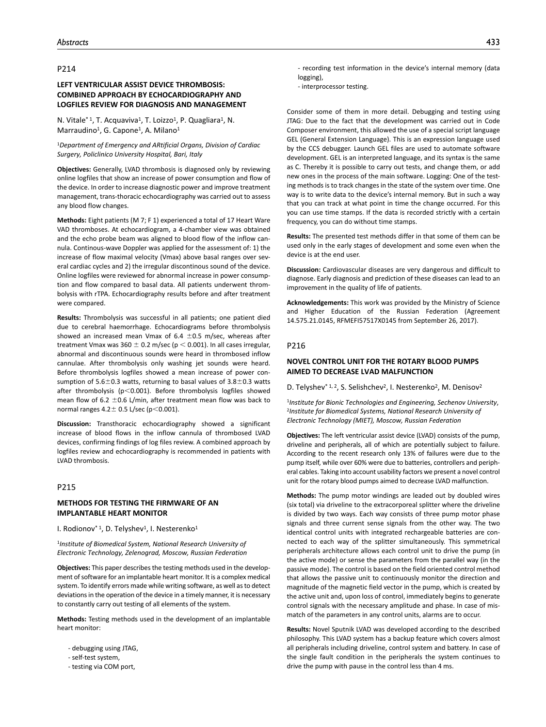# **LEFT VENTRICULAR ASSIST DEVICE THROMBOSIS: COMBINED APPROACH BY ECHOCARDIOGRAPHY AND LOGFILES REVIEW FOR DIAGNOSIS AND MANAGEMENT**

N. Vitale<sup>\* 1</sup>, T. Acquaviva<sup>1</sup>, T. Loizzo<sup>1</sup>, P. Quagliara<sup>1</sup>, N. Marraudino<sup>1</sup>, G. Capone<sup>1</sup>, A. Milano<sup>1</sup>

<sup>1</sup>*Department of Emergency and ARtificial Organs, Division of Cardiac Surgery, Policlinico University Hospital, Bari, Italy*

**Objectives:** Generally, LVAD thrombosis is diagnosed only by reviewing online logfiles that show an increase of power consumption and flow of the device. In order to increase diagnostic power and improve treatment management, trans-thoracic echocardiography was carried out to assess any blood flow changes.

**Methods:** Eight patients (M 7; F 1) experienced a total of 17 Heart Ware VAD thromboses. At echocardiogram, a 4-chamber view was obtained and the echo probe beam was aligned to blood flow of the inflow cannula. Continous-wave Doppler was applied for the assessment of: 1) the increase of flow maximal velocity (Vmax) above basal ranges over several cardiac cycles and 2) the irregular discontinous sound of the device. Online logfiles were reviewed for abnormal increase in power consumption and flow compared to basal data. All patients underwent thrombolysis with rTPA. Echocardiography results before and after treatment were compared.

**Results:** Thrombolysis was successful in all patients; one patient died due to cerebral haemorrhage. Echocardiograms before thrombolysis showed an increased mean Vmax of  $6.4 \pm 0.5$  m/sec, whereas after treatment Vmax was 360  $\pm$  0.2 m/sec (p < 0.001). In all cases irregular, abnormal and discontinuous sounds were heard in thrombosed inflow cannulae. After thrombolysis only washing jet sounds were heard. Before thrombolysis logfiles showed a mean increase of power consumption of  $5.6 \pm 0.3$  watts, returning to basal values of  $3.8 \pm 0.3$  watts after thrombolysis (p<0.001). Before thrombolysis logfiles showed mean flow of 6.2  $\pm$ 0.6 L/min, after treatment mean flow was back to normal ranges  $4.2 \pm 0.5$  L/sec (p<0.001).

**Discussion:** Transthoracic echocardiography showed a significant increase of blood flows in the inflow cannula of thrombosed LVAD devices, confirming findings of log files review. A combined approach by logfiles review and echocardiography is recommended in patients with LVAD thrombosis.

## P215

## **METHODS FOR TESTING THE FIRMWARE OF AN IMPLANTABLE HEART MONITOR**

I. Rodionov $*$ <sup>1</sup>, D. Telyshev<sup>1</sup>, I. Nesterenko<sup>1</sup>

<sup>1</sup>*Institute of Biomedical System, National Research University of Electronic Technology, Zelenograd, Moscow, Russian Federation*

**Objectives:** This paper describes the testing methods used in the development of software for an implantable heart monitor. It is a complex medical system. To identify errors made while writing software, as well as to detect deviations in the operation of the device in a timely manner, it is necessary to constantly carry out testing of all elements of the system.

**Methods:** Testing methods used in the development of an implantable heart monitor:

- debugging using JTAG,
- self-test system,
- testing via COM port,
- recording test information in the device's internal memory (data logging),
- interprocessor testing.

Consider some of them in more detail. Debugging and testing using JTAG: Due to the fact that the development was carried out in Code Composer environment, this allowed the use of a special script language GEL (General Extension Language). This is an expression language used by the CCS debugger. Launch GEL files are used to automate software development. GEL is an interpreted language, and its syntax is the same as C. Thereby it is possible to carry out tests, and change them, or add new ones in the process of the main software. Logging: One of the testing methods is to track changes in the state of the system over time. One way is to write data to the device's internal memory. But in such a way that you can track at what point in time the change occurred. For this you can use time stamps. If the data is recorded strictly with a certain frequency, you can do without time stamps.

**Results:** The presented test methods differ in that some of them can be used only in the early stages of development and some even when the device is at the end user.

**Discussion:** Cardiovascular diseases are very dangerous and difficult to diagnose. Early diagnosis and prediction of these diseases can lead to an improvement in the quality of life of patients.

**Acknowledgements:** This work was provided by the Ministry of Science and Higher Education of the Russian Federation (Agreement 14.575.21.0145, RFMEFI57517X0145 from September 26, 2017).

### P216

## **NOVEL CONTROL UNIT FOR THE ROTARY BLOOD PUMPS AIMED TO DECREASE LVAD MALFUNCTION**

D. Telyshev<sup>\* 1, 2</sup>, S. Selishchev<sup>2</sup>, I. Nesterenko<sup>2</sup>, M. Denisov<sup>2</sup>

<sup>1</sup>*Institute for Bionic Technologies and Engineering, Sechenov University*, 2*Institute for Biomedical Systems, National Research University of Electronic Technology (MIET), Moscow, Russian Federation*

**Objectives:** The left ventricular assist device (LVAD) consists of the pump, driveline and peripherals, all of which are potentially subject to failure. According to the recent research only 13% of failures were due to the pump itself, while over 60% were due to batteries, controllers and peripheral cables. Taking into account usability factors we present a novel control unit for the rotary blood pumps aimed to decrease LVAD malfunction.

**Methods:** The pump motor windings are leaded out by doubled wires (six total) via driveline to the extracorporeal splitter where the driveline is divided by two ways. Each way consists of three pump motor phase signals and three current sense signals from the other way. The two identical control units with integrated rechargeable batteries are connected to each way of the splitter simultaneously. This symmetrical peripherals architecture allows each control unit to drive the pump (in the active mode) or sense the parameters from the parallel way (in the passive mode). The control is based on the field oriented control method that allows the passive unit to continuously monitor the direction and magnitude of the magnetic field vector in the pump, which is created by the active unit and, upon loss of control, immediately begins to generate control signals with the necessary amplitude and phase. In case of mismatch of the parameters in any control units, alarms are to occur.

**Results:** Novel Sputnik LVAD was developed according to the described philosophy. This LVAD system has a backup feature which covers almost all peripherals including driveline, control system and battery. In case of the single fault condition in the peripherals the system continues to drive the pump with pause in the control less than 4 ms.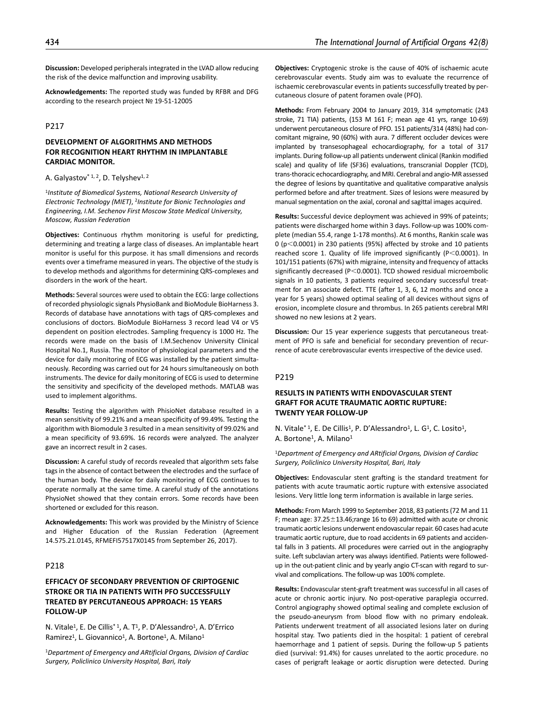**Discussion:** Developed peripherals integrated in the LVAD allow reducing the risk of the device malfunction and improving usability.

**Acknowledgements:** The reported study was funded by RFBR and DFG according to the research project № 19-51-12005

## P217

## **DEVELOPMENT OF ALGORITHMS AND METHODS FOR RECOGNITION HEART RHYTHM IN IMPLANTABLE CARDIAC MONITOR.**

## A. Galyastov $*$ <sup>1, 2</sup>, D. Telyshev<sup>1, 2</sup>

<sup>1</sup>*Institute of Biomedical Systems, National Research University of Electronic Technology (MIET)*, 2*Institute for Bionic Technologies and Engineering, I.M. Sechenov First Moscow State Medical University, Moscow, Russian Federation*

**Objectives:** Continuous rhythm monitoring is useful for predicting, determining and treating a large class of diseases. An implantable heart monitor is useful for this purpose. it has small dimensions and records events over a timeframe measured in years. The objective of the study is to develop methods and algorithms for determining QRS-complexes and disorders in the work of the heart.

**Methods:** Several sources were used to obtain the ECG: large collections of recorded physiologic signals PhysioBank and BioModule BioHarness 3. Records of database have annotations with tags of QRS-complexes and conclusions of doctors. BioModule BioHarness 3 record lead V4 or V5 dependent on position electrodes. Sampling frequency is 1000 Hz. The records were made on the basis of I.M.Sechenov University Clinical Hospital No.1, Russia. The monitor of physiological parameters and the device for daily monitoring of ECG was installed by the patient simultaneously. Recording was carried out for 24 hours simultaneously on both instruments. The device for daily monitoring of ECG is used to determine the sensitivity and specificity of the developed methods. MATLAB was used to implement algorithms.

**Results:** Testing the algorithm with PhisioNet database resulted in a mean sensitivity of 99.21% and a mean specificity of 99.49%. Testing the algorithm with Biomodule 3 resulted in a mean sensitivity of 99.02% and a mean specificity of 93.69%. 16 records were analyzed. The analyzer gave an incorrect result in 2 cases.

**Discussion:** A careful study of records revealed that algorithm sets false tags in the absence of contact between the electrodes and the surface of the human body. The device for daily monitoring of ECG continues to operate normally at the same time. A careful study of the annotations PhysioNet showed that they contain errors. Some records have been shortened or excluded for this reason.

**Acknowledgements:** This work was provided by the Ministry of Science and Higher Education of the Russian Federation (Agreement 14.575.21.0145, RFMEFI57517X0145 from September 26, 2017).

# P218

# **EFFICACY OF SECONDARY PREVENTION OF CRIPTOGENIC STROKE OR TIA IN PATIENTS WITH PFO SUCCESSFULLY TREATED BY PERCUTANEOUS APPROACH: 15 YEARS FOLLOW-UP**

N. Vitale<sup>1</sup>, E. De Cillis<sup>\*1</sup>, A. T<sup>1</sup>, P. D'Alessandro<sup>1</sup>, A. D'Errico Ramirez<sup>1</sup>, L. Giovannico<sup>1</sup>, A. Bortone<sup>1</sup>, A. Milano<sup>1</sup>

<sup>1</sup>*Department of Emergency and ARtificial Organs, Division of Cardiac Surgery, Policlinico University Hospital, Bari, Italy*

**Objectives:** Cryptogenic stroke is the cause of 40% of ischaemic acute cerebrovascular events. Study aim was to evaluate the recurrence of ischaemic cerebrovascular events in patients successfully treated by percutaneous closure of patent foramen ovale (PFO).

**Methods:** From February 2004 to January 2019, 314 symptomatic (243 stroke, 71 TIA) patients, (153 M 161 F; mean age 41 yrs, range 10-69) underwent percutaneous closure of PFO. 151 patients/314 (48%) had concomitant migraine, 90 (60%) with aura. 7 different occluder devices were implanted by transesophageal echocardiography, for a total of 317 implants. During follow-up all patients underwent clinical (Rankin modified scale) and quality of life (SF36) evaluations, transcranial Doppler (TCD), trans-thoracic echocardiography, and MRI. Cerebral and angio-MR assessed the degree of lesions by quantitative and qualitative comparative analysis performed before and after treatment. Sizes of lesions were measured by manual segmentation on the axial, coronal and sagittal images acquired.

**Results:** Successful device deployment was achieved in 99% of pateints; patients were discharged home within 3 days. Follow-up was 100% complete (median 55.4, range 1-178 months). At 6 months, Rankin scale was 0 (p<0.0001) in 230 patients (95%) affected by stroke and 10 patients reached score 1. Quality of life improved significantly (P<0.0001). In 101/151 patients (67%) with migraine, intensity and frequency of attacks significantly decreased (P<0.0001). TCD showed residual microembolic signals in 10 patients, 3 patients required secondary successful treatment for an associate defect. TTE (after 1, 3, 6, 12 months and once a year for 5 years) showed optimal sealing of all devices without signs of erosion, incomplete closure and thrombus. In 265 patients cerebral MRI showed no new lesions at 2 years.

**Discussion:** Our 15 year experience suggests that percutaneous treatment of PFO is safe and beneficial for secondary prevention of recurrence of acute cerebrovascular events irrespective of the device used.

### P219

# **RESULTS IN PATIENTS WITH ENDOVASCULAR STENT GRAFT FOR ACUTE TRAUMATIC AORTIC RUPTURE: TWENTY YEAR FOLLOW-UP**

N. Vitale<sup>\* 1</sup>, E. De Cillis<sup>1</sup>, P. D'Alessandro<sup>1</sup>, L. G<sup>1</sup>, C. Losito<sup>1</sup>, A. Bortone<sup>1</sup>, A. Milano<sup>1</sup>

<sup>1</sup>*Department of Emergency and ARtificial Organs, Division of Cardiac Surgery, Policlinico University Hospital, Bari, Italy*

**Objectives:** Endovascular stent grafting is the standard treatment for patients with acute traumatic aortic rupture with extensive associated lesions. Very little long term information is available in large series.

**Methods:** From March 1999 to September 2018, 83 patients (72 M and 11 F; mean age:  $37.25 \pm 13.46$ ; range 16 to 69) admitted with acute or chronic traumatic aortic lesions underwent endovascular repair. 60 cases had acute traumatic aortic rupture, due to road accidents in 69 patients and accidental falls in 3 patients. All procedures were carried out in the angiography suite. Left subclavian artery was always identified. Patients were followedup in the out-patient clinic and by yearly angio CT-scan with regard to survival and complications. The follow-up was 100% complete.

**Results:** Endovascular stent-graft treatment was successful in all cases of acute or chronic aortic injury. No post-operative paraplegia occurred. Control angiography showed optimal sealing and complete exclusion of the pseudo-aneurysm from blood flow with no primary endoleak. Patients underwent treatment of all associated lesions later on during hospital stay. Two patients died in the hospital: 1 patient of cerebral haemorrhage and 1 patient of sepsis. During the follow-up 5 patients died (survival: 91.4%) for causes unrelated to the aortic procedure. no cases of perigraft leakage or aortic disruption were detected. During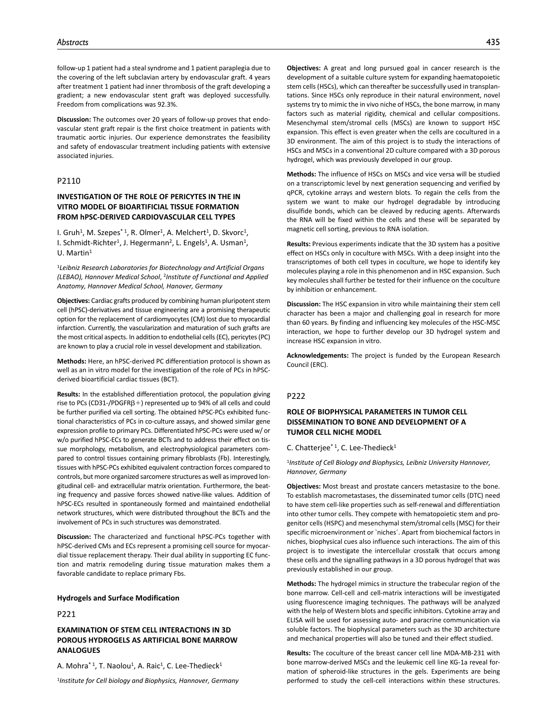follow-up 1 patient had a steal syndrome and 1 patient paraplegia due to the covering of the left subclavian artery by endovascular graft. 4 years after treatment 1 patient had inner thrombosis of the graft developing a gradient; a new endovascular stent graft was deployed successfully. Freedom from complications was 92.3%.

**Discussion:** The outcomes over 20 years of follow-up proves that endovascular stent graft repair is the first choice treatment in patients with traumatic aortic injuries. Our experience demonstrates the feasibility and safety of endovascular treatment including patients with extensive associated injuries.

## P2110

## **INVESTIGATION OF THE ROLE OF PERICYTES IN THE IN VITRO MODEL OF BIOARTIFICIAL TISSUE FORMATION FROM hPSC-DERIVED CARDIOVASCULAR CELL TYPES**

I. Gruh<sup>1</sup>, M. Szepes<sup>\*1</sup>, R. Olmer<sup>1</sup>, A. Melchert<sup>1</sup>, D. Skvorc<sup>1</sup>, I. Schmidt-Richter<sup>1</sup>, J. Hegermann<sup>2</sup>, L. Engels<sup>1</sup>, A. Usman<sup>1</sup>, U. Martin1

<sup>1</sup>*Leibniz Research Laboratories for Biotechnology and Artificial Organs (LEBAO), Hannover Medical School*, 2*Institute of Functional and Applied Anatomy, Hannover Medical School, Hanover, Germany*

**Objectives:** Cardiac grafts produced by combining human pluripotent stem cell (hPSC)-derivatives and tissue engineering are a promising therapeutic option for the replacement of cardiomyocytes (CM) lost due to myocardial infarction. Currently, the vascularization and maturation of such grafts are the most critical aspects. In addition to endothelial cells (EC), pericytes (PC) are known to play a crucial role in vessel development and stabilization.

**Methods:** Here, an hPSC-derived PC differentiation protocol is shown as well as an in vitro model for the investigation of the role of PCs in hPSCderived bioartificial cardiac tissues (BCT).

**Results:** In the established differentiation protocol, the population giving rise to PCs (CD31-/PDGFR $\beta$ +) represented up to 94% of all cells and could be further purified via cell sorting. The obtained hPSC-PCs exhibited functional characteristics of PCs in co-culture assays, and showed similar gene expression profile to primary PCs. Differentiated hPSC-PCs were used w/ or w/o purified hPSC-ECs to generate BCTs and to address their effect on tissue morphology, metabolism, and electrophysiological parameters compared to control tissues containing primary fibroblasts (Fb). Interestingly, tissues with hPSC-PCs exhibited equivalent contraction forces compared to controls, but more organized sarcomere structures as well as improved longitudinal cell- and extracellular matrix orientation. Furthermore, the beating frequency and passive forces showed native-like values. Addition of hPSC-ECs resulted in spontaneously formed and maintained endothelial network structures, which were distributed throughout the BCTs and the involvement of PCs in such structures was demonstrated.

**Discussion:** The characterized and functional hPSC-PCs together with hPSC-derived CMs and ECs represent a promising cell source for myocardial tissue replacement therapy. Their dual ability in supporting EC function and matrix remodeling during tissue maturation makes them a favorable candidate to replace primary Fbs.

### **Hydrogels and Surface Modification**

P221

## **EXAMINATION OF STEM CELL INTERACTIONS IN 3D POROUS HYDROGELS AS ARTIFICIAL BONE MARROW ANALOGUES**

A. Mohra<sup>\* 1</sup>, T. Naolou<sup>1</sup>, A. Raic<sup>1</sup>, C. Lee-Thedieck<sup>1</sup>

<sup>1</sup>*Institute for Cell biology and Biophysics, Hannover, Germany*

**Objectives:** A great and long pursued goal in cancer research is the development of a suitable culture system for expanding haematopoietic stem cells (HSCs), which can thereafter be successfully used in transplantations. Since HSCs only reproduce in their natural environment, novel systems try to mimic the in vivo niche of HSCs, the bone marrow, in many factors such as material rigidity, chemical and cellular compositions. Mesenchymal stem/stromal cells (MSCs) are known to support HSC expansion. This effect is even greater when the cells are cocultured in a 3D environment. The aim of this project is to study the interactions of HSCs and MSCs in a conventional 2D culture compared with a 3D porous hydrogel, which was previously developed in our group.

**Methods:** The influence of HSCs on MSCs and vice versa will be studied on a transcriptomic level by next generation sequencing and verified by qPCR, cytokine arrays and western blots. To regain the cells from the system we want to make our hydrogel degradable by introducing disulfide bonds, which can be cleaved by reducing agents. Afterwards the RNA will be fixed within the cells and these will be separated by magnetic cell sorting, previous to RNA isolation.

**Results:** Previous experiments indicate that the 3D system has a positive effect on HSCs only in coculture with MSCs. With a deep insight into the transcriptomes of both cell types in coculture, we hope to identify key molecules playing a role in this phenomenon and in HSC expansion. Such key molecules shall further be tested for their influence on the coculture by inhibition or enhancement.

**Discussion:** The HSC expansion in vitro while maintaining their stem cell character has been a major and challenging goal in research for more than 60 years. By finding and influencing key molecules of the HSC-MSC interaction, we hope to further develop our 3D hydrogel system and increase HSC expansion in vitro.

**Acknowledgements:** The project is funded by the European Research Council (ERC).

### P222

# **ROLE OF BIOPHYSICAL PARAMETERS IN TUMOR CELL DISSEMINATION TO BONE AND DEVELOPMENT OF A TUMOR CELL NICHE MODEL**

C. Chatterjee $*1$ , C. Lee-Thedieck $1$ 

<sup>1</sup>*Institute of Cell Biology and Biophysics, Leibniz University Hannover, Hannover, Germany*

**Objectives:** Most breast and prostate cancers metastasize to the bone. To establish macrometastases, the disseminated tumor cells (DTC) need to have stem cell-like properties such as self-renewal and differentiation into other tumor cells. They compete with hematopoietic stem and progenitor cells (HSPC) and mesenchymal stem/stromal cells (MSC) for their specific microenvironment or `niches´. Apart from biochemical factors in niches, biophysical cues also influence such interactions. The aim of this project is to investigate the intercellular crosstalk that occurs among these cells and the signalling pathways in a 3D porous hydrogel that was previously established in our group.

**Methods:** The hydrogel mimics in structure the trabecular region of the bone marrow. Cell-cell and cell-matrix interactions will be investigated using fluorescence imaging techniques. The pathways will be analyzed with the help of Western blots and specific inhibitors. Cytokine array and ELISA will be used for assessing auto- and paracrine communication via soluble factors. The biophysical parameters such as the 3D architecture and mechanical properties will also be tuned and their effect studied.

**Results:** The coculture of the breast cancer cell line MDA-MB-231 with bone marrow-derived MSCs and the leukemic cell line KG-1a reveal formation of spheroid-like structures in the gels. Experiments are being performed to study the cell-cell interactions within these structures.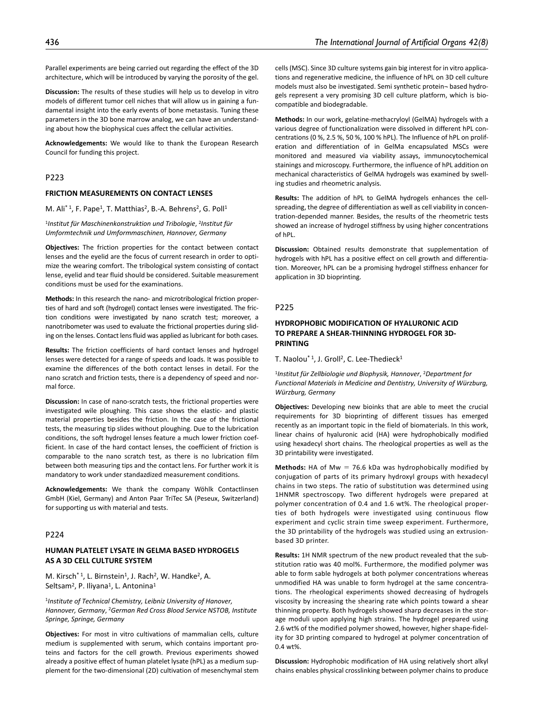Parallel experiments are being carried out regarding the effect of the 3D architecture, which will be introduced by varying the porosity of the gel.

**Discussion:** The results of these studies will help us to develop in vitro models of different tumor cell niches that will allow us in gaining a fundamental insight into the early events of bone metastasis. Tuning these parameters in the 3D bone marrow analog, we can have an understanding about how the biophysical cues affect the cellular activities.

**Acknowledgements:** We would like to thank the European Research Council for funding this project.

## P223

#### **FRICTION MEASUREMENTS ON CONTACT LENSES**

M. Ali<sup>\* 1</sup>, F. Pape<sup>1</sup>, T. Matthias<sup>2</sup>, B.-A. Behrens<sup>2</sup>, G. Poll<sup>1</sup>

<sup>1</sup>*Institut für Maschinenkonstruktion und Tribologie*, 2*Institut für Umformtechnik und Umformmaschinen, Hannover, Germany*

**Objectives:** The friction properties for the contact between contact lenses and the eyelid are the focus of current research in order to optimize the wearing comfort. The tribological system consisting of contact lense, eyelid and tear fluid should be considered. Suitable measurement conditions must be used for the examinations.

**Methods:** In this research the nano- and microtribological friction properties of hard and soft (hydrogel) contact lenses were investigated. The friction conditions were investigated by nano scratch test; moreover, a nanotribometer was used to evaluate the frictional properties during sliding on the lenses. Contact lens fluid was applied as lubricant for both cases.

**Results:** The friction coefficients of hard contact lenses and hydrogel lenses were detected for a range of speeds and loads. It was possible to examine the differences of the both contact lenses in detail. For the nano scratch and friction tests, there is a dependency of speed and normal force.

**Discussion:** In case of nano-scratch tests, the frictional properties were investigated wile ploughing. This case shows the elastic- and plastic material properties besides the friction. In the case of the frictional tests, the measuring tip slides without ploughing. Due to the lubrication conditions, the soft hydrogel lenses feature a much lower friction coefficient. In case of the hard contact lenses, the coefficient of friction is comparable to the nano scratch test, as there is no lubrication film between both measuring tips and the contact lens. For further work it is mandatory to work under standazdized measurement conditions.

**Acknowledgements:** We thank the company Wöhlk Contactlinsen GmbH (Kiel, Germany) and Anton Paar TriTec SA (Peseux, Switzerland) for supporting us with material and tests.

## P224

## **HUMAN PLATELET LYSATE IN GELMA BASED HYDROGELS AS A 3D CELL CULTURE SYSTEM**

M. Kirsch<sup>\* 1</sup>, L. Birnstein<sup>1</sup>, J. Rach<sup>2</sup>, W. Handke<sup>2</sup>, A. Seltsam<sup>2</sup>, P. Iliyana<sup>1</sup>, L. Antonina<sup>1</sup>

<sup>1</sup>*Institute of Technical Chemistry, Leibniz University of Hanover, Hannover, Germany*, 2*German Red Cross Blood Service NSTOB, Institute Springe, Springe, Germany*

**Objectives:** For most in vitro cultivations of mammalian cells, culture medium is supplemented with serum, which contains important proteins and factors for the cell growth. Previous experiments showed already a positive effect of human platelet lysate (hPL) as a medium supplement for the two-dimensional (2D) cultivation of mesenchymal stem

cells (MSC). Since 3D culture systems gain big interest for in vitro applications and regenerative medicine, the influence of hPL on 3D cell culture models must also be investigated. Semi synthetic protein¬ based hydrogels represent a very promising 3D cell culture platform, which is biocompatible and biodegradable.

**Methods:** In our work, gelatine-methacryloyl (GelMA) hydrogels with a various degree of functionalization were dissolved in different hPL concentrations (0 %, 2.5 %, 50 %, 100 % hPL). The Influence of hPL on proliferation and differentiation of in GelMa encapsulated MSCs were monitored and measured via viability assays, immunocytochemical stainings and microscopy. Furthermore, the influence of hPL addition on mechanical characteristics of GelMA hydrogels was examined by swelling studies and rheometric analysis.

**Results:** The addition of hPL to GelMA hydrogels enhances the cellspreading, the degree of differentiation as well as cell viability in concentration-depended manner. Besides, the results of the rheometric tests showed an increase of hydrogel stiffness by using higher concentrations of hPL.

**Discussion:** Obtained results demonstrate that supplementation of hydrogels with hPL has a positive effect on cell growth and differentiation. Moreover, hPL can be a promising hydrogel stiffness enhancer for application in 3D bioprinting.

#### P225

## **HYDROPHOBIC MODIFICATION OF HYALURONIC ACID TO PREPARE A SHEAR-THINNING HYDROGEL FOR 3D-PRINTING**

T. Naolou<sup>\* 1</sup>, J. Groll<sup>2</sup>, C. Lee-Thedieck<sup>1</sup>

<sup>1</sup>*Institut für Zellbiologie und Biophysik, Hannover*, 2*Department for Functional Materials in Medicine and Dentistry, University of Würzburg, Würzburg, Germany*

**Objectives:** Developing new bioinks that are able to meet the crucial requirements for 3D bioprinting of different tissues has emerged recently as an important topic in the field of biomaterials. In this work, linear chains of hyaluronic acid (HA) were hydrophobically modified using hexadecyl short chains. The rheological properties as well as the 3D printability were investigated.

**Methods:** HA of Mw = 76.6 kDa was hydrophobically modified by conjugation of parts of its primary hydroxyl groups with hexadecyl chains in two steps. The ratio of substitution was determined using 1HNMR spectroscopy. Two different hydrogels were prepared at polymer concentration of 0.4 and 1.6 wt%. The rheological properties of both hydrogels were investigated using continuous flow experiment and cyclic strain time sweep experiment. Furthermore, the 3D printability of the hydrogels was studied using an extrusionbased 3D printer.

**Results:** 1H NMR spectrum of the new product revealed that the substitution ratio was 40 mol%. Furthermore, the modified polymer was able to form sable hydrogels at both polymer concentrations whereas unmodified HA was unable to form hydrogel at the same concentrations. The rheological experiments showed decreasing of hydrogels viscosity by increasing the shearing rate which points toward a shear thinning property. Both hydrogels showed sharp decreases in the storage moduli upon applying high strains. The hydrogel prepared using 2.6 wt% of the modified polymer showed, however, higher shape-fidelity for 3D printing compared to hydrogel at polymer concentration of 0.4 wt%.

**Discussion:** Hydrophobic modification of HA using relatively short alkyl chains enables physical crosslinking between polymer chains to produce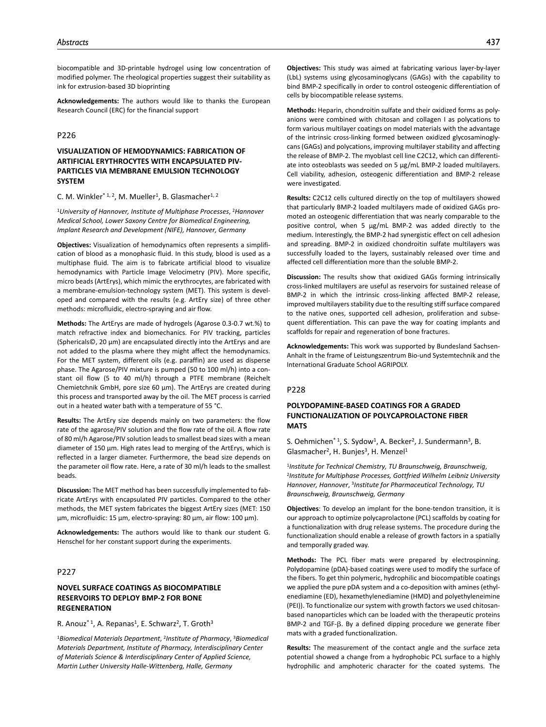biocompatible and 3D-printable hydrogel using low concentration of modified polymer. The rheological properties suggest their suitability as ink for extrusion-based 3D bioprinting

**Acknowledgements:** The authors would like to thanks the European Research Council (ERC) for the financial support

# P226

# **VISUALIZATION OF HEMODYNAMICS: FABRICATION OF ARTIFICIAL ERYTHROCYTES WITH ENCAPSULATED PIV-PARTICLES VIA MEMBRANE EMULSION TECHNOLOGY SYSTEM**

C. M. Winkler<sup>\* 1, 2</sup>, M. Mueller<sup>1</sup>, B. Glasmacher<sup>1, 2</sup>

<sup>1</sup>*University of Hannover, Institute of Multiphase Processes*, 2*Hannover Medical School, Lower Saxony Centre for Biomedical Engineering, Implant Research and Development (NIFE), Hannover, Germany*

**Objectives:** Visualization of hemodynamics often represents a simplification of blood as a monophasic fluid. In this study, blood is used as a multiphase fluid. The aim is to fabricate artificial blood to visualize hemodynamics with Particle Image Velocimetry (PIV). More specific, micro beads (ArtErys), which mimic the erythrocytes, are fabricated with a membrane-emulsion-technology system (MET). This system is developed and compared with the results (e.g. ArtEry size) of three other methods: microfluidic, electro-spraying and air flow.

**Methods:** The ArtErys are made of hydrogels (Agarose 0.3-0.7 wt.%) to match refractive index and biomechanics. For PIV tracking, particles (Sphericals©, 20 µm) are encapsulated directly into the ArtErys and are not added to the plasma where they might affect the hemodynamics. For the MET system, different oils (e.g. paraffin) are used as disperse phase. The Agarose/PIV mixture is pumped (50 to 100 ml/h) into a constant oil flow (5 to 40 ml/h) through a PTFE membrane (Reichelt Chemietchnik GmbH, pore size 60 µm). The ArtErys are created during this process and transported away by the oil. The MET process is carried out in a heated water bath with a temperature of 55 °C.

**Results:** The ArtEry size depends mainly on two parameters: the flow rate of the agarose/PIV solution and the flow rate of the oil. A flow rate of 80 ml/h Agarose/PIV solution leads to smallest bead sizes with a mean diameter of 150 µm. High rates lead to merging of the ArtErys, which is reflected in a larger diameter. Furthermore, the bead size depends on the parameter oil flow rate. Here, a rate of 30 ml/h leads to the smallest beads.

**Discussion:** The MET method has been successfully implemented to fabricate ArtErys with encapsulated PIV particles. Compared to the other methods, the MET system fabricates the biggest ArtEry sizes (MET: 150 µm, microfluidic: 15 µm, electro-spraying: 80 µm, air flow: 100 µm).

**Acknowledgements:** The authors would like to thank our student G. Henschel for her constant support during the experiments.

## P227

# **NOVEL SURFACE COATINGS AS BIOCOMPATIBLE RESERVOIRS TO DEPLOY BMP-2 FOR BONE REGENERATION**

R. Anouz<sup>\*1</sup>, A. Repanas<sup>1</sup>, E. Schwarz<sup>2</sup>, T. Groth<sup>3</sup>

<sup>1</sup>*Biomedical Materials Department*, 2*Institute of Pharmacy*, 3*Biomedical Materials Department, Institute of Pharmacy, Interdisciplinary Center of Materials Science & Interdisciplinary Center of Applied Science, Martin Luther University Halle-Wittenberg, Halle, Germany*

**Objectives:** This study was aimed at fabricating various layer-by-layer (LbL) systems using glycosaminoglycans (GAGs) with the capability to bind BMP-2 specifically in order to control osteogenic differentiation of cells by biocompatible release systems.

**Methods:** Heparin, chondroitin sulfate and their oxidized forms as polyanions were combined with chitosan and collagen I as polycations to form various multilayer coatings on model materials with the advantage of the intrinsic cross-linking formed between oxidized glycosaminoglycans (GAGs) and polycations, improving multilayer stability and affecting the release of BMP-2. The myoblast cell line C2C12, which can differentiate into osteoblasts was seeded on 5 µg/mL BMP-2 loaded multilayers. Cell viability, adhesion, osteogenic differentiation and BMP-2 release were investigated.

**Results:** C2C12 cells cultured directly on the top of multilayers showed that particularly BMP-2 loaded multilayers made of oxidized GAGs promoted an osteogenic differentiation that was nearly comparable to the positive control, when 5 µg/mL BMP-2 was added directly to the medium. Interestingly, the BMP-2 had synergistic effect on cell adhesion and spreading. BMP-2 in oxidized chondroitin sulfate multilayers was successfully loaded to the layers, sustainably released over time and affected cell differentiation more than the soluble BMP-2.

**Discussion:** The results show that oxidized GAGs forming intrinsically cross-linked multilayers are useful as reservoirs for sustained release of BMP-2 in which the intrinsic cross-linking affected BMP-2 release, improved multilayers stability due to the resulting stiff surface compared to the native ones, supported cell adhesion, proliferation and subsequent differentiation. This can pave the way for coating implants and scaffolds for repair and regeneration of bone fractures.

**Acknowledgements:** This work was supported by Bundesland Sachsen-Anhalt in the frame of Leistungszentrum Bio-und Systemtechnik and the International Graduate School AGRIPOLY.

### P228

# **POLYDOPAMINE-BASED COATINGS FOR A GRADED FUNCTIONALIZATION OF POLYCAPROLACTONE FIBER MATS**

S. Oehmichen\* 1, S. Sydow<sup>1</sup>, A. Becker<sup>2</sup>, J. Sundermann<sup>3</sup>, B. Glasmacher<sup>2</sup>, H. Bunjes<sup>3</sup>, H. Menzel<sup>1</sup>

<sup>1</sup>*Institute for Technical Chemistry, TU Braunschweig, Braunschweig*, 2*Institute for Multiphase Processes, Gottfried Wilhelm Leibniz University Hannover, Hannover*, 3*Institute for Pharmaceutical Technology, TU Braunschweig, Braunschweig, Germany*

**Objectives**: To develop an implant for the bone-tendon transition, it is our approach to optimize polycaprolactone (PCL) scaffolds by coating for a functionalization with drug release systems. The procedure during the functionalization should enable a release of growth factors in a spatially and temporally graded way.

**Methods:** The PCL fiber mats were prepared by electrospinning. Polydopamine (pDA)-based coatings were used to modify the surface of the fibers. To get thin polymeric, hydrophilic and biocompatible coatings we applied the pure pDA system and a co-deposition with amines (ethylenediamine (ED), hexamethylenediamine (HMD) and polyethyleneimine (PEI)). To functionalize our system with growth factors we used chitosanbased nanoparticles which can be loaded with the therapeutic proteins BMP-2 and TGF-β. By a defined dipping procedure we generate fiber mats with a graded functionalization.

**Results:** The measurement of the contact angle and the surface zeta potential showed a change from a hydrophobic PCL surface to a highly hydrophilic and amphoteric character for the coated systems. The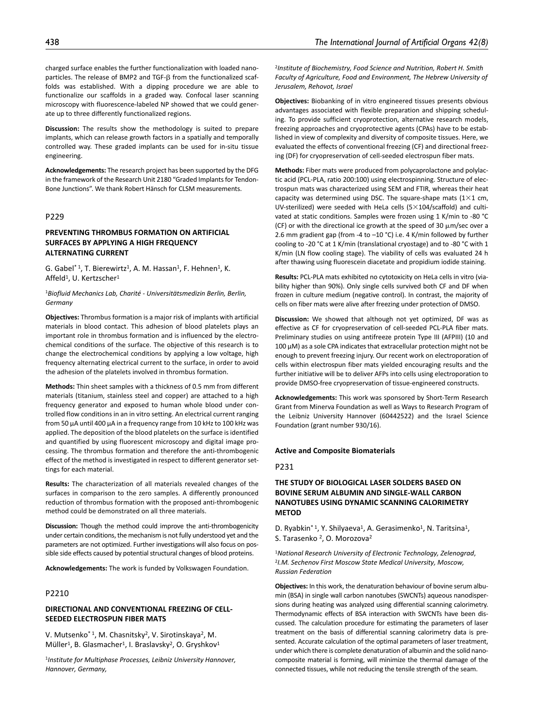charged surface enables the further functionalization with loaded nanoparticles. The release of BMP2 and TGF-β from the functionalized scaffolds was established. With a dipping procedure we are able to functionalize our scaffolds in a graded way. Confocal laser scanning microscopy with fluorescence-labeled NP showed that we could generate up to three differently functionalized regions.

**Discussion:** The results show the methodology is suited to prepare implants, which can release growth factors in a spatially and temporally controlled way. These graded implants can be used for in-situ tissue engineering.

**Acknowledgements:** The research project has been supported by the DFG in the framework of the Research Unit 2180 "Graded Implants for Tendon-Bone Junctions". We thank Robert Hänsch for CLSM measurements.

# P229

## **PREVENTING THROMBUS FORMATION ON ARTIFICIAL SURFACES BY APPLYING A HIGH FREQUENCY ALTERNATING CURRENT**

G. Gabel<sup>\*1</sup>, T. Bierewirtz<sup>1</sup>, A. M. Hassan<sup>1</sup>, F. Hehnen<sup>1</sup>, K. Affeld<sup>1</sup>, U. Kertzscher<sup>1</sup>

<sup>1</sup>*Biofluid Mechanics Lab, Charité - Universitätsmedizin Berlin, Berlin, Germany*

**Objectives:** Thrombus formation is a major risk of implants with artificial materials in blood contact. This adhesion of blood platelets plays an important role in thrombus formation and is influenced by the electrochemical conditions of the surface. The objective of this research is to change the electrochemical conditions by applying a low voltage, high frequency alternating electrical current to the surface, in order to avoid the adhesion of the platelets involved in thrombus formation.

**Methods:** Thin sheet samples with a thickness of 0.5 mm from different materials (titanium, stainless steel and copper) are attached to a high frequency generator and exposed to human whole blood under controlled flow conditions in an in vitro setting. An electrical current ranging from 50 µA until 400 µA in a frequency range from 10 kHz to 100 kHz was applied. The deposition of the blood platelets on the surface is identified and quantified by using fluorescent microscopy and digital image processing. The thrombus formation and therefore the anti-thrombogenic effect of the method is investigated in respect to different generator settings for each material.

**Results:** The characterization of all materials revealed changes of the surfaces in comparison to the zero samples. A differently pronounced reduction of thrombus formation with the proposed anti-thrombogenic method could be demonstrated on all three materials.

**Discussion:** Though the method could improve the anti-thrombogenicity under certain conditions, the mechanism is not fully understood yet and the parameters are not optimized. Further investigations will also focus on possible side effects caused by potential structural changes of blood proteins.

**Acknowledgements:** The work is funded by Volkswagen Foundation.

## P2210

## **DIRECTIONAL AND CONVENTIONAL FREEZING OF CELL-SEEDED ELECTROSPUN FIBER MATS**

V. Mutsenko\* <sup>1</sup>, M. Chasnitsky<sup>2</sup>, V. Sirotinskaya<sup>2</sup>, M. Müller<sup>1</sup>, B. Glasmacher<sup>1</sup>, I. Braslavsky<sup>2</sup>, O. Gryshkov<sup>1</sup>

<sup>1</sup>*Institute for Multiphase Processes, Leibniz University Hannover, Hannover, Germany,*

<sup>2</sup>*Institute of Biochemistry, Food Science and Nutrition, Robert H. Smith Faculty of Agriculture, Food and Environment, The Hebrew University of Jerusalem, Rehovot, Israel*

**Objectives:** Biobanking of in vitro engineered tissues presents obvious advantages associated with flexible preparation and shipping scheduling. To provide sufficient cryoprotection, alternative research models, freezing approaches and cryoprotective agents (CPAs) have to be established in view of complexity and diversity of composite tissues. Here, we evaluated the effects of conventional freezing (CF) and directional freezing (DF) for cryopreservation of cell-seeded electrospun fiber mats.

**Methods:** Fiber mats were produced from polycaprolactone and polylactic acid (PCL-PLA, ratio 200:100) using electrospinning. Structure of electrospun mats was characterized using SEM and FTIR, whereas their heat capacity was determined using DSC. The square-shape mats  $(1 \times 1 \text{ cm})$ UV-sterilized) were seeded with HeLa cells  $(5\times104/\text{scaffold})$  and cultivated at static conditions. Samples were frozen using 1 K/min to -80 °C (CF) or with the directional ice growth at the speed of 30 μm/sec over a 2.6 mm gradient gap (from -4 to –10 °С) i.e. 4 K/min followed by further cooling to -20 °С at 1 K/min (translational cryostage) and to -80 °С with 1 K/min (LN flow cooling stage). The viability of cells was evaluated 24 h after thawing using fluorescein diacetate and propidium iodide staining.

**Results:** PCL-PLA mats exhibited no cytotoxicity on HeLa cells in vitro (viability higher than 90%). Only single cells survived both CF and DF when frozen in culture medium (negative control). In contrast, the majority of cells on fiber mats were alive after freezing under protection of DMSO.

**Discussion:** We showed that although not yet optimized, DF was as effective as CF for cryopreservation of cell-seeded PCL-PLA fiber mats. Preliminary studies on using antifreeze protein Type III (AFPIII) (10 and 100 µM) as a sole CPA indicates that extracellular protection might not be enough to prevent freezing injury. Our recent work on electroporation of cells within electrospun fiber mats yielded encouraging results and the further initiative will be to deliver AFPs into cells using electroporation to provide DMSO-free cryopreservation of tissue-engineered constructs.

**Acknowledgements:** This work was sponsored by Short-Term Research Grant from Minerva Foundation as well as Ways to Research Program of the Leibniz University Hannover (60442522) and the Israel Science Foundation (grant number 930/16).

### **Active and Composite Biomaterials**

P231

# **THE STUDY OF BIOLOGICAL LASER SOLDERS BASED ON BOVINE SERUM ALBUMIN AND SINGLE-WALL CARBON NANOTUBES USING DYNAMIC SCANNING CALORIMETRY METOD**

D. Ryabkin<sup>\* 1</sup>, Y. Shilyaeva<sup>1</sup>, A. Gerasimenko<sup>1</sup>, N. Taritsina<sup>1</sup>, S. Tarasenko <sup>2</sup>, O. Morozova<sup>2</sup>

<sup>1</sup>*National Research University of Electronic Technology, Zelenograd*, 2*I.M. Sechenov First Moscow State Medical University, Moscow, Russian Federation*

**Objectives:** In this work, the denaturation behaviour of bovine serum albumin (BSA) in single wall carbon nanotubes (SWCNTs) aqueous nanodispersions during heating was analyzed using differential scanning calorimetry. Thermodynamic effects of BSA interaction with SWCNTs have been discussed. The calculation procedure for estimating the parameters of laser treatment on the basis of differential scanning calorimetry data is presented. Accurate calculation of the optimal parameters of laser treatment, under which there is complete denaturation of albumin and the solid nanocomposite material is forming, will minimize the thermal damage of the connected tissues, while not reducing the tensile strength of the seam.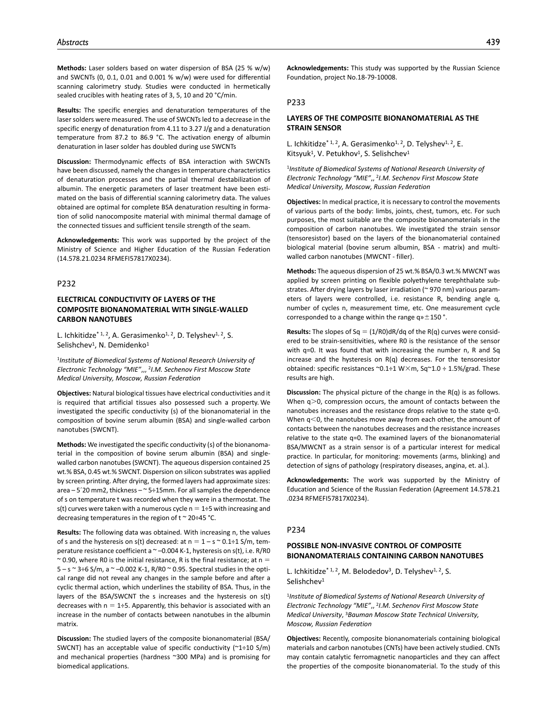**Methods:** Laser solders based on water dispersion of BSA (25 % w/w) and SWCNTs (0, 0.1, 0.01 and 0.001 % w/w) were used for differential scanning calorimetry study. Studies were conducted in hermetically sealed crucibles with heating rates of 3, 5, 10 and 20 °С/min.

**Results:** The specific energies and denaturation temperatures of the laser solders were measured. The use of SWCNTs led to a decrease in the specific energy of denaturation from 4.11 to 3.27 J/g and a denaturation temperature from 87.2 to 86.9 °С. The activation energy of albumin denaturation in laser solder has doubled during use SWCNTs

**Discussion:** Thermodynamic effects of BSA interaction with SWCNTs have been discussed, namely the changes in temperature characteristics of denaturation processes and the partial thermal destabilization of albumin. The energetic parameters of laser treatment have been estimated on the basis of differential scanning calorimetry data. The values obtained are optimal for complete BSA denaturation resulting in formation of solid nanocomposite material with minimal thermal damage of the connected tissues and sufficient tensile strength of the seam.

**Acknowledgements:** This work was supported by the project of the Ministry of Science and Higher Education of the Russian Federation (14.578.21.0234 RFMEFI57817X0234).

### P232

# **ELECTRICAL CONDUCTIVITY OF LAYERS OF THE COMPOSITE BIONANOMATERIAL WITH SINGLE-WALLED CARBON NANOTUBES**

L. Ichkitidze<sup>\* 1, 2</sup>, A. Gerasimenko<sup>1, 2</sup>, D. Telyshev<sup>1, 2</sup>, S. Selishchev<sup>1</sup>, N. Demidenko<sup>1</sup>

<sup>1</sup>*Institute of Biomedical Systems of National Research University of Electronic Technology "MIE"*,,, 2*I.M. Sechenov First Moscow State Medical University, Moscow, Russian Federation*

**Objectives:** Natural biological tissues have electrical conductivities and it is required that artificial tissues also possessed such a property. We investigated the specific conductivity (s) of the bionanomaterial in the composition of bovine serum albumin (BSA) and single-walled carbon nanotubes (SWCNT).

**Methods:** We investigated the specific conductivity (s) of the bionanomaterial in the composition of bovine serum albumin (BSA) and singlewalled carbon nanotubes (SWCNT). The aqueous dispersion contained 25 wt.% BSA, 0.45 wt.% SWCNT. Dispersion on silicon substrates was applied by screen printing. After drying, the formed layers had approximate sizes: area – 5´20 mm2, thickness – ~ 5÷15mm. For all samples the dependence of s on temperature t was recorded when they were in a thermostat. The s(t) curves were taken with a numerous cycle  $n = 1\div 5$  with increasing and decreasing temperatures in the region of t ~ 20÷45 °С.

**Results:** The following data was obtained. With increasing n, the values of s and the hysteresis on s(t) decreased: at  $n = 1 - s \approx 0.1 \div 1$  S/m, temperature resistance coefficient a  $\sim$  -0.004 K-1, hysteresis on s(t), i.e. R/R0  $\sim$  0.90, where R0 is the initial resistance, R is the final resistance; at n =  $5 - s \approx 3\div6$  S/m, a  $\sim -0.002$  K-1, R/R0  $\sim$  0.95. Spectral studies in the optical range did not reveal any changes in the sample before and after a cyclic thermal action, which underlines the stability of BSA. Thus, in the layers of the BSA/SWCNT the s increases and the hysteresis on s(t) decreases with  $n = 1\div 5$ . Apparently, this behavior is associated with an increase in the number of contacts between nanotubes in the albumin matrix.

**Discussion:** The studied layers of the composite bionanomaterial (BSA/ SWCNT) has an acceptable value of specific conductivity (~1÷10 S/m) and mechanical properties (hardness ~300 MPa) and is promising for biomedical applications.

**Acknowledgements:** This study was supported by the Russian Science Foundation, project No.18-79-10008.

## P233

## **LAYERS OF THE COMPOSITE BIONANOMATERIAL AS THE STRAIN SENSOR**

L. Ichkitidze<sup>\* 1, 2</sup>, A. Gerasimenko<sup>1, 2</sup>, D. Telyshev<sup>1, 2</sup>, E. Kitsyuk<sup>1</sup>, V. Petukhov<sup>1</sup>, S. Selishchev<sup>1</sup>

<sup>1</sup>*Institute of Biomedical Systems of National Research University of Electronic Technology "MIE"*,, 2*I.M. Sechenov First Moscow State Medical University, Moscow, Russian Federation*

**Objectives:** In medical practice, it is necessary to control the movements of various parts of the body: limbs, joints, chest, tumors, etc. For such purposes, the most suitable are the composite bionanomaterials in the composition of carbon nanotubes. We investigated the strain sensor (tensoresistor) based on the layers of the bionanomaterial contained biological material (bovine serum albumin, BSA - matrix) and multiwalled carbon nanotubes (MWCNT - filler).

**Methods:** The aqueous dispersion of 25 wt.% BSA/0.3 wt.% MWCNT was applied by screen printing on flexible polyethylene terephthalate substrates. After drying layers by laser irradiation (~ 970 nm) various parameters of layers were controlled, i.e. resistance R, bending angle q, number of cycles n, measurement time, etc. One measurement cycle corresponded to a change within the range  $q \times \pm 150$  °.

**Results:** The slopes of  $Sq = (1/R0)dR/dq$  of the  $R(q)$  curves were considered to be strain-sensitivities, where R0 is the resistance of the sensor with q=0. It was found that with increasing the number n, R and Sq increase and the hysteresis on R(q) decreases. For the tensoresistor obtained: specific resistances  $\sim 0.1 \div 1$  W $\times$ m, Sq $\sim 1.0 \div 1.5\%$ /grad. These results are high.

**Discussion:** The physical picture of the change in the R(q) is as follows. When q>0, compression occurs, the amount of contacts between the nanotubes increases and the resistance drops relative to the state q=0. When  $a < 0$ , the nanotubes move away from each other, the amount of contacts between the nanotubes decreases and the resistance increases relative to the state q=0. The examined layers of the bionanomaterial BSA/MWCNT as a strain sensor is of a particular interest for medical practice. In particular, for monitoring: movements (arms, blinking) and detection of signs of pathology (respiratory diseases, angina, et. al.).

**Acknowledgements:** The work was supported by the Ministry of Education and Science of the Russian Federation (Agreement 14.578.21 .0234 RFMEFI57817X0234).

### P234

# **POSSIBLE NON-INVASIVE CONTROL OF COMPOSITE BIONANOMATERIALS CONTAINING CARBON NANOTUBES**

L. Ichkitidze<sup>\* 1, 2</sup>, M. Belodedov<sup>3</sup>, D. Telyshev<sup>1, 2</sup>, S. Selishchev<sup>1</sup>

<sup>1</sup>*Institute of Biomedical Systems of National Research University of Electronic Technology "MIE"*,, 2*I.M. Sechenov First Moscow State Medical University*, 3*Bauman Moscow State Technical University, Moscow, Russian Federation*

**Objectives:** Recently, composite bionanomaterials containing biological materials and carbon nanotubes (CNTs) have been actively studied. CNTs may contain catalytic ferromagnetic nanoparticles and they can affect the properties of the composite bionanomaterial. To the study of this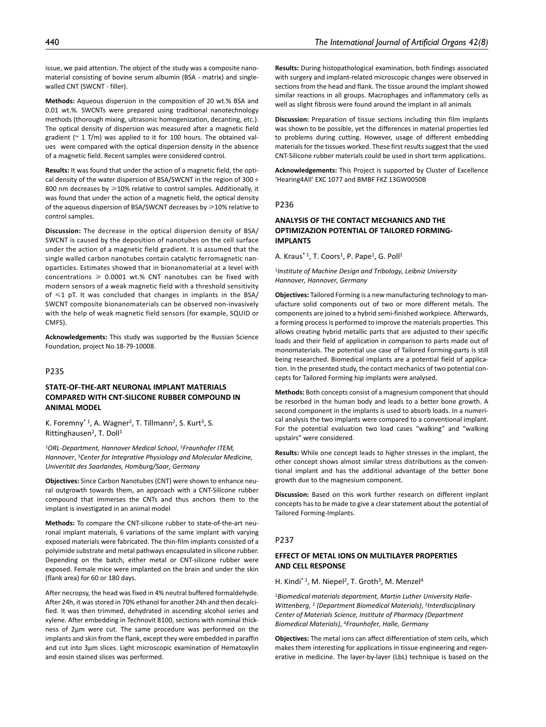issue, we paid attention. The object of the study was a composite nanomaterial consisting of bovine serum albumin (BSA - matrix) and singlewalled CNT (SWCNT - filler).

**Methods:** Aqueous dispersion in the composition of 20 wt.% BSA and 0.01 wt.%. SWCNTs were prepared using traditional nanotechnology methods (thorough mixing, ultrasonic homogenization, decanting, etc.). The optical density of dispersion was measured after a magnetic field gradient ( $\degree$  1 T/m) was applied to it for 100 hours. The obtained values   were compared with the optical dispersion density in the absence of a magnetic field. Recent samples were considered control.

**Results:** It was found that under the action of a magnetic field, the optical density of the water dispersion of BSA/SWCNT in the region of 300 ÷ 800 nm decreases by  $\geq$ 10% relative to control samples. Additionally, it was found that under the action of a magnetic field, the optical density of the aqueous dispersion of BSA/SWCNT decreases by  $\geq 10\%$  relative to control samples.

**Discussion:** The decrease in the optical dispersion density of BSA/ SWCNT is caused by the deposition of nanotubes on the cell surface under the action of a magnetic field gradient. It is assumed that the single walled carbon nanotubes contain catalytic ferromagnetic nanoparticles. Estimates showed that in bionanomaterial at a level with concentrations  $\geq 0.0001$  wt.% CNT nanotubes can be fixed with modern sensors of a weak magnetic field with a threshold sensitivity of  $\leq 1$  pT. It was concluded that changes in implants in the BSA/ SWCNT composite bionanomaterials can be observed non-invasively with the help of weak magnetic field sensors (for example, SQUID or CMFS).

**Acknowledgements:** This study was supported by the Russian Science Foundation, project No.18-79-10008.

# P235

# **STATE-OF-THE-ART NEURONAL IMPLANT MATERIALS COMPARED WITH CNT-SILICONE RUBBER COMPOUND IN ANIMAL MODEL**

K. Foremny<sup>\* 1</sup>, A. Wagner<sup>2</sup>, T. Tillmann<sup>2</sup>, S. Kurt<sup>3</sup>, S. Rittinghausen<sup>2</sup>, T. Doll<sup>1</sup>

<sup>1</sup>*ORL-Department, Hannover Medical School*, 2*Fraunhofer ITEM, Hannover*, 3*Center for Integrative Physiology and Molecular Medicine, Univerität des Saarlandes, Homburg/Saar, Germany*

**Objectives:** Since Carbon Nanotubes (CNT) were shown to enhance neural outgrowth towards them, an approach with a CNT-Silicone rubber compound that immerses the CNTs and thus anchors them to the implant is investigated in an animal model

**Methods:** To compare the CNT-silicone rubber to state-of-the-art neuronal implant materials, 6 variations of the same implant with varying exposed materials were fabricated. The thin-film implants consisted of a polyimide substrate and metal pathways encapsulated in silicone rubber. Depending on the batch, either metal or CNT-silicone rubber were exposed. Female mice were implanted on the brain and under the skin (flank area) for 60 or 180 days.

After necropsy, the head was fixed in 4% neutral buffered formaldehyde. After 24h, it was stored in 70% ethanol for another 24h and then decalcified. It was then trimmed, dehydrated in ascending alcohol series and xylene. After embedding in Technovit 8100, sections with nominal thickness of 2µm were cut. The same procedure was performed on the implants and skin from the flank, except they were embedded in paraffin and cut into 3µm slices. Light microscopic examination of Hematoxylin and eosin stained slices was performed.

**Results:** During histopathological examination, both findings associated with surgery and implant-related microscopic changes were observed in sections from the head and flank. The tissue around the implant showed similar reactions in all groups. Macrophages and inflammatory cells as well as slight fibrosis were found around the implant in all animals

**Discussion:** Preparation of tissue sections including thin film implants was shown to be possible, yet the differences in material properties led to problems during cutting. However, usage of different embedding materials for the tissues worked. These first results suggest that the used CNT-Silicone rubber materials could be used in short term applications.

**Acknowledgements:** This Project is supported by Cluster of Excellence 'Hearing4All' EXC 1077 and BMBF FKZ 13GW0050B

### P236

# **ANALYSIS OF THE CONTACT MECHANICS AND THE OPTIMIZAZION POTENTIAL OF TAILORED FORMING-IMPLANTS**

A. Kraus<sup>\* 1</sup>, T. Coors<sup>1</sup>, P. Pape<sup>1</sup>, G. Poll<sup>1</sup>

<sup>1</sup>*Institute of Machine Design and Tribology, Leibniz University Hannover, Hannover, Germany*

**Objectives:** Tailored Forming is a new manufacturing technology to manufacture solid components out of two or more different metals. The components are joined to a hybrid semi-finished workpiece. Afterwards, a forming process is performed to improve the materials properties. This allows creating hybrid metallic parts that are adjusted to their specific loads and their field of application in comparison to parts made out of monomaterials. The potential use case of Tailored Forming-parts is still being researched. Biomedical implants are a potential field of application. In the presented study, the contact mechanics of two potential concepts for Tailored Forming hip implants were analysed.

**Methods:** Both concepts consist of a magnesium component that should be resorbed in the human body and leads to a better bone growth. A second component in the implants is used to absorb loads. In a numerical analysis the two implants were compared to a conventional implant. For the potential evaluation two load cases "walking" and "walking upstairs" were considered.

**Results:** While one concept leads to higher stresses in the implant, the other concept shows almost similar stress distributions as the conventional implant and has the additional advantage of the better bone growth due to the magnesium component.

**Discussion:** Based on this work further research on different implant concepts has to be made to give a clear statement about the potential of Tailored Forming-Implants.

### P237

## **EFFECT OF METAL IONS ON MULTILAYER PROPERTIES AND CELL RESPONSE**

H. Kindi<sup>\* 1</sup>, M. Niepel<sup>2</sup>, T. Groth<sup>3</sup>, M. Menzel<sup>4</sup>

1*Biomedical materials department, Martin Luther University Halle-Wittenberg*, 2 *(Department Biomedical Materials)*, 3*Interdisciplinary Center of Materials Science, Institute of Pharmacy (Department Biomedical Materials)*, 4*Fraunhofer, Halle, Germany*

**Objectives:** The metal ions can affect differentiation of stem cells, which makes them interesting for applications in tissue engineering and regenerative in medicine. The layer-by-layer (LbL) technique is based on the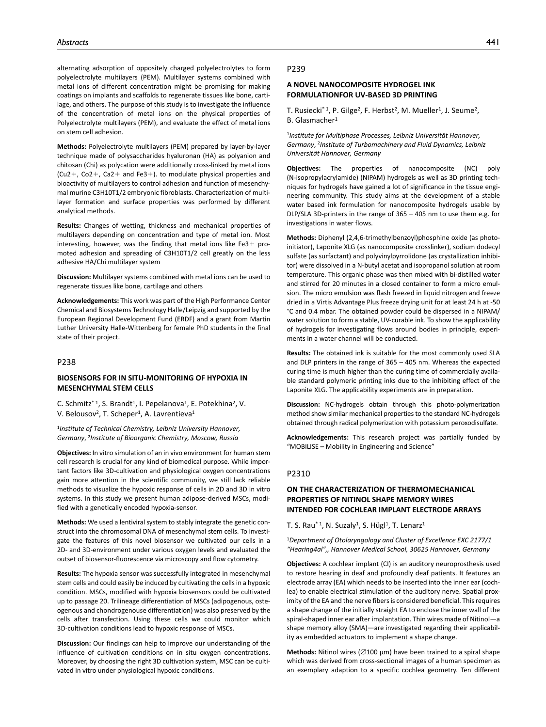alternating adsorption of oppositely charged polyelectrolytes to form polyelectrolyte multilayers (PEM). Multilayer systems combined with metal ions of different concentration might be promising for making coatings on implants and scaffolds to regenerate tissues like bone, cartilage, and others. The purpose of this study is to investigate the influence of the concentration of metal ions on the physical properties of Polyelectrolyte multilayers (PEM), and evaluate the effect of metal ions on stem cell adhesion.

**Methods:** Polyelectrolyte multilayers (PEM) prepared by layer-by-layer technique made of polysaccharides hyaluronan (HA) as polyanion and chitosan (Chi) as polycation were additionally cross-linked by metal ions  $(Cu2+$ ,  $Co2+$ ,  $Ca2+$  and Fe3+). to modulate physical properties and bioactivity of multilayers to control adhesion and function of mesenchymal murine C3H10T1/2 embryonic fibroblasts. Characterization of multilayer formation and surface properties was performed by different analytical methods.

**Results:** Changes of wetting, thickness and mechanical properties of multilayers depending on concentration and type of metal ion. Most interesting, however, was the finding that metal ions like  $Fe3+$  promoted adhesion and spreading of C3H10T1/2 cell greatly on the less adhesive HA/Chi multilayer system

**Discussion:** Multilayer systems combined with metal ions can be used to regenerate tissues like bone, cartilage and others

**Acknowledgements:** This work was part of the High Performance Center Chemical and Biosystems Technology Halle/Leipzig and supported by the European Regional Development Fund (ERDF) and a grant from Martin Luther University Halle-Wittenberg for female PhD students in the final state of their project.

## P238

## **BIOSENSORS FOR IN SITU-MONITORING OF HYPOXIA IN MESENCHYMAL STEM CELLS**

C. Schmitz<sup>\* 1</sup>, S. Brandt<sup>1</sup>, I. Pepelanova<sup>1</sup>, E. Potekhina<sup>2</sup>, V. V. Belousov<sup>2</sup>, T. Scheper<sup>1</sup>, A. Lavrentieva<sup>1</sup>

<sup>1</sup>*Institute of Technical Chemistry, Leibniz University Hannover, Germany*, 2*Institute of Bioorganic Chemistry, Moscow, Russia*

**Objectives:** In vitro simulation of an in vivo environment for human stem cell research is crucial for any kind of biomedical purpose. While important factors like 3D-cultivation and physiological oxygen concentrations gain more attention in the scientific community, we still lack reliable methods to visualize the hypoxic response of cells in 2D and 3D in vitro systems. In this study we present human adipose-derived MSCs, modified with a genetically encoded hypoxia-sensor.

**Methods:** We used a lentiviral system to stably integrate the genetic construct into the chromosomal DNA of mesenchymal stem cells. To investigate the features of this novel biosensor we cultivated our cells in a 2D- and 3D-environment under various oxygen levels and evaluated the outset of biosensor-fluorescence via microscopy and flow cytometry.

**Results:** The hypoxia sensor was successfully integrated in mesenchymal stem cells and could easily be induced by cultivating the cells in a hypoxic condition. MSCs, modified with hypoxia biosensors could be cultivated up to passage 20. Trilineage differentiation of MSCs (adipogenous, osteogenous and chondrogenouse differentiation) was also preserved by the cells after transfection. Using these cells we could monitor which 3D-cultivation conditions lead to hypoxic response of MSCs.

**Discussion:** Our findings can help to improve our understanding of the influence of cultivation conditions on in situ oxygen concentrations. Moreover, by choosing the right 3D cultivation system, MSC can be cultivated in vitro under physiological hypoxic conditions.

#### P239

## **A NOVEL NANOCOMPOSITE HYDROGEL INK FORMULATIONFOR UV-BASED 3D PRINTING**

T. Rusiecki<sup>\* 1</sup>, P. Gilge<sup>2</sup>, F. Herbst<sup>2</sup>, M. Mueller<sup>1</sup>, J. Seume<sup>2</sup>, B. Glasmacher1

<sup>1</sup>*Institute for Multiphase Processes, Leibniz Universität Hannover, Germany*, 2*Institute of Turbomachinery and Fluid Dynamics, Leibniz Universität Hannover, Germany*

**Objectives:** The properties of nanocomposite (NC) poly (N-isopropylacrylamide) (NIPAM) hydrogels as well as 3D printing techniques for hydrogels have gained a lot of significance in the tissue engineering community. This study aims at the development of a stable water based ink formulation for nanocomposite hydrogels usable by DLP/SLA 3D-printers in the range of 365 – 405 nm to use them e.g. for investigations in water flows.

**Methods:** Diphenyl (2,4,6-trimethylbenzoyl)phosphine oxide (as photoinitiator), Laponite XLG (as nanocomposite crosslinker), sodium dodecyl sulfate (as surfactant) and polyvinylpyrrolidone (as crystallization inhibitor) were dissolved in a N-butyl acetat and isopropanol solution at room temperature. This organic phase was then mixed with bi-distilled water and stirred for 20 minutes in a closed container to form a micro emulsion. The micro emulsion was flash freezed in liquid nitrogen and freeze dried in a Virtis Advantage Plus freeze drying unit for at least 24 h at -50 °C and 0.4 mbar. The obtained powder could be dispersed in a NIPAM/ water solution to form a stable, UV-curable ink. To show the applicability of hydrogels for investigating flows around bodies in principle, experiments in a water channel will be conducted.

**Results:** The obtained ink is suitable for the most commonly used SLA and DLP printers in the range of 365 – 405 nm. Whereas the expected curing time is much higher than the curing time of commercially available standard polymeric printing inks due to the inhibiting effect of the Laponite XLG. The applicability experiments are in preparation.

**Discussion:** NC-hydrogels obtain through this photo-polymerization method show similar mechanical properties to the standard NC-hydrogels obtained through radical polymerization with potassium peroxodisulfate.

**Acknowledgements:** This research project was partially funded by "MOBILISE – Mobility in Engineering and Science"

## P2310

# **ON THE CHARACTERIZATION OF THERMOMECHANICAL PROPERTIES OF NITINOL SHAPE MEMORY WIRES INTENDED FOR COCHLEAR IMPLANT ELECTRODE ARRAYS**

T. S. Rau<sup>\* 1</sup>, N. Suzaly<sup>1</sup>, S. Hügl<sup>1</sup>, T. Lenarz<sup>1</sup>

### <sup>1</sup>*Department of Otolaryngology and Cluster of Excellence EXC 2177/1 "Hearing4al",, Hannover Medical School, 30625 Hannover, Germany*

**Objectives:** A cochlear implant (CI) is an auditory neuroprosthesis used to restore hearing in deaf and profoundly deaf patients. It features an electrode array (EA) which needs to be inserted into the inner ear (cochlea) to enable electrical stimulation of the auditory nerve. Spatial proximity of the EA and the nerve fibers is considered beneficial. This requires a shape change of the initially straight EA to enclose the inner wall of the spiral-shaped inner ear after implantation. Thin wires made of Nitinol—a shape memory alloy (SMA)—are investigated regarding their applicability as embedded actuators to implement a shape change.

**Methods:** Nitinol wires (∅100 µm) have been trained to a spiral shape which was derived from cross-sectional images of a human specimen as an exemplary adaption to a specific cochlea geometry. Ten different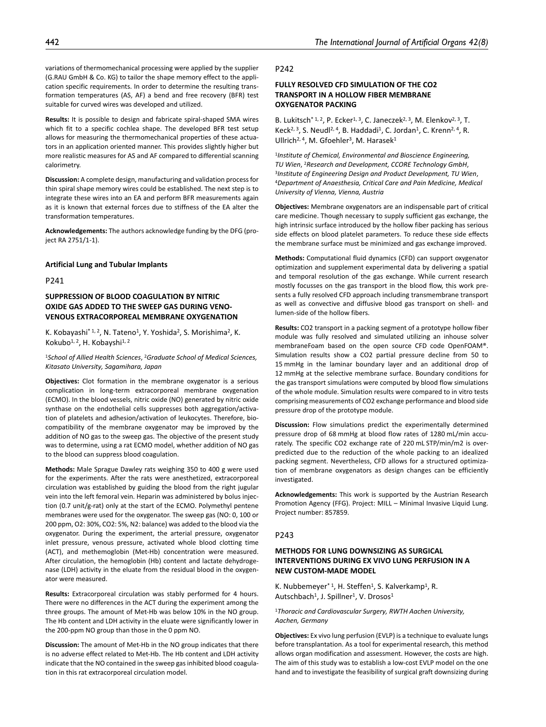variations of thermomechanical processing were applied by the supplier (G.RAU GmbH & Co. KG) to tailor the shape memory effect to the application specific requirements. In order to determine the resulting transformation temperatures (AS, AF) a bend and free recovery (BFR) test suitable for curved wires was developed and utilized.

**Results:** It is possible to design and fabricate spiral-shaped SMA wires which fit to a specific cochlea shape. The developed BFR test setup allows for measuring the thermomechanical properties of these actuators in an application oriented manner. This provides slightly higher but more realistic measures for AS and AF compared to differential scanning calorimetry.

**Discussion:** A complete design, manufacturing and validation process for thin spiral shape memory wires could be established. The next step is to integrate these wires into an EA and perform BFR measurements again as it is known that external forces due to stiffness of the EA alter the transformation temperatures.

**Acknowledgements:** The authors acknowledge funding by the DFG (project RA 2751/1-1).

### **Artificial Lung and Tubular Implants**

P241

# **SUPPRESSION OF BLOOD COAGULATION BY NITRIC OXIDE GAS ADDED TO THE SWEEP GAS DURING VENO-VENOUS EXTRACORPOREAL MEMBRANE OXYGENATION**

K. Kobayashi<sup>\* 1, 2</sup>, N. Tateno<sup>1</sup>, Y. Yoshida<sup>2</sup>, S. Morishima<sup>2</sup>, K. Kokubo<sup>1, 2</sup>, H. Kobayshi<sup>1, 2</sup>

<sup>1</sup>*School of Allied Health Sciences*, 2*Graduate School of Medical Sciences, Kitasato University, Sagamihara, Japan*

**Objectives:** Clot formation in the membrane oxygenator is a serious complication in long-term extracorporeal membrane oxygenation (ECMO). In the blood vessels, nitric oxide (NO) generated by nitric oxide synthase on the endothelial cells suppresses both aggregation/activation of platelets and adhesion/activation of leukocytes. Therefore, biocompatibility of the membrane oxygenator may be improved by the addition of NO gas to the sweep gas. The objective of the present study was to determine, using a rat ECMO model, whether addition of NO gas to the blood can suppress blood coagulation.

**Methods:** Male Sprague Dawley rats weighing 350 to 400 g were used for the experiments. After the rats were anesthetized, extracorporeal circulation was established by guiding the blood from the right jugular vein into the left femoral vein. Heparin was administered by bolus injection (0.7 unit/g-rat) only at the start of the ECMO. Polymethyl pentene membranes were used for the oxygenator. The sweep gas (NO: 0, 100 or 200 ppm, O2: 30%, CO2: 5%, N2: balance) was added to the blood via the oxygenator. During the experiment, the arterial pressure, oxygenator inlet pressure, venous pressure, activated whole blood clotting time (ACT), and methemoglobin (Met-Hb) concentration were measured. After circulation, the hemoglobin (Hb) content and lactate dehydrogenase (LDH) activity in the eluate from the residual blood in the oxygenator were measured.

**Results:** Extracorporeal circulation was stably performed for 4 hours. There were no differences in the ACT during the experiment among the three groups. The amount of Met-Hb was below 10% in the NO group. The Hb content and LDH activity in the eluate were significantly lower in the 200-ppm NO group than those in the 0 ppm NO.

**Discussion:** The amount of Met-Hb in the NO group indicates that there is no adverse effect related to Met-Hb. The Hb content and LDH activity indicate that the NO contained in the sweep gas inhibited blood coagulation in this rat extracorporeal circulation model.

#### P242

# **FULLY RESOLVED CFD SIMULATION OF THE CO2 TRANSPORT IN A HOLLOW FIBER MEMBRANE OXYGENATOR PACKING**

B. Lukitsch<sup>\* 1, 2</sup>, P. Ecker<sup>1, 3</sup>, C. Janeczek<sup>2, 3</sup>, M. Elenkov<sup>2, 3</sup>, T. Keck<sup>2, 3</sup>, S. Neudl<sup>2, 4</sup>, B. Haddadi<sup>1</sup>, C. Jordan<sup>1</sup>, C. Krenn<sup>2, 4</sup>, R. Ullrich<sup>2, 4</sup>, M. Gfoehler<sup>3</sup>, M. Harasek<sup>1</sup>

<sup>1</sup>*Institute of Chemical, Environmental and Bioscience Engineering, TU Wien*, 2*Research and Development, CCORE Technology GmbH*, 3*Institute of Engineering Design and Product Development, TU Wien*, 4*Department of Anaesthesia, Critical Care and Pain Medicine, Medical University of Vienna, Vienna, Austria*

**Objectives:** Membrane oxygenators are an indispensable part of critical care medicine. Though necessary to supply sufficient gas exchange, the high intrinsic surface introduced by the hollow fiber packing has serious side effects on blood platelet parameters. To reduce these side effects the membrane surface must be minimized and gas exchange improved.

**Methods:** Computational fluid dynamics (CFD) can support oxygenator optimization and supplement experimental data by delivering a spatial and temporal resolution of the gas exchange. While current research mostly focusses on the gas transport in the blood flow, this work presents a fully resolved CFD approach including transmembrane transport as well as convective and diffusive blood gas transport on shell- and lumen-side of the hollow fibers.

**Results:** CO2 transport in a packing segment of a prototype hollow fiber module was fully resolved and simulated utilizing an inhouse solver membraneFoam based on the open source CFD code OpenFOAM®. Simulation results show a CO2 partial pressure decline from 50 to 15 mmHg in the laminar boundary layer and an additional drop of 12 mmHg at the selective membrane surface. Boundary conditions for the gas transport simulations were computed by blood flow simulations of the whole module. Simulation results were compared to in vitro tests comprising measurements of CO2 exchange performance and blood side pressure drop of the prototype module.

**Discussion:** Flow simulations predict the experimentally determined pressure drop of 68 mmHg at blood flow rates of 1280 mL/min accurately. The specific CO2 exchange rate of 220 mL STP/min/m2 is overpredicted due to the reduction of the whole packing to an idealized packing segment. Nevertheless, CFD allows for a structured optimization of membrane oxygenators as design changes can be efficiently investigated.

**Acknowledgements:** This work is supported by the Austrian Research Promotion Agency (FFG). Project: MILL – Minimal Invasive Liquid Lung. Project number: 857859.

### P243

# **METHODS FOR LUNG DOWNSIZING AS SURGICAL INTERVENTIONS DURING EX VIVO LUNG PERFUSION IN A NEW CUSTOM-MADE MODEL**

K. Nubbemeyer<sup>\* 1</sup>, H. Steffen<sup>1</sup>, S. Kalverkamp<sup>1</sup>, R. Autschbach<sup>1</sup>, J. Spillner<sup>1</sup>, V. Drosos<sup>1</sup>

<sup>1</sup>*Thoracic and Cardiovascular Surgery, RWTH Aachen University, Aachen, Germany*

**Objectives:** Ex vivo lung perfusion (EVLP) is a technique to evaluate lungs before transplantation. As a tool for experimental research, this method allows organ modification and assessment. However, the costs are high. The aim of this study was to establish a low-cost EVLP model on the one hand and to investigate the feasibility of surgical graft downsizing during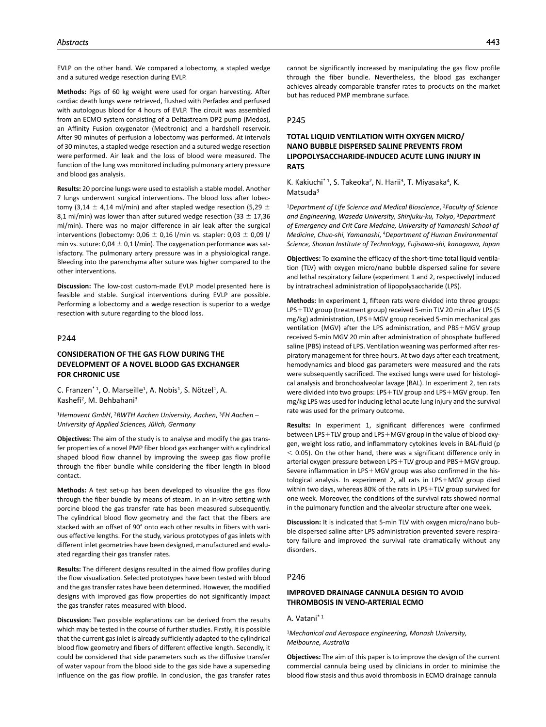EVLP on the other hand. We compared a lobectomy, a stapled wedge and a sutured wedge resection during EVLP.

**Methods:** Pigs of 60 kg weight were used for organ harvesting. After cardiac death lungs were retrieved, flushed with Perfadex and perfused with autologous blood for 4 hours of EVLP. The circuit was assembled from an ECMO system consisting of a Deltastream DP2 pump (Medos), an Affinity Fusion oxygenator (Medtronic) and a hardshell reservoir. After 90 minutes of perfusion a lobectomy was performed. At intervals of 30 minutes, a stapled wedge resection and a sutured wedge resection were performed. Air leak and the loss of blood were measured. The function of the lung was monitored including pulmonary artery pressure and blood gas analysis.

**Results:** 20 porcine lungs were used to establish a stable model. Another 7 lungs underwent surgical interventions. The blood loss after lobectomy (3,14  $\pm$  4,14 ml/min) and after stapled wedge resection (5,29  $\pm$ 8,1 ml/min) was lower than after sutured wedge resection (33  $\pm$  17,36 ml/min). There was no major difference in air leak after the surgical interventions (lobectomy:  $0.06 \pm 0.16$  l/min vs. stapler:  $0.03 \pm 0.09$  l/ min vs. suture:  $0.04 \pm 0.1$  l/min). The oxygenation performance was satisfactory. The pulmonary artery pressure was in a physiological range. Bleeding into the parenchyma after suture was higher compared to the other interventions.

**Discussion:** The low-cost custom-made EVLP model presented here is feasible and stable. Surgical interventions during EVLP are possible. Performing a lobectomy and a wedge resection is superior to a wedge resection with suture regarding to the blood loss.

#### P244

# **CONSIDERATION OF THE GAS FLOW DURING THE DEVELOPMENT OF A NOVEL BLOOD GAS EXCHANGER FOR CHRONIC USE**

C. Franzen<sup>\* 1</sup>, O. Marseille<sup>1</sup>, A. Nobis<sup>1</sup>, S. Nötzel<sup>1</sup>, A. Kashefi2, M. Behbahani3

<sup>1</sup>*Hemovent GmbH*, 2*RWTH Aachen University, Aachen*, 3*FH Aachen – University of Applied Sciences, Jülich, Germany*

**Objectives:** The aim of the study is to analyse and modify the gas transfer properties of a novel PMP fiber blood gas exchanger with a cylindrical shaped blood flow channel by improving the sweep gas flow profile through the fiber bundle while considering the fiber length in blood contact.

**Methods:** A test set-up has been developed to visualize the gas flow through the fiber bundle by means of steam. In an in-vitro setting with porcine blood the gas transfer rate has been measured subsequently. The cylindrical blood flow geometry and the fact that the fibers are stacked with an offset of 90° onto each other results in fibers with various effective lengths. For the study, various prototypes of gas inlets with different inlet geometries have been designed, manufactured and evaluated regarding their gas transfer rates.

**Results:** The different designs resulted in the aimed flow profiles during the flow visualization. Selected prototypes have been tested with blood and the gas transfer rates have been determined. However, the modified designs with improved gas flow properties do not significantly impact the gas transfer rates measured with blood.

**Discussion:** Two possible explanations can be derived from the results which may be tested in the course of further studies. Firstly, it is possible that the current gas inlet is already sufficiently adapted to the cylindrical blood flow geometry and fibers of different effective length. Secondly, it could be considered that side parameters such as the diffusive transfer of water vapour from the blood side to the gas side have a superseding influence on the gas flow profile. In conclusion, the gas transfer rates cannot be significantly increased by manipulating the gas flow profile through the fiber bundle. Nevertheless, the blood gas exchanger achieves already comparable transfer rates to products on the market but has reduced PMP membrane surface.

### P245

# **TOTAL LIQUID VENTILATION WITH OXYGEN MICRO/ NANO BUBBLE DISPERSED SALINE PREVENTS FROM LIPOPOLYSACCHARIDE-INDUCED ACUTE LUNG INJURY IN RATS**

K. Kakiuchi<sup>\* 1</sup>, S. Takeoka<sup>2</sup>, N. Harii<sup>3</sup>, T. Miyasaka<sup>4</sup>, K. Matsuda<sup>3</sup>

<sup>1</sup>*Department of Life Science and Medical Bioscience*, 2*Faculty of Science and Engineering, Waseda University, Shinjuku-ku, Tokyo*, 3*Department of Emergency and Crit Care Medcine, University of Yamanashi School of Medicine, Chuo-shi, Yamanashi*, 4*Department of Human Environmental Science, Shonan Institute of Technology, Fujisawa-shi, kanagawa, Japan*

**Objectives:** To examine the efficacy of the short-time total liquid ventilation (TLV) with oxygen micro/nano bubble dispersed saline for severe and lethal respiratory failure (experiment 1 and 2, respectively) induced by intratracheal administration of lipopolysaccharide (LPS).

**Methods:** In experiment 1, fifteen rats were divided into three groups: LPS+TLV group (treatment group) received 5-min TLV 20 min after LPS (5 mg/kg) administration, LPS+MGV group received 5-min mechanical gas ventilation (MGV) after the LPS administration, and PBS+MGV group received 5-min MGV 20 min after administration of phosphate buffered saline (PBS) instead of LPS. Ventilation weaning was performed after respiratory management for three hours. At two days after each treatment, hemodynamics and blood gas parameters were measured and the rats were subsequently sacrificed. The excised lungs were used for histological analysis and bronchoalveolar lavage (BAL). In experiment 2, ten rats were divided into two groups: LPS+TLV group and LPS+MGV group. Ten mg/kg LPS was used for inducing lethal acute lung injury and the survival rate was used for the primary outcome.

**Results:** In experiment 1, significant differences were confirmed between LPS+TLV group and LPS+MGV group in the value of blood oxygen, weight loss ratio, and inflammatory cytokines levels in BAL-fluid (p  $<$  0.05). On the other hand, there was a significant difference only in arterial oxygen pressure between LPS+TLV group and PBS+MGV group. Severe inflammation in LPS+MGV group was also confirmed in the histological analysis. In experiment 2, all rats in LPS+MGV group died within two days, whereas 80% of the rats in LPS+TLV group survived for one week. Moreover, the conditions of the survival rats showed normal in the pulmonary function and the alveolar structure after one week.

**Discussion:** It is indicated that 5-min TLV with oxygen micro/nano bubble dispersed saline after LPS administration prevented severe respiratory failure and improved the survival rate dramatically without any disorders.

#### P246

# **IMPROVED DRAINAGE CANNULA DESIGN TO AVOID THROMBOSIS IN VENO-ARTERIAL ECMO**

### A. Vatani\* 1

<sup>1</sup>*Mechanical and Aerospace engineering, Monash University, Melbourne, Australia*

**Objectives:** The aim of this paper is to improve the design of the current commercial cannula being used by clinicians in order to minimise the blood flow stasis and thus avoid thrombosis in ECMO drainage cannula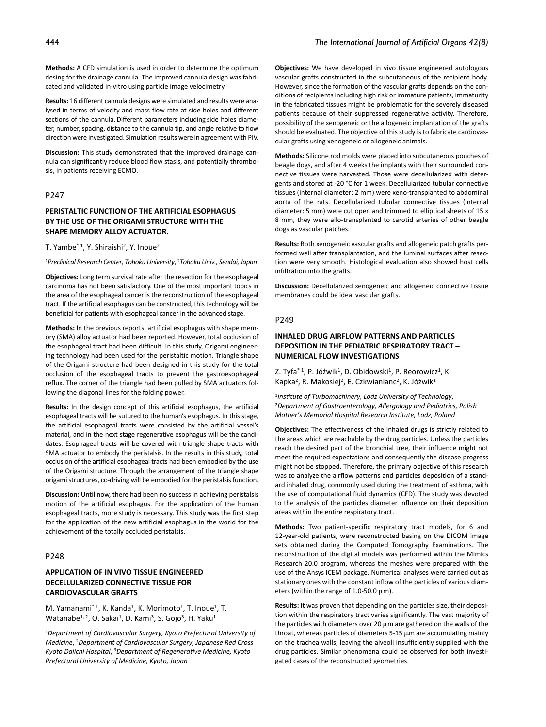**Methods:** A CFD simulation is used in order to determine the optimum desing for the drainage cannula. The improved cannula design was fabricated and validated in-vitro using particle image velocimetry.

**Results:** 16 different cannula designs were simulated and results were analysed in terms of velocity and mass flow rate at side holes and different sections of the cannula. Different parameters including side holes diameter, number, spacing, distance to the cannula tip, and angle relative to flow direction were investigated. Simulation results were in agreement with PIV.

**Discussion:** This study demonstrated that the improved drainage cannula can significantly reduce blood flow stasis, and potentially thrombosis, in patients receiving ECMO.

## P247

# **PERISTALTIC FUNCTION OF THE ARTIFICIAL ESOPHAGUS BY THE USE OF THE ORIGAMI STRUCTURE WITH THE SHAPE MEMORY ALLOY ACTUATOR.**

T. Yambe<sup>\* 1</sup>, Y. Shiraishi<sup>2</sup>, Y. Inoue<sup>2</sup>

<sup>1</sup>*Preclinical Research Center, Tohoku University*, 2*Tohoku Univ., Sendai, Japan*

**Objectives:** Long term survival rate after the resection for the esophageal carcinoma has not been satisfactory. One of the most important topics in the area of the esophageal cancer is the reconstruction of the esophageal tract. If the artificial esophagus can be constructed, this technology will be beneficial for patients with esophageal cancer in the advanced stage.

**Methods:** In the previous reports, artificial esophagus with shape memory (SMA) alloy actuator had been reported. However, total occlusion of the esophageal tract had been difficult. In this study, Origami engineering technology had been used for the peristaltic motion. Triangle shape of the Origami structure had been designed in this study for the total occlusion of the esophageal tracts to prevent the gastroesophageal reflux. The corner of the triangle had been pulled by SMA actuators following the diagonal lines for the folding power.

**Results:** In the design concept of this artificial esophagus, the artificial esophageal tracts will be sutured to the human's esophagus. In this stage, the artificial esophageal tracts were consisted by the artificial vessel's material, and in the next stage regenerative esophagus will be the candidates. Esophageal tracts will be covered with triangle shape tracts with SMA actuator to embody the peristalsis. In the results in this study, total occlusion of the artificial esophageal tracts had been embodied by the use of the Origami structure. Through the arrangement of the triangle shape origami structures, co-driving will be embodied for the peristalsis function.

**Discussion:** Until now, there had been no success in achieving peristalsis motion of the artificial esophagus. For the application of the human esophageal tracts, more study is necessary. This study was the first step for the application of the new artificial esophagus in the world for the achievement of the totally occluded peristalsis.

# P248

# **APPLICATION OF IN VIVO TISSUE ENGINEERED DECELLULARIZED CONNECTIVE TISSUE FOR CARDIOVASCULAR GRAFTS**

M. Yamanami<sup>\* 1</sup>, K. Kanda<sup>1</sup>, K. Morimoto<sup>1</sup>, T. Inoue<sup>1</sup>, T. Watanabe<sup>1, 2</sup>, O. Sakai<sup>1</sup>, D. Kami<sup>3</sup>, S. Gojo<sup>3</sup>, H. Yaku<sup>1</sup>

<sup>1</sup>*Department of Cardiovascular Surgery, Kyoto Prefectural University of Medicine*, 2*Department of Cardiovascular Surgery, Japanese Red Cross Kyoto Daiichi Hospital*, 3*Department of Regenerative Medicine, Kyoto Prefectural University of Medicine, Kyoto, Japan*

**Objectives:** We have developed in vivo tissue engineered autologous vascular grafts constructed in the subcutaneous of the recipient body. However, since the formation of the vascular grafts depends on the conditions of recipients including high risk or immature patients, immaturity in the fabricated tissues might be problematic for the severely diseased patients because of their suppressed regenerative activity. Therefore, possibility of the xenogeneic or the allogeneic implantation of the grafts should be evaluated. The objective of this study is to fabricate cardiovascular grafts using xenogeneic or allogeneic animals.

**Methods:** Silicone rod molds were placed into subcutaneous pouches of beagle dogs, and after 4 weeks the implants with their surrounded connective tissues were harvested. Those were decellularized with detergents and stored at -20 °C for 1 week. Decellularized tubular connective tissues (internal diameter: 2 mm) were xeno-transplanted to abdominal aorta of the rats. Decellularized tubular connective tissues (internal diameter: 5 mm) were cut open and trimmed to elliptical sheets of 15 x 8 mm, they were allo-transplanted to carotid arteries of other beagle dogs as vascular patches.

**Results:** Both xenogeneic vascular grafts and allogeneic patch grafts performed well after transplantation, and the luminal surfaces after resection were very smooth. Histological evaluation also showed host cells infiltration into the grafts.

**Discussion:** Decellularized xenogeneic and allogeneic connective tissue membranes could be ideal vascular grafts.

## P249

# **INHALED DRUG AIRFLOW PATTERNS AND PARTICLES DEPOSITION IN THE PEDIATRIC RESPIRATORY TRACT – NUMERICAL FLOW INVESTIGATIONS**

Z. Tyfa\*1, P. Jóźwik<sup>1</sup>, D. Obidowski<sup>1</sup>, P. Reorowicz<sup>1</sup>, K. Kapka<sup>2</sup>, R. Makosiej<sup>2</sup>, E. Czkwianianc<sup>2</sup>, K. Jóźwik<sup>1</sup>

<sup>1</sup>*Institute of Turbomachinery, Lodz University of Technology*, 2*Department of Gastroenterology, Allergology and Pediatrics, Polish Mother's Memorial Hospital Research Institute, Lodz, Poland*

**Objectives:** The effectiveness of the inhaled drugs is strictly related to the areas which are reachable by the drug particles. Unless the particles reach the desired part of the bronchial tree, their influence might not meet the required expectations and consequently the disease progress might not be stopped. Therefore, the primary objective of this research was to analyze the airflow patterns and particles deposition of a standard inhaled drug, commonly used during the treatment of asthma, with the use of computational fluid dynamics (CFD). The study was devoted to the analysis of the particles diameter influence on their deposition areas within the entire respiratory tract.

**Methods:** Two patient-specific respiratory tract models, for 6 and 12-year-old patients, were reconstructed basing on the DICOM image sets obtained during the Computed Tomography Examinations. The reconstruction of the digital models was performed within the Mimics Research 20.0 program, whereas the meshes were prepared with the use of the Ansys ICEM package. Numerical analyses were carried out as stationary ones with the constant inflow of the particles of various diameters (within the range of 1.0-50.0 μm).

**Results:** It was proven that depending on the particles size, their deposition within the respiratory tract varies significantly. The vast majority of the particles with diameters over 20 μm are gathered on the walls of the throat, whereas particles of diameters 5-15 μm are accumulating mainly on the trachea walls, leaving the alveoli insufficiently supplied with the drug particles. Similar phenomena could be observed for both investigated cases of the reconstructed geometries.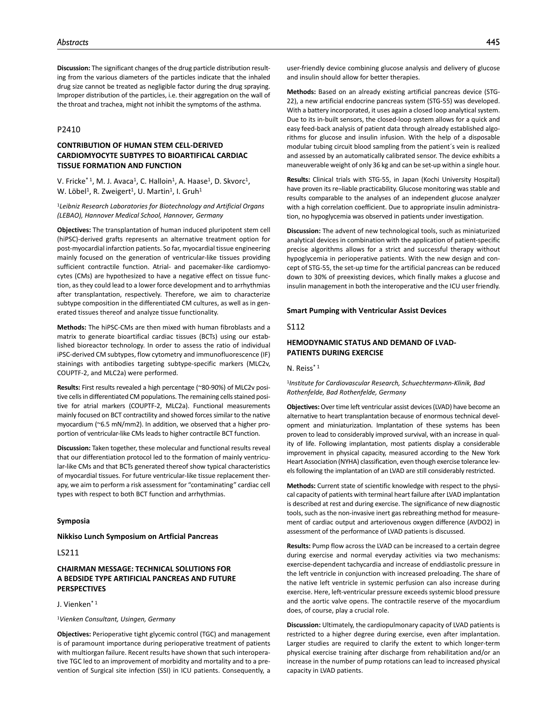**Discussion:** The significant changes of the drug particle distribution resulting from the various diameters of the particles indicate that the inhaled drug size cannot be treated as negligible factor during the drug spraying. Improper distribution of the particles, i.e. their aggregation on the wall of the throat and trachea, might not inhibit the symptoms of the asthma.

# P2410

# **CONTRIBUTION OF HUMAN STEM CELL-DERIVED CARDIOMYOCYTE SUBTYPES TO BIOARTIFICAL CARDIAC TISSUE FORMATION AND FUNCTION**

V. Fricke<sup>\* 1</sup>, M. J. Avaca<sup>1</sup>, C. Halloin<sup>1</sup>, A. Haase<sup>1</sup>, D. Skvorc<sup>1</sup>, W. Löbel<sup>1</sup>, R. Zweigert<sup>1</sup>, U. Martin<sup>1</sup>, I. Gruh<sup>1</sup>

<sup>1</sup>*Leibniz Research Laboratories for Biotechnology and Artificial Organs (LEBAO), Hannover Medical School, Hannover, Germany*

**Objectives:** The transplantation of human induced pluripotent stem cell (hiPSC)-derived grafts represents an alternative treatment option for post-myocardial infarction patients. So far, myocardial tissue engineering mainly focused on the generation of ventricular-like tissues providing sufficient contractile function. Atrial- and pacemaker-like cardiomyocytes (CMs) are hypothesized to have a negative effect on tissue function, as they could lead to a lower force development and to arrhythmias after transplantation, respectively. Therefore, we aim to characterize subtype composition in the differentiated CM cultures, as well as in generated tissues thereof and analyze tissue functionality.

**Methods:** The hiPSC-CMs are then mixed with human fibroblasts and a matrix to generate bioartifical cardiac tissues (BCTs) using our established bioreactor technology. In order to assess the ratio of individual iPSC-derived CM subtypes, flow cytometry and immunofluorescence (IF) stainings with antibodies targeting subtype-specific markers (MLC2v, COUPTF-2, and MLC2a) were performed.

**Results:** First results revealed a high percentage (~80-90%) of MLC2v positive cells in differentiated CM populations. The remaining cells stained positive for atrial markers (COUPTF-2, MLC2a). Functional measurements mainly focused on BCT contractility and showed forces similar to the native myocardium (~6.5 mN/mm2). In addition, we observed that a higher proportion of ventricular-like CMs leads to higher contractile BCT function.

**Discussion:** Taken together, these molecular and functional results reveal that our differentiation protocol led to the formation of mainly ventricular-like CMs and that BCTs generated thereof show typical characteristics of myocardial tissues. For future ventricular-like tissue replacement therapy, we aim to perform a risk assessment for "contaminating" cardiac cell types with respect to both BCT function and arrhythmias.

### **Symposia**

**Nikkiso Lunch Symposium on Artficial Pancreas**

### LS211

## **CHAIRMAN MESSAGE: TECHNICAL SOLUTIONS FOR A BEDSIDE TYPE ARTIFICIAL PANCREAS AND FUTURE PERSPECTIVES**

## J. Vienken\* 1

<sup>1</sup>*Vienken Consultant, Usingen, Germany*

**Objectives:** Perioperative tight glycemic control (TGC) and management is of paramount importance during perioperative treatment of patients with multiorgan failure. Recent results have shown that such interoperative TGC led to an improvement of morbidity and mortality and to a prevention of Surgical site infection (SSI) in ICU patients. Consequently, a

**Methods:** Based on an already existing artificial pancreas device (STG-22), a new artificial endocrine pancreas system (STG-55) was developed. With a battery incorporated, it uses again a closed loop analytical system. Due to its in-built sensors, the closed-loop system allows for a quick and easy feed-back analysis of patient data through already established algorithms for glucose and insulin infusion. With the help of a disposable modular tubing circuit blood sampling from the patient´s vein is realized and assessed by an automatically calibrated sensor. The device exhibits a maneuverable weight of only 36 kg and can be set-up within a single hour.

**Results:** Clinical trials with STG-55, in Japan (Kochi University Hospital) have proven its re-liable practicability. Glucose monitoring was stable and results comparable to the analyses of an independent glucose analyzer with a high correlation coefficient. Due to appropriate insulin administration, no hypoglycemia was observed in patients under investigation.

**Discussion:** The advent of new technological tools, such as miniaturized analytical devices in combination with the application of patient-specific precise algorithms allows for a strict and successful therapy without hypoglycemia in perioperative patients. With the new design and concept of STG-55, the set-up time for the artificial pancreas can be reduced down to 30% of preexisting devices, which finally makes a glucose and insulin management in both the interoperative and the ICU user friendly.

#### **Smart Pumping with Ventricular Assist Devices**

#### S112

# **HEMODYNAMIC STATUS AND DEMAND OF LVAD-PATIENTS DURING EXERCISE**

#### N. Reiss\* 1

<sup>1</sup>*Institute for Cardiovascular Research, Schuechtermann-Klinik, Bad Rothenfelde, Bad Rothenfelde, Germany*

**Objectives:** Over time left ventricular assist devices (LVAD) have become an alternative to heart transplantation because of enormous technical development and miniaturization. Implantation of these systems has been proven to lead to considerably improved survival, with an increase in quality of life. Following implantation, most patients display a considerable improvement in physical capacity, measured according to the New York Heart Association (NYHA) classification, even though exercise tolerance levels following the implantation of an LVAD are still considerably restricted.

**Methods:** Current state of scientific knowledge with respect to the physical capacity of patients with terminal heart failure after LVAD implantation is described at rest and during exercise. The significance of new diagnostic tools, such as the non-invasive inert gas rebreathing method for measurement of cardiac output and arteriovenous oxygen difference (AVDO2) in assessment of the performance of LVAD patients is discussed.

**Results:** Pump flow across the LVAD can be increased to a certain degree during exercise and normal everyday activities via two mechanisms: exercise-dependent tachycardia and increase of enddiastolic pressure in the left ventricle in conjunction with increased preloading. The share of the native left ventricle in systemic perfusion can also increase during exercise. Here, left-ventricular pressure exceeds systemic blood pressure and the aortic valve opens. The contractile reserve of the myocardium does, of course, play a crucial role.

**Discussion:** Ultimately, the cardiopulmonary capacity of LVAD patients is restricted to a higher degree during exercise, even after implantation. Larger studies are required to clarify the extent to which longer-term physical exercise training after discharge from rehabilitation and/or an increase in the number of pump rotations can lead to increased physical capacity in LVAD patients.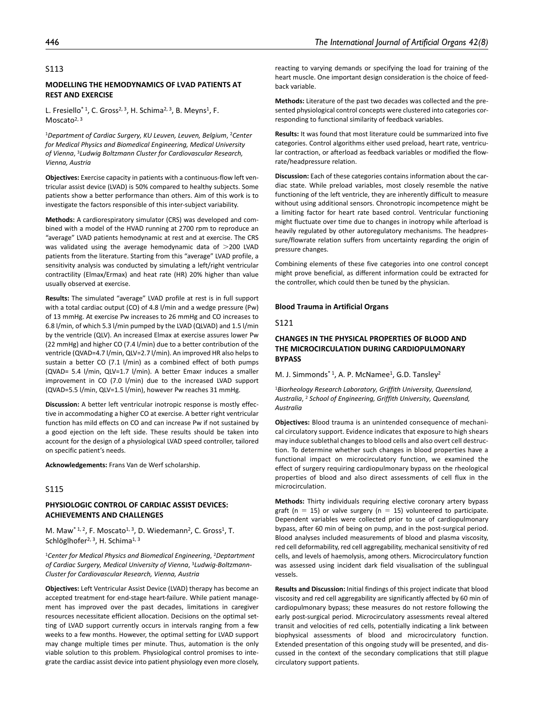### S113

### **MODELLING THE HEMODYNAMICS OF LVAD PATIENTS AT REST AND EXERCISE**

L. Fresiello<sup>\* 1</sup>, C. Gross<sup>2, 3</sup>, H. Schima<sup>2, 3</sup>, B. Meyns<sup>1</sup>, F. Moscato<sup>2, 3</sup>

<sup>1</sup>*Department of Cardiac Surgery, KU Leuven, Leuven, Belgium*, 2*Center for Medical Physics and Biomedical Engineering, Medical University of Vienna*, 3*Ludwig Boltzmann Cluster for Cardiovascular Research, Vienna, Austria*

**Objectives:** Exercise capacity in patients with a continuous-flow left ventricular assist device (LVAD) is 50% compared to healthy subjects. Some patients show a better performance than others. Aim of this work is to investigate the factors responsible of this inter-subject variability.

**Methods:** A cardiorespiratory simulator (CRS) was developed and combined with a model of the HVAD running at 2700 rpm to reproduce an "average" LVAD patients hemodynamic at rest and at exercise. The CRS was validated using the average hemodynamic data of >200 LVAD patients from the literature. Starting from this "average" LVAD profile, a sensitivity analysis was conducted by simulating a left/right ventricular contractility (Elmax/Ermax) and heat rate (HR) 20% higher than value usually observed at exercise.

**Results:** The simulated "average" LVAD profile at rest is in full support with a total cardiac output (CO) of 4.8 l/min and a wedge pressure (Pw) of 13 mmHg. At exercise Pw increases to 26 mmHg and CO increases to 6.8 l/min, of which 5.3 l/min pumped by the LVAD (QLVAD) and 1.5 l/min by the ventricle (QLV). An increased Elmax at exercise assures lower Pw (22 mmHg) and higher CO (7.4 l/min) due to a better contribution of the ventricle (QVAD=4.7 l/min, QLV=2.7 l/min). An improved HR also helps to sustain a better CO (7.1 l/min) as a combined effect of both pumps (QVAD= 5.4 l/min, QLV=1.7 l/min). A better Emaxr induces a smaller improvement in CO (7.0 l/min) due to the increased LVAD support (QVAD=5.5 l/min, QLV=1.5 l/min), however Pw reaches 31 mmHg.

**Discussion:** A better left ventricular inotropic response is mostly effective in accommodating a higher CO at exercise. A better right ventricular function has mild effects on CO and can increase Pw if not sustained by a good ejection on the left side. These results should be taken into account for the design of a physiological LVAD speed controller, tailored on specific patient's needs.

**Acknowledgements:** Frans Van de Werf scholarship.

## S115

## **PHYSIOLOGIC CONTROL OF CARDIAC ASSIST DEVICES: ACHIEVEMENTS AND CHALLENGES**

M. Maw<sup>\* 1, 2</sup>, F. Moscato<sup>1, 3</sup>, D. Wiedemann<sup>2</sup>, C. Gross<sup>1</sup>, T. Schlöglhofer<sup>2, 3</sup>, H. Schima<sup>1, 3</sup>

<sup>1</sup>*Center for Medical Physics and Biomedical Engineering*, 2*Deptartment of Cardiac Surgery, Medical University of Vienna*, 3*Ludwig-Boltzmann-Cluster for Cardiovascular Research, Vienna, Austria*

**Objectives:** Left Ventricular Assist Device (LVAD) therapy has become an accepted treatment for end-stage heart-failure. While patient management has improved over the past decades, limitations in caregiver resources necessitate efficient allocation. Decisions on the optimal setting of LVAD support currently occurs in intervals ranging from a few weeks to a few months. However, the optimal setting for LVAD support may change multiple times per minute. Thus, automation is the only viable solution to this problem. Physiological control promises to integrate the cardiac assist device into patient physiology even more closely, reacting to varying demands or specifying the load for training of the heart muscle. One important design consideration is the choice of feedback variable.

**Methods:** Literature of the past two decades was collected and the presented physiological control concepts were clustered into categories corresponding to functional similarity of feedback variables.

**Results:** It was found that most literature could be summarized into five categories. Control algorithms either used preload, heart rate, ventricular contraction, or afterload as feedback variables or modified the flowrate/headpressure relation.

**Discussion:** Each of these categories contains information about the cardiac state. While preload variables, most closely resemble the native functioning of the left ventricle, they are inherently difficult to measure without using additional sensors. Chronotropic incompetence might be a limiting factor for heart rate based control. Ventricular functioning might fluctuate over time due to changes in inotropy while afterload is heavily regulated by other autoregulatory mechanisms. The headpressure/flowrate relation suffers from uncertainty regarding the origin of pressure changes.

Combining elements of these five categories into one control concept might prove beneficial, as different information could be extracted for the controller, which could then be tuned by the physician.

#### **Blood Trauma in Artificial Organs**

#### S121

# **CHANGES IN THE PHYSICAL PROPERTIES OF BLOOD AND THE MICROCIRCULATION DURING CARDIOPULMONARY BYPASS**

M. J. Simmonds<sup>\*1</sup>, A. P. McNamee<sup>1</sup>, G.D. Tansley<sup>2</sup>

<sup>1</sup>*Biorheology Research Laboratory, Griffith University, Queensland, Australia*, 2 *School of Engineering, Griffith University, Queensland, Australia*

**Objectives:** Blood trauma is an unintended consequence of mechanical circulatory support. Evidence indicates that exposure to high shears may induce sublethal changes to blood cells and also overt cell destruction. To determine whether such changes in blood properties have a functional impact on microcirculatory function, we examined the effect of surgery requiring cardiopulmonary bypass on the rheological properties of blood and also direct assessments of cell flux in the microcirculation.

**Methods:** Thirty individuals requiring elective coronary artery bypass graft ( $n = 15$ ) or valve surgery ( $n = 15$ ) volunteered to participate. Dependent variables were collected prior to use of cardiopulmonary bypass, after 60 min of being on pump, and in the post-surgical period. Blood analyses included measurements of blood and plasma viscosity, red cell deformability, red cell aggregability, mechanical sensitivity of red cells, and levels of haemolysis, among others. Microcirculatory function was assessed using incident dark field visualisation of the sublingual vessels.

**Results and Discussion:** Initial findings of this project indicate that blood viscosity and red cell aggregability are significantly affected by 60 min of cardiopulmonary bypass; these measures do not restore following the early post-surgical period. Microcirculatory assessments reveal altered transit and velocities of red cells, potentially indicating a link between biophysical assessments of blood and microcirculatory function. Extended presentation of this ongoing study will be presented, and discussed in the context of the secondary complications that still plague circulatory support patients.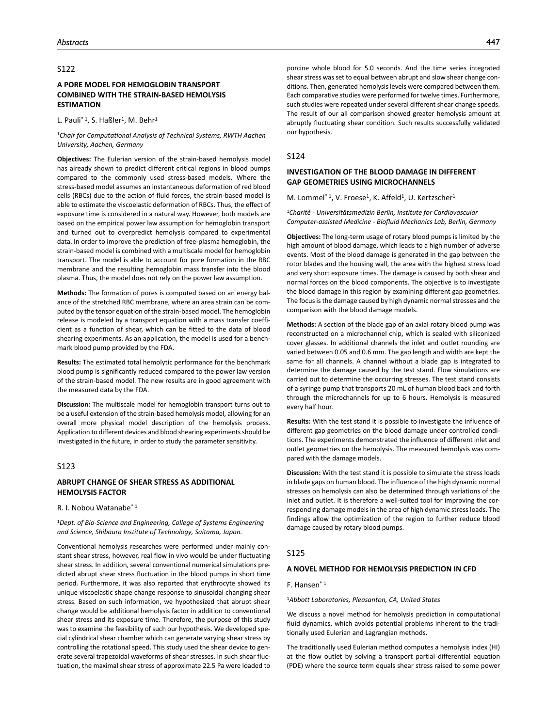## S122

# **A PORE MODEL FOR HEMOGLOBIN TRANSPORT COMBINED WITH THE STRAIN-BASED HEMOLYSIS ESTIMATION**

L. Pauli<sup>\* 1</sup>, S. Haßler<sup>1</sup>, M. Behr<sup>1</sup>

#### <sup>1</sup>*Chair for Computational Analysis of Technical Systems, RWTH Aachen University, Aachen, Germany*

**Objectives:** The Eulerian version of the strain-based hemolysis model has already shown to predict different critical regions in blood pumps compared to the commonly used stress-based models. Where the stress-based model assumes an instantaneous deformation of red blood cells (RBCs) due to the action of fluid forces, the strain-based model is able to estimate the viscoelastic deformation of RBCs. Thus, the effect of exposure time is considered in a natural way. However, both models are based on the empirical power law assumption for hemoglobin transport and turned out to overpredict hemolysis compared to experimental data. In order to improve the prediction of free-plasma hemoglobin, the strain-based model is combined with a multiscale model for hemoglobin transport. The model is able to account for pore formation in the RBC membrane and the resulting hemoglobin mass transfer into the blood plasma. Thus, the model does not rely on the power law assumption.

**Methods:** The formation of pores is computed based on an energy balance of the stretched RBC membrane, where an area strain can be computed by the tensor equation of the strain-based model. The hemoglobin release is modeled by a transport equation with a mass transfer coefficient as a function of shear, which can be fitted to the data of blood shearing experiments. As an application, the model is used for a benchmark blood pump provided by the FDA.

**Results:** The estimated total hemolytic performance for the benchmark blood pump is significantly reduced compared to the power law version of the strain-based model. The new results are in good agreement with the measured data by the FDA.

**Discussion:** The multiscale model for hemoglobin transport turns out to be a useful extension of the strain-based hemolysis model, allowing for an overall more physical model description of the hemolysis process. Application to different devices and blood shearing experiments should be investigated in the future, in order to study the parameter sensitivity.

### S123

## **ABRUPT CHANGE OF SHEAR STRESS AS ADDITIONAL HEMOLYSIS FACTOR**

### R. I. Nobou Watanabe\* 1

<sup>1</sup>*Dept. of Bio-Science and Engineering, College of Systems Engineering and Science, Shibaura Institute of Technology, Saitama, Japan.*

Conventional hemolysis researches were performed under mainly constant shear stress, however, real flow in vivo would be under fluctuating shear stress. In addition, several conventional numerical simulations predicted abrupt shear stress fluctuation in the blood pumps in short time period. Furthermore, it was also reported that erythrocyte showed its unique viscoelastic shape change response to sinusoidal changing shear stress. Based on such information, we hypothesized that abrupt shear change would be additional hemolysis factor in addition to conventional shear stress and its exposure time. Therefore, the purpose of this study was to examine the feasibility of such our hypothesis. We developed special cylindrical shear chamber which can generate varying shear stress by controlling the rotational speed. This study used the shear device to generate several trapezoidal waveforms of shear stresses. In such shear fluctuation, the maximal shear stress of approximate 22.5 Pa were loaded to porcine whole blood for 5.0 seconds. And the time series integrated shear stress was set to equal between abrupt and slow shear change conditions. Then, generated hemolysis levels were compared between them. Each comparative studies were performed for twelve times. Furthermore, such studies were repeated under several different shear change speeds. The result of our all comparison showed greater hemolysis amount at abruptly fluctuating shear condition. Such results successfully validated our hypothesis.

#### S124

### **INVESTIGATION OF THE BLOOD DAMAGE IN DIFFERENT GAP GEOMETRIES USING MICROCHANNELS**

M. Lommel<sup>\* 1</sup>, V. Froese<sup>1</sup>, K. Affeld<sup>1</sup>, U. Kertzscher<sup>1</sup>

<sup>1</sup>*Charitè - Universitätsmedizin Berlin, Institute for Cardiovascular Computer-assisted Medicine - Biofluid Mechanics Lab, Berlin, Germany*

**Objectives:** The long-term usage of rotary blood pumps is limited by the high amount of blood damage, which leads to a high number of adverse events. Most of the blood damage is generated in the gap between the rotor blades and the housing wall, the area with the highest stress load and very short exposure times. The damage is caused by both shear and normal forces on the blood components. The objective is to investigate the blood damage in this region by examining different gap geometries. The focus is the damage caused by high dynamic normal stresses and the comparison with the blood damage models.

**Methods:** A section of the blade gap of an axial rotary blood pump was reconstructed on a microchannel chip, which is sealed with siliconized cover glasses. In additional channels the inlet and outlet rounding are varied between 0.05 and 0.6 mm. The gap length and width are kept the same for all channels. A channel without a blade gap is integrated to determine the damage caused by the test stand. Flow simulations are carried out to determine the occurring stresses. The test stand consists of a syringe pump that transports 20 mL of human blood back and forth through the microchannels for up to 6 hours. Hemolysis is measured every half hour.

**Results:** With the test stand it is possible to investigate the influence of different gap geometries on the blood damage under controlled conditions. The experiments demonstrated the influence of different inlet and outlet geometries on the hemolysis. The measured hemolysis was compared with the damage models.

**Discussion:** With the test stand it is possible to simulate the stress loads in blade gaps on human blood. The influence of the high dynamic normal stresses on hemolysis can also be determined through variations of the inlet and outlet. It is therefore a well-suited tool for improving the corresponding damage models in the area of high dynamic stress loads. The findings allow the optimization of the region to further reduce blood damage caused by rotary blood pumps.

### S125

### **A NOVEL METHOD FOR HEMOLYSIS PREDICTION IN CFD**

F. Hansen\* 1

<sup>1</sup>*Abbott Laboratories, Pleasanton, CA, United States*

We discuss a novel method for hemolysis prediction in computational fluid dynamics, which avoids potential problems inherent to the traditionally used Eulerian and Lagrangian methods.

The traditionally used Eulerian method computes a hemolysis index (HI) at the flow outlet by solving a transport partial differential equation (PDE) where the source term equals shear stress raised to some power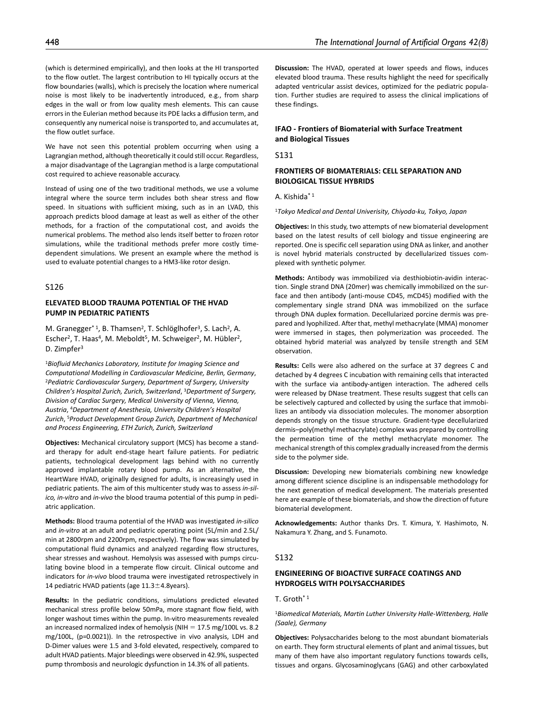(which is determined empirically), and then looks at the HI transported to the flow outlet. The largest contribution to HI typically occurs at the flow boundaries (walls), which is precisely the location where numerical noise is most likely to be inadvertently introduced, e.g., from sharp edges in the wall or from low quality mesh elements. This can cause errors in the Eulerian method because its PDE lacks a diffusion term, and consequently any numerical noise is transported to, and accumulates at, the flow outlet surface.

We have not seen this potential problem occurring when using a Lagrangian method, although theoretically it could still occur. Regardless, a major disadvantage of the Lagrangian method is a large computational cost required to achieve reasonable accuracy.

Instead of using one of the two traditional methods, we use a volume integral where the source term includes both shear stress and flow speed. In situations with sufficient mixing, such as in an LVAD, this approach predicts blood damage at least as well as either of the other methods, for a fraction of the computational cost, and avoids the numerical problems. The method also lends itself better to frozen rotor simulations, while the traditional methods prefer more costly timedependent simulations. We present an example where the method is used to evaluate potential changes to a HM3-like rotor design.

# S126

# **ELEVATED BLOOD TRAUMA POTENTIAL OF THE HVAD PUMP IN PEDIATRIC PATIENTS**

M. Granegger<sup>\*1</sup>, B. Thamsen<sup>2</sup>, T. Schlöglhofer<sup>3</sup>, S. Lach<sup>2</sup>, A. Escher<sup>2</sup>, T. Haas<sup>4</sup>, M. Meboldt<sup>5</sup>, M. Schweiger<sup>2</sup>, M. Hübler<sup>2</sup>, D. Zimpfer<sup>3</sup>

<sup>1</sup>*Biofluid Mechanics Laboratory, Institute for Imaging Science and Computational Modelling in Cardiovascular Medicine, Berlin, Germany*, 2*Pediatric Cardiovascular Surgery, Department of Surgery, University Children's Hospital Zurich, Zurich, Switzerland*, 3*Department of Surgery, Division of Cardiac Surgery, Medical University of Vienna, Vienna, Austria*, 4*Department of Anesthesia, University Children's Hospital Zurich*, 5*Product Development Group Zurich, Department of Mechanical and Process Engineering, ETH Zurich, Zurich, Switzerland*

**Objectives:** Mechanical circulatory support (MCS) has become a standard therapy for adult end-stage heart failure patients. For pediatric patients, technological development lags behind with no currently approved implantable rotary blood pump. As an alternative, the HeartWare HVAD, originally designed for adults, is increasingly used in pediatric patients. The aim of this multicenter study was to assess *in-silico, in-vitro* and *in-vivo* the blood trauma potential of this pump in pediatric application.

**Methods:** Blood trauma potential of the HVAD was investigated *in-silico* and *in-vitro* at an adult and pediatric operating point (5L/min and 2.5L/ min at 2800rpm and 2200rpm, respectively). The flow was simulated by computational fluid dynamics and analyzed regarding flow structures, shear stresses and washout. Hemolysis was assessed with pumps circulating bovine blood in a temperate flow circuit. Clinical outcome and indicators for *in-vivo* blood trauma were investigated retrospectively in 14 pediatric HVAD patients (age 11.3±4.8years).

**Results:** In the pediatric conditions, simulations predicted elevated mechanical stress profile below 50mPa, more stagnant flow field, with longer washout times within the pump. In-vitro measurements revealed an increased normalized index of hemolysis (NIH  $= 17.5$  mg/100L vs. 8.2 mg/100L, (p=0.0021)). In the retrospective in vivo analysis, LDH and D-Dimer values were 1.5 and 3-fold elevated, respectively, compared to adult HVAD patients. Major bleedings were observed in 42.9%, suspected pump thrombosis and neurologic dysfunction in 14.3% of all patients.

**Discussion:** The HVAD, operated at lower speeds and flows, induces elevated blood trauma. These results highlight the need for specifically adapted ventricular assist devices, optimized for the pediatric population. Further studies are required to assess the clinical implications of these findings.

# **IFAO - Frontiers of Biomaterial with Surface Treatment and Biological Tissues**

S131

# **FRONTIERS OF BIOMATERIALS: CELL SEPARATION AND BIOLOGICAL TISSUE HYBRIDS**

A. Kishida\* 1

<sup>1</sup>*Tokyo Medical and Dental Univerisity, Chiyoda-ku, Tokyo, Japan*

**Objectives:** In this study, two attempts of new biomaterial development based on the latest results of cell biology and tissue engineering are reported. One is specific cell separation using DNA as linker, and another is novel hybrid materials constructed by decellularized tissues complexed with synthetic polymer.

**Methods:** Antibody was immobilized via desthiobiotin-avidin interaction. Single strand DNA (20mer) was chemically immobilized on the surface and then antibody (anti-mouse CD45, mCD45) modified with the complementary single strand DNA was immobilized on the surface through DNA duplex formation. Decellularized porcine dermis was prepared and lyophilized. After that, methyl methacrylate (MMA) monomer were immersed in stages, then polymerization was proceeded. The obtained hybrid material was analyzed by tensile strength and SEM observation.

**Results:** Cells were also adhered on the surface at 37 degrees C and detached by 4 degrees C incubation with remaining cells that interacted with the surface via antibody-antigen interaction. The adhered cells were released by DNase treatment. These results suggest that cells can be selectively captured and collected by using the surface that immobilizes an antibody via dissociation molecules. The monomer absorption depends strongly on the tissue structure. Gradient-type decellularized dermis–poly(methyl methacrylate) complex was prepared by controlling the permeation time of the methyl methacrylate monomer. The mechanical strength of this complex gradually increased from the dermis side to the polymer side.

**Discussion:** Developing new biomaterials combining new knowledge among different science discipline is an indispensable methodology for the next generation of medical development. The materials presented here are example of these biomaterials, and show the direction of future biomaterial development.

**Acknowledgements:** Author thanks Drs. T. Kimura, Y. Hashimoto, N. Nakamura Y. Zhang, and S. Funamoto.

#### S132

# **ENGINEERING OF BIOACTIVE SURFACE COATINGS AND HYDROGELS WITH POLYSACCHARIDES**

 $T$ . Groth $*$ <sup>1</sup>

<sup>1</sup>*Biomedical Materials, Martin Luther University Halle-Wittenberg, Halle (Saale), Germany*

**Objectives:** Polysaccharides belong to the most abundant biomaterials on earth. They form structural elements of plant and animal tissues, but many of them have also important regulatory functions towards cells, tissues and organs. Glycosaminoglycans (GAG) and other carboxylated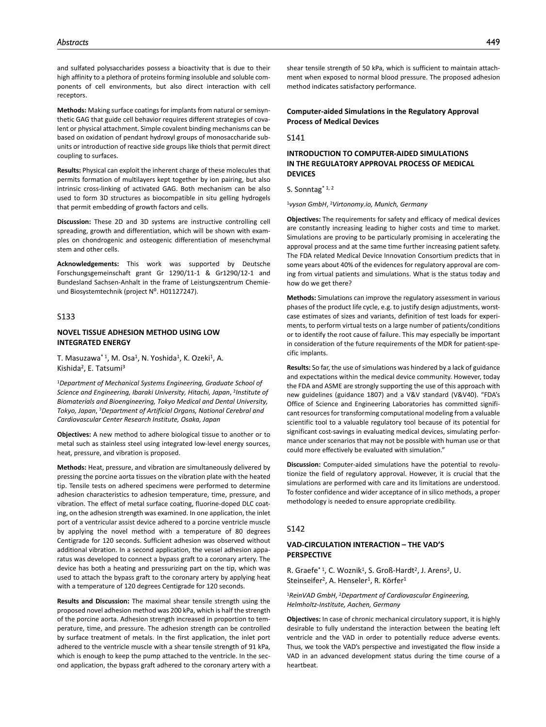and sulfated polysaccharides possess a bioactivity that is due to their high affinity to a plethora of proteins forming insoluble and soluble components of cell environments, but also direct interaction with cell receptors.

**Methods:** Making surface coatings for implants from natural or semisynthetic GAG that guide cell behavior requires different strategies of covalent or physical attachment. Simple covalent binding mechanisms can be based on oxidation of pendant hydroxyl groups of monosaccharide subunits or introduction of reactive side groups like thiols that permit direct coupling to surfaces.

**Results:** Physical can exploit the inherent charge of these molecules that permits formation of multilayers kept together by ion pairing, but also intrinsic cross-linking of activated GAG. Both mechanism can be also used to form 3D structures as biocompatible in situ gelling hydrogels that permit embedding of growth factors and cells.

**Discussion:** These 2D and 3D systems are instructive controlling cell spreading, growth and differentiation, which will be shown with examples on chondrogenic and osteogenic differentiation of mesenchymal stem and other cells.

**Acknowledgements:** This work was supported by Deutsche Forschungsgemeinschaft grant Gr 1290/11-1 & Gr1290/12-1 and Bundesland Sachsen-Anhalt in the frame of Leistungszentrum Chemieund Biosystemtechnik (project Nº. H01127247).

## S133

## **NOVEL TISSUE ADHESION METHOD USING LOW INTEGRATED ENERGY**

T. Masuzawa<sup>\* 1</sup>, M. Osa<sup>1</sup>, N. Yoshida<sup>1</sup>, K. Ozeki<sup>1</sup>, A. Kishida2, E. Tatsumi3

<sup>1</sup>*Department of Mechanical Systems Engineering, Graduate School of Science and Engineering, Ibaraki University, Hitachi, Japan*, 2*Institute of Biomaterials and Bioengineering, Tokyo Medical and Dental University, Tokyo, Japan*, 3*Department of Artificial Organs, National Cerebral and Cardiovascular Center Research Institute, Osaka, Japan*

**Objectives:** A new method to adhere biological tissue to another or to metal such as stainless steel using integrated low-level energy sources, heat, pressure, and vibration is proposed.

**Methods:** Heat, pressure, and vibration are simultaneously delivered by pressing the porcine aorta tissues on the vibration plate with the heated tip. Tensile tests on adhered specimens were performed to determine adhesion characteristics to adhesion temperature, time, pressure, and vibration. The effect of metal surface coating, fluorine-doped DLC coating, on the adhesion strength was examined. In one application, the inlet port of a ventricular assist device adhered to a porcine ventricle muscle by applying the novel method with a temperature of 80 degrees Centigrade for 120 seconds. Sufficient adhesion was observed without additional vibration. In a second application, the vessel adhesion apparatus was developed to connect a bypass graft to a coronary artery. The device has both a heating and pressurizing part on the tip, which was used to attach the bypass graft to the coronary artery by applying heat with a temperature of 120 degrees Centigrade for 120 seconds.

**Results and Discussion:** The maximal shear tensile strength using the proposed novel adhesion method was 200 kPa, which is half the strength of the porcine aorta. Adhesion strength increased in proportion to temperature, time, and pressure. The adhesion strength can be controlled by surface treatment of metals. In the first application, the inlet port adhered to the ventricle muscle with a shear tensile strength of 91 kPa, which is enough to keep the pump attached to the ventricle. In the second application, the bypass graft adhered to the coronary artery with a

shear tensile strength of 50 kPa, which is sufficient to maintain attachment when exposed to normal blood pressure. The proposed adhesion method indicates satisfactory performance.

## **Computer-aided Simulations in the Regulatory Approval Process of Medical Devices**

S141

# **INTRODUCTION TO COMPUTER-AIDED SIMULATIONS IN THE REGULATORY APPROVAL PROCESS OF MEDICAL DEVICES**

S. Sonntag\* 1, 2

<sup>1</sup>*vyson GmbH*, 2*Virtonomy.io, Munich, Germany*

**Objectives:** The requirements for safety and efficacy of medical devices are constantly increasing leading to higher costs and time to market. Simulations are proving to be particularly promising in accelerating the approval process and at the same time further increasing patient safety. The FDA related Medical Device Innovation Consortium predicts that in some years about 40% of the evidences for regulatory approval are coming from virtual patients and simulations. What is the status today and how do we get there?

**Methods:** Simulations can improve the regulatory assessment in various phases of the product life cycle, e.g. to justify design adjustments, worstcase estimates of sizes and variants, definition of test loads for experiments, to perform virtual tests on a large number of patients/conditions or to identify the root cause of failure. This may especially be important in consideration of the future requirements of the MDR for patient-specific implants.

**Results:** So far, the use of simulations was hindered by a lack of guidance and expectations within the medical device community. However, today the FDA and ASME are strongly supporting the use of this approach with new guidelines (guidance 1807) and a V&V standard (V&V40). "FDA's Office of Science and Engineering Laboratories has committed significant resources for transforming computational modeling from a valuable scientific tool to a valuable regulatory tool because of its potential for significant cost-savings in evaluating medical devices, simulating performance under scenarios that may not be possible with human use or that could more effectively be evaluated with simulation."

**Discussion:** Computer-aided simulations have the potential to revolutionize the field of regulatory approval. However, it is crucial that the simulations are performed with care and its limitations are understood. To foster confidence and wider acceptance of in silico methods, a proper methodology is needed to ensure appropriate credibility.

### S142

## **VAD-CIRCULATION INTERACTION – THE VAD'S PERSPECTIVE**

R. Graefe<sup>\* 1</sup>, C. Woznik<sup>1</sup>, S. Groß-Hardt<sup>2</sup>, J. Arens<sup>2</sup>, U. Steinseifer<sup>2</sup>, A. Henseler<sup>1</sup>, R. Körfer<sup>1</sup>

<sup>1</sup>*ReinVAD GmbH*, 2*Department of Cardiovascular Engineering, Helmholtz-Institute, Aachen, Germany*

**Objectives:** In case of chronic mechanical circulatory support, it is highly desirable to fully understand the interaction between the beating left ventricle and the VAD in order to potentially reduce adverse events. Thus, we took the VAD's perspective and investigated the flow inside a VAD in an advanced development status during the time course of a heartbeat.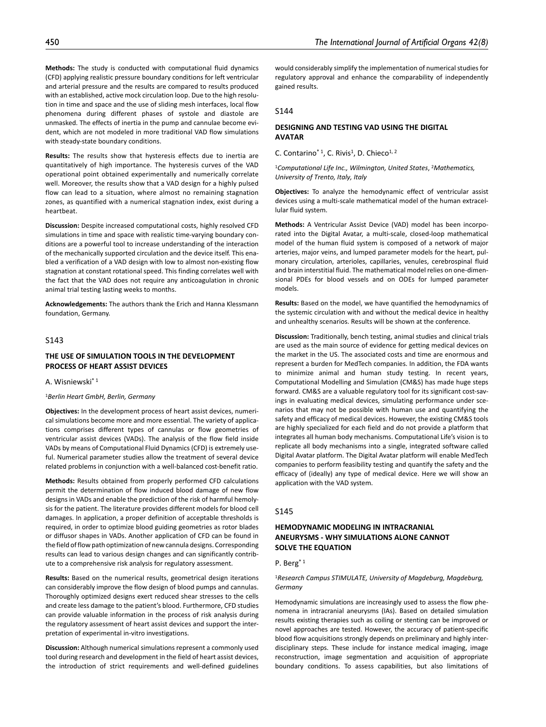**Methods:** The study is conducted with computational fluid dynamics (CFD) applying realistic pressure boundary conditions for left ventricular and arterial pressure and the results are compared to results produced with an established, active mock circulation loop. Due to the high resolution in time and space and the use of sliding mesh interfaces, local flow phenomena during different phases of systole and diastole are unmasked. The effects of inertia in the pump and cannulae become evident, which are not modeled in more traditional VAD flow simulations with steady-state boundary conditions.

**Results:** The results show that hysteresis effects due to inertia are quantitatively of high importance. The hysteresis curves of the VAD operational point obtained experimentally and numerically correlate well. Moreover, the results show that a VAD design for a highly pulsed flow can lead to a situation, where almost no remaining stagnation zones, as quantified with a numerical stagnation index, exist during a heartbeat.

**Discussion:** Despite increased computational costs, highly resolved CFD simulations in time and space with realistic time-varying boundary conditions are a powerful tool to increase understanding of the interaction of the mechanically supported circulation and the device itself. This enabled a verification of a VAD design with low to almost non-existing flow stagnation at constant rotational speed. This finding correlates well with the fact that the VAD does not require any anticoagulation in chronic animal trial testing lasting weeks to months.

**Acknowledgements:** The authors thank the Erich and Hanna Klessmann foundation, Germany.

# S143

## **THE USE OF SIMULATION TOOLS IN THE DEVELOPMENT PROCESS OF HEART ASSIST DEVICES**

A. Wisniewski\* 1

### <sup>1</sup>*Berlin Heart GmbH, Berlin, Germany*

**Objectives:** In the development process of heart assist devices, numerical simulations become more and more essential. The variety of applications comprises different types of cannulas or flow geometries of ventricular assist devices (VADs). The analysis of the flow field inside VADs by means of Computational Fluid Dynamics (CFD) is extremely useful. Numerical parameter studies allow the treatment of several device related problems in conjunction with a well-balanced cost-benefit ratio.

**Methods:** Results obtained from properly performed CFD calculations permit the determination of flow induced blood damage of new flow designs in VADs and enable the prediction of the risk of harmful hemolysis for the patient. The literature provides different models for blood cell damages. In application, a proper definition of acceptable thresholds is required, in order to optimize blood guiding geometries as rotor blades or diffusor shapes in VADs. Another application of CFD can be found in the field of flow path optimization of new cannula designs. Corresponding results can lead to various design changes and can significantly contribute to a comprehensive risk analysis for regulatory assessment.

**Results:** Based on the numerical results, geometrical design iterations can considerably improve the flow design of blood pumps and cannulas. Thoroughly optimized designs exert reduced shear stresses to the cells and create less damage to the patient's blood. Furthermore, CFD studies can provide valuable information in the process of risk analysis during the regulatory assessment of heart assist devices and support the interpretation of experimental in-vitro investigations.

**Discussion:** Although numerical simulations represent a commonly used tool during research and development in the field of heart assist devices, the introduction of strict requirements and well-defined guidelines

would considerably simplify the implementation of numerical studies for regulatory approval and enhance the comparability of independently gained results.

### S144

# **DESIGNING AND TESTING VAD USING THE DIGITAL AVATAR**

C. Contarino<sup>\* 1</sup>, C. Rivis<sup>1</sup>, D. Chieco<sup>1, 2</sup>

<sup>1</sup>*Computational Life Inc., Wilmington, United States*, 2*Mathematics, University of Trento, Italy, Italy*

**Objectives:** To analyze the hemodynamic effect of ventricular assist devices using a multi-scale mathematical model of the human extracellular fluid system.

**Methods:** A Ventricular Assist Device (VAD) model has been incorporated into the Digital Avatar, a multi-scale, closed-loop mathematical model of the human fluid system is composed of a network of major arteries, major veins, and lumped parameter models for the heart, pulmonary circulation, arterioles, capillaries, venules, cerebrospinal fluid and brain interstitial fluid. The mathematical model relies on one-dimensional PDEs for blood vessels and on ODEs for lumped parameter models.

**Results:** Based on the model, we have quantified the hemodynamics of the systemic circulation with and without the medical device in healthy and unhealthy scenarios. Results will be shown at the conference.

**Discussion:** Traditionally, bench testing, animal studies and clinical trials are used as the main source of evidence for getting medical devices on the market in the US. The associated costs and time are enormous and represent a burden for MedTech companies. In addition, the FDA wants to minimize animal and human study testing. In recent years, Computational Modelling and Simulation (CM&S) has made huge steps forward. CM&S are a valuable regulatory tool for its significant cost-savings in evaluating medical devices, simulating performance under scenarios that may not be possible with human use and quantifying the safety and efficacy of medical devices. However, the existing CM&S tools are highly specialized for each field and do not provide a platform that integrates all human body mechanisms. Computational Life's vision is to replicate all body mechanisms into a single, integrated software called Digital Avatar platform. The Digital Avatar platform will enable MedTech companies to perform feasibility testing and quantify the safety and the efficacy of (ideally) any type of medical device. Here we will show an application with the VAD system.

#### S145

# **HEMODYNAMIC MODELING IN INTRACRANIAL ANEURYSMS - WHY SIMULATIONS ALONE CANNOT SOLVE THE EQUATION**

#### P. Berg\* 1

### <sup>1</sup>*Research Campus STIMULATE, University of Magdeburg, Magdeburg, Germany*

Hemodynamic simulations are increasingly used to assess the flow phenomena in intracranial aneurysms (IAs). Based on detailed simulation results existing therapies such as coiling or stenting can be improved or novel approaches are tested. However, the accuracy of patient-specific blood flow acquisitions strongly depends on preliminary and highly interdisciplinary steps. These include for instance medical imaging, image reconstruction, image segmentation and acquisition of appropriate boundary conditions. To assess capabilities, but also limitations of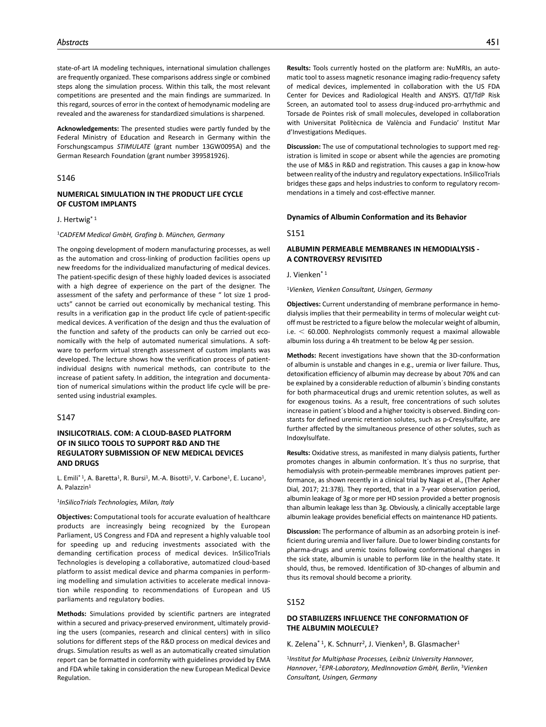state-of-art IA modeling techniques, international simulation challenges are frequently organized. These comparisons address single or combined steps along the simulation process. Within this talk, the most relevant competitions are presented and the main findings are summarized. In this regard, sources of error in the context of hemodynamic modeling are revealed and the awareness for standardized simulations is sharpened.

**Acknowledgements:** The presented studies were partly funded by the Federal Ministry of Education and Research in Germany within the Forschungscampus *STIMULATE* (grant number 13GW0095A) and the German Research Foundation (grant number 399581926).

#### S146

## **NUMERICAL SIMULATION IN THE PRODUCT LIFE CYCLE OF CUSTOM IMPLANTS**

#### J. Hertwig\* 1

#### <sup>1</sup>*CADFEM Medical GmbH, Grafing b. München, Germany*

The ongoing development of modern manufacturing processes, as well as the automation and cross-linking of production facilities opens up new freedoms for the individualized manufacturing of medical devices. The patient-specific design of these highly loaded devices is associated with a high degree of experience on the part of the designer. The assessment of the safety and performance of these " lot size 1 products" cannot be carried out economically by mechanical testing. This results in a verification gap in the product life cycle of patient-specific medical devices. A verification of the design and thus the evaluation of the function and safety of the products can only be carried out economically with the help of automated numerical simulations. A software to perform virtual strength assessment of custom implants was developed. The lecture shows how the verification process of patientindividual designs with numerical methods, can contribute to the increase of patient safety. In addition, the integration and documentation of numerical simulations within the product life cycle will be presented using industrial examples.

### S147

# **INSILICOTRIALS. COM: A CLOUD-BASED PLATFORM OF IN SILICO TOOLS TO SUPPORT R&D AND THE REGULATORY SUBMISSION OF NEW MEDICAL DEVICES AND DRUGS**

L. Emili<sup>\* 1</sup>, A. Baretta<sup>1</sup>, R. Bursi<sup>1</sup>, M.-A. Bisotti<sup>1</sup>, V. Carbone<sup>1</sup>, E. Lucano<sup>1</sup>, A. Palazzin1

#### <sup>1</sup>*InSilicoTrials Technologies, Milan, Italy*

**Objectives:** Computational tools for accurate evaluation of healthcare products are increasingly being recognized by the European Parliament, US Congress and FDA and represent a highly valuable tool for speeding up and reducing investments associated with the demanding certification process of medical devices. InSilicoTrials Technologies is developing a collaborative, automatized cloud-based platform to assist medical device and pharma companies in performing modelling and simulation activities to accelerate medical innovation while responding to recommendations of European and US parliaments and regulatory bodies.

**Methods:** Simulations provided by scientific partners are integrated within a secured and privacy-preserved environment, ultimately providing the users (companies, research and clinical centers) with in silico solutions for different steps of the R&D process on medical devices and drugs. Simulation results as well as an automatically created simulation report can be formatted in conformity with guidelines provided by EMA and FDA while taking in consideration the new European Medical Device Regulation.

**Results:** Tools currently hosted on the platform are: NuMRIs, an automatic tool to assess magnetic resonance imaging radio-frequency safety of medical devices, implemented in collaboration with the US FDA Center for Devices and Radiological Health and ANSYS. QT/TdP Risk Screen, an automated tool to assess drug-induced pro-arrhythmic and Torsade de Pointes risk of small molecules, developed in collaboration with Universitat Politècnica de València and Fundacio' Institut Mar d'Investigations Mediques.

**Discussion:** The use of computational technologies to support med registration is limited in scope or absent while the agencies are promoting the use of M&S in R&D and registration. This causes a gap in know-how between reality of the industry and regulatory expectations. InSilicoTrials bridges these gaps and helps industries to conform to regulatory recommendations in a timely and cost-effective manner.

### **Dynamics of Albumin Conformation and its Behavior**

S151

## **ALBUMIN PERMEABLE MEMBRANES IN HEMODIALYSIS - A CONTROVERSY REVISITED**

J. Vienken\* 1

<sup>1</sup>*Vienken, Vienken Consultant, Usingen, Germany*

**Objectives:** Current understanding of membrane performance in hemodialysis implies that their permeability in terms of molecular weight cutoff must be restricted to a figure below the molecular weight of albumin, i.e.  $<$  60.000. Nephrologists commonly request a maximal allowable albumin loss during a 4h treatment to be below 4g per session.

**Methods:** Recent investigations have shown that the 3D-conformation of albumin is unstable and changes in e.g., uremia or liver failure. Thus, detoxification efficiency of albumin may decrease by about 70% and can be explained by a considerable reduction of albumin´s binding constants for both pharmaceutical drugs and uremic retention solutes, as well as for exogenous toxins. As a result, free concentrations of such solutes increase in patient´s blood and a higher toxicity is observed. Binding constants for defined uremic retention solutes, such as p-Cresylsulfate, are further affected by the simultaneous presence of other solutes, such as Indoxylsulfate.

**Results:** Oxidative stress, as manifested in many dialysis patients, further promotes changes in albumin conformation. It´s thus no surprise, that hemodialysis with protein-permeable membranes improves patient performance, as shown recently in a clinical trial by Nagai et al., (Ther Apher Dial, 2017; 21:378). They reported, that in a 7-year observation period, albumin leakage of 3g or more per HD session provided a better prognosis than albumin leakage less than 3g. Obviously, a clinically acceptable large albumin leakage provides beneficial effects on maintenance HD patients.

**Discussion:** The performance of albumin as an adsorbing protein is inefficient during uremia and liver failure. Due to lower binding constants for pharma-drugs and uremic toxins following conformational changes in the sick state, albumin is unable to perform like in the healthy state. It should, thus, be removed. Identification of 3D-changes of albumin and thus its removal should become a priority.

## S152

# **DO STABILIZERS INFLUENCE THE CONFORMATION OF THE ALBUMIN MOLECULE?**

K. Zelena<sup>\* 1</sup>, K. Schnurr<sup>2</sup>, J. Vienken<sup>3</sup>, B. Glasmacher<sup>1</sup>

<sup>1</sup>*Institut for Multiphase Processes, Leibniz University Hannover, Hannover*, 2*EPR-Laboratory, MedInnovation GmbH, Berlin*, 3*Vienken Consultant, Usingen, Germany*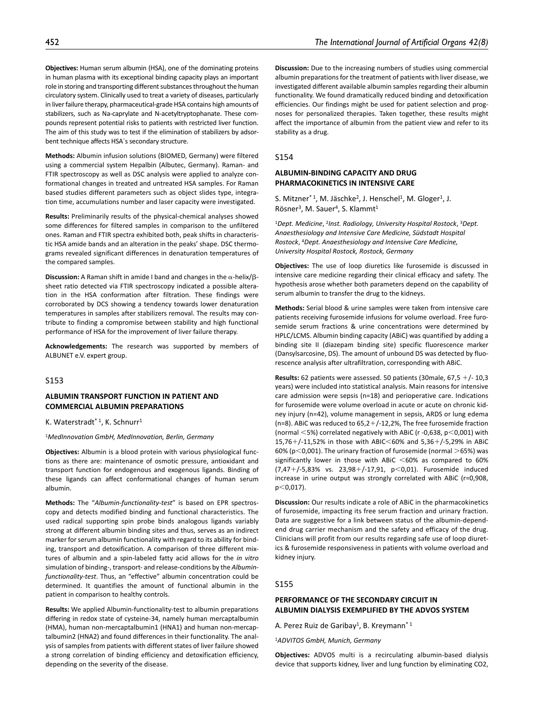**Objectives:** Human serum albumin (HSA), one of the dominating proteins in human plasma with its exceptional binding capacity plays an important role in storing and transporting different substances throughout the human circulatory system. Clinically used to treat a variety of diseases, particularly in liver failure therapy, pharmaceutical-grade HSA contains high amounts of stabilizers, such as Na-caprylate and N-acetyltryptophanate. These compounds represent potential risks to patients with restricted liver function. The aim of this study was to test if the elimination of stabilizers by adsorbent technique affects HSA´s secondary structure.

**Methods:** Albumin infusion solutions (BIOMED, Germany) were filtered using a commercial system Hepalbin (Albutec, Germany). Raman- and FTIR spectroscopy as well as DSC analysis were applied to analyze conformational changes in treated and untreated HSA samples. For Raman based studies different parameters such as object slides type, integration time, accumulations number and laser capacity were investigated.

**Results:** Preliminarily results of the physical-chemical analyses showed some differences for filtered samples in comparison to the unfiltered ones. Raman and FTIR spectra exhibited both, peak shifts in characteristic HSA amide bands and an alteration in the peaks' shape. DSC thermograms revealed significant differences in denaturation temperatures of the compared samples.

**Discussion:** A Raman shift in amide I band and changes in the α-helix/βsheet ratio detected via FTIR spectroscopy indicated a possible alteration in the HSA conformation after filtration. These findings were corroborated by DCS showing a tendency towards lower denaturation temperatures in samples after stabilizers removal. The results may contribute to finding a compromise between stability and high functional performance of HSA for the improvement of liver failure therapy.

**Acknowledgements:** The research was supported by members of ALBUNET e.V. expert group.

### S153

### **ALBUMIN TRANSPORT FUNCTION IN PATIENT AND COMMERCIAL ALBUMIN PREPARATIONS**

K. Waterstradt\* 1, K. Schnurr1

#### <sup>1</sup>*MedInnovation GmbH, MedInnovation, Berlin, Germany*

**Objectives:** Albumin is a blood protein with various physiological functions as there are: maintenance of osmotic pressure, antioxidant and transport function for endogenous and exogenous ligands. Binding of these ligands can affect conformational changes of human serum albumin.

**Methods:** The "*Albumin-functionality-test*" is based on EPR spectroscopy and detects modified binding and functional characteristics. The used radical supporting spin probe binds analogous ligands variably strong at different albumin binding sites and thus, serves as an indirect marker for serum albumin functionality with regard to its ability for binding, transport and detoxification. A comparison of three different mixtures of albumin and a spin-labeled fatty acid allows for the *in vitro* simulation of binding-, transport- and release-conditions by the *Albuminfunctionality-test*. Thus, an "effective" albumin concentration could be determined. It quantifies the amount of functional albumin in the patient in comparison to healthy controls.

**Results:** We applied Albumin-functionality-test to albumin preparations differing in redox state of cysteine-34, namely human mercaptalbumin (HMA), human non-mercaptalbumin1 (HNA1) and human non-mercaptalbumin2 (HNA2) and found differences in their functionality. The analysis of samples from patients with different states of liver failure showed a strong correlation of binding efficiency and detoxification efficiency, depending on the severity of the disease.

**Discussion:** Due to the increasing numbers of studies using commercial albumin preparations for the treatment of patients with liver disease, we investigated different available albumin samples regarding their albumin functionality. We found dramatically reduced binding and detoxification efficiencies. Our findings might be used for patient selection and prognoses for personalized therapies. Taken together, these results might affect the importance of albumin from the patient view and refer to its stability as a drug.

#### S154

### **ALBUMIN-BINDING CAPACITY AND DRUG PHARMACOKINETICS IN INTENSIVE CARE**

S. Mitzner<sup>\* 1</sup>, M. Jäschke<sup>2</sup>, J. Henschel<sup>1</sup>, M. Gloger<sup>1</sup>, J. Rösner<sup>3</sup>, M. Sauer<sup>4</sup>, S. Klammt<sup>1</sup>

<sup>1</sup>*Dept. Medicine*, 2*Inst. Radiology, University Hospital Rostock*, 3*Dept. Anaesthesiology and Intensive Care Medicine, Südstadt Hospital Rostock*, 4*Dept. Anaesthesiology and Intensive Care Medicine, University Hospital Rostock, Rostock, Germany*

**Objectives:** The use of loop diuretics like furosemide is discussed in intensive care medicine regarding their clinical efficacy and safety. The hypothesis arose whether both parameters depend on the capability of serum albumin to transfer the drug to the kidneys.

**Methods:** Serial blood & urine samples were taken from intensive care patients receiving furosemide infusions for volume overload. Free furosemide serum fractions & urine concentrations were determined by HPLC/LCMS. Albumin binding capacity (ABiC) was quantified by adding a binding site II (diazepam binding site) specific fluorescence marker (Dansylsarcosine, DS). The amount of unbound DS was detected by fluorescence analysis after ultrafiltration, corresponding with ABiC.

**Results:** 62 patients were assessed. 50 patients (30male, 67,5 +/- 10,3 years) were included into statistical analysis. Main reasons for intensive care admission were sepsis (n=18) and perioperative care. Indications for furosemide were volume overload in acute or acute on chronic kidney injury (n=42), volume management in sepsis, ARDS or lung edema (n=8). ABiC was reduced to  $65,2+/12,2%$ , The free furosemide fraction (normal <5%) correlated negatively with ABiC (r -0,638, p<0,001) with 15,76+/-11,52% in those with ABIC<60% and 5,36+/-5,29% in ABiC 60% ( $p$ <0,001). The urinary fraction of furosemide (normal  $>$ 65%) was significantly lower in those with ABiC  $<$  60% as compared to 60% (7,47+/-5,83% vs. 23,98+/-17,91, p<0,01). Furosemide induced increase in urine output was strongly correlated with ABiC (r=0,908,  $p<0,017$ ).

**Discussion:** Our results indicate a role of ABiC in the pharmacokinetics of furosemide, impacting its free serum fraction and urinary fraction. Data are suggestive for a link between status of the albumin-dependend drug carrier mechanism and the safety and efficacy of the drug. Clinicians will profit from our results regarding safe use of loop diuretics & furosemide responsiveness in patients with volume overload and kidney injury.

#### S155

### **PERFORMANCE OF THE SECONDARY CIRCUIT IN ALBUMIN DIALYSIS EXEMPLIFIED BY THE ADVOS SYSTEM**

A. Perez Ruiz de Garibay<sup>1</sup>, B. Kreymann<sup>\* 1</sup>

<sup>1</sup>*ADVITOS GmbH, Munich, Germany*

**Objectives:** ADVOS multi is a recirculating albumin-based dialysis device that supports kidney, liver and lung function by eliminating CO2,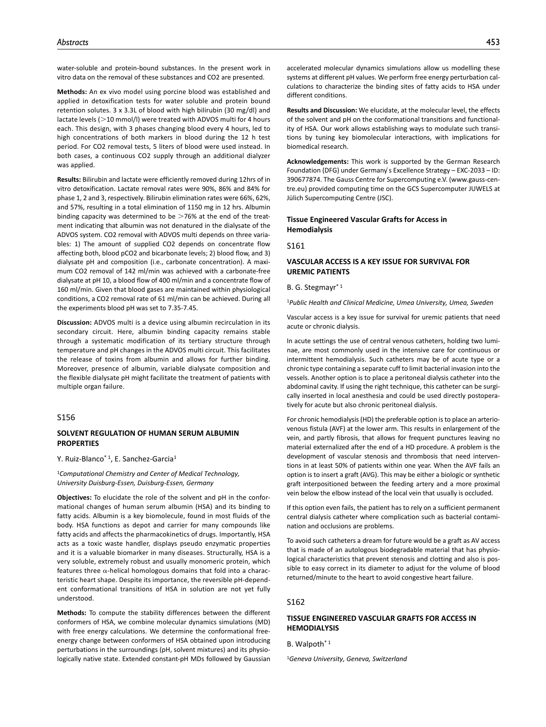water-soluble and protein-bound substances. In the present work in vitro data on the removal of these substances and CO2 are presented.

**Methods:** An ex vivo model using porcine blood was established and applied in detoxification tests for water soluble and protein bound retention solutes. 3 x 3.3L of blood with high bilirubin (30 mg/dl) and lactate levels (>10 mmol/l) were treated with ADVOS multi for 4 hours each. This design, with 3 phases changing blood every 4 hours, led to high concentrations of both markers in blood during the 12 h test period. For CO2 removal tests, 5 liters of blood were used instead. In both cases, a continuous CO2 supply through an additional dialyzer was applied.

**Results:** Bilirubin and lactate were efficiently removed during 12hrs of in vitro detoxification. Lactate removal rates were 90%, 86% and 84% for phase 1, 2 and 3, respectively. Bilirubin elimination rates were 66%, 62%, and 57%, resulting in a total elimination of 1150 mg in 12 hrs. Albumin binding capacity was determined to be  $>76%$  at the end of the treatment indicating that albumin was not denatured in the dialysate of the ADVOS system. CO2 removal with ADVOS multi depends on three variables: 1) The amount of supplied CO2 depends on concentrate flow affecting both, blood pCO2 and bicarbonate levels; 2) blood flow, and 3) dialysate pH and composition (i.e., carbonate concentration). A maximum CO2 removal of 142 ml/min was achieved with a carbonate-free dialysate at pH 10, a blood flow of 400 ml/min and a concentrate flow of 160 ml/min. Given that blood gases are maintained within physiological conditions, a CO2 removal rate of 61 ml/min can be achieved. During all the experiments blood pH was set to 7.35-7.45.

**Discussion:** ADVOS multi is a device using albumin recirculation in its secondary circuit. Here, albumin binding capacity remains stable through a systematic modification of its tertiary structure through temperature and pH changes in the ADVOS multi circuit. This facilitates the release of toxins from albumin and allows for further binding. Moreover, presence of albumin, variable dialysate composition and the flexible dialysate pH might facilitate the treatment of patients with multiple organ failure.

## S156

### **SOLVENT REGULATION OF HUMAN SERUM ALBUMIN PROPERTIES**

Y. Ruiz-Blanco<sup>\* 1</sup>, E. Sanchez-Garcia<sup>1</sup>

<sup>1</sup>*Computational Chemistry and Center of Medical Technology, University Duisburg-Essen, Duisburg-Essen, Germany*

**Objectives:** To elucidate the role of the solvent and pH in the conformational changes of human serum albumin (HSA) and its binding to fatty acids. Albumin is a key biomolecule, found in most fluids of the body. HSA functions as depot and carrier for many compounds like fatty acids and affects the pharmacokinetics of drugs. Importantly, HSA acts as a toxic waste handler, displays pseudo enzymatic properties and it is a valuable biomarker in many diseases. Structurally, HSA is a very soluble, extremely robust and usually monomeric protein, which features three  $\alpha$ -helical homologous domains that fold into a characteristic heart shape. Despite its importance, the reversible pH-dependent conformational transitions of HSA in solution are not yet fully understood.

**Methods:** To compute the stability differences between the different conformers of HSA, we combine molecular dynamics simulations (MD) with free energy calculations. We determine the conformational freeenergy change between conformers of HSA obtained upon introducing perturbations in the surroundings (pH, solvent mixtures) and its physiologically native state. Extended constant-pH MDs followed by Gaussian accelerated molecular dynamics simulations allow us modelling these systems at different pH values. We perform free energy perturbation calculations to characterize the binding sites of fatty acids to HSA under different conditions.

**Results and Discussion:** We elucidate, at the molecular level, the effects of the solvent and pH on the conformational transitions and functionality of HSA. Our work allows establishing ways to modulate such transitions by tuning key biomolecular interactions, with implications for biomedical research.

**Acknowledgements:** This work is supported by the German Research Foundation (DFG) under Germany ́s Excellence Strategy – EXC-2033 – ID: 390677874. The Gauss Centre for Supercomputing e.V. (www.gauss-centre.eu) provided computing time on the GCS Supercomputer JUWELS at Jülich Supercomputing Centre (JSC).

## **Tissue Engineered Vascular Grafts for Access in Hemodialysis**

#### S161

## **VASCULAR ACCESS IS A KEY ISSUE FOR SURVIVAL FOR UREMIC PATIENTS**

### B. G. Stegmayr\* 1

<sup>1</sup>*Public Health and Clinical Medicine, Umea University, Umea, Sweden*

Vascular access is a key issue for survival for uremic patients that need acute or chronic dialysis.

In acute settings the use of central venous catheters, holding two luminae, are most commonly used in the intensive care for continuous or intermittent hemodialysis. Such catheters may be of acute type or a chronic type containing a separate cuff to limit bacterial invasion into the vessels. Another option is to place a peritoneal dialysis catheter into the abdominal cavity. If using the right technique, this catheter can be surgically inserted in local anesthesia and could be used directly postoperatively for acute but also chronic peritoneal dialysis.

For chronic hemodialysis (HD) the preferable option is to place an arteriovenous fistula (AVF) at the lower arm. This results in enlargement of the vein, and partly fibrosis, that allows for frequent punctures leaving no material externalized after the end of a HD procedure. A problem is the development of vascular stenosis and thrombosis that need interventions in at least 50% of patients within one year. When the AVF fails an option is to insert a graft (AVG). This may be either a biologic or synthetic graft interpositioned between the feeding artery and a more proximal vein below the elbow instead of the local vein that usually is occluded.

If this option even fails, the patient has to rely on a sufficient permanent central dialysis catheter where complication such as bacterial contamination and occlusions are problems.

To avoid such catheters a dream for future would be a graft as AV access that is made of an autologous biodegradable material that has physiological characteristics that prevent stenosis and clotting and also is possible to easy correct in its diameter to adjust for the volume of blood returned/minute to the heart to avoid congestive heart failure.

## S162

# **TISSUE ENGINEERED VASCULAR GRAFTS FOR ACCESS IN HEMODIALYSIS**

B. Walpoth<sup>\*1</sup>

1*Geneva University, Geneva, Switzerland*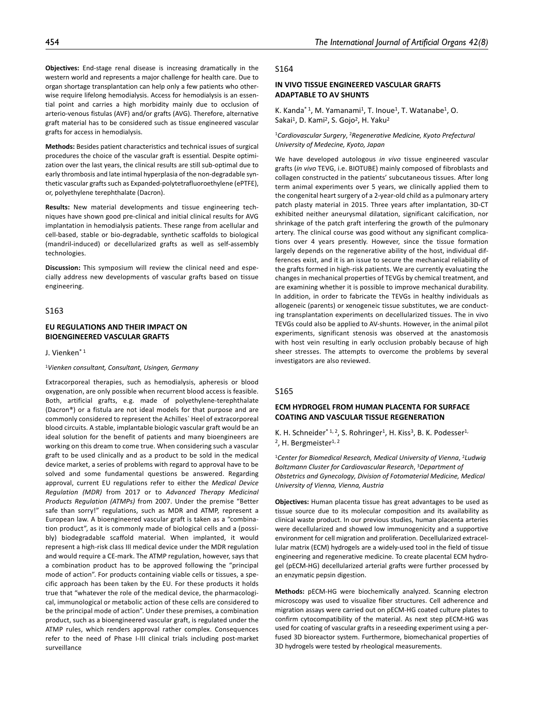**Objectives:** End-stage renal disease is increasing dramatically in the western world and represents a major challenge for health care. Due to organ shortage transplantation can help only a few patients who otherwise require lifelong hemodialysis. Access for hemodialysis is an essential point and carries a high morbidity mainly due to occlusion of arterio-venous fistulas (AVF) and/or grafts (AVG). Therefore, alternative graft material has to be considered such as tissue engineered vascular grafts for access in hemodialysis.

**Methods:** Besides patient characteristics and technical issues of surgical procedures the choice of the vascular graft is essential. Despite optimization over the last years, the clinical results are still sub-optimal due to early thrombosis and late intimal hyperplasia of the non-degradable synthetic vascular grafts such as Expanded-polytetrafluoroethylene (ePTFE), or, polyethylene terephthalate (Dacron).

**Results:** New material developments and tissue engineering techniques have shown good pre-clinical and initial clinical results for AVG implantation in hemodialysis patients. These range from acellular and cell-based, stable or bio-degradable, synthetic scaffolds to biological (mandril-induced) or decellularized grafts as well as self-assembly technologies.

**Discussion:** This symposium will review the clinical need and especially address new developments of vascular grafts based on tissue engineering.

## S163

## **EU REGULATIONS AND THEIR IMPACT ON BIOENGINEERED VASCULAR GRAFTS**

J. Vienken\* 1

#### <sup>1</sup>*Vienken consultant, Consultant, Usingen, Germany*

Extracorporeal therapies, such as hemodialysis, apheresis or blood oxygenation, are only possible when recurrent blood access is feasible. Both, artificial grafts, e.g. made of polyethylene-terephthalate (Dacron®) or a fistula are not ideal models for that purpose and are commonly considered to represent the Achilles` Heel of extracorporeal blood circuits. A stable, implantable biologic vascular graft would be an ideal solution for the benefit of patients and many bioengineers are working on this dream to come true. When considering such a vascular graft to be used clinically and as a product to be sold in the medical device market, a series of problems with regard to approval have to be solved and some fundamental questions be answered. Regarding approval, current EU regulations refer to either the *Medical Device Regulation (MDR)* from 2017 or to *Advanced Therapy Medicinal Products Regulation (ATMPs)* from 2007. Under the premise "Better safe than sorry!" regulations, such as MDR and ATMP, represent a European law. A bioengineered vascular graft is taken as a "combination product", as it is commonly made of biological cells and a (possibly) biodegradable scaffold material. When implanted, it would represent a high-risk class III medical device under the MDR regulation and would require a CE-mark. The ATMP regulation, however, says that a combination product has to be approved following the "principal mode of action". For products containing viable cells or tissues, a specific approach has been taken by the EU. For these products it holds true that "whatever the role of the medical device, the pharmacological, immunological or metabolic action of these cells are considered to be the principal mode of action". Under these premises, a combination product, such as a bioengineered vascular graft, is regulated under the ATMP rules, which renders approval rather complex. Consequences refer to the need of Phase I-III clinical trials including post-market surveillance

#### S164

## **IN VIVO TISSUE ENGINEERED VASCULAR GRAFTS ADAPTABLE TO AV SHUNTS**

K. Kanda<sup>\* 1</sup>, M. Yamanami<sup>1</sup>, T. Inoue<sup>1</sup>, T. Watanabe<sup>1</sup>, O. Sakai<sup>1</sup>, D. Kami<sup>2</sup>, S. Gojo<sup>2</sup>, H. Yaku<sup>2</sup>

<sup>1</sup>*Cardiovascular Surgery*, 2*Regenerative Medicine, Kyoto Prefectural University of Medecine, Kyoto, Japan*

We have developed autologous *in vivo* tissue engineered vascular grafts (*in vivo* TEVG, i.e. BIOTUBE) mainly composed of fibroblasts and collagen constructed in the patients' subcutaneous tissues. After long term animal experiments over 5 years, we clinically applied them to the congenital heart surgery of a 2-year-old child as a pulmonary artery patch plasty material in 2015. Three years after implantation, 3D-CT exhibited neither aneurysmal dilatation, significant calcification, nor shrinkage of the patch graft interfering the growth of the pulmonary artery. The clinical course was good without any significant complications over 4 years presently. However, since the tissue formation largely depends on the regenerative ability of the host, individual differences exist, and it is an issue to secure the mechanical reliability of the grafts formed in high-risk patients. We are currently evaluating the changes in mechanical properties of TEVGs by chemical treatment, and are examining whether it is possible to improve mechanical durability. In addition, in order to fabricate the TEVGs in healthy individuals as allogeneic (parents) or xenogeneic tissue substitutes, we are conducting transplantation experiments on decellularized tissues. The in vivo TEVGs could also be applied to AV-shunts. However, in the animal pilot experiments, significant stenosis was observed at the anastomosis with host vein resulting in early occlusion probably because of high sheer stresses. The attempts to overcome the problems by several investigators are also reviewed.

### S165

# **ECM HYDROGEL FROM HUMAN PLACENTA FOR SURFACE COATING AND VASCULAR TISSUE REGENERATION**

K. H. Schneider\* 1, 2, S. Rohringer<sup>1</sup>, H. Kiss<sup>3</sup>, B. K. Podesser<sup>1,</sup> <sup>2</sup>, H. Bergmeister<sup>1, 2</sup>

<sup>1</sup>*Center for Biomedical Research, Medical University of Vienna*, 2*Ludwig Boltzmann Cluster for Cardiovascular Research*, 3*Department of Obstetrics and Gynecology, Division of Fotomaterial Medicine, Medical University of Vienna, Vienna, Austria*

**Objectives:** Human placenta tissue has great advantages to be used as tissue source due to its molecular composition and its availability as clinical waste product. In our previous studies, human placenta arteries were decellularized and showed low immunogenicity and a supportive environment for cell migration and proliferation. Decellularized extracellular matrix (ECM) hydrogels are a widely-used tool in the field of tissue engineering and regenerative medicine. To create placental ECM hydrogel (pECM-HG) decellularized arterial grafts were further processed by an enzymatic pepsin digestion.

**Methods:** pECM-HG were biochemically analyzed. Scanning electron microscopy was used to visualize fiber structures. Cell adherence and migration assays were carried out on pECM-HG coated culture plates to confirm cytocompatibility of the material. As next step pECM-HG was used for coating of vascular grafts in a reseeding experiment using a perfused 3D bioreactor system. Furthermore, biomechanical properties of 3D hydrogels were tested by rheological measurements.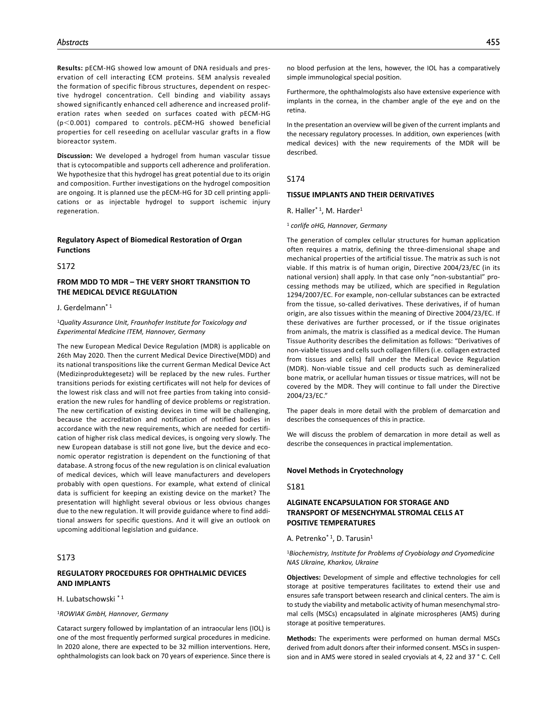**Results:** pECM-HG showed low amount of DNA residuals and preservation of cell interacting ECM proteins. SEM analysis revealed the formation of specific fibrous structures, dependent on respective hydrogel concentration. Cell binding and viability assays showed significantly enhanced cell adherence and increased proliferation rates when seeded on surfaces coated with pECM-HG (p<0.001) compared to controls. pECM**-**HG showed beneficial properties for cell reseeding on acellular vascular grafts in a flow bioreactor system.

**Discussion:** We developed a hydrogel from human vascular tissue that is cytocompatible and supports cell adherence and proliferation. We hypothesize that this hydrogel has great potential due to its origin and composition. Further investigations on the hydrogel composition are ongoing. It is planned use the pECM-HG for 3D cell printing applications or as injectable hydrogel to support ischemic injury regeneration.

## **Regulatory Aspect of Biomedical Restoration of Organ Functions**

S<sub>172</sub>

# **FROM MDD TO MDR – THE VERY SHORT TRANSITION TO THE MEDICAL DEVICE REGULATION**

J. Gerdelmann\* 1

<sup>1</sup>*Quality Assurance Unit, Fraunhofer Institute for Toxicology and Experimental Medicine ITEM, Hannover, Germany*

The new European Medical Device Regulation (MDR) is applicable on 26th May 2020. Then the current Medical Device Directive(MDD) and its national transpositions like the current German Medical Device Act (Medizinproduktegesetz) will be replaced by the new rules. Further transitions periods for existing certificates will not help for devices of the lowest risk class and will not free parties from taking into consideration the new rules for handling of device problems or registration. The new certification of existing devices in time will be challenging, because the accreditation and notification of notified bodies in accordance with the new requirements, which are needed for certification of higher risk class medical devices, is ongoing very slowly. The new European database is still not gone live, but the device and economic operator registration is dependent on the functioning of that database. A strong focus of the new regulation is on clinical evaluation of medical devices, which will leave manufacturers and developers probably with open questions. For example, what extend of clinical data is sufficient for keeping an existing device on the market? The presentation will highlight several obvious or less obvious changes due to the new regulation. It will provide guidance where to find additional answers for specific questions. And it will give an outlook on upcoming additional legislation and guidance.

# S173

# **REGULATORY PROCEDURES FOR OPHTHALMIC DEVICES AND IMPLANTS**

### H. Lubatschowski \* 1

#### <sup>1</sup>*ROWIAK GmbH, Hannover, Germany*

Cataract surgery followed by implantation of an intraocular lens (IOL) is one of the most frequently performed surgical procedures in medicine. In 2020 alone, there are expected to be 32 million interventions. Here, ophthalmologists can look back on 70 years of experience. Since there is

Furthermore, the ophthalmologists also have extensive experience with implants in the cornea, in the chamber angle of the eye and on the retina.

In the presentation an overview will be given of the current implants and the necessary regulatory processes. In addition, own experiences (with medical devices) with the new requirements of the MDR will be described.

## S174

## **TISSUE IMPLANTS AND THEIR DERIVATIVES**

R. Haller<sup>\*1</sup>, M. Harder<sup>1</sup>

<sup>1</sup> *corlife oHG, Hannover, Germany*

The generation of complex cellular structures for human application often requires a matrix, defining the three-dimensional shape and mechanical properties of the artificial tissue. The matrix as such is not viable. If this matrix is of human origin, Directive 2004/23/EC (in its national version) shall apply. In that case only "non-substantial" processing methods may be utilized, which are specified in Regulation 1294/2007/EC. For example, non-cellular substances can be extracted from the tissue, so-called derivatives. These derivatives, if of human origin, are also tissues within the meaning of Directive 2004/23/EC. If these derivatives are further processed, or if the tissue originates from animals, the matrix is classified as a medical device. The Human Tissue Authority describes the delimitation as follows: "Derivatives of non-viable tissues and cells such collagen fillers (i.e. collagen extracted from tissues and cells) fall under the Medical Device Regulation (MDR). Non-viable tissue and cell products such as demineralized bone matrix, or acellular human tissues or tissue matrices, will not be covered by the MDR. They will continue to fall under the Directive 2004/23/EC."

The paper deals in more detail with the problem of demarcation and describes the consequences of this in practice.

We will discuss the problem of demarcation in more detail as well as describe the consequences in practical implementation.

#### **Novel Methods in Cryotechnology**

### S181

# **ALGINATE ENCAPSULATION FOR STORAGE AND TRANSPORT OF MESENCHYMAL STROMAL CELLS AT POSITIVE TEMPERATURES**

A. Petrenko<sup>\* 1</sup>, D. Tarusin<sup>1</sup>

#### <sup>1</sup>*Biochemistry, Institute for Problems of Cryobiology and Cryomedicine NAS Ukraine, Kharkov, Ukraine*

**Objectives:** Development of simple and effective technologies for cell storage at positive temperatures facilitates to extend their use and ensures safe transport between research and clinical centers. The aim is to study the viability and metabolic activity of human mesenchymal stromal cells (MSCs) encapsulated in alginate microspheres (AMS) during storage at positive temperatures.

**Methods:** The experiments were performed on human dermal MSCs derived from adult donors after their informed consent. MSCs in suspension and in AMS were stored in sealed cryovials at 4, 22 and 37 ° C. Cell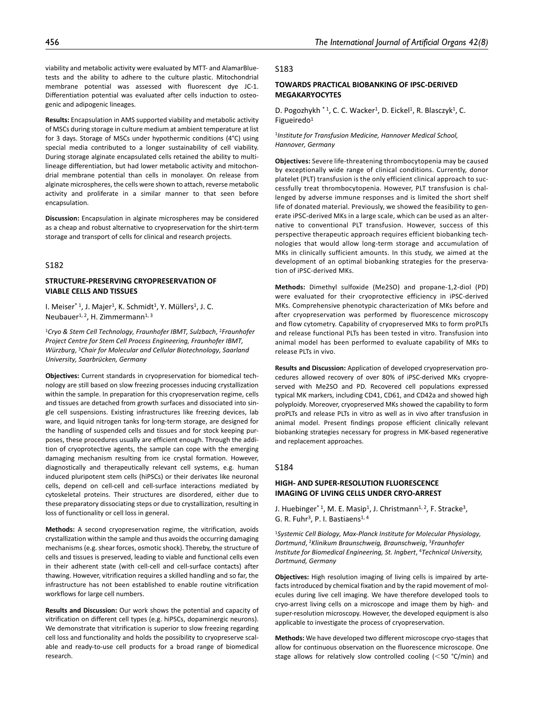**Results:** Encapsulation in AMS supported viability and metabolic activity of MSCs during storage in culture medium at ambient temperature at list for 3 days. Storage of MSCs under hypothermic conditions (4°C) using special media contributed to a longer sustainability of cell viability. During storage alginate encapsulated cells retained the ability to multilineage differentiation, but had lower metabolic activity and mitochondrial membrane potential than cells in monolayer. On release from alginate microspheres, the cells were shown to attach, reverse metabolic activity and proliferate in a similar manner to that seen before encapsulation.

**Discussion:** Encapsulation in alginate microspheres may be considered as a cheap and robust alternative to cryopreservation for the shirt-term storage and transport of cells for clinical and research projects.

## S182

## **STRUCTURE-PRESERVING CRYOPRESERVATION OF VIABLE CELLS AND TISSUES**

I. Meiser<sup>\* 1</sup>, J. Majer<sup>1</sup>, K. Schmidt<sup>1</sup>, Y. Müllers<sup>1</sup>, J. C. Neubauer<sup>1, 2</sup>, H. Zimmermann<sup>1, 3</sup>

<sup>1</sup>*Cryo & Stem Cell Technology, Fraunhofer IBMT, Sulzbach*, 2*Fraunhofer Project Centre for Stem Cell Process Engineering, Fraunhofer IBMT, Würzburg*, 3*Chair for Molecular and Cellular Biotechnology, Saarland University, Saarbrücken, Germany*

**Objectives:** Current standards in cryopreservation for biomedical technology are still based on slow freezing processes inducing crystallization within the sample. In preparation for this cryopreservation regime, cells and tissues are detached from growth surfaces and dissociated into single cell suspensions. Existing infrastructures like freezing devices, lab ware, and liquid nitrogen tanks for long-term storage, are designed for the handling of suspended cells and tissues and for stock keeping purposes, these procedures usually are efficient enough. Through the addition of cryoprotective agents, the sample can cope with the emerging damaging mechanism resulting from ice crystal formation. However, diagnostically and therapeutically relevant cell systems, e.g. human induced pluripotent stem cells (hiPSCs) or their derivates like neuronal cells, depend on cell-cell and cell-surface interactions mediated by cytoskeletal proteins. Their structures are disordered, either due to these preparatory dissociating steps or due to crystallization, resulting in loss of functionality or cell loss in general.

**Methods:** A second cryopreservation regime, the vitrification, avoids crystallization within the sample and thus avoids the occurring damaging mechanisms (e.g. shear forces, osmotic shock). Thereby, the structure of cells and tissues is preserved, leading to viable and functional cells even in their adherent state (with cell-cell and cell-surface contacts) after thawing. However, vitrification requires a skilled handling and so far, the infrastructure has not been established to enable routine vitrification workflows for large cell numbers.

**Results and Discussion:** Our work shows the potential and capacity of vitrification on different cell types (e.g. hiPSCs, dopaminergic neurons). We demonstrate that vitrification is superior to slow freezing regarding cell loss and functionality and holds the possibility to cryopreserve scalable and ready-to-use cell products for a broad range of biomedical research.

### S183

## **TOWARDS PRACTICAL BIOBANKING OF IPSC-DERIVED MEGAKARYOCYTES**

D. Pogozhykh \*1, C. C. Wacker<sup>1</sup>, D. Eickel<sup>1</sup>, R. Blasczyk<sup>1</sup>, C. Figueiredo1

<sup>1</sup>*Institute for Transfusion Medicine, Hannover Medical School, Hannover, Germany*

**Objectives:** Severe life-threatening thrombocytopenia may be caused by exceptionally wide range of clinical conditions. Currently, donor platelet (PLT) transfusion is the only efficient clinical approach to successfully treat thrombocytopenia. However, PLT transfusion is challenged by adverse immune responses and is limited the short shelf life of donated material. Previously, we showed the feasibility to generate iPSC-derived MKs in a large scale, which can be used as an alternative to conventional PLT transfusion. However, success of this perspective therapeutic approach requires efficient biobanking technologies that would allow long-term storage and accumulation of MKs in clinically sufficient amounts. In this study, we aimed at the development of an optimal biobanking strategies for the preservation of iPSC-derived MKs.

**Methods:** Dimethyl sulfoxide (Me2SO) and propane-1,2-diol (PD) were evaluated for their cryoprotective efficiency in iPSC-derived MKs. Comprehensive phenotypic characterization of MKs before and after cryopreservation was performed by fluorescence microscopy and flow cytometry. Capability of cryopreserved MKs to form proPLTs and release functional PLTs has been tested in vitro. Transfusion into animal model has been performed to evaluate capability of MKs to release PLTs in vivo.

**Results and Discussion:** Application of developed cryopreservation procedures allowed recovery of over 80% of iPSC-derived MKs cryopreserved with Me2SO and PD. Recovered cell populations expressed typical MK markers, including CD41, CD61, and CD42a and showed high polyploidy. Moreover, cryopreserved MKs showed the capability to form proPLTs and release PLTs in vitro as well as in vivo after transfusion in animal model. Present findings propose efficient clinically relevant biobanking strategies necessary for progress in MK-based regenerative and replacement approaches.

## S184

## **HIGH- AND SUPER-RESOLUTION FLUORESCENCE IMAGING OF LIVING CELLS UNDER CRYO-ARREST**

J. Huebinger\*1, M. E. Masip<sup>1</sup>, J. Christmann<sup>1, 2</sup>, F. Stracke<sup>3</sup>, G. R. Fuhr<sup>3</sup>, P. I. Bastiaens<sup>1, 4</sup>

<sup>1</sup>*Systemic Cell Biology, Max-Planck Institute for Molecular Physiology, Dortmund*, 2*Klinikum Braunschweig, Braunschweig*, 3*Fraunhofer Institute for Biomedical Engineering, St. Ingbert*, 4*Technical University, Dortmund, Germany*

**Objectives:** High resolution imaging of living cells is impaired by artefacts introduced by chemical fixation and by the rapid movement of molecules during live cell imaging. We have therefore developed tools to cryo-arrest living cells on a microscope and image them by high- and super-resolution microscopy. However, the developed equipment is also applicable to investigate the process of cryopreservation.

**Methods:** We have developed two different microscope cryo-stages that allow for continuous observation on the fluorescence microscope. One stage allows for relatively slow controlled cooling (<50 °C/min) and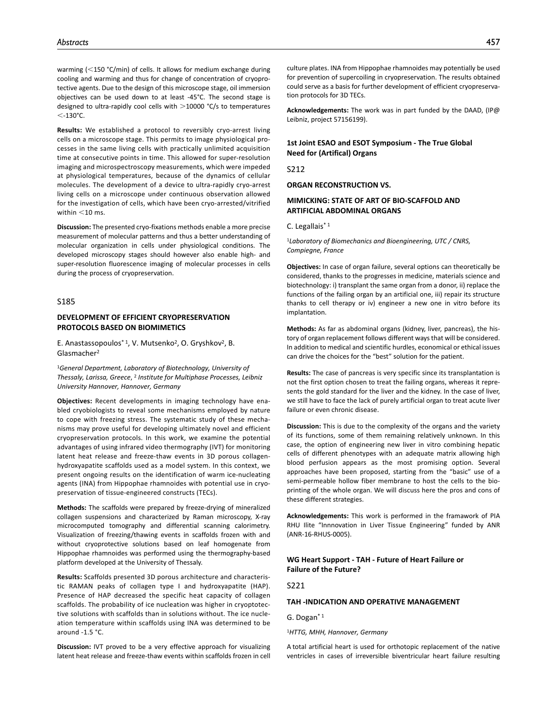warming (<150 °C/min) of cells. It allows for medium exchange during cooling and warming and thus for change of concentration of cryoprotective agents. Due to the design of this microscope stage, oil immersion objectives can be used down to at least -45°C. The second stage is designed to ultra-rapidly cool cells with  $>$ 10000 °C/s to temperatures  $<$ -130°C.

**Results:** We established a protocol to reversibly cryo-arrest living cells on a microscope stage. This permits to image physiological processes in the same living cells with practically unlimited acquisition time at consecutive points in time. This allowed for super-resolution imaging and microspectroscopy measurements, which were impeded at physiological temperatures, because of the dynamics of cellular molecules. The development of a device to ultra-rapidly cryo-arrest living cells on a microscope under continuous observation allowed for the investigation of cells, which have been cryo-arrested/vitrified within  $<$  10 ms.

**Discussion:** The presented cryo-fixations methods enable a more precise measurement of molecular patterns and thus a better understanding of molecular organization in cells under physiological conditions. The developed microscopy stages should however also enable high- and super-resolution fluorescence imaging of molecular processes in cells during the process of cryopreservation.

### S185

## **DEVELOPMENT OF EFFICIENT CRYOPRESERVATION PROTOCOLS BASED ON BIOMIMETICS**

E. Anastassopoulos\*1, V. Mutsenko<sup>2</sup>, O. Gryshkov<sup>2</sup>, B. Glasmacher2

<sup>1</sup>*General Department, Laboratory of Biotechnology, University of Thessaly, Larissa, Greece*, 2 *Institute for Multiphase Processes, Leibniz University Hannover, Hannover, Germany*

**Objectives:** Recent developments in imaging technology have enabled cryobiologists to reveal some mechanisms employed by nature to cope with freezing stress. The systematic study of these mechanisms may prove useful for developing ultimately novel and efficient cryopreservation protocols. In this work, we examine the potential advantages of using infrared video thermography (IVT) for monitoring latent heat release and freeze-thaw events in 3D porous collagenhydroxyapatite scaffolds used as a model system. In this context, we present ongoing results on the identification of warm ice-nucleating agents (INA) from Hippophae rhamnoides with potential use in cryopreservation of tissue-engineered constructs (TECs).

**Methods:** The scaffolds were prepared by freeze-drying of mineralized collagen suspensions and characterized by Raman microscopy, X-ray microcomputed tomography and differential scanning calorimetry. Visualization of freezing/thawing events in scaffolds frozen with and without cryoprotective solutions based on leaf homogenate from Hippophae rhamnoides was performed using the thermography-based platform developed at the University of Thessaly.

**Results:** Scaffolds presented 3D porous architecture and characteristic RAMAN peaks of collagen type I and hydroxyapatite (HAP). Presence of HAP decreased the specific heat capacity of collagen scaffolds. The probability of ice nucleation was higher in cryoptotective solutions with scaffolds than in solutions without. The ice nucleation temperature within scaffolds using INA was determined to be around -1.5 °C.

**Discussion:** IVT proved to be a very effective approach for visualizing latent heat release and freeze-thaw events within scaffolds frozen in cell

culture plates. INA from Hippophae rhamnoides may potentially be used for prevention of supercoiling in cryopreservation. The results obtained could serve as a basis for further development of efficient cryopreservation protocols for 3D TECs.

**Acknowledgements:** The work was in part funded by the DAAD, (IP@ Leibniz, project 57156199).

## **1st Joint ESAO and ESOT Symposium - The True Global Need for (Artifical) Organs**

S212

**ORGAN RECONSTRUCTION VS.**

## **MIMICKING: STATE OF ART OF BIO-SCAFFOLD AND ARTIFICIAL ABDOMINAL ORGANS**

C. Legallais\* 1

<sup>1</sup>*Laboratory of Biomechanics and Bioengineering, UTC / CNRS, Compiegne, France*

**Objectives:** In case of organ failure, several options can theoretically be considered, thanks to the progresses in medicine, materials science and biotechnology: i) transplant the same organ from a donor, ii) replace the functions of the failing organ by an artificial one, iii) repair its structure thanks to cell therapy or iv) engineer a new one in vitro before its implantation.

**Methods:** As far as abdominal organs (kidney, liver, pancreas), the history of organ replacement follows different ways that will be considered. In addition to medical and scientific hurdles, economical or ethical issues can drive the choices for the "best" solution for the patient.

**Results:** The case of pancreas is very specific since its transplantation is not the first option chosen to treat the failing organs, whereas it represents the gold standard for the liver and the kidney. In the case of liver, we still have to face the lack of purely artificial organ to treat acute liver failure or even chronic disease.

**Discussion:** This is due to the complexity of the organs and the variety of its functions, some of them remaining relatively unknown. In this case, the option of engineering new liver in vitro combining hepatic cells of different phenotypes with an adequate matrix allowing high blood perfusion appears as the most promising option. Several approaches have been proposed, starting from the "basic" use of a semi-permeable hollow fiber membrane to host the cells to the bioprinting of the whole organ. We will discuss here the pros and cons of these different strategies.

**Acknowledgements:** This work is performed in the framawork of PIA RHU Ilite "Innnovation in Liver Tissue Engineering" funded by ANR (ANR-16-RHUS-0005).

## **WG Heart Support - TAH - Future of Heart Failure or Failure of the Future?**

S221

# **TAH -INDICATION AND OPERATIVE MANAGEMENT**

G. Dogan\* 1

<sup>1</sup>*HTTG, MHH, Hannover, Germany*

A total artificial heart is used for orthotopic replacement of the native ventricles in cases of irreversible biventricular heart failure resulting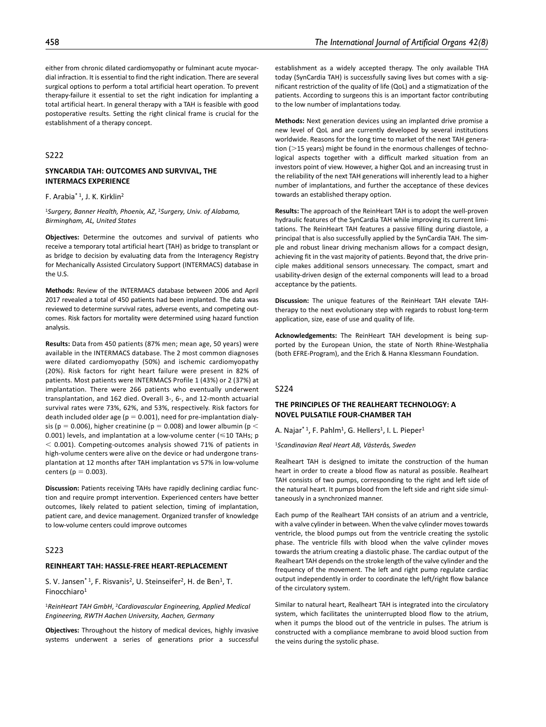either from chronic dilated cardiomyopathy or fulminant acute myocardial infraction. It is essential to find the right indication. There are several surgical options to perform a total artificial heart operation. To prevent therapy-failure it essential to set the right indication for implanting a total artificial heart. In general therapy with a TAH is feasible with good postoperative results. Setting the right clinical frame is crucial for the establishment of a therapy concept.

# S222

## **SYNCARDIA TAH: OUTCOMES AND SURVIVAL, THE INTERMACS EXPERIENCE**

### F. Arabia\* 1, J. K. Kirklin2

<sup>1</sup>*Surgery, Banner Health, Phoenix, AZ*, 2*Surgery, Univ. of Alabama, Birmingham, AL, United States*

**Objectives:** Determine the outcomes and survival of patients who receive a temporary total artificial heart (TAH) as bridge to transplant or as bridge to decision by evaluating data from the Interagency Registry for Mechanically Assisted Circulatory Support (INTERMACS) database in the U.S.

**Methods:** Review of the INTERMACS database between 2006 and April 2017 revealed a total of 450 patients had been implanted. The data was reviewed to determine survival rates, adverse events, and competing outcomes. Risk factors for mortality were determined using hazard function analysis.

**Results:** Data from 450 patients (87% men; mean age, 50 years) were available in the INTERMACS database. The 2 most common diagnoses were dilated cardiomyopathy (50%) and ischemic cardiomyopathy (20%). Risk factors for right heart failure were present in 82% of patients. Most patients were INTERMACS Profile 1 (43%) or 2 (37%) at implantation. There were 266 patients who eventually underwent transplantation, and 162 died. Overall 3-, 6-, and 12-month actuarial survival rates were 73%, 62%, and 53%, respectively. Risk factors for death included older age ( $p = 0.001$ ), need for pre-implantation dialysis ( $p = 0.006$ ), higher creatinine ( $p = 0.008$ ) and lower albumin ( $p <$ 0.001) levels, and implantation at a low-volume center ( $\leq 10$  TAHs; p < 0.001). Competing-outcomes analysis showed 71% of patients in high-volume centers were alive on the device or had undergone transplantation at 12 months after TAH implantation vs 57% in low-volume centers ( $p = 0.003$ ).

**Discussion:** Patients receiving TAHs have rapidly declining cardiac function and require prompt intervention. Experienced centers have better outcomes, likely related to patient selection, timing of implantation, patient care, and device management. Organized transfer of knowledge to low-volume centers could improve outcomes

# S223

## **REINHEART TAH: HASSLE-FREE HEART-REPLACEMENT**

S. V. Jansen\*<sup>1</sup>, F. Risvanis<sup>2</sup>, U. Steinseifer<sup>2</sup>, H. de Ben<sup>1</sup>, T. Finocchiaro1

<sup>1</sup>*ReinHeart TAH GmbH*, 2*Cardiovascular Engineering, Applied Medical Engineering, RWTH Aachen University, Aachen, Germany*

**Objectives:** Throughout the history of medical devices, highly invasive systems underwent a series of generations prior a successful establishment as a widely accepted therapy. The only available THA today (SynCardia TAH) is successfully saving lives but comes with a significant restriction of the quality of life (QoL) and a stigmatization of the patients. According to surgeons this is an important factor contributing to the low number of implantations today.

**Methods:** Next generation devices using an implanted drive promise a new level of QoL and are currently developed by several institutions worldwide. Reasons for the long time to market of the next TAH generation  $(>15$  years) might be found in the enormous challenges of technological aspects together with a difficult marked situation from an investors point of view. However, a higher QoL and an increasing trust in the reliability of the next TAH generations will inherently lead to a higher number of implantations, and further the acceptance of these devices towards an established therapy option.

**Results:** The approach of the ReinHeart TAH is to adopt the well-proven hydraulic features of the SynCardia TAH while improving its current limitations. The ReinHeart TAH features a passive filling during diastole, a principal that is also successfully applied by the SynCardia TAH. The simple and robust linear driving mechanism allows for a compact design, achieving fit in the vast majority of patients. Beyond that, the drive principle makes additional sensors unnecessary. The compact, smart and usability-driven design of the external components will lead to a broad acceptance by the patients.

**Discussion:** The unique features of the ReinHeart TAH elevate TAHtherapy to the next evolutionary step with regards to robust long-term application, size, ease of use and quality of life.

**Acknowledgements:** The ReinHeart TAH development is being supported by the European Union, the state of North Rhine-Westphalia (both EFRE-Program), and the Erich & Hanna Klessmann Foundation.

#### S224

## **THE PRINCIPLES OF THE REALHEART TECHNOLOGY: A NOVEL PULSATILE FOUR-CHAMBER TAH**

A. Najar<sup>\* 1</sup>, F. Pahlm<sup>1</sup>, G. Hellers<sup>1</sup>, I. L. Pieper<sup>1</sup>

<sup>1</sup>*Scandinavian Real Heart AB, Västerås, Sweden*

Realheart TAH is designed to imitate the construction of the human heart in order to create a blood flow as natural as possible. Realheart TAH consists of two pumps, corresponding to the right and left side of the natural heart. It pumps blood from the left side and right side simultaneously in a synchronized manner.

Each pump of the Realheart TAH consists of an atrium and a ventricle, with a valve cylinder in between. When the valve cylinder moves towards ventricle, the blood pumps out from the ventricle creating the systolic phase. The ventricle fills with blood when the valve cylinder moves towards the atrium creating a diastolic phase. The cardiac output of the Realheart TAH depends on the stroke length of the valve cylinder and the frequency of the movement. The left and right pump regulate cardiac output independently in order to coordinate the left/right flow balance of the circulatory system.

Similar to natural heart, Realheart TAH is integrated into the circulatory system, which facilitates the uninterrupted blood flow to the atrium, when it pumps the blood out of the ventricle in pulses. The atrium is constructed with a compliance membrane to avoid blood suction from the veins during the systolic phase.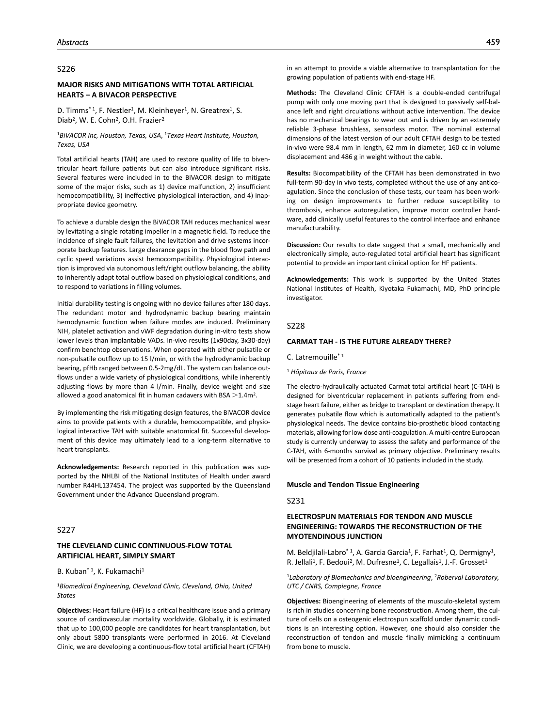#### S226

## **MAJOR RISKS AND MITIGATIONS WITH TOTAL ARTIFICIAL HEARTS – A BIVACOR PERSPECTIVE**

D. Timms<sup>\*1</sup>, F. Nestler<sup>1</sup>, M. Kleinheyer<sup>1</sup>, N. Greatrex<sup>1</sup>, S. Diab<sup>2</sup>, W. E. Cohn<sup>2</sup>, O.H. Frazier<sup>2</sup>

<sup>1</sup>*BiVACOR Inc, Houston, Texas, USA*, 1*Texas Heart Institute, Houston, Texas, USA*

Total artificial hearts (TAH) are used to restore quality of life to biventricular heart failure patients but can also introduce significant risks. Several features were included in to the BiVACOR design to mitigate some of the major risks, such as 1) device malfunction, 2) insufficient hemocompatibility, 3) ineffective physiological interaction, and 4) inappropriate device geometry.

To achieve a durable design the BiVACOR TAH reduces mechanical wear by levitating a single rotating impeller in a magnetic field. To reduce the incidence of single fault failures, the levitation and drive systems incorporate backup features. Large clearance gaps in the blood flow path and cyclic speed variations assist hemocompatibility. Physiological interaction is improved via autonomous left/right outflow balancing, the ability to inherently adapt total outflow based on physiological conditions, and to respond to variations in filling volumes.

Initial durability testing is ongoing with no device failures after 180 days. The redundant motor and hydrodynamic backup bearing maintain hemodynamic function when failure modes are induced. Preliminary NIH, platelet activation and vWF degradation during in-vitro tests show lower levels than implantable VADs. In-vivo results (1x90day, 3x30-day) confirm benchtop observations. When operated with either pulsatile or non-pulsatile outflow up to 15 l/min, or with the hydrodynamic backup bearing, pfHb ranged between 0.5-2mg/dL. The system can balance outflows under a wide variety of physiological conditions, while inherently adjusting flows by more than 4 l/min. Finally, device weight and size allowed a good anatomical fit in human cadavers with BSA  $>$ 1.4m<sup>2</sup>.

By implementing the risk mitigating design features, the BiVACOR device aims to provide patients with a durable, hemocompatible, and physiological interactive TAH with suitable anatomical fit. Successful development of this device may ultimately lead to a long-term alternative to heart transplants.

**Acknowledgements:** Research reported in this publication was supported by the NHLBI of the National Institutes of Health under award number R44HL137454. The project was supported by the Queensland Government under the Advance Queensland program.

## S227

# **THE CLEVELAND CLINIC CONTINUOUS-FLOW TOTAL ARTIFICIAL HEART, SIMPLY SMART**

## B. Kuban<sup>\* 1</sup>, K. Fukamachi<sup>1</sup>

## <sup>1</sup>*Biomedical Engineering, Cleveland Clinic, Cleveland, Ohio, United States*

**Objectives:** Heart failure (HF) is a critical healthcare issue and a primary source of cardiovascular mortality worldwide. Globally, it is estimated that up to 100,000 people are candidates for heart transplantation, but only about 5800 transplants were performed in 2016. At Cleveland Clinic, we are developing a continuous-flow total artificial heart (CFTAH) in an attempt to provide a viable alternative to transplantation for the growing population of patients with end-stage HF.

**Methods:** The Cleveland Clinic CFTAH is a double-ended centrifugal pump with only one moving part that is designed to passively self-balance left and right circulations without active intervention. The device has no mechanical bearings to wear out and is driven by an extremely reliable 3-phase brushless, sensorless motor. The nominal external dimensions of the latest version of our adult CFTAH design to be tested in-vivo were 98.4 mm in length, 62 mm in diameter, 160 cc in volume displacement and 486 g in weight without the cable.

**Results:** Biocompatibility of the CFTAH has been demonstrated in two full-term 90-day in vivo tests, completed without the use of any anticoagulation. Since the conclusion of these tests, our team has been working on design improvements to further reduce susceptibility to thrombosis, enhance autoregulation, improve motor controller hardware, add clinically useful features to the control interface and enhance manufacturability.

**Discussion:** Our results to date suggest that a small, mechanically and electronically simple, auto-regulated total artificial heart has significant potential to provide an important clinical option for HF patients.

**Acknowledgements:** This work is supported by the United States National Institutes of Health, Kiyotaka Fukamachi, MD, PhD principle investigator.

#### S228

### **CARMAT TAH - IS THE FUTURE ALREADY THERE?**

C. Latremouille\* 1

<sup>1</sup> *Hôpitaux de Paris, France*

The electro-hydraulically actuated Carmat total artificial heart (C-TAH) is designed for biventricular replacement in patients suffering from endstage heart failure, either as bridge to transplant or destination therapy. It generates pulsatile flow which is automatically adapted to the patient's physiological needs. The device contains bio-prosthetic blood contacting materials, allowing for low dose anti-coagulation. A multi-centre European study is currently underway to assess the safety and performance of the C-TAH, with 6-months survival as primary objective. Preliminary results will be presented from a cohort of 10 patients included in the study.

## **Muscle and Tendon Tissue Engineering**

#### S231

# **ELECTROSPUN MATERIALS FOR TENDON AND MUSCLE ENGINEERING: TOWARDS THE RECONSTRUCTION OF THE MYOTENDINOUS JUNCTION**

M. Beldjilali-Labro<sup>\* 1</sup>, A. Garcia Garcia<sup>1</sup>, F. Farhat<sup>1</sup>, Q. Dermigny<sup>1</sup>, R. Jellali<sup>1</sup>, F. Bedoui<sup>2</sup>, M. Dufresne<sup>1</sup>, C. Legallais<sup>1</sup>, J.-F. Grosset<sup>1</sup>

## <sup>1</sup>*Laboratory of Biomechanics and bioengineering*, 2*Roberval Laboratory, UTC / CNRS, Compiegne, France*

**Objectives:** Bioengineering of elements of the musculo-skeletal system is rich in studies concerning bone reconstruction. Among them, the culture of cells on a osteogenic electrospun scaffold under dynamic conditions is an interesting option. However, one should also consider the reconstruction of tendon and muscle finally mimicking a continuum from bone to muscle.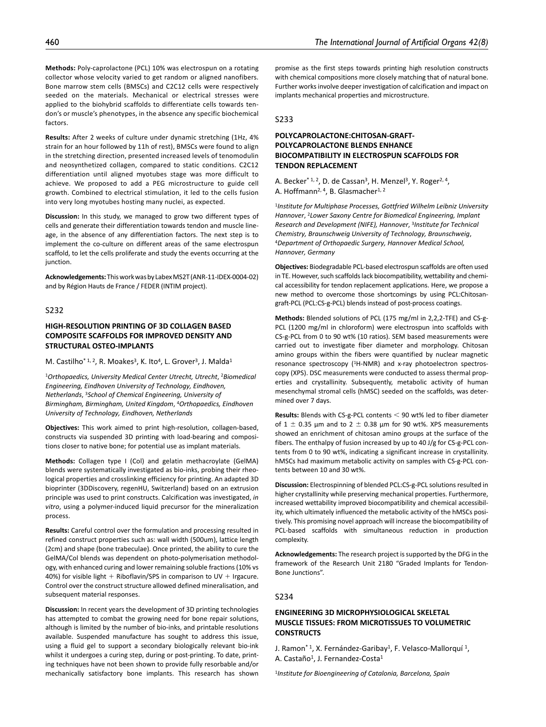**Methods:** Poly-caprolactone (PCL) 10% was electrospun on a rotating collector whose velocity varied to get random or aligned nanofibers. Bone marrow stem cells (BMSCs) and C2C12 cells were respectively seeded on the materials. Mechanical or electrical stresses were applied to the biohybrid scaffolds to differentiate cells towards tendon's or muscle's phenotypes, in the absence any specific biochemical factors.

**Results:** After 2 weeks of culture under dynamic stretching (1Hz, 4% strain for an hour followed by 11h of rest), BMSCs were found to align in the stretching direction, presented increased levels of tenomodulin and neosynthetized collagen, compared to static conditions. C2C12 differentiation until aligned myotubes stage was more difficult to achieve. We proposed to add a PEG microstructure to guide cell growth. Combined to electrical stimulation, it led to the cells fusion into very long myotubes hosting many nuclei, as expected.

**Discussion:** In this study, we managed to grow two different types of cells and generate their differentiation towards tendon and muscle lineage, in the absence of any differentiation factors. The next step is to implement the co-culture on different areas of the same electrospun scaffold, to let the cells proliferate and study the events occurring at the junction.

**Acknowledgements:** This work was by Labex MS2T (ANR-11-IDEX-0004-02) and by Région Hauts de France / FEDER (INTIM project).

## S232

# **HIGH-RESOLUTION PRINTING OF 3D COLLAGEN BASED COMPOSITE SCAFFOLDS FOR IMPROVED DENSITY AND STRUCTURAL OSTEO-IMPLANTS**

## M. Castilho<sup>\* 1, 2</sup>, R. Moakes<sup>3</sup>, K. Ito<sup>4</sup>, L. Grover<sup>3</sup>, J. Malda<sup>1</sup>

<sup>1</sup>*Orthopaedics, University Medical Center Utrecht, Utrecht*, 2*Biomedical Engineering, Eindhoven University of Technology, Eindhoven, Netherlands*, 3*School of Chemical Engineering, University of Birmingham, Birmingham, United Kingdom*, 4*Orthopaedics, Eindhoven University of Technology, Eindhoven, Netherlands*

**Objectives:** This work aimed to print high-resolution, collagen-based, constructs via suspended 3D printing with load-bearing and compositions closer to native bone; for potential use as implant materials.

**Methods:** Collagen type I (Col) and gelatin methacroylate (GelMA) blends were systematically investigated as bio-inks, probing their rheological properties and crosslinking efficiency for printing. An adapted 3D bioprinter (3DDiscovery, regenHU, Switzerland) based on an extrusion principle was used to print constructs. Calcification was investigated, *in vitro*, using a polymer-induced liquid precursor for the mineralization process.

**Results:** Careful control over the formulation and processing resulted in refined construct properties such as: wall width (500um), lattice length (2cm) and shape (bone trabeculae). Once printed, the ability to cure the GelMA/Col blends was dependent on photo-polymerisation methodology, with enhanced curing and lower remaining soluble fractions (10% vs 40%) for visible light  $+$  Riboflavin/SPS in comparison to UV  $+$  Irgacure. Control over the construct structure allowed defined mineralisation, and subsequent material responses.

**Discussion:** In recent years the development of 3D printing technologies has attempted to combat the growing need for bone repair solutions, although is limited by the number of bio-inks, and printable resolutions available. Suspended manufacture has sought to address this issue, using a fluid gel to support a secondary biologically relevant bio-ink whilst it undergoes a curing step, during or post-printing. To date, printing techniques have not been shown to provide fully resorbable and/or mechanically satisfactory bone implants. This research has shown

promise as the first steps towards printing high resolution constructs with chemical compositions more closely matching that of natural bone. Further works involve deeper investigation of calcification and impact on implants mechanical properties and microstructure.

#### S233

# **POLYCAPROLACTONE:CHITOSAN-GRAFT-POLYCAPROLACTONE BLENDS ENHANCE BIOCOMPATIBILITY IN ELECTROSPUN SCAFFOLDS FOR TENDON REPLACEMENT**

A. Becker<sup>\* 1, 2</sup>, D. de Cassan<sup>3</sup>, H. Menzel<sup>3</sup>, Y. Roger<sup>2, 4</sup>, A. Hoffmann<sup>2, 4</sup>, B. Glasmacher<sup>1, 2</sup>

<sup>1</sup>*Institute for Multiphase Processes, Gottfried Wilhelm Leibniz University Hannover*, 2*Lower Saxony Centre for Biomedical Engineering, Implant Research and Development (NIFE), Hannover*, 3*Institute for Technical Chemistry, Braunschweig University of Technology, Braunschweig*, 4*Department of Orthopaedic Surgery, Hannover Medical School, Hannover, Germany*

**Objectives:** Biodegradable PCL-based electrospun scaffolds are often used in TE. However, such scaffolds lack biocompatibility, wettability and chemical accessibility for tendon replacement applications. Here, we propose a new method to overcome those shortcomings by using PCL:Chitosangraft-PCL (PCL:CS-g-PCL) blends instead of post-process coatings.

**Methods:** Blended solutions of PCL (175 mg/ml in 2,2,2-TFE) and CS-g-PCL (1200 mg/ml in chloroform) were electrospun into scaffolds with CS-g-PCL from 0 to 90 wt% (10 ratios). SEM based measurements were carried out to investigate fiber diameter and morphology. Chitosan amino groups within the fibers were quantified by nuclear magnetic resonance spectroscopy (<sup>1</sup>H-NMR) and x-ray photoelectron spectroscopy (XPS). DSC measurements were conducted to assess thermal properties and crystallinity. Subsequently, metabolic activity of human mesenchymal stromal cells (hMSC) seeded on the scaffolds, was determined over 7 days.

**Results:** Blends with CS-g-PCL contents < 90 wt% led to fiber diameter of  $1 \pm 0.35$  µm and to  $2 \pm 0.38$  µm for 90 wt%. XPS measurements showed an enrichment of chitosan amino groups at the surface of the fibers. The enthalpy of fusion increased by up to 40 J/g for CS-g-PCL contents from 0 to 90 wt%, indicating a significant increase in crystallinity. hMSCs had maximum metabolic activity on samples with CS-g-PCL contents between 10 and 30 wt%.

**Discussion:** Electrospinning of blended PCL:CS-g-PCL solutions resulted in higher crystallinity while preserving mechanical properties. Furthermore, increased wettability improved biocompatibility and chemical accessibility, which ultimately influenced the metabolic activity of the hMSCs positively. This promising novel approach will increase the biocompatibility of PCL-based scaffolds with simultaneous reduction in production complexity.

**Acknowledgements:** The research project is supported by the DFG in the framework of the Research Unit 2180 "Graded Implants for Tendon-Bone Junctions".

## $5234$

# **ENGINEERING 3D MICROPHYSIOLOGICAL SKELETAL MUSCLE TISSUES: FROM MICROTISSUES TO VOLUMETRIC CONSTRUCTS**

J. Ramon<sup>\* 1</sup>, X. Fernández-Garibay<sup>1</sup>, F. Velasco-Mallorquí <sup>1</sup>, A. Castaño<sup>1</sup>, J. Fernandez-Costa<sup>1</sup>

1*Institute for Bioengineering of Catalonia, Barcelona, Spain*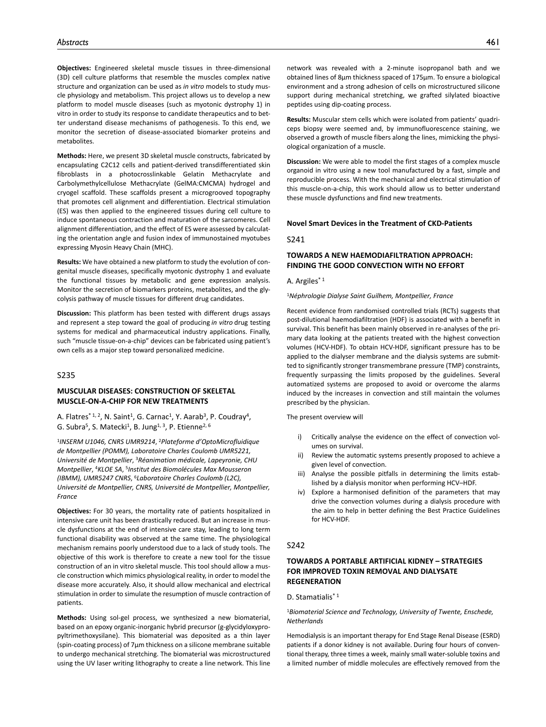**Objectives:** Engineered skeletal muscle tissues in three-dimensional (3D) cell culture platforms that resemble the muscles complex native structure and organization can be used as *in vitro* models to study muscle physiology and metabolism. This project allows us to develop a new platform to model muscle diseases (such as myotonic dystrophy 1) in vitro in order to study its response to candidate therapeutics and to better understand disease mechanisms of pathogenesis. To this end, we monitor the secretion of disease-associated biomarker proteins and metabolites.

**Methods:** Here, we present 3D skeletal muscle constructs, fabricated by encapsulating C2C12 cells and patient-derived transdifferentiated skin fibroblasts in a photocrosslinkable Gelatin Methacrylate and Carbolymethylcellulose Methacrylate (GelMA:CMCMA) hydrogel and cryogel scaffold. These scaffolds present a microgrooved topography that promotes cell alignment and differentiation. Electrical stimulation (ES) was then applied to the engineered tissues during cell culture to induce spontaneous contraction and maturation of the sarcomeres. Cell alignment differentiation, and the effect of ES were assessed by calculating the orientation angle and fusion index of immunostained myotubes expressing Myosin Heavy Chain (MHC).

**Results:** We have obtained a new platform to study the evolution of congenital muscle diseases, specifically myotonic dystrophy 1 and evaluate the functional tissues by metabolic and gene expression analysis. Monitor the secretion of biomarkers proteins, metabolites, and the glycolysis pathway of muscle tissues for different drug candidates.

**Discussion:** This platform has been tested with different drugs assays and represent a step toward the goal of producing *in vitro* drug testing systems for medical and pharmaceutical industry applications. Finally, such "muscle tissue-on-a-chip" devices can be fabricated using patient's own cells as a major step toward personalized medicine.

#### S235

## **MUSCULAR DISEASES: CONSTRUCTION OF SKELETAL MUSCLE-ON-A-CHIP FOR NEW TREATMENTS**

A. Flatres<sup>\* 1, 2</sup>, N. Saint<sup>1</sup>, G. Carnac<sup>1</sup>, Y. Aarab<sup>3</sup>, P. Coudray<sup>4</sup>, G. Subra<sup>5</sup>, S. Matecki<sup>1</sup>, B. Jung<sup>1, 3</sup>, P. Etienne<sup>2, 6</sup>

<sup>1</sup>*INSERM U1046, CNRS UMR9214*, 2*Plateforme d'OptoMicrofluidique de Montpellier (POMM), Laboratoire Charles Coulomb UMR5221, Université de Montpellier*, 3*Réanimation médicale, Lapeyronie, CHU Montpellier*, 4*KLOE SA*, 5*Institut des Biomolécules Max Mousseron (IBMM), UMR5247 CNRS*, 6*Laboratoire Charles Coulomb (L2C), Université de Montpellier, CNRS, Université de Montpellier, Montpellier, France*

**Objectives:** For 30 years, the mortality rate of patients hospitalized in intensive care unit has been drastically reduced. But an increase in muscle dysfunctions at the end of intensive care stay, leading to long term functional disability was observed at the same time. The physiological mechanism remains poorly understood due to a lack of study tools. The objective of this work is therefore to create a new tool for the tissue construction of an in vitro skeletal muscle. This tool should allow a muscle construction which mimics physiological reality, in order to model the disease more accurately. Also, it should allow mechanical and electrical stimulation in order to simulate the resumption of muscle contraction of patients.

**Methods:** Using sol-gel process, we synthesized a new biomaterial, based on an epoxy organic-inorganic hybrid precursor (g-glycidyloxypropyltrimethoxysilane). This biomaterial was deposited as a thin layer (spin-coating process) of 7µm thickness on a silicone membrane suitable to undergo mechanical stretching. The biomaterial was microstructured using the UV laser writing lithography to create a line network. This line

network was revealed with a 2-minute isopropanol bath and we obtained lines of 8µm thickness spaced of 175µm. To ensure a biological environment and a strong adhesion of cells on microstructured silicone support during mechanical stretching, we grafted silylated bioactive peptides using dip-coating process.

**Results:** Muscular stem cells which were isolated from patients' quadriceps biopsy were seemed and, by immunofluorescence staining, we observed a growth of muscle fibers along the lines, mimicking the physiological organization of a muscle.

**Discussion:** We were able to model the first stages of a complex muscle organoid in vitro using a new tool manufactured by a fast, simple and reproducible process. With the mechanical and electrical stimulation of this muscle-on-a-chip, this work should allow us to better understand these muscle dysfunctions and find new treatments.

#### **Novel Smart Devices in the Treatment of CKD-Patients**

#### S241

# **TOWARDS A NEW HAEMODIAFILTRATION APPROACH: FINDING THE GOOD CONVECTION WITH NO EFFORT**

#### A. Argiles\* 1

#### <sup>1</sup>*Néphrologie Dialyse Saint Guilhem, Montpellier, France*

Recent evidence from randomised controlled trials (RCTs) suggests that post-dilutional haemodiafiltration (HDF) is associated with a benefit in survival. This benefit has been mainly observed in re-analyses of the primary data looking at the patients treated with the highest convection volumes (HCV-HDF). To obtain HCV-HDF, significant pressure has to be applied to the dialyser membrane and the dialysis systems are submitted to significantly stronger transmembrane pressure (TMP) constraints, frequently surpassing the limits proposed by the guidelines. Several automatized systems are proposed to avoid or overcome the alarms induced by the increases in convection and still maintain the volumes prescribed by the physician.

The present overview will

- i) Critically analyse the evidence on the effect of convection volumes on survival.
- ii) Review the automatic systems presently proposed to achieve a given level of convection.
- iii) Analyse the possible pitfalls in determining the limits established by a dialysis monitor when performing HCV–HDF.
- iv) Explore a harmonised definition of the parameters that may drive the convection volumes during a dialysis procedure with the aim to help in better defining the Best Practice Guidelines for HCV-HDF.

#### S242

## **TOWARDS A PORTABLE ARTIFICIAL KIDNEY – STRATEGIES FOR IMPROVED TOXIN REMOVAL AND DIALYSATE REGENERATION**

D. Stamatialis<sup>\*1</sup>

<sup>1</sup>*Biomaterial Science and Technology, University of Twente, Enschede, Netherlands*

Hemodialysis is an important therapy for End Stage Renal Disease (ESRD) patients if a donor kidney is not available. During four hours of conventional therapy, three times a week, mainly small water-soluble toxins and a limited number of middle molecules are effectively removed from the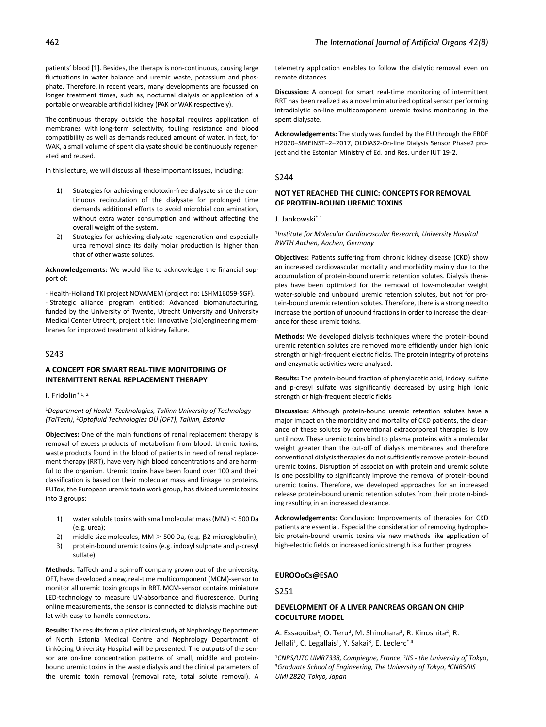patients' blood [1]. Besides, the therapy is non-continuous, causing large fluctuations in water balance and uremic waste, potassium and phosphate. Therefore, in recent years, many developments are focussed on longer treatment times, such as, nocturnal dialysis or application of a portable or wearable artificial kidney (PAK or WAK respectively).

The continuous therapy outside the hospital requires application of membranes with long-term selectivity, fouling resistance and blood compatibility as well as demands reduced amount of water. In fact, for WAK, a small volume of spent dialysate should be continuously regenerated and reused.

In this lecture, we will discuss all these important issues, including:

- 1) Strategies for achieving endotoxin-free dialysate since the continuous recirculation of the dialysate for prolonged time demands additional efforts to avoid microbial contamination, without extra water consumption and without affecting the overall weight of the system.
- 2) Strategies for achieving dialysate regeneration and especially urea removal since its daily molar production is higher than that of other waste solutes.

**Acknowledgements:** We would like to acknowledge the financial support of:

- Health-Holland TKI project NOVAMEM (project no: LSHM16059-SGF). - Strategic alliance program entitled: Advanced biomanufacturing, funded by the University of Twente, Utrecht University and University Medical Center Utrecht, project title: Innovative (bio)engineering membranes for improved treatment of kidney failure.

## S243

## **A CONCEPT FOR SMART REAL-TIME MONITORING OF INTERMITTENT RENAL REPLACEMENT THERAPY**

I. Fridolin\* 1, 2

<sup>1</sup>*Department of Health Technologies, Tallinn University of Technology (TalTech)*, 2*Optofluid Technologies OÜ (OFT), Tallinn, Estonia*

**Objectives:** One of the main functions of renal replacement therapy is removal of excess products of metabolism from blood. Uremic toxins, waste products found in the blood of patients in need of renal replacement therapy (RRT), have very high blood concentrations and are harmful to the organism. Uremic toxins have been found over 100 and their classification is based on their molecular mass and linkage to proteins. EUTox, the European uremic toxin work group, has divided uremic toxins into 3 groups:

- 1) water soluble toxins with small molecular mass (MM) < 500 Da (e.g. urea);
- 2) middle size molecules, MM > 500 Da, (e.g. β2-microglobulin); 3) protein-bound uremic toxins (e.g. indoxyl sulphate and ρ-cresyl
- sulfate).

**Methods:** TalTech and a spin-off company grown out of the university, OFT, have developed a new, real-time multicomponent (MCM)-sensor to monitor all uremic toxin groups in RRT. MCM-sensor contains miniature LED-technology to measure UV-absorbance and fluorescence. During online measurements, the sensor is connected to dialysis machine outlet with easy-to-handle connectors.

**Results:** The results from a pilot clinical study at Nephrology Department of North Estonia Medical Centre and Nephrology Department of Linköping University Hospital will be presented. The outputs of the sensor are on-line concentration patterns of small, middle and proteinbound uremic toxins in the waste dialysis and the clinical parameters of the uremic toxin removal (removal rate, total solute removal). A

telemetry application enables to follow the dialytic removal even on remote distances.

**Discussion:** A concept for smart real-time monitoring of intermittent RRT has been realized as a novel miniaturized optical sensor performing intradialytic on-line multicomponent uremic toxins monitoring in the spent dialysate.

**Acknowledgements:** The study was funded by the EU through the ERDF H2020–SMEINST–2–2017, OLDIAS2-On-line Dialysis Sensor Phase2 project and the Estonian Ministry of Ed. and Res. under IUT 19-2.

#### S244

## **NOT YET REACHED THE CLINIC: CONCEPTS FOR REMOVAL OF PROTEIN-BOUND UREMIC TOXINS**

J. Jankowski\* 1

<sup>1</sup>*Institute for Molecular Cardiovascular Research, University Hospital RWTH Aachen, Aachen, Germany*

**Objectives:** Patients suffering from chronic kidney disease (CKD) show an increased cardiovascular mortality and morbidity mainly due to the accumulation of protein-bound uremic retention solutes. Dialysis therapies have been optimized for the removal of low-molecular weight water-soluble and unbound uremic retention solutes, but not for protein-bound uremic retention solutes. Therefore, there is a strong need to increase the portion of unbound fractions in order to increase the clearance for these uremic toxins.

**Methods:** We developed dialysis techniques where the protein-bound uremic retention solutes are removed more efficiently under high ionic strength or high-frequent electric fields. The protein integrity of proteins and enzymatic activities were analysed.

**Results:** The protein-bound fraction of phenylacetic acid, indoxyl sulfate and p-cresyl sulfate was significantly decreased by using high ionic strength or high-frequent electric fields

**Discussion:** Although protein-bound uremic retention solutes have a major impact on the morbidity and mortality of CKD patients, the clearance of these solutes by conventional extracorporeal therapies is low until now. These uremic toxins bind to plasma proteins with a molecular weight greater than the cut-off of dialysis membranes and therefore conventional dialysis therapies do not sufficiently remove protein-bound uremic toxins. Disruption of association with protein and uremic solute is one possibility to significantly improve the removal of protein-bound uremic toxins. Therefore, we developed approaches for an increased release protein-bound uremic retention solutes from their protein-binding resulting in an increased clearance.

**Acknowledgements:** Conclusion: Improvements of therapies for CKD patients are essential. Especial the consideration of removing hydrophobic protein-bound uremic toxins via new methods like application of high-electric fields or increased ionic strength is a further progress

#### **EUROOoCs@ESAO**

S251

# **DEVELOPMENT OF A LIVER PANCREAS ORGAN ON CHIP COCULTURE MODEL**

A. Essaouiba<sup>1</sup>, O. Teru<sup>2</sup>, M. Shinohara<sup>2</sup>, R. Kinoshita<sup>2</sup>, R. Jellali<sup>1</sup>, C. Legallais<sup>1</sup>, Y. Sakai<sup>3</sup>, E. Leclerc<sup>\*4</sup>

<sup>1</sup>*CNRS/UTC UMR7338, Compiegne, France*, 2*IIS - the University of Tokyo*, 3*Graduate School of Engineering, The University of Tokyo*, 4*CNRS/IIS UMI 2820, Tokyo, Japan*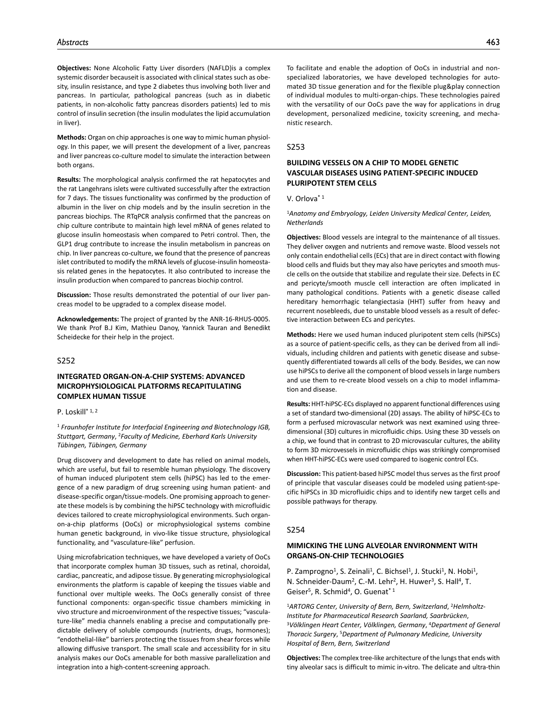**Objectives:** None Alcoholic Fatty Liver disorders (NAFLD)is a complex systemic disorder becauseit is associated with clinical states such as obesity, insulin resistance, and type 2 diabetes thus involving both liver and pancreas. In particular, pathological pancreas (such as in diabetic patients, in non-alcoholic fatty pancreas disorders patients) led to mis control of insulin secretion (the insulin modulates the lipid accumulation in liver).

**Methods:** Organ on chip approaches is one way to mimic human physiology. In this paper, we will present the development of a liver, pancreas and liver pancreas co-culture model to simulate the interaction between both organs.

**Results:** The morphological analysis confirmed the rat hepatocytes and the rat Langehrans islets were cultivated successfully after the extraction for 7 days. The tissues functionality was confirmed by the production of albumin in the liver on chip models and by the insulin secretion in the pancreas biochips. The RTqPCR analysis confirmed that the pancreas on chip culture contribute to maintain high level mRNA of genes related to glucose insulin homeostasis when compared to Petri control. Then, the GLP1 drug contribute to increase the insulin metabolism in pancreas on chip. In liver pancreas co-culture, we found that the presence of pancreas islet contributed to modify the mRNA levels of glucose-insulin homeostasis related genes in the hepatocytes. It also contributed to increase the insulin production when compared to pancreas biochip control.

**Discussion:** Those results demonstrated the potential of our liver pancreas model to be upgraded to a complex disease model.

**Acknowledgements:** The project of granted by the ANR-16-RHUS-0005. We thank Prof B.J Kim, Mathieu Danoy, Yannick Tauran and Benedikt Scheidecke for their help in the project.

## S252

# **INTEGRATED ORGAN-ON-A-CHIP SYSTEMS: ADVANCED MICROPHYSIOLOGICAL PLATFORMS RECAPITULATING COMPLEX HUMAN TISSUE**

## P. Loskill\* 1, 2

<sup>1</sup> *Fraunhofer Institute for Interfacial Engineering and Biotechnology IGB, Stuttgart, Germany*, 2*Faculty of Medicine, Eberhard Karls University Tübingen, Tübingen, Germany*

Drug discovery and development to date has relied on animal models, which are useful, but fail to resemble human physiology. The discovery of human induced pluripotent stem cells (hiPSC) has led to the emergence of a new paradigm of drug screening using human patient- and disease-specific organ/tissue-models. One promising approach to generate these models is by combining the hiPSC technology with microfluidic devices tailored to create microphysiological environments. Such organon-a-chip platforms (OoCs) or microphysiological systems combine human genetic background, in vivo-like tissue structure, physiological functionality, and "vasculature-like" perfusion.

Using microfabrication techniques, we have developed a variety of OoCs that incorporate complex human 3D tissues, such as retinal, choroidal, cardiac, pancreatic, and adipose tissue. By generating microphysiological environments the platform is capable of keeping the tissues viable and functional over multiple weeks. The OoCs generally consist of three functional components: organ-specific tissue chambers mimicking in vivo structure and microenvironment of the respective tissues; "vasculature-like" media channels enabling a precise and computationally predictable delivery of soluble compounds (nutrients, drugs, hormones); "endothelial-like" barriers protecting the tissues from shear forces while allowing diffusive transport. The small scale and accessibility for in situ analysis makes our OoCs amenable for both massive parallelization and integration into a high-content-screening approach.

To facilitate and enable the adoption of OoCs in industrial and nonspecialized laboratories, we have developed technologies for automated 3D tissue generation and for the flexible plug&play connection of individual modules to multi-organ-chips. These technologies paired with the versatility of our OoCs pave the way for applications in drug development, personalized medicine, toxicity screening, and mechanistic research.

#### S253

# **BUILDING VESSELS ON A CHIP TO MODEL GENETIC VASCULAR DISEASES USING PATIENT-SPECIFIC INDUCED PLURIPOTENT STEM CELLS**

V. Orlova\* 1

<sup>1</sup>*Anatomy and Embryology, Leiden University Medical Center, Leiden, Netherlands*

**Objectives:** Blood vessels are integral to the maintenance of all tissues. They deliver oxygen and nutrients and remove waste. Blood vessels not only contain endothelial cells (ECs) that are in direct contact with flowing blood cells and fluids but they may also have pericytes and smooth muscle cells on the outside that stabilize and regulate their size. Defects in EC and pericyte/smooth muscle cell interaction are often implicated in many pathological conditions. Patients with a genetic disease called hereditary hemorrhagic telangiectasia (HHT) suffer from heavy and recurrent nosebleeds, due to unstable blood vessels as a result of defective interaction between ECs and pericytes.

**Methods:** Here we used human induced pluripotent stem cells (hiPSCs) as a source of patient-specific cells, as they can be derived from all individuals, including children and patients with genetic disease and subsequently differentiated towards all cells of the body. Besides, we can now use hiPSCs to derive all the component of blood vessels in large numbers and use them to re-create blood vessels on a chip to model inflammation and disease.

**Results:** HHT-hiPSC-ECs displayed no apparent functional differences using a set of standard two-dimensional (2D) assays. The ability of hiPSC-ECs to form a perfused microvascular network was next examined using threedimensional (3D) cultures in microfluidic chips. Using these 3D vessels on a chip, we found that in contrast to 2D microvascular cultures, the ability to form 3D microvessels in microfluidic chips was strikingly compromised when HHT-hiPSC-ECs were used compared to isogenic control ECs.

**Discussion:** This patient-based hiPSC model thus serves as the first proof of principle that vascular diseases could be modeled using patient-specific hiPSCs in 3D microfluidic chips and to identify new target cells and possible pathways for therapy.

#### S254

# **MIMICKING THE LUNG ALVEOLAR ENVIRONMENT WITH ORGANS-ON-CHIP TECHNOLOGIES**

P. Zamprogno<sup>1</sup>, S. Zeinali<sup>1</sup>, C. Bichsel<sup>1</sup>, J. Stucki<sup>1</sup>, N. Hobi<sup>1</sup>, N. Schneider-Daum<sup>2</sup>, C.-M. Lehr<sup>2</sup>, H. Huwer<sup>3</sup>, S. Hall<sup>4</sup>, T. Geiser<sup>5</sup>, R. Schmid<sup>4</sup>, O. Guenat<sup>\* 1</sup>

1*ARTORG Center, University of Bern, Bern, Switzerland*, 2*Helmholtz-Institute for Pharmaceutical Research Saarland, Saarbrücken*, 3*Völklingen Heart Center, Völklingen, Germany*, 4*Department of General Thoracic Surgery*, 5*Department of Pulmonary Medicine, University Hospital of Bern, Bern, Switzerland*

**Objectives:** The complex tree-like architecture of the lungs that ends with tiny alveolar sacs is difficult to mimic in-vitro. The delicate and ultra-thin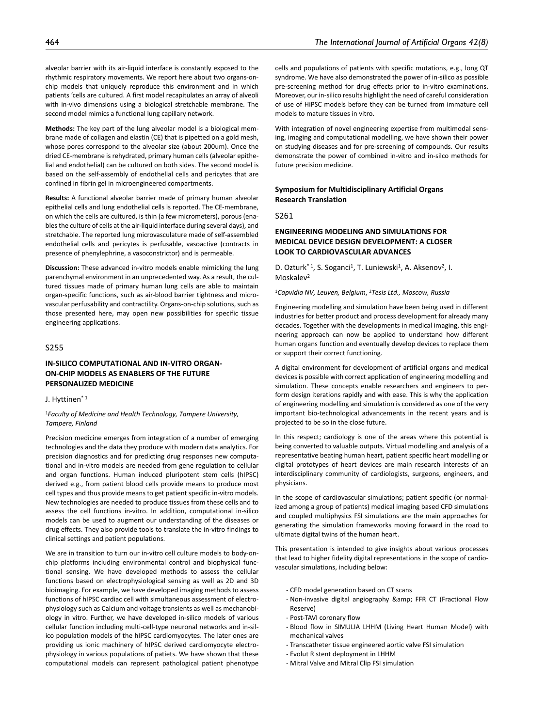alveolar barrier with its air-liquid interface is constantly exposed to the rhythmic respiratory movements. We report here about two organs-onchip models that uniquely reproduce this environment and in which patients 'cells are cultured. A first model recapitulates an array of alveoli with in-vivo dimensions using a biological stretchable membrane. The second model mimics a functional lung capillary network.

**Methods:** The key part of the lung alveolar model is a biological membrane made of collagen and elastin (CE) that is pipetted on a gold mesh, whose pores correspond to the alveolar size (about 200um). Once the dried CE-membrane is rehydrated, primary human cells (alveolar epithelial and endothelial) can be cultured on both sides. The second model is based on the self-assembly of endothelial cells and pericytes that are confined in fibrin gel in microengineered compartments.

**Results:** A functional alveolar barrier made of primary human alveolar epithelial cells and lung endothelial cells is reported. The CE-membrane, on which the cells are cultured, is thin (a few micrometers), porous (enables the culture of cells at the air-liquid interface during several days), and stretchable. The reported lung microvasculature made of self-assembled endothelial cells and pericytes is perfusable, vasoactive (contracts in presence of phenylephrine, a vasoconstrictor) and is permeable.

**Discussion:** These advanced in-vitro models enable mimicking the lung parenchymal environment in an unprecedented way. As a result, the cultured tissues made of primary human lung cells are able to maintain organ-specific functions, such as air-blood barrier tightness and microvascular perfusability and contractility. Organs-on-chip solutions, such as those presented here, may open new possibilities for specific tissue engineering applications.

# S255

# **IN-SILICO COMPUTATIONAL AND IN-VITRO ORGAN-ON-CHIP MODELS AS ENABLERS OF THE FUTURE PERSONALIZED MEDICINE**

#### J. Hyttinen\* 1

<sup>1</sup>*Faculty of Medicine and Health Technology, Tampere University, Tampere, Finland*

Precision medicine emerges from integration of a number of emerging technologies and the data they produce with modern data analytics. For precision diagnostics and for predicting drug responses new computational and in-vitro models are needed from gene regulation to cellular and organ functions. Human induced pluripotent stem cells (hIPSC) derived e.g., from patient blood cells provide means to produce most cell types and thus provide means to get patient specific in-vitro models. New technologies are needed to produce tissues from these cells and to assess the cell functions in-vitro. In addition, computational in-silico models can be used to augment our understanding of the diseases or drug effects. They also provide tools to translate the in-vitro findings to clinical settings and patient populations.

We are in transition to turn our in-vitro cell culture models to body-onchip platforms including environmental control and biophysical functional sensing. We have developed methods to assess the cellular functions based on electrophysiological sensing as well as 2D and 3D bioimaging. For example, we have developed imaging methods to assess functions of hIPSC cardiac cell with simultaneous assessment of electrophysiology such as Calcium and voltage transients as well as mechanobiology in vitro. Further, we have developed in-silico models of various cellular function including multi-cell-type neuronal networks and in-silico population models of the hIPSC cardiomyocytes. The later ones are providing us ionic machinery of hIPSC derived cardiomyocyte electrophysiology in various populations of patiets. We have shown that these computational models can represent pathological patient phenotype

cells and populations of patients with specific mutations, e.g., long QT syndrome. We have also demonstrated the power of in-silico as possible pre-screening method for drug effects prior to in-vitro examinations. Moreover, our in-silico results highlight the need of careful consideration of use of HiPSC models before they can be turned from immature cell models to mature tissues in vitro.

With integration of novel engineering expertise from multimodal sensing, imaging and computational modelling, we have shown their power on studying diseases and for pre-screening of compounds. Our results demonstrate the power of combined in-vitro and in-silco methods for future precision medicine.

# **Symposium for Multidisciplinary Artificial Organs Research Translation**

S261

# **ENGINEERING MODELING AND SIMULATIONS FOR MEDICAL DEVICE DESIGN DEVELOPMENT: A CLOSER LOOK TO CARDIOVASCULAR ADVANCES**

D. Ozturk<sup>\* 1</sup>, S. Soganci<sup>1</sup>, T. Luniewski<sup>1</sup>, A. Aksenov<sup>2</sup>, I. Moskalev<sup>2</sup>

<sup>1</sup>*Capvidia NV, Leuven, Belgium*, 2*Tesis Ltd., Moscow, Russia*

Engineering modelling and simulation have been being used in different industries for better product and process development for already many decades. Together with the developments in medical imaging, this engineering approach can now be applied to understand how different human organs function and eventually develop devices to replace them or support their correct functioning.

A digital environment for development of artificial organs and medical devices is possible with correct application of engineering modelling and simulation. These concepts enable researchers and engineers to perform design iterations rapidly and with ease. This is why the application of engineering modelling and simulation is considered as one of the very important bio-technological advancements in the recent years and is projected to be so in the close future.

In this respect; cardiology is one of the areas where this potential is being converted to valuable outputs. Virtual modelling and analysis of a representative beating human heart, patient specific heart modelling or digital prototypes of heart devices are main research interests of an interdisciplinary community of cardiologists, surgeons, engineers, and physicians.

In the scope of cardiovascular simulations; patient specific (or normalized among a group of patients) medical imaging based CFD simulations and coupled multiphysics FSI simulations are the main approaches for generating the simulation frameworks moving forward in the road to ultimate digital twins of the human heart.

This presentation is intended to give insights about various processes that lead to higher fidelity digital representations in the scope of cardiovascular simulations, including below:

- CFD model generation based on CT scans
- Non-invasive digital angiography & amp; FFR CT (Fractional Flow Reserve)
- Post-TAVI coronary flow
- Blood flow in SIMULIA LHHM (Living Heart Human Model) with mechanical valves
- Transcatheter tissue engineered aortic valve FSI simulation
- Evolut R stent deployment in LHHM
- Mitral Valve and Mitral Clip FSI simulation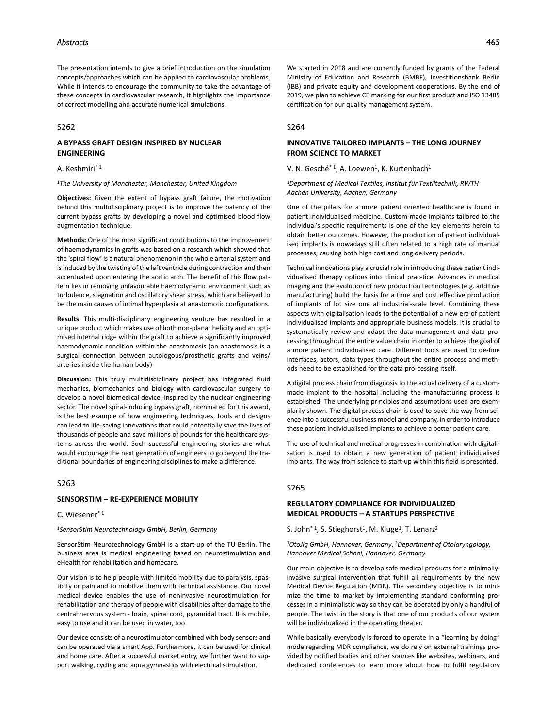The presentation intends to give a brief introduction on the simulation concepts/approaches which can be applied to cardiovascular problems. While it intends to encourage the community to take the advantage of these concepts in cardiovascular research, it highlights the importance of correct modelling and accurate numerical simulations.

## S262

# **A BYPASS GRAFT DESIGN INSPIRED BY NUCLEAR ENGINEERING**

A. Keshmiri\* 1

#### <sup>1</sup>*The University of Manchester, Manchester, United Kingdom*

**Objectives:** Given the extent of bypass graft failure, the motivation behind this multidisciplinary project is to improve the patency of the current bypass grafts by developing a novel and optimised blood flow augmentation technique.

**Methods:** One of the most significant contributions to the improvement of haemodynamics in grafts was based on a research which showed that the 'spiral flow' is a natural phenomenon in the whole arterial system and is induced by the twisting of the left ventricle during contraction and then accentuated upon entering the aortic arch. The benefit of this flow pattern lies in removing unfavourable haemodynamic environment such as turbulence, stagnation and oscillatory shear stress, which are believed to be the main causes of intimal hyperplasia at anastomotic configurations.

**Results:** This multi-disciplinary engineering venture has resulted in a unique product which makes use of both non-planar helicity and an optimised internal ridge within the graft to achieve a significantly improved haemodynamic condition within the anastomosis (an anastomosis is a surgical connection between autologous/prosthetic grafts and veins/ arteries inside the human body)

**Discussion:** This truly multidisciplinary project has integrated fluid mechanics, biomechanics and biology with cardiovascular surgery to develop a novel biomedical device, inspired by the nuclear engineering sector. The novel spiral-inducing bypass graft, nominated for this award, is the best example of how engineering techniques, tools and designs can lead to life-saving innovations that could potentially save the lives of thousands of people and save millions of pounds for the healthcare systems across the world. Such successful engineering stories are what would encourage the next generation of engineers to go beyond the traditional boundaries of engineering disciplines to make a difference.

## $S263$

#### **SENSORSTIM – RE-EXPERIENCE MOBILITY**

# C. Wiesener\* 1

<sup>1</sup>*SensorStim Neurotechnology GmbH, Berlin, Germany*

SensorStim Neurotechnology GmbH is a start-up of the TU Berlin. The business area is medical engineering based on neurostimulation and eHealth for rehabilitation and homecare.

Our vision is to help people with limited mobility due to paralysis, spasticity or pain and to mobilize them with technical assistance. Our novel medical device enables the use of noninvasive neurostimulation for rehabilitation and therapy of people with disabilities after damage to the central nervous system - brain, spinal cord, pyramidal tract. It is mobile, easy to use and it can be used in water, too.

Our device consists of a neurostimulator combined with body sensors and can be operated via a smart App. Furthermore, it can be used for clinical and home care. After a successful market entry, we further want to support walking, cycling and aqua gymnastics with electrical stimulation.

We started in 2018 and are currently funded by grants of the Federal Ministry of Education and Research (BMBF), Investitionsbank Berlin (IBB) and private equity and development cooperations. By the end of 2019, we plan to achieve CE marking for our first product and ISO 13485 certification for our quality management system.

#### S264

# **INNOVATIVE TAILORED IMPLANTS – THE LONG JOURNEY FROM SCIENCE TO MARKET**

V. N. Gesché\* <sup>1</sup>, A. Loewen<sup>1</sup>, K. Kurtenbach<sup>1</sup>

<sup>1</sup>*Department of Medical Textiles, Institut für Textiltechnik, RWTH Aachen University, Aachen, Germany*

One of the pillars for a more patient oriented healthcare is found in patient individualised medicine. Custom-made implants tailored to the individual's specific requirements is one of the key elements herein to obtain better outcomes. However, the production of patient individualised implants is nowadays still often related to a high rate of manual processes, causing both high cost and long delivery periods.

Technical innovations play a crucial role in introducing these patient individualised therapy options into clinical prac-tice. Advances in medical imaging and the evolution of new production technologies (e.g. additive manufacturing) build the basis for a time and cost effective production of implants of lot size one at industrial-scale level. Combining these aspects with digitalisation leads to the potential of a new era of patient individualised implants and appropriate business models. It is crucial to systematically review and adapt the data management and data processing throughout the entire value chain in order to achieve the goal of a more patient individualised care. Different tools are used to de-fine interfaces, actors, data types throughout the entire process and methods need to be established for the data pro-cessing itself.

A digital process chain from diagnosis to the actual delivery of a custommade implant to the hospital including the manufacturing process is established. The underlying principles and assumptions used are exemplarily shown. The digital process chain is used to pave the way from science into a successful business model and company, in order to introduce these patient individualised implants to achieve a better patient care.

The use of technical and medical progresses in combination with digitalisation is used to obtain a new generation of patient individualised implants. The way from science to start-up within this field is presented.

# S265

# **REGULATORY COMPLIANCE FOR INDIVIDUALIZED MEDICAL PRODUCTS – A STARTUPS PERSPECTIVE**

S. John<sup>\* 1</sup>, S. Stieghorst<sup>1</sup>, M. Kluge<sup>1</sup>, T. Lenarz<sup>2</sup>

<sup>1</sup>*OtoJig GmbH, Hannover, Germany*, 2*Department of Otolaryngology, Hannover Medical School, Hannover, Germany*

Our main objective is to develop safe medical products for a minimallyinvasive surgical intervention that fulfill all requirements by the new Medical Device Regulation (MDR). The secondary objective is to minimize the time to market by implementing standard conforming processes in a minimalistic way so they can be operated by only a handful of people. The twist in the story is that one of our products of our system will be individualized in the operating theater.

While basically everybody is forced to operate in a "learning by doing" mode regarding MDR compliance, we do rely on external trainings provided by notified bodies and other sources like websites, webinars, and dedicated conferences to learn more about how to fulfil regulatory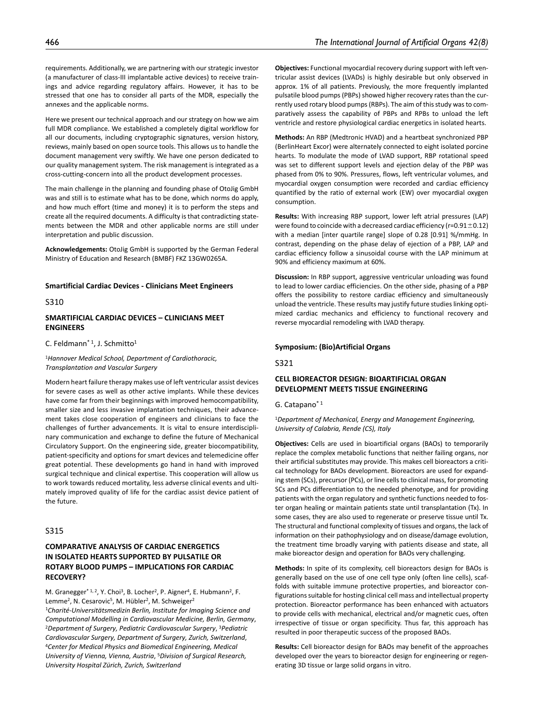requirements. Additionally, we are partnering with our strategic investor (a manufacturer of class-III implantable active devices) to receive trainings and advice regarding regulatory affairs. However, it has to be stressed that one has to consider all parts of the MDR, especially the annexes and the applicable norms.

Here we present our technical approach and our strategy on how we aim full MDR compliance. We established a completely digital workflow for all our documents, including cryptographic signatures, version history, reviews, mainly based on open source tools. This allows us to handle the document management very swiftly. We have one person dedicated to our quality management system. The risk management is integrated as a cross-cutting-concern into all the product development processes.

The main challenge in the planning and founding phase of OtoJig GmbH was and still is to estimate what has to be done, which norms do apply, and how much effort (time and money) it is to perform the steps and create all the required documents. A difficulty is that contradicting statements between the MDR and other applicable norms are still under interpretation and public discussion.

**Acknowledgements:** OtoJig GmbH is supported by the German Federal Ministry of Education and Research (BMBF) FKZ 13GW0265A.

#### **Smartificial Cardiac Devices - Clinicians Meet Engineers**

S310

## **SMARTIFICIAL CARDIAC DEVICES – CLINICIANS MEET ENGINEERS**

C. Feldmann<sup>\* 1</sup>, J. Schmitto<sup>1</sup>

<sup>1</sup>*Hannover Medical School, Department of Cardiothoracic, Transplantation and Vascular Surgery*

Modern heart failure therapy makes use of left ventricular assist devices for severe cases as well as other active implants. While these devices have come far from their beginnings with improved hemocompatibility, smaller size and less invasive implantation techniques, their advancement takes close cooperation of engineers and clinicians to face the challenges of further advancements. It is vital to ensure interdisciplinary communication and exchange to define the future of Mechanical Circulatory Support. On the engineering side, greater biocompatibility, patient-specificity and options for smart devices and telemedicine offer great potential. These developments go hand in hand with improved surgical technique and clinical expertise. This cooperation will allow us to work towards reduced mortality, less adverse clinical events and ultimately improved quality of life for the cardiac assist device patient of the future.

# S315

# **COMPARATIVE ANALYSIS OF CARDIAC ENERGETICS IN ISOLATED HEARTS SUPPORTED BY PULSATILE OR ROTARY BLOOD PUMPS – IMPLICATIONS FOR CARDIAC RECOVERY?**

M. Granegger<sup>\* 1, 2</sup>, Y. Choi<sup>3</sup>, B. Locher<sup>2</sup>, P. Aigner<sup>4</sup>, E. Hubmann<sup>2</sup>, F. Lemme<sup>2</sup>, N. Cesarovic<sup>5</sup>, M. Hübler<sup>2</sup>, M. Schweiger<sup>2</sup> <sup>1</sup>*Charité-Universitätsmedizin Berlin, Institute for Imaging Science and Computational Modelling in Cardiovascular Medicine, Berlin, Germany*, 2*Department of Surgery, Pediatric Cardiovascular Surgery*, 3*Pediatric Cardiovascular Surgery, Department of Surgery, Zurich, Switzerland*, 4*Center for Medical Physics and Biomedical Engineering, Medical University of Vienna, Vienna, Austria*, 5*Division of Surgical Research, University Hospital Zürich, Zurich, Switzerland*

**Objectives:** Functional myocardial recovery during support with left ventricular assist devices (LVADs) is highly desirable but only observed in approx. 1% of all patients. Previously, the more frequently implanted pulsatile blood pumps (PBPs) showed higher recovery rates than the currently used rotary blood pumps (RBPs). The aim of this study was to comparatively assess the capability of PBPs and RPBs to unload the left ventricle and restore physiological cardiac energetics in isolated hearts.

**Methods:** An RBP (Medtronic HVAD) and a heartbeat synchronized PBP (BerlinHeart Excor) were alternately connected to eight isolated porcine hearts. To modulate the mode of LVAD support, RBP rotational speed was set to different support levels and ejection delay of the PBP was phased from 0% to 90%. Pressures, flows, left ventricular volumes, and myocardial oxygen consumption were recorded and cardiac efficiency quantified by the ratio of external work (EW) over myocardial oxygen consumption.

**Results:** With increasing RBP support, lower left atrial pressures (LAP) were found to coincide with a decreased cardiac efficiency ( $r=0.91\pm0.12$ ) with a median [inter quartile range] slope of 0.28 [0.91] %/mmHg. In contrast, depending on the phase delay of ejection of a PBP, LAP and cardiac efficiency follow a sinusoidal course with the LAP minimum at 90% and efficiency maximum at 60%.

**Discussion:** In RBP support, aggressive ventricular unloading was found to lead to lower cardiac efficiencies. On the other side, phasing of a PBP offers the possibility to restore cardiac efficiency and simultaneously unload the ventricle. These results may justify future studies linking optimized cardiac mechanics and efficiency to functional recovery and reverse myocardial remodeling with LVAD therapy.

#### **Symposium: (Bio)Artificial Organs**

S321

# **CELL BIOREACTOR DESIGN: BIOARTIFICIAL ORGAN DEVELOPMENT MEETS TISSUE ENGINEERING**

G. Catapano\* 1

<sup>1</sup>*Department of Mechanical, Energy and Management Engineering, University of Calabria, Rende (CS), Italy*

**Objectives:** Cells are used in bioartificial organs (BAOs) to temporarily replace the complex metabolic functions that neither failing organs, nor their artificial substitutes may provide. This makes cell bioreactors a critical technology for BAOs development. Bioreactors are used for expanding stem (SCs), precursor (PCs), or line cells to clinical mass, for promoting SCs and PCs differentiation to the needed phenotype, and for providing patients with the organ regulatory and synthetic functions needed to foster organ healing or maintain patients state until transplantation (Tx). In some cases, they are also used to regenerate or preserve tissue until Tx. The structural and functional complexity of tissues and organs, the lack of information on their pathophysiology and on disease/damage evolution, the treatment time broadly varying with patients disease and state, all make bioreactor design and operation for BAOs very challenging.

**Methods:** In spite of its complexity, cell bioreactors design for BAOs is generally based on the use of one cell type only (often line cells), scaffolds with suitable immune protective properties, and bioreactor configurations suitable for hosting clinical cell mass and intellectual property protection. Bioreactor performance has been enhanced with actuators to provide cells with mechanical, electrical and/or magnetic cues, often irrespective of tissue or organ specificity. Thus far, this approach has resulted in poor therapeutic success of the proposed BAOs.

**Results:** Cell bioreactor design for BAOs may benefit of the approaches developed over the years to bioreactor design for engineering or regenerating 3D tissue or large solid organs in vitro.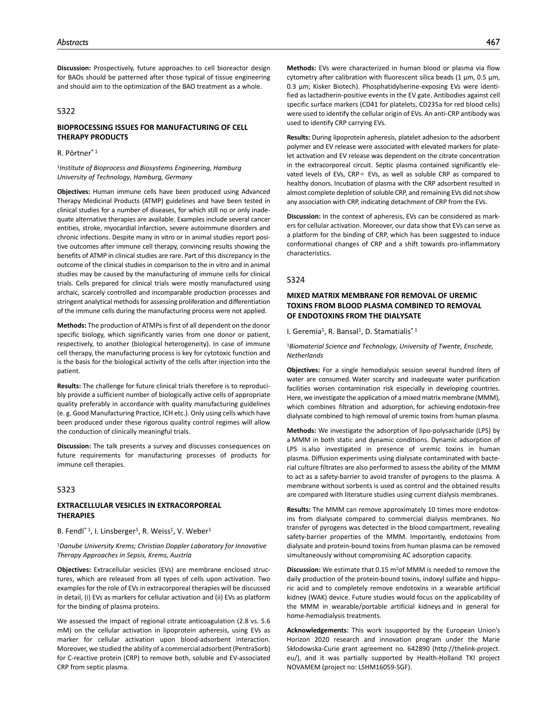**Discussion:** Prospectively, future approaches to cell bioreactor design for BAOs should be patterned after those typical of tissue engineering and should aim to the optimization of the BAO treatment as a whole.

## S322

# **BIOPROCESSING ISSUES FOR MANUFACTURING OF CELL THERAPY PRODUCTS**

# R. Pörtner\* 1

#### <sup>1</sup>*Institute of Bioprocess and Biosystems Engineering, Hamburg University of Technology, Hamburg, Germany*

**Objectives:** Human immune cells have been produced using Advanced Therapy Medicinal Products (ATMP) guidelines and have been tested in clinical studies for a number of diseases, for which still no or only inadequate alternative therapies are available. Examples include several cancer entities, stroke, myocardial infarction, severe autoimmune disorders and chronic infections. Despite many in vitro or in animal studies report positive outcomes after immune cell therapy, convincing results showing the benefits of ATMP in clinical studies are rare. Part of this discrepancy in the outcome of the clinical studies in comparison to the in vitro and in animal studies may be caused by the manufacturing of immune cells for clinical trials. Cells prepared for clinical trials were mostly manufactured using archaic, scarcely controlled and incomparable production processes and stringent analytical methods for assessing proliferation and differentiation of the immune cells during the manufacturing process were not applied.

**Methods:** The production of ATMPs is first of all dependent on the donor specific biology, which significantly varies from one donor or patient, respectively, to another (biological heterogeneity). In case of immune cell therapy, the manufacturing process is key for cytotoxic function and is the basis for the biological activity of the cells after injection into the patient.

**Results:** The challenge for future clinical trials therefore is to reproducibly provide a sufficient number of biologically active cells of appropriate quality preferably in accordance with quality manufacturing guidelines (e. g. Good Manufacturing Practice, ICH etc.). Only using cells which have been produced under these rigorous quality control regimes will allow the conduction of clinically meaningful trials.

**Discussion:** The talk presents a survey and discusses consequences on future requirements for manufacturing processes of products for immune cell therapies.

#### S323

## **EXTRACELLULAR VESICLES IN EXTRACORPOREAL THERAPIES**

B. Fendl<sup>\* 1</sup>, I. Linsberger<sup>1</sup>, R. Weiss<sup>1</sup>, V. Weber<sup>1</sup>

#### <sup>1</sup>*Danube University Krems; Christian Doppler Laboratory for Innovative Therapy Approaches in Sepsis, Krems, Austria*

**Objectives:** Extracellular vesicles (EVs) are membrane enclosed structures, which are released from all types of cells upon activation. Two examples for the role of EVs in extracorporeal therapies will be discussed in detail, (i) EVs as markers for cellular activation and (ii) EVs as platform for the binding of plasma proteins.

We assessed the impact of regional citrate anticoagulation (2.8 vs. 5.6 mM) on the cellular activation in lipoprotein apheresis, using EVs as marker for cellular activation upon blood-adsorbent interaction. Moreover, we studied the ability of a commercial adsorbent (PentraSorb) for C-reactive protein (CRP) to remove both, soluble and EV-associated CRP from septic plasma.

**Methods:** EVs were characterized in human blood or plasma via flow cytometry after calibration with fluorescent silica beads (1 µm, 0.5 µm, 0.3 µm; Kisker Biotech). Phosphatidylserine-exposing EVs were identified as lactadherin-positive events in the EV gate. Antibodies against cell specific surface markers (CD41 for platelets, CD235a for red blood cells) were used to identify the cellular origin of EVs. An anti-CRP antibody was used to identify CRP carrying EVs.

**Results:** During lipoprotein apheresis, platelet adhesion to the adsorbent polymer and EV release were associated with elevated markers for platelet activation and EV release was dependent on the citrate concentration in the extracorporeal circuit. Septic plasma contained significantly elevated levels of EVs, CRP+ EVs, as well as soluble CRP as compared to healthy donors. Incubation of plasma with the CRP adsorbent resulted in almost complete depletion of soluble CRP, and remaining EVs did not show any association with CRP, indicating detachment of CRP from the EVs.

**Discussion:** In the context of apheresis, EVs can be considered as markers for cellular activation. Moreover, our data show that EVs can serve as a platform for the binding of CRP, which has been suggested to induce conformational changes of CRP and a shift towards pro-inflammatory characteristics.

#### S324

# **MIXED MATRIX MEMBRANE FOR REMOVAL OF UREMIC TOXINS FROM BLOOD PLASMA COMBINED TO REMOVAL OF ENDOTOXINS FROM THE DIALYSATE**

I. Geremia<sup>1</sup>, R. Bansal<sup>1</sup>, D. Stamatialis<sup>\*1</sup>

<sup>1</sup>*Biomaterial Science and Technology, University of Twente, Enschede, Netherlands*

**Objectives:** For a single hemodialysis session several hundred liters of water are consumed. Water scarcity and inadequate water purification facilities worsen contamination risk especially in developing countries. Here, we investigate the application of a mixed matrix membrane (MMM), which combines filtration and adsorption, for achieving endotoxin-free dialysate combined to high removal of uremic toxins from human plasma.

**Methods:** We investigate the adsorption of lipo-polysacharide (LPS) by a MMM in both static and dynamic conditions. Dynamic adsorption of LPS is also investigated in presence of uremic toxins in human plasma. Diffusion experiments using dialysate contaminated with bacterial culture filtrates are also performed to assess the ability of the MMM to act as a safety-barrier to avoid transfer of pyrogens to the plasma. A membrane without sorbents is used as control and the obtained results are compared with literature studies using current dialysis membranes.

**Results:** The MMM can remove approximately 10 times more endotoxins from dialysate compared to commercial dialysis membranes. No transfer of pyrogens was detected in the blood compartment, revealing safety-barrier properties of the MMM. Importantly, endotoxins from dialysate and protein-bound toxins from human plasma can be removed simultaneously without compromising AC adsorption capacity.

**Discussion:** We estimate that 0.15 m2of MMM is needed to remove the daily production of the protein-bound toxins, indoxyl sulfate and hippuric acid and to completely remove endotoxins in a wearable artificial kidney (WAK) device. Future studies would focus on the applicability of the MMM in wearable/portable artificial kidneys and in general for home-hemodialysis treatments.

**Acknowledgements:** This work issupported by the European Union's Horizon 2020 research and innovation program under the Marie Skłodowska-Curie grant agreement no. 642890 (http://thelink-project. eu/), and it was partially supported by Health-Holland TKI project NOVAMEM (project no: LSHM16059-SGF).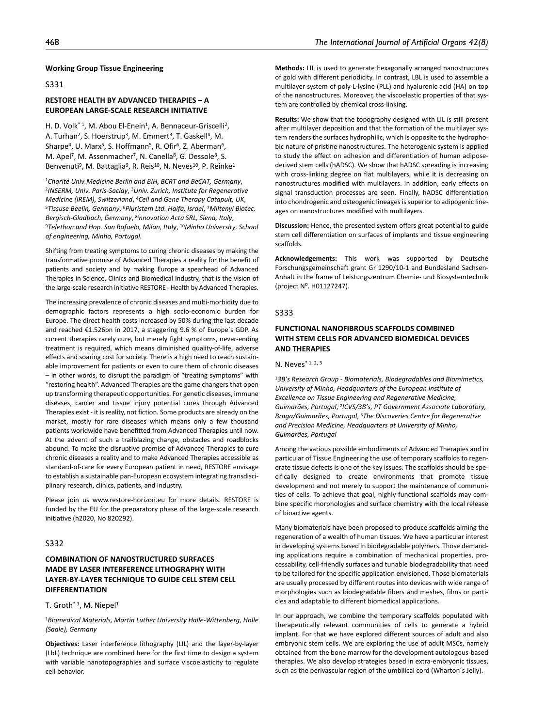#### **Working Group Tissue Engineering**

S331

# **RESTORE HEALTH BY ADVANCED THERAPIES – A EUROPEAN LARGE-SCALE RESEARCH INITIATIVE**

H. D. Volk<sup>\* 1</sup>, M. Abou El-Enein<sup>1</sup>, A. Bennaceur-Griscelli<sup>2</sup>, A. Turhan<sup>2</sup>, S. Hoerstrup<sup>3</sup>, M. Emmert<sup>3</sup>, T. Gaskell<sup>4</sup>, M. Sharpe<sup>4</sup>, U. Marx<sup>5</sup>, S. Hoffmann<sup>5</sup>, R. Ofir<sup>6</sup>, Z. Aberman<sup>6</sup>, M. Apel<sup>7</sup>, M. Assenmacher<sup>7</sup>, N. Canella<sup>8</sup>, G. Dessole<sup>8</sup>, S. Benvenuti<sup>9</sup>, M. Battaglia<sup>9</sup>, R. Reis<sup>10</sup>, N. Neves<sup>10</sup>, P. Reinke<sup>1</sup>

<sup>1</sup>*Charité Univ.Medicine Berlin and BIH, BCRT and BeCAT, Germany*, 2*INSERM, Univ. Paris-Saclay*, 3*Univ. Zurich, Institute for Regenerative Medicine (IREM), Switzerland, <sup>4</sup>Cell and Gene Therapy Catapult, UK,* 5*Tissuse Beelin, Germany*, <sup>5</sup>*Pluristem Ltd. Haifa, Israel, <sup>7</sup>Miltenyi Biotec, Bergisch-Gladbach, Germany*, 8I*nnovation Acta SRL, Siena, Italy*, 9*Telethon and Hop. San Rafaelo, Milan, Italy*, 10*Minho University, School of engineering, Minho, Portugal.*

Shifting from treating symptoms to curing chronic diseases by making the transformative promise of Advanced Therapies a reality for the benefit of patients and society and by making Europe a spearhead of Advanced Therapies in Science, Clinics and Biomedical Industry, that is the vision of the large-scale research initiative RESTORE - Health by Advanced Therapies.

The increasing prevalence of chronic diseases and multi-morbidity due to demographic factors represents a high socio-economic burden for Europe. The direct health costs increased by 50% during the last decade and reached €1.526bn in 2017, a staggering 9.6 % of Europe´s GDP. As current therapies rarely cure, but merely fight symptoms, never-ending treatment is required, which means diminished quality-of-life, adverse effects and soaring cost for society. There is a high need to reach sustainable improvement for patients or even to cure them of chronic diseases – in other words, to disrupt the paradigm of "treating symptoms" with "restoring health". Advanced Therapies are the game changers that open up transforming therapeutic opportunities. For genetic diseases, immune diseases, cancer and tissue injury potential cures through Advanced Therapies exist - it is reality, not fiction. Some products are already on the market, mostly for rare diseases which means only a few thousand patients worldwide have benefitted from Advanced Therapies until now. At the advent of such a trailblazing change, obstacles and roadblocks abound. To make the disruptive promise of Advanced Therapies to cure chronic diseases a reality and to make Advanced Therapies accessible as standard-of-care for every European patient in need, RESTORE envisage to establish a sustainable pan-European ecosystem integrating transdisciplinary research, clinics, patients, and industry.

Please join us www.restore-horizon.eu for more details. RESTORE is funded by the EU for the preparatory phase of the large-scale research initiative (h2020, No 820292).

## S332

# **COMBINATION OF NANOSTRUCTURED SURFACES MADE BY LASER INTERFERENCE LITHOGRAPHY WITH LAYER-BY-LAYER TECHNIQUE TO GUIDE CELL STEM CELL DIFFERENTIATION**

#### T. Groth<sup>\*1</sup>, M. Niepel<sup>1</sup>

#### <sup>1</sup>*Biomedical Materials, Martin Luther University Halle-Wittenberg, Halle (Saale), Germany*

**Objectives:** Laser interference lithography (LIL) and the layer-by-layer (LbL) technique are combined here for the first time to design a system with variable nanotopographies and surface viscoelasticity to regulate cell behavior.

**Methods:** LIL is used to generate hexagonally arranged nanostructures of gold with different periodicity. In contrast, LBL is used to assemble a multilayer system of poly-L-lysine (PLL) and hyaluronic acid (HA) on top of the nanostructures. Moreover, the viscoelastic properties of that system are controlled by chemical cross-linking.

**Results:** We show that the topography designed with LIL is still present after multilayer deposition and that the formation of the multilayer system renders the surfaces hydrophilic, which is opposite to the hydrophobic nature of pristine nanostructures. The heterogenic system is applied to study the effect on adhesion and differentiation of human adiposederived stem cells (hADSC). We show that hADSC spreading is increasing with cross-linking degree on flat multilayers, while it is decreasing on nanostructures modified with multilayers. In addition, early effects on signal transduction processes are seen. Finally, hADSC differentiation into chondrogenic and osteogenic lineages is superior to adipogenic lineages on nanostructures modified with multilayers.

**Discussion:** Hence, the presented system offers great potential to guide stem cell differentiation on surfaces of implants and tissue engineering scaffolds.

**Acknowledgements:** This work was supported by Deutsche Forschungsgemeinschaft grant Gr 1290/10-1 and Bundesland Sachsen-Anhalt in the frame of Leistungszentrum Chemie- und Biosystemtechnik (project N⁰. H01127247).

#### S333

# **FUNCTIONAL NANOFIBROUS SCAFFOLDS COMBINED WITH STEM CELLS FOR ADVANCED BIOMEDICAL DEVICES AND THERAPIES**

N. Neves\* 1, 2, 3

<sup>1</sup>*3B's Research Group - Biomaterials, Biodegradables and Biomimetics, University of Minho, Headquarters of the European Institute of Excellence on Tissue Engineering and Regenerative Medicine, Guimarães, Portugal*, 2*ICVS/3B's, PT Government Associate Laboratory, Braga/Guimarães, Portugal*, 3*The Discoveries Centre for Regenerative and Precision Medicine, Headquarters at University of Minho, Guimarães, Portugal*

Among the various possible embodiments of Advanced Therapies and in particular of Tissue Engineering the use of temporary scaffolds to regenerate tissue defects is one of the key issues. The scaffolds should be specifically designed to create environments that promote tissue development and not merely to support the maintenance of communities of cells. To achieve that goal, highly functional scaffolds may combine specific morphologies and surface chemistry with the local release of bioactive agents.

Many biomaterials have been proposed to produce scaffolds aiming the regeneration of a wealth of human tissues. We have a particular interest in developing systems based in biodegradable polymers. Those demanding applications require a combination of mechanical properties, processability, cell-friendly surfaces and tunable biodegradability that need to be tailored for the specific application envisioned. Those biomaterials are usually processed by different routes into devices with wide range of morphologies such as biodegradable fibers and meshes, films or particles and adaptable to different biomedical applications.

In our approach, we combine the temporary scaffolds populated with therapeutically relevant communities of cells to generate a hybrid implant. For that we have explored different sources of adult and also embryonic stem cells. We are exploring the use of adult MSCs, namely obtained from the bone marrow for the development autologous-based therapies. We also develop strategies based in extra-embryonic tissues, such as the perivascular region of the umbilical cord (Wharton´s Jelly).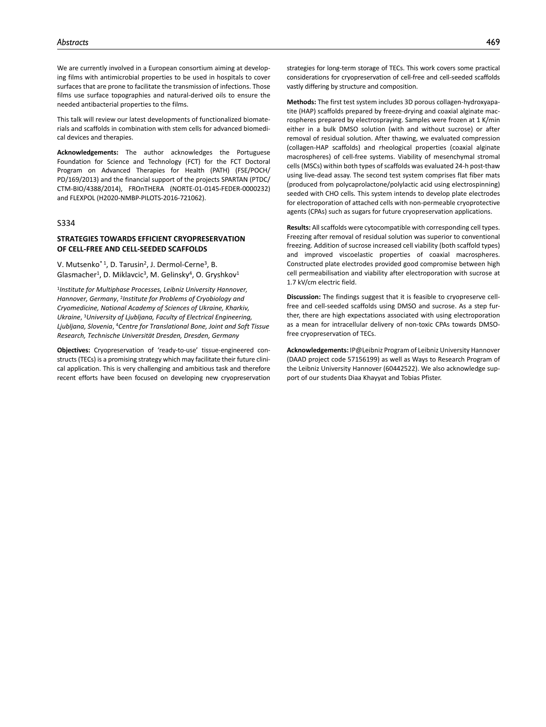We are currently involved in a European consortium aiming at developing films with antimicrobial properties to be used in hospitals to cover surfaces that are prone to facilitate the transmission of infections. Those films use surface topographies and natural-derived oils to ensure the needed antibacterial properties to the films.

This talk will review our latest developments of functionalized biomaterials and scaffolds in combination with stem cells for advanced biomedical devices and therapies.

**Acknowledgements:** The author acknowledges the Portuguese Foundation for Science and Technology (FCT) for the FCT Doctoral Program on Advanced Therapies for Health (PATH) (FSE/POCH/ PD/169/2013) and the financial support of the projects SPARTAN (PTDC/ CTM-BIO/4388/2014), FROnTHERA (NORTE-01-0145-FEDER-0000232) and FLEXPOL (H2020-NMBP-PILOTS-2016-721062).

## S334

## **STRATEGIES TOWARDS EFFICIENT CRYOPRESERVATION OF CELL-FREE AND CELL-SEEDED SCAFFOLDS**

V. Mutsenko\* 1, D. Tarusin2, J. Dermol-Cerne3, B. Glasmacher<sup>1</sup>, D. Miklavcic<sup>3</sup>, M. Gelinsky<sup>4</sup>, O. Gryshkov<sup>1</sup>

<sup>1</sup>*Institute for Multiphase Processes, Leibniz University Hannover, Hannover, Germany*, 2*Institute for Problems of Cryobiology and Cryomedicine, National Academy of Sciences of Ukraine, Kharkiv, Ukraine*, 3*University of Ljubljana, Faculty of Electrical Engineering, Ljubljana, Slovenia*, 4*Centre for Translational Bone, Joint and Soft Tissue Research, Technische Universität Dresden, Dresden, Germany*

**Objectives:** Cryopreservation of 'ready-to-use' tissue-engineered constructs (TECs) is a promising strategy which may facilitate their future clinical application. This is very challenging and ambitious task and therefore recent efforts have been focused on developing new cryopreservation

strategies for long-term storage of TECs. This work covers some practical considerations for cryopreservation of cell-free and cell-seeded scaffolds vastly differing by structure and composition.

**Methods:** The first test system includes 3D porous collagen-hydroxyapatite (HAP) scaffolds prepared by freeze-drying and coaxial alginate macrospheres prepared by electrospraying. Samples were frozen at 1 K/min either in a bulk DMSO solution (with and without sucrose) or after removal of residual solution. After thawing, we evaluated compression (collagen-HAP scaffolds) and rheological properties (coaxial alginate macrospheres) of cell-free systems. Viability of mesenchymal stromal cells (MSCs) within both types of scaffolds was evaluated 24-h post-thaw using live-dead assay. The second test system comprises flat fiber mats (produced from polycaprolactone/polylactic acid using electrospinning) seeded with CHO cells. This system intends to develop plate electrodes for electroporation of attached cells with non-permeable cryoprotective agents (CPAs) such as sugars for future cryopreservation applications.

**Results:** All scaffolds were cytocompatible with corresponding cell types. Freezing after removal of residual solution was superior to conventional freezing. Addition of sucrose increased cell viability (both scaffold types) and improved viscoelastic properties of coaxial macrospheres. Constructed plate electrodes provided good compromise between high cell permeabilisation and viability after electroporation with sucrose at 1.7 kV/cm electric field.

**Discussion:** The findings suggest that it is feasible to cryopreserve cellfree and cell-seeded scaffolds using DMSO and sucrose. As a step further, there are high expectations associated with using electroporation as a mean for intracellular delivery of non-toxic CPAs towards DMSOfree cryopreservation of TECs.

**Acknowledgements:** IP@Leibniz Program of Leibniz University Hannover (DAAD project code 57156199) as well as Ways to Research Program of the Leibniz University Hannover (60442522). We also acknowledge support of our students Diaa Khayyat and Tobias Pfister.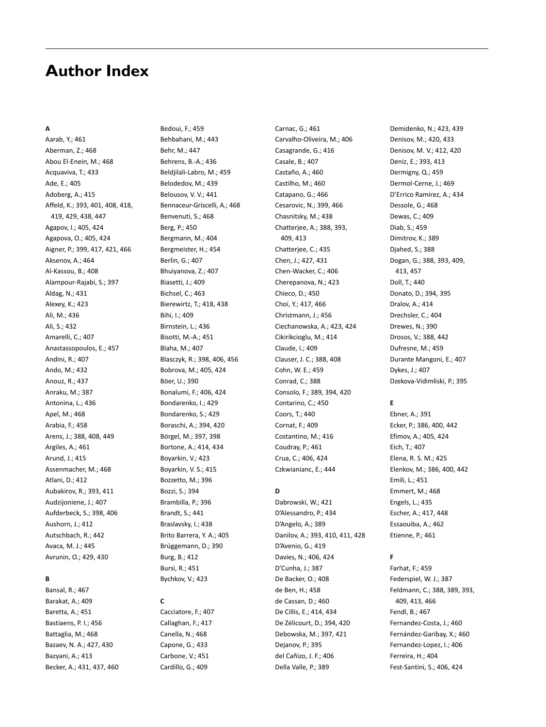# **Author Index**

# **A**

Aarab, Y.; 461 Aberman, Z.; 468 Abou El-Enein, M.; 468 Acquaviva, T.; 433 Ade, E.; 405 Adoberg, A.; 415 Affeld, K.; 393, 401, 408, 418, 419, 429, 438, 447 Agapov, I.; 405, 424 Agapova, O.; 405, 424 Aigner, P.; 399, 417, 421, 466 Aksenov, A.; 464 Al-Kassou, B.; 408 Alampour-Rajabi, S.; 397 Aldag, N.; 431 Alexey, K.; 423 Ali, M.; 436 Ali, S.; 432 Amarelli, C.; 407 Anastassopoulos, E.; 457 Andini, R.; 407 Ando, M.; 432 Anouz, R.; 437 Anraku, M.; 387 Antonina, L.; 436 Apel, M.; 468 Arabia, F.; 458 Arens, J.; 388, 408, 449 Argiles, A.; 461 Arund, J.; 415 Assenmacher, M.; 468 Atlani, D.; 412 Aubakirov, R.; 393, 411 Audzijoniene, J.; 407 Aufderbeck, S.; 398, 406 Aushorn, J.; 412 Autschbach, R.; 442 Avaca, M. J.; 445 Avrunin, O.; 429, 430

# **B**

Bansal, R.; 467 Barakat, A.; 409 Baretta, A.; 451 Bastiaens, P. I.; 456 Battaglia, M.; 468 Bazaev, N. A.; 427, 430 Bazyani, A.; 413 Becker, A.; 431, 437, 460 Bedoui, F.; 459 Behbahani, M.; 443 Behr, M.; 447 Behrens, B.-A.; 436 Beldjilali-Labro, M.; 459 Belodedov, M.; 439 Belousov, V. V.; 441 Bennaceur-Griscelli, A.; 468 Benvenuti, S.; 468 Berg, P.; 450 Bergmann, M.; 404 Bergmeister, H.; 454 Berlin, G.; 407 Bhuiyanova, Z.; 407 Biasetti, J.; 409 Bichsel, C.; 463 Bierewirtz, T.; 418, 438 Bihi, I.; 409 Birnstein, L.; 436 Bisotti, M.-A.; 451 Blaha, M.; 407 Blasczyk, R.; 398, 406, 456 Bobrova, M.; 405, 424 Böer, U.; 390 Bonalumi, F.; 406, 424 Bondarenko, I.; 429 Bondarenko, S.; 429 Boraschi, A.; 394, 420 Börgel, M.; 397, 398 Bortone, A.; 414, 434 Boyarkin, V.; 423 Boyarkin, V. S.; 415 Bozzetto, M.; 396 Bozzi, S.; 394 Brambilla, P.; 396 Brandt, S.; 441 Braslavsky, I.; 438 Brito Barrera, Y. A.; 405 Brüggemann, D.; 390 Burg, B.; 412 Bursi, R.; 451

## **C**

Cacciatore, F.; 407 Callaghan, F.; 417 Canella, N.; 468 Capone, G.; 433 Carbone, V.; 451 Cardillo, G.; 409

Bychkov, V.; 423

Carnac, G.; 461 Carvalho-Oliveira, M.; 406 Casagrande, G.; 416 Casale, B.; 407 Castaño, A.; 460 Castilho, M.; 460 Catapano, G.; 466 Cesarovic, N.; 399, 466 Chasnitsky, M.; 438 Chatterjee, A.; 388, 393, 409, 413 Chatterjee, C.; 435 Chen, J.; 427, 431 Chen-Wacker, C.; 406 Cherepanova, N.; 423 Chieco, D.; 450 Choi, Y.; 417, 466 Christmann, J.; 456 Ciechanowska, A.; 423, 424 Cikirikcioglu, M.; 414 Claude, I.; 409 Clauser, J. C.; 388, 408 Cohn, W. E.; 459 Conrad, C.; 388 Consolo, F.; 389, 394, 420 Contarino, C.; 450 Coors, T.; 440 Cornat, F.; 409 Costantino, M.; 416 Coudray, P.; 461 Crua, C.; 406, 424 Czkwianianc, E.; 444

# **D**

Dabrowski, W.; 421 D'Alessandro, P.; 434 D'Angelo, A.; 389 Danilov, A.; 393, 410, 411, 428 D'Avenio, G.; 419 Davies, N.; 406, 424 D'Cunha, J.; 387 De Backer, O.; 408 de Ben, H.; 458 de Cassan, D.; 460 De Cillis, E.; 414, 434 De Zélicourt, D.; 394, 420 Debowska, M.; 397, 421 Dejanov, P.; 395 del Cañizo, J. F.; 406 Della Valle, P.; 389

Demidenko, N.; 423, 439 Denisov, M.; 420, 433 Denisov, M. V.; 412, 420 Deniz, E.; 393, 413 Dermigny, Q.; 459 Dermol-Cerne, J.; 469 D'Errico Ramirez, A.; 434 Dessole, G.; 468 Dewas, C.; 409 Diab, S.; 459 Dimitrov, K.; 389 Djahed, S.; 388 Dogan, G.; 388, 393, 409, 413, 457 Doll, T.; 440 Donato, D.; 394, 395 Dralov, A.; 414 Drechsler, C.; 404 Drewes, N.; 390 Drosos, V.; 388, 442 Dufresne, M.; 459 Durante Mangoni, E.; 407 Dykes, J.; 407 Dzekova-Vidimliski, P.; 395

#### **E**

Ebner, A.; 391 Ecker, P.; 386, 400, 442 Efimov, A.; 405, 424 Eich, T.; 407 Elena, R. S. M.; 425 Elenkov, M.; 386, 400, 442 Emili, L.; 451 Emmert, M.; 468 Engels, L.; 435 Escher, A.; 417, 448 Essaouiba, A.; 462 Etienne, P.; 461

## **F**

Farhat, F.; 459 Federspiel, W. J.; 387 Feldmann, C.; 388, 389, 393, 409, 413, 466 Fendl, B.; 467 Fernandez-Costa, J.; 460 Fernández-Garibay, X.; 460 Fernandez-Lopez, I.; 406 Ferreira, H.; 404 Fest-Santini, S.; 406, 424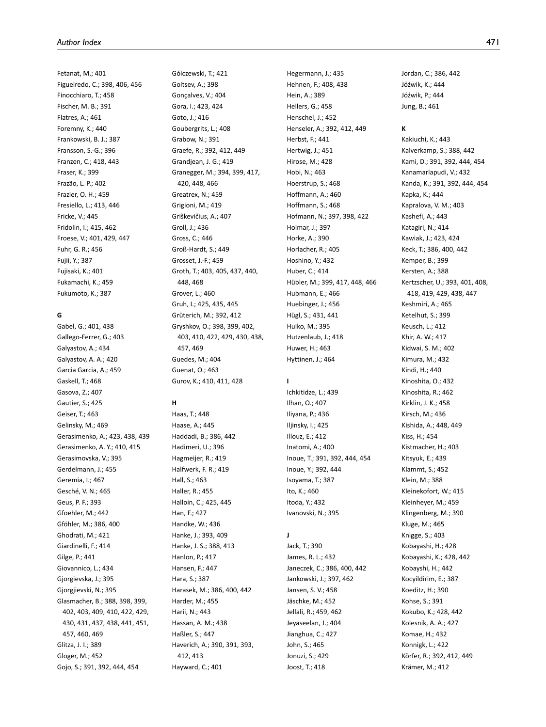Fetanat, M.; 401 Figueiredo, C.; 398, 406, 456 Finocchiaro, T.; 458 Fischer, M. B.; 391 Flatres, A.; 461 Foremny, K.; 440 Frankowski, B. J.; 387 Fransson, S.-G.; 396 Franzen, C.; 418, 443 Fraser, K.; 399 Frazão, L. P.; 402 Frazier, O. H.; 459 Fresiello, L.; 413, 446 Fricke, V.; 445 Fridolin, I.; 415, 462 Froese, V.; 401, 429, 447 Fuhr, G. R.; 456 Fujii, Y.; 387 Fujisaki, K.; 401 Fukamachi, K.; 459 Fukumoto, K.; 387

# **G**

Gabel, G.; 401, 438 Gallego-Ferrer, G.; 403 Galyastov, A.; 434 Galyastov, A. A.; 420 Garcia Garcia, A.; 459 Gaskell, T.; 468 Gasova, Z.; 407 Gautier, S.; 425 Geiser, T.; 463 Gelinsky, M.; 469 Gerasimenko, A.; 423, 438, 439 Gerasimenko, A. Y.; 410, 415 Gerasimovska, V.; 395 Gerdelmann, J.; 455 Geremia, I.; 467 Gesché, V. N.; 465 Geus, P. F.; 393 Gfoehler, M.; 442 Gföhler, M.; 386, 400 Ghodrati, M.; 421 Giardinelli, F.; 414 Gilge, P.; 441 Giovannico, L.; 434 Gjorgievska, J.; 395 Gjorgjievski, N.; 395 Glasmacher, B.; 388, 398, 399, 402, 403, 409, 410, 422, 429, 430, 431, 437, 438, 441, 451, 457, 460, 469 Glitza, J. I.; 389 Gloger, M.; 452 Gojo, S.; 391, 392, 444, 454

Gólczewski, T.; 421 Goltsev, A.; 398 Gonçalves, V.; 404 Gora, I.; 423, 424 Goto, J.; 416 Goubergrits, L.; 408 Grabow, N.; 391 Graefe, R.; 392, 412, 449 Grandjean, J. G.; 419 Granegger, M.; 394, 399, 417, 420, 448, 466 Greatrex, N.; 459 Grigioni, M.; 419 Griškevičius, A.; 407 Groll, J.; 436 Gross, C.; 446 Groß-Hardt, S.; 449 Grosset, J.-F.; 459 Groth, T.; 403, 405, 437, 440, 448, 468 Grover, L.; 460 Gruh, I.; 425, 435, 445 Grüterich, M.; 392, 412 Gryshkov, O.; 398, 399, 402, 403, 410, 422, 429, 430, 438, 457, 469 Guedes, M.; 404 Guenat, O.; 463 Gurov, K.; 410, 411, 428

# **H**

Haas, T.; 448 Haase, A.; 445 Haddadi, B.; 386, 442 Hadimeri, U.; 396 Hagmeijer, R.; 419 Halfwerk, F. R.; 419 Hall, S.; 463 Haller, R.; 455 Halloin, C.; 425, 445 Han, F.; 427 Handke, W.; 436 Hanke, J.; 393, 409 Hanke, J. S.; 388, 413 Hanlon, P.; 417 Hansen, F.; 447 Hara, S.; 387 Harasek, M.; 386, 400, 442 Harder, M.; 455 Harii, N.; 443 Hassan, A. M.; 438 Haßler, S.; 447 Haverich, A.; 390, 391, 393, 412, 413 Hayward, C.; 401

Hegermann, J.; 435 Hehnen, F.; 408, 438 Hein, A.; 389 Hellers, G.; 458 Henschel, J.; 452 Henseler, A.; 392, 412, 449 Herbst, F.; 441 Hertwig, J.; 451 Hirose, M.; 428 Hobi, N.; 463 Hoerstrup, S.; 468 Hoffmann, A.; 460 Hoffmann, S.; 468 Hofmann, N.; 397, 398, 422 Holmar, J.; 397 Horke, A.; 390 Horlacher, R.; 405 Hoshino, Y.; 432 Huber, C.; 414 Hübler, M.; 399, 417, 448, 466 Hubmann, E.; 466 Huebinger, J.; 456 Hügl, S.; 431, 441 Hulko, M.; 395 Hutzenlaub, J.; 418 Huwer, H.; 463 Hyttinen, J.; 464

# **I**

Ichkitidze, L.; 439 Ilhan, O.; 407 Iliyana, P.; 436 Iljinsky, I.; 425 Illouz, E.; 412 Inatomi, A.; 400 Inoue, T.; 391, 392, 444, 454 Inoue, Y.; 392, 444 Isoyama, T.; 387 Ito, K.; 460 Itoda, Y.; 432 Ivanovski, N.; 395

# **J**

Jack, T.; 390 James, R. L.; 432 Janeczek, C.; 386, 400, 442 Jankowski, J.; 397, 462 Jansen, S. V.; 458 Jäschke, M.; 452 Jellali, R.; 459, 462 Jeyaseelan, J.; 404 Jianghua, C.; 427 John, S.; 465 Jonuzi, S.; 429 Joost, T.; 418

Jordan, C.; 386, 442 Jóźwik, K.; 444 Jóźwik, P.; 444 Jung, B.; 461

## **K**

Kakiuchi, K.; 443 Kalverkamp, S.; 388, 442 Kami, D.; 391, 392, 444, 454 Kanamarlapudi, V.; 432 Kanda, K.; 391, 392, 444, 454 Kapka, K.; 444 Kapralova, V. M.; 403 Kashefi, A.; 443 Katagiri, N.; 414 Kawiak, J.; 423, 424 Keck, T.; 386, 400, 442 Kemper, B.; 399 Kersten, A.; 388 Kertzscher, U.; 393, 401, 408, 418, 419, 429, 438, 447 Keshmiri, A.; 465 Ketelhut, S.; 399 Keusch, L.; 412 Khir, A. W.; 417 Kidwai, S. M.; 402 Kimura, M.; 432 Kindi, H.; 440 Kinoshita, O.; 432 Kinoshita, R.; 462 Kirklin, J. K.; 458 Kirsch, M.; 436 Kishida, A.; 448, 449 Kiss, H.; 454 Kistmacher, H.; 403 Kitsyuk, E.; 439 Klammt, S.; 452 Klein, M.; 388 Kleinekofort, W.; 415 Kleinheyer, M.; 459 Klingenberg, M.; 390 Kluge, M.; 465 Knigge, S.; 403 Kobayashi, H.; 428 Kobayashi, K.; 428, 442 Kobayshi, H.; 442 Kocyildirim, E.; 387 Koeditz, H.; 390 Kohse, S.; 391 Kokubo, K.; 428, 442 Kolesnik, A. A.; 427 Komae, H.; 432 Konnigk, L.; 422 Körfer, R.; 392, 412, 449 Krämer, M.; 412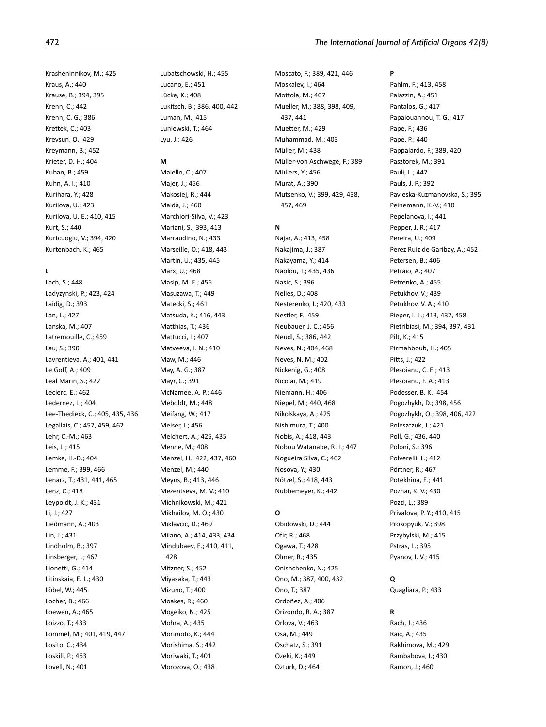Krasheninnikov, M.; 425 Kraus, A.; 440 Krause, B.; 394, 395 Krenn, C.; 442 Krenn, C. G.; 386 Krettek, C.; 403 Krevsun, O.; 429 Kreymann, B.; 452 Krieter, D. H.; 404 Kuban, B.; 459 Kuhn, A. I.; 410 Kurihara, Y.; 428 Kurilova, U.; 423 Kurilova, U. E.; 410, 415 Kurt, S.; 440 Kurtcuoglu, V.; 394, 420 Kurtenbach, K.; 465

# **L**

Lach, S.; 448 Ladyzynski, P.; 423, 424 Laidig, D.; 393 Lan, L.; 427 Lanska, M.; 407 Latremouille, C.; 459 Lau, S.; 390 Lavrentieva, A.; 401, 441 Le Goff, A.; 409 Leal Marin, S.; 422 Leclerc, E.; 462 Ledernez, L.; 404 Lee-Thedieck, C.; 405, 435, 436 Legallais, C.; 457, 459, 462 Lehr, C.-M.; 463 Leis, L.; 415 Lemke, H.-D.; 404 Lemme, F.; 399, 466 Lenarz, T.; 431, 441, 465 Lenz, C.; 418 Leypoldt, J. K.; 431 Li, J.; 427 Liedmann, A.; 403 Lin, J.; 431 Lindholm, B.; 397 Linsberger, I.; 467 Lionetti, G.; 414 Litinskaia, E. L.; 430 Löbel, W.; 445 Locher, B.; 466 Loewen, A.; 465 Loizzo, T.; 433 Lommel, M.; 401, 419, 447 Losito, C.; 434 Loskill, P.; 463 Lovell, N.; 401

Lubatschowski, H.; 455 Lucano, E.; 451 Lücke, K.; 408 Lukitsch, B.; 386, 400, 442 Luman, M.; 415 Luniewski, T.; 464 Lyu, J.; 426

## **M**

Maiello, C.; 407

Majer, J.; 456 Makosiej, R.; 444 Malda, J.; 460 Marchiori-Silva, V.; 423 Mariani, S.; 393, 413 Marraudino, N.; 433 Marseille, O.; 418, 443 Martin, U.; 435, 445 Marx, U.; 468 Masip, M. E.; 456 Masuzawa, T.; 449 Matecki, S.; 461 Matsuda, K.; 416, 443 Matthias, T.; 436 Mattucci, I.; 407 Matveeva, I. N.; 410 Maw, M.; 446 May, A. G.; 387 Mayr, C.; 391 McNamee, A. P.; 446 Meboldt, M.; 448 Meifang, W.; 417 Meiser, I.; 456 Melchert, A.; 425, 435 Menne, M.; 408 Menzel, H.; 422, 437, 460 Menzel, M.; 440 Meyns, B.; 413, 446 Mezentseva, M. V.; 410 Michnikowski, M.; 421 Mikhailov, M. O.; 430 Miklavcic, D.; 469 Milano, A.; 414, 433, 434 Mindubaev, E.; 410, 411, 428 Mitzner, S.; 452 Miyasaka, T.; 443 Mizuno, T.; 400 Moakes, R.; 460 Mogeiko, N.; 425 Mohra, A.; 435 Morimoto, K.; 444 Morishima, S.; 442 Moriwaki, T.; 401 Morozova, O.; 438

Moscato, F.; 389, 421, 446 Moskalev, I.; 464 Mottola, M.; 407 Mueller, M.; 388, 398, 409, 437, 441 Muetter, M.; 429 Muhammad, M.; 403 Müller, M.; 438 Müller-von Aschwege, F.; 389 Müllers, Y.; 456 Murat, A.; 390 Mutsenko, V.; 399, 429, 438, 457, 469

# **N**

Najar, A.; 413, 458 Nakajima, J.; 387 Nakayama, Y.; 414 Naolou, T.; 435, 436 Nasic, S.; 396 Nelles, D.; 408 Nesterenko, I.; 420, 433 Nestler, F.; 459 Neubauer, J. C.; 456 Neudl, S.; 386, 442 Neves, N.; 404, 468 Neves, N. M.; 402 Nickenig, G.; 408 Nicolai, M.; 419 Niemann, H.; 406 Niepel, M.; 440, 468 Nikolskaya, A.; 425 Nishimura, T.; 400 Nobis, A.; 418, 443 Nobou Watanabe, R. I.; 447 Nogueira Silva, C.; 402 Nosova, Y.; 430 Nötzel, S.; 418, 443 Nubbemeyer, K.; 442

# **O**

Obidowski, D.; 444 Ofir, R.; 468 Ogawa, T.; 428 Olmer, R.; 435 Onishchenko, N.; 425 Ono, M.; 387, 400, 432 Ono, T.; 387 Ordoñez, A.; 406 Orizondo, R. A.; 387 Orlova, V.; 463 Osa, M.; 449 Oschatz, S.; 391 Ozeki, K.; 449 Ozturk, D.; 464

**P** Pahlm, F.; 413, 458 Palazzin, A.; 451 Pantalos, G.; 417 Papaiouannou, T. G.; 417 Pape, F.; 436 Pape, P.; 440 Pappalardo, F.; 389, 420 Pasztorek, M.; 391 Pauli, L.; 447 Pauls, J. P.; 392 Pavleska-Kuzmanovska, S.; 395 Peinemann, K.-V.; 410 Pepelanova, I.; 441 Pepper, J. R.; 417 Pereira, U.; 409 Perez Ruiz de Garibay, A.; 452 Petersen, B.; 406 Petraio, A.; 407 Petrenko, A.; 455 Petukhov, V.; 439 Petukhov, V. A.; 410 Pieper, I. L.; 413, 432, 458 Pietribiasi, M.; 394, 397, 431 Pilt, K.; 415 Pirmahboub, H.; 405 Pitts, J.; 422 Plesoianu, C. E.; 413 Plesoianu, F. A.; 413 Podesser, B. K.; 454 Pogozhykh, D.; 398, 456 Pogozhykh, O.; 398, 406, 422 Poleszczuk, J.; 421 Poll, G.; 436, 440 Poloni, S.; 396 Polverelli, L.; 412 Pörtner, R.; 467 Potekhina, E.; 441 Pozhar, K. V.; 430 Pozzi, L.; 389 Privalova, P. Y.; 410, 415 Prokopyuk, V.; 398 Przybylski, M.; 415 Pstras, L.; 395 Pyanov, I. V.; 415

## **Q**

Quagliara, P.; 433

## **R**

Rach, J.; 436 Raic, A.; 435 Rakhimova, M.; 429 Rambabova, I.; 430 Ramon, J.; 460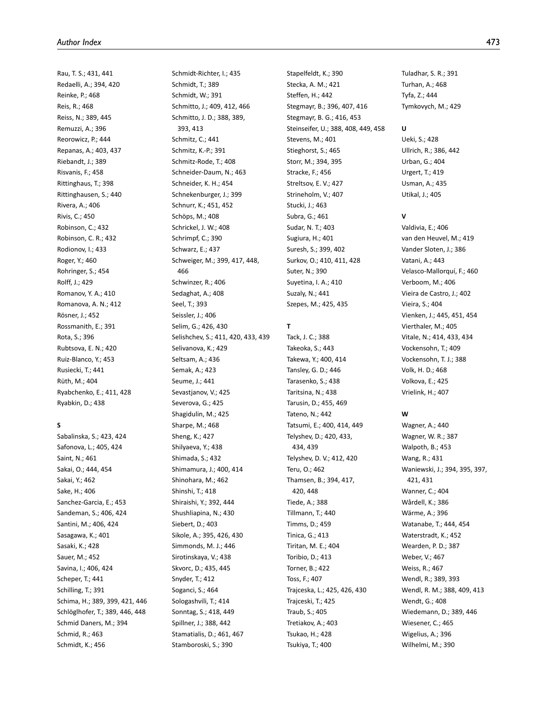Rau, T. S.; 431, 441 Redaelli, A.; 394, 420 Reinke, P.; 468 Reis, R.; 468 Reiss, N.; 389, 445 Remuzzi, A.; 396 Reorowicz, P.; 444 Repanas, A.; 403, 437 Riebandt, J.; 389 Risvanis, F.; 458 Rittinghaus, T.; 398 Rittinghausen, S.; 440 Rivera, A.; 406 Rivis, C.; 450 Robinson, C.; 432 Robinson, C. R.; 432 Rodionov, I.; 433 Roger, Y.; 460 Rohringer, S.; 454 Rolff, J.; 429 Romanov, Y. A.; 410 Romanova, A. N.; 412 Rösner, J.; 452 Rossmanith, E.; 391 Rota, S.; 396 Rubtsova, E. N.; 420 Ruiz-Blanco, Y.; 453 Rusiecki, T.; 441 Rüth, M.; 404 Ryabchenko, E.; 411, 428 Ryabkin, D.; 438

# **S**

Sabalinska, S.; 423, 424 Safonova, L.; 405, 424 Saint, N.; 461 Sakai, O.; 444, 454 Sakai, Y.; 462 Sake, H.; 406 Sanchez-Garcia, E.; 453 Sandeman, S.; 406, 424 Santini, M.; 406, 424 Sasagawa, K.; 401 Sasaki, K.; 428 Sauer, M.; 452 Savina, I.; 406, 424 Scheper, T.; 441 Schilling, T.; 391 Schima, H.; 389, 399, 421, 446 Schlöglhofer, T.; 389, 446, 448 Schmid Daners, M.; 394 Schmid, R.; 463 Schmidt, K.; 456

Schmidt-Richter, I.; 435 Schmidt, T.; 389 Schmidt, W.; 391 Schmitto, J.; 409, 412, 466 Schmitto, J. D.; 388, 389, 393, 413 Schmitz, C.; 441 Schmitz, K.-P.; 391 Schmitz-Rode, T.; 408 Schneider-Daum, N.; 463 Schneider, K. H.; 454 Schnekenburger, J.; 399 Schnurr, K.; 451, 452 Schöps, M.; 408 Schrickel, J. W.; 408 Schrimpf, C.; 390 Schwarz, E.; 437 Schweiger, M.; 399, 417, 448, 466 Schwinzer, R.; 406 Sedaghat, A.; 408 Seel, T.; 393 Seissler, J.; 406 Selim, G.; 426, 430 Selishchev, S.; 411, 420, 433, 439 Selivanova, K.; 429 Seltsam, A.; 436 Semak, A.; 423 Seume, J.; 441 Sevastjanov, V.; 425 Severova, G.; 425 Shagidulin, M.; 425 Sharpe, M.; 468 Sheng, K.; 427 Shilyaeva, Y.; 438 Shimada, S.; 432 Shimamura, J.; 400, 414 Shinohara, M.; 462 Shinshi, T.; 418 Shiraishi, Y.; 392, 444 Shushliapina, N.; 430 Siebert, D.; 403 Sikole, A.; 395, 426, 430 Simmonds, M. J.; 446 Sirotinskaya, V.; 438 Skvorc, D.; 435, 445 Snyder, T.; 412 Soganci, S.; 464 Sologashvili, T.; 414 Sonntag, S.; 418, 449 Spillner, J.; 388, 442 Stamatialis, D.; 461, 467 Stamboroski, S.; 390

Stapelfeldt, K.; 390 Stecka, A. M.; 421 Steffen, H.; 442 Stegmayr, B.; 396, 407, 416 Stegmayr, B. G.; 416, 453 Steinseifer, U.; 388, 408, 449, 458 Stevens, M.; 401 Stieghorst, S.; 465 Storr, M.; 394, 395 Stracke, F.; 456 Streltsov, E. V.; 427 Strineholm, V.; 407 Stucki, J.; 463 Subra, G.; 461 Sudar, N. T.; 403 Sugiura, H.; 401 Suresh, S.; 399, 402 Surkov, O.; 410, 411, 428 Suter, N.; 390 Suyetina, I. A.; 410 Suzaly, N.; 441 Szepes, M.; 425, 435

# **T**

Tack, J. C.; 388 Takeoka, S.; 443 Takewa, Y.; 400, 414 Tansley, G. D.; 446 Tarasenko, S.; 438 Taritsina, N.; 438 Tarusin, D.; 455, 469 Tateno, N.; 442 Tatsumi, E.; 400, 414, 449 Telyshev, D.; 420, 433, 434, 439 Telyshev, D. V.; 412, 420 Teru, O.; 462 Thamsen, B.; 394, 417, 420, 448 Tiede, A.; 388 Tillmann, T.; 440 Timms, D.; 459 Tinica, G.; 413 Tiritan, M. E.; 404 Toribio, D.; 413 Torner, B.; 422 Toss, F.; 407 Trajceska, L.; 425, 426, 430 Trajceski, T.; 425 Traub, S.; 405 Tretiakov, A.; 403 Tsukao, H.; 428 Tsukiya, T.; 400

Tuladhar, S. R.; 391 Turhan, A.; 468 Tyfa, Z.; 444 Tymkovych, M.; 429

# **U**

Ueki, S.; 428 Ullrich, R.; 386, 442 Urban, G.; 404 Urgert, T.; 419 Usman, A.; 435 Utikal, J.; 405

## **V**

Valdivia, E.; 406 van den Heuvel, M.; 419 Vander Sloten, J.; 386 Vatani, A.; 443 Velasco-Mallorquí, F.; 460 Verboom, M.; 406 Vieira de Castro, J.; 402 Vieira, S.; 404 Vienken, J.; 445, 451, 454 Vierthaler, M.; 405 Vitale, N.; 414, 433, 434 Vockensohn, T.; 409 Vockensohn, T. J.; 388 Volk, H. D.; 468 Volkova, E.; 425 Vrielink, H.; 407

## **W**

Wagner, A.; 440 Wagner, W. R.; 387 Walpoth, B.; 453 Wang, R.; 431 Waniewski, J.; 394, 395, 397, 421, 431 Wanner, C.; 404 Wårdell, K.; 386 Wärme, A.; 396 Watanabe, T.; 444, 454 Waterstradt, K.; 452 Wearden, P. D.; 387 Weber, V.; 467 Weiss, R.; 467 Wendl, R.; 389, 393 Wendl, R. M.; 388, 409, 413 Wendt, G.; 408 Wiedemann, D.; 389, 446 Wiesener, C.; 465 Wigelius, A.; 396 Wilhelmi, M.; 390